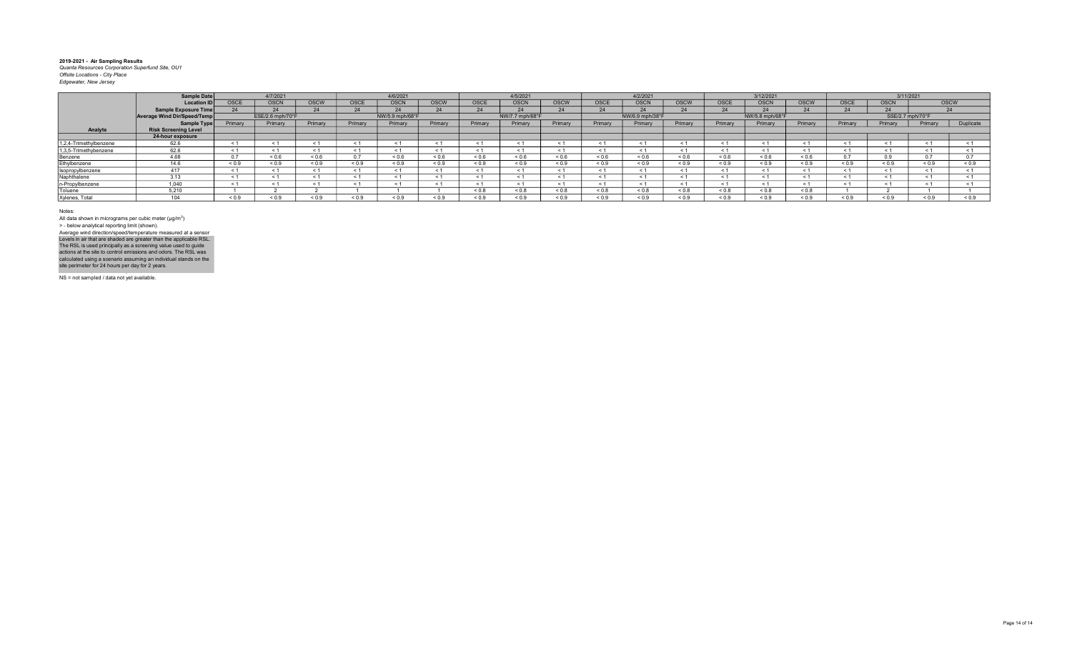|                        | Sample Date                 |             | 4/7/2021          |             |              | 4/6/2021        |             |             | 4/5/2021        |             |            | 4/2/2021          |             |             | 3/12/2021       |             |            | 3/11/2021   |                  |            |
|------------------------|-----------------------------|-------------|-------------------|-------------|--------------|-----------------|-------------|-------------|-----------------|-------------|------------|-------------------|-------------|-------------|-----------------|-------------|------------|-------------|------------------|------------|
|                        | <b>Location ID</b>          | <b>OSCE</b> | <b>OSCN</b>       | <b>OSCW</b> | OSCE         | <b>OSCN</b>     | <b>OSCW</b> | <b>OSCE</b> | <b>OSCM</b>     | <b>OSCW</b> | OSCE       | <b>OSCN</b>       | <b>OSCW</b> | <b>OSCE</b> | <b>OSCN</b>     | <b>OSCW</b> | OSCE       | <b>OSCN</b> | <b>OSCW</b>      |            |
|                        | <b>Sample Exposure Time</b> |             |                   |             | $\mathbf{a}$ | $\Omega$        | 24          |             |                 | 24          |            |                   |             | 24          | $\sim$          |             |            |             |                  | 24         |
|                        | Average Wind Dir/Speed/Temp |             | ESE/2.6 mph/70°F  |             |              | NW/5.9 mph/68°F |             |             | NW/7.7 mph/68°F |             |            | NW/6.9 mph/38°F   |             |             | NW/5.8 mph/68°F |             |            |             | SSE/2.7 mph/70°F |            |
|                        | <b>Sample Type</b>          | Primary     | Primary           | Primary     | Primary      | Primary         | Primary     | Primary     | Primary         | Primary     | Primary    | Primary           | Primary     | Primary     | Primary         | Primary     | Primary    | Primary     | Primary          | Duplicate  |
| Analyte                | <b>Risk Screening Level</b> |             |                   |             |              |                 |             |             |                 |             |            |                   |             |             |                 |             |            |             |                  |            |
|                        | 24-hour exposure            |             |                   |             |              |                 |             |             |                 |             |            |                   |             |             |                 |             |            |             |                  |            |
| 1,2,4-Trimethylbenzene | 62.6                        |             |                   |             |              | $\leq 1$        |             |             |                 |             | < 1        |                   |             |             | $\leq$ 1        |             |            |             |                  | < 1        |
| 1,3,5-Trimethybenzene  | 62.6                        | $\leq$ 1    |                   |             |              | $\leq 1$        |             |             |                 | < 1         | < 1        |                   |             | < 1         | < 1             |             |            |             | $\leq$ 1         |            |
| Benzene                | 4.68                        |             | ${}^{5}$ ${}^{6}$ | 0.6         | 0 7          | 0.6             | ${}^{0.6}$  | ${}^{<0.6}$ | 0.6             | ${}_{0.6}$  | ${}_{0.6}$ | ${}^{5}$ ${}^{6}$ | ${}_{0.6}$  | < 0.6       | ${}_{0.6}$      | < 0.6       |            |             |                  | 07         |
| Ethylbenzene           | 14.6                        | < 0.9       | < 0.9             | 0.0         | 0.0          | 0.9             | < 0.9       | < 0.9       | ${}^{6.0.9}$    | ${}_{0.9}$  | ${}_{0.9}$ | < 0.9             | 0.9         | ${}_{0.9}$  | ${}_{0.9}$      | ${}_{0.9}$  | 0.9        | ${}_{0.9}$  | 0.9              | 0.9        |
| Isopropylbenzene       | 417                         | < 1         |                   |             |              | < 1             | < 1         |             |                 | < 1         |            |                   | $<$ 1       | $<$ 1       | < 1             |             |            |             |                  |            |
| Naphthalene            | 3.13                        |             |                   |             |              | < 1             | < 1         |             |                 |             | $\leq$     |                   |             | $\leq$ 1    | < 1             |             |            |             |                  |            |
| n-Propylbenzene        | 1.040                       | $\leq$ 1    |                   |             |              | < 1             |             |             |                 | < 1         |            |                   |             |             | $\leq$ 1        |             |            |             |                  |            |
| Toluene                | 5.210                       |             |                   |             |              |                 |             | $0.8 - 0.8$ | 8.0 >           | ${}_{0.8}$  | ${}_{0.8}$ | ${}_{0.8}$        | 0.8         | ${}_{0.8}$  | ${}_{0.8}$      | ${}_{0.8}$  |            |             |                  |            |
| Xylenes, Total         | 104                         | ${}_{0.9}$  | ${}_{0.9}$        | 0.9         | ${}^{<}0.9$  | ${}_{0.9}$      | ${}_{0.9}$  | < 0.9       | ${}^{8.0}$      | ${}_{0.9}$  | ${}_{0.9}$ | ${}_{0.9}$        | ${}_{0.9}$  | < 0.9       | ${}_{0.9}$      | ${}_{0.9}$  | ${}_{0.9}$ | ${}_{0.9}$  | ${}_{0.9}$       | ${}_{0.9}$ |

Notes:

All data shown in micrograms per cubic meter (μg/m<sup>3</sup>)<br>> - below analytical reporting limit (shown). Levels in air that are shaded are greater than the applicable RSL.<br>The RSL is used principally as a screening value used to guide<br>actions at the site to control emissions and odors. The RSL was<br>calculated using a scenario Average wind direction/speed/temperature measured at a sensor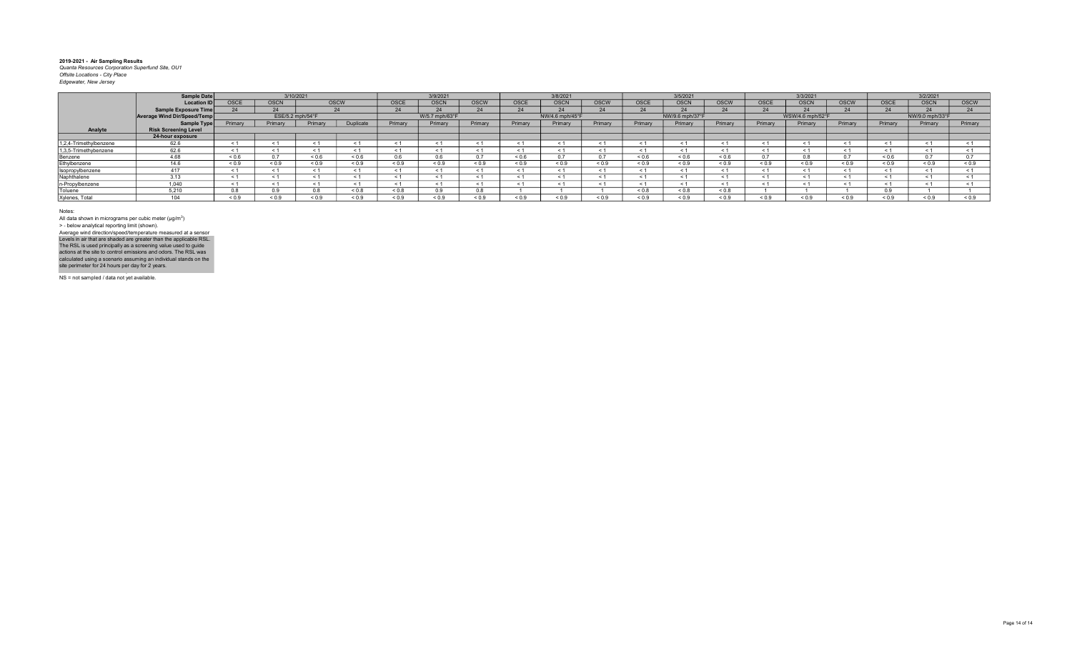|                        | Sample Date                 |             |             | 3/10/2021         |             |          | 3/9/2021       |             |             | 3/8/2021        |             |                   | 3/5/2021        |             |              | 3/3/2021         |              |                   | 3/2/2021        |               |
|------------------------|-----------------------------|-------------|-------------|-------------------|-------------|----------|----------------|-------------|-------------|-----------------|-------------|-------------------|-----------------|-------------|--------------|------------------|--------------|-------------------|-----------------|---------------|
|                        | <b>Location ID</b>          | <b>OSCE</b> | <b>OSCN</b> |                   | <b>OSCW</b> | OSCE     | <b>OSCN</b>    | <b>OSCW</b> | <b>OSCE</b> | <b>OSCN</b>     | <b>OSCW</b> | <b>OSCE</b>       | <b>OSCN</b>     | <b>OSCW</b> | <b>OSCE</b>  | <b>OSCN</b>      | <b>OSCW</b>  | <b>OSCE</b>       | <b>OSCN</b>     | <b>OSCW</b>   |
|                        | Sample Exposure Time        |             |             |                   | 24          | 24       | $\Omega$       |             |             | 24              |             |                   | $\bigcap$       | $\bigcap$   |              |                  |              | $\Delta$          |                 | 24            |
|                        | Average Wind Dir/Speed/Temp |             |             | ESE/5.2 mph/54°F  |             |          | W/5.7 mph/63°F |             |             | NW/4.6 mph/45°F |             |                   | NW/9.6 mph/37°F |             |              | WSW/4.6 mph/52°F |              |                   | NW/9.0 mph/33°F |               |
|                        | Sample Type                 | Primary     | Primary     | Primary           | Duplicate   | Primary  | Primary        | Primary     | Primary     | Primary         | Primary     | Primary           | Primary         | Primary     | Primary      | Primary          | Primary      | Primary           | Primary         | Primary       |
| Analyte                | <b>Risk Screening Level</b> |             |             |                   |             |          |                |             |             |                 |             |                   |                 |             |              |                  |              |                   |                 |               |
|                        | 24-hour exposure            |             |             |                   |             |          |                |             |             |                 |             |                   |                 |             |              |                  |              |                   |                 |               |
| 1,2,4-Trimethylbenzene | 62.6                        |             |             |                   |             |          | < 1            |             |             | < 1             |             |                   | < 1             |             |              |                  |              |                   |                 |               |
| 1,3,5-Trimethybenzene  | 62.6                        |             |             |                   |             | ≺ 1      | < 1            |             |             | < 1             | $\leq$ 1    |                   | ← 1             | ≺ 1         |              |                  |              |                   |                 |               |
| Benzene                | 4.68                        | 0.6         |             | ${}^{5}$ ${}^{6}$ | 0.6         | 0.6      | 0.6            |             | 0.6         | 0.7             | n –         | ${}^{5}$ ${}^{6}$ | 0.6             | < 0.6       |              |                  |              | ${}^{5}$ ${}^{6}$ |                 | $\sim$ $\sim$ |
| Ethylbenzene           | 14 6                        | 0.9         | ${}_{0.9}$  | ${}_{0.9}$        | 0.9         | 0.9      | ${}_{0.9}$     | < 0.9       | 0.9         | ${}_{0.9}$      | ${}_{0.9}$  | ${}_{0.9}$        | ${}_{0.9}$      | < 0.9       | < 0.9        | $0.9 =$          | ${}^{8}$ 0.9 | ${}_{0.9}$        | ${}_{0.9}$      | 0.9           |
| Isopropylbenzene       | 417                         |             |             |                   |             | < 1      | < 1            |             |             | < 1             | $\leq$      |                   | < 1             | < 1         |              |                  |              |                   |                 |               |
| Naphthalene            | 3.13                        |             |             |                   |             | < 1      | < 1            |             |             | < 1             | $\leq$      |                   | < 1             | < 1         | $\tilde{}$   |                  |              | < 1               |                 |               |
| n-Propylbenzene        | 1,040                       |             |             |                   |             | $\leq 1$ | < 1            |             |             | < 1             |             |                   | < 1             | < 1         |              |                  |              |                   |                 |               |
| Toluene                | 5.210                       |             |             |                   | 8.0 >       | 0.8      | $\sim$ $\sim$  |             |             |                 |             | < 0.8             | &0.8            | < 0.8       |              |                  |              |                   |                 |               |
| Xylenes, Total         | 104                         | ${}^{<0.9}$ | ${}_{0.9}$  | ${}^{<}0.9$       | 0.9         | 0.9      | ${}_{0.9}$     | < 0.9       | ${}^{<}0.9$ | ${}_{0.9}$      | ${}_{0.9}$  |                   | ${}_{0.9}$      | ${}_{0.9}$  | ${}^{6}$ 0.9 | ${}^{5}$ 0.9     | ${}^{8}$ 0.9 | ${}_{0.9}$        | 0.9             | 0.9           |

Notes:

All data shown in micrograms per cubic meter (μg/m<sup>3</sup>)<br>> - below analytical reporting limit (shown). Levels in air that are shaded are greater than the applicable RSL.<br>The RSL is used principally as a screening value used to guide<br>actions at the site to control emissions and odors. The RSL was<br>calculated using a scenario Average wind direction/speed/temperature measured at a sensor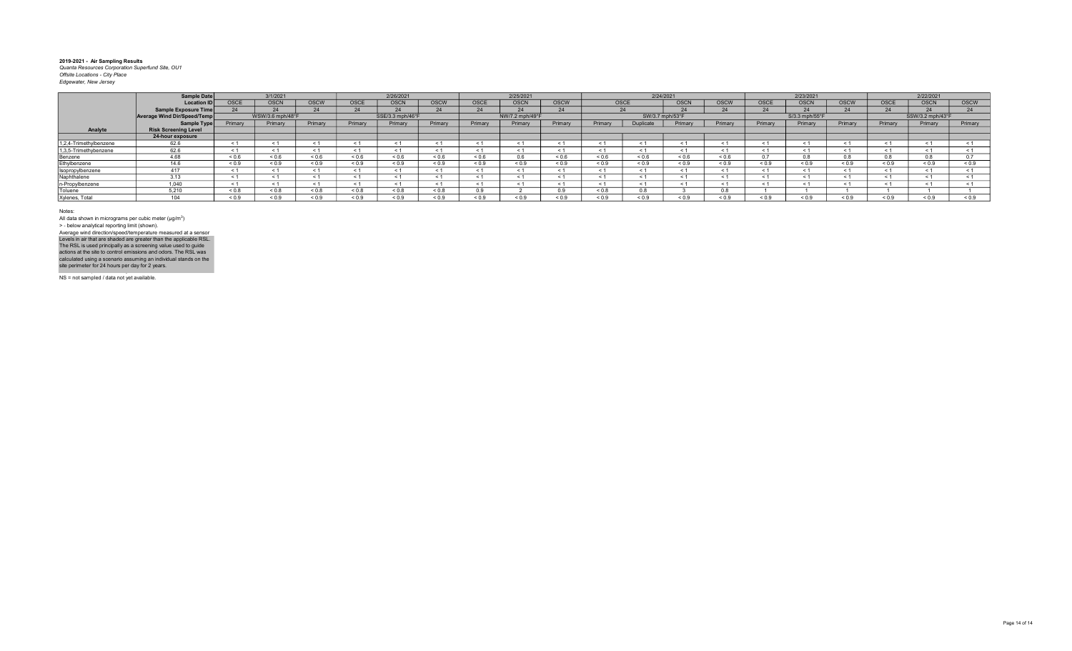|                        | Sample Date                 |             | 3/1/2021         |            |             | 2/26/2021        |            |            | 2/25/2021       |            |                   | 2/24/2021        |             |                |              | 2/23/2021      |              |             | 2/22/2021        |               |
|------------------------|-----------------------------|-------------|------------------|------------|-------------|------------------|------------|------------|-----------------|------------|-------------------|------------------|-------------|----------------|--------------|----------------|--------------|-------------|------------------|---------------|
|                        | <b>Location ID</b>          | <b>OSCE</b> | <b>OSCN</b>      | OSCW       | <b>OSCE</b> | <b>OSCN</b>      | OSCW       | OSCE       | <b>OSCN</b>     | OSCW       | <b>OSCE</b>       |                  | <b>OSCN</b> | <b>OSCW</b>    | OSCE         | <b>OSCN</b>    | <b>OSCW</b>  | <b>OSCE</b> | OSCN             | <b>OSCW</b>   |
|                        | Sample Exposure Time        |             |                  |            |             |                  | 24         |            |                 | 24         |                   |                  |             | $\bigcap$      |              |                |              |             |                  | $\mathbf{A}$  |
|                        | Average Wind Dir/Speed/Temp |             | WSW/3.6 mph/48°F |            |             | SSE/3.3 mph/46°F |            |            | NW/7.2 mph/49°F |            |                   | SW/3.7 mph/53°F  |             |                |              | S/3.3 mph/55°F |              |             | SSW/3.2 mph/43°F |               |
|                        | Sample Type                 | Primary     | Primary          | Primary    | Primary     | Primary          | Primary    | Primary    | Primary         | Primary    | Primary           | <b>Duplicate</b> | Primary     | Primary        | Primary      | Primary        | Primary      | Primary     | Primary          | Primary       |
| Analyte                | <b>Risk Screening Level</b> |             |                  |            |             |                  |            |            |                 |            |                   |                  |             |                |              |                |              |             |                  |               |
|                        | 24-hour exposure            |             |                  |            |             |                  |            |            |                 |            |                   |                  |             |                |              |                |              |             |                  |               |
| 1,2,4-Trimethylbenzene | 62.6                        |             |                  |            |             | ≺ 1              | < 1        |            |                 | < 1        |                   |                  | < 1         |                | ≺            |                |              |             |                  |               |
| 1,3,5-Trimethybenzene  | 62.6                        |             |                  |            |             | ≺ 1              | < 1        |            |                 | < 1        | $\leq$ 1          |                  |             | ≺ 1            |              |                |              |             |                  |               |
| Benzene                | 4.68                        | 0.6         | 0.6              | 0.6        | 0.6         | 0.6              | 0.6        | 0.6        | $\sim$          | ${}_{0.6}$ | ${}^{5}$ ${}^{6}$ | ${}_{0.6}$       | ${}_{0.6}$  | < 0.6          |              | 0 <sup>8</sup> |              | 0.8         |                  | $\sim$ $\sim$ |
| Ethylbenzene           | 146                         | 0.9         | ${}_{0.9}$       | ${}_{0.9}$ | 0.9         | ${}_{0.9}$       | ${}_{0.9}$ | ${}_{0.9}$ | 0.9             | ${}_{0.9}$ | ${}_{0.9}$        | ${}_{0.9}$       | ${}_{0.9}$  | ${}_{0.9}$     | ${}_{0.9}$   | ${}_{0.9}$     | 0.9          | ${}_{0.9}$  | ${}_{0.9}$       | ${}_{0.9}$    |
| Isopropylbenzene       | 417                         |             |                  |            |             | < 1              | < 1        |            |                 | < 1        |                   |                  | < 1         | < 1            |              |                |              |             |                  |               |
| Naphthalene            | 3.13                        |             |                  |            |             | < 1              | < 1        |            |                 | < 1        | $\leq$            |                  | < 1         | < 1            | $\epsilon$   |                |              |             |                  |               |
| n-Propylbenzene        | 1,040                       |             |                  |            |             | $\leq 1$         | < 1        |            |                 | < 1        |                   |                  | < 1         | $\leq$         |              |                |              |             |                  |               |
| Toluene                | 5.210                       | 0.8         | ${}_{0.8}$       | & 0.8      | 8.0 >       | 0.8              | 0.8        |            |                 | 0.9        | ${}_{0.8}$        | 0.8              |             | 0 <sup>8</sup> |              |                |              |             |                  |               |
| Xylenes, Total         | 104                         | ${}^{<0.9}$ | ${}^{<0.9}$      | 0.9        | 0.9         | 0.9              | ${}_{0.9}$ | < 0.9      | ${}^{<}0.9$     | ${}_{0.9}$ | ${}_{0.9}$        |                  | ${}^{<}0.9$ | ${}_{0.9}$     | ${}^{6}$ 0.9 | ${}^{<}0.9$    | ${}^{8}$ 0.9 | < 0.9       | 0.9              | 0.9           |

Notes:

All data shown in micrograms per cubic meter (μg/m<sup>3</sup>)<br>> - below analytical reporting limit (shown). Levels in air that are shaded are greater than the applicable RSL.<br>The RSL is used principally as a screening value used to guide<br>actions at the site to control emissions and odors. The RSL was<br>calculated using a scenario Average wind direction/speed/temperature measured at a sensor

NS = not sampled / data not yet available.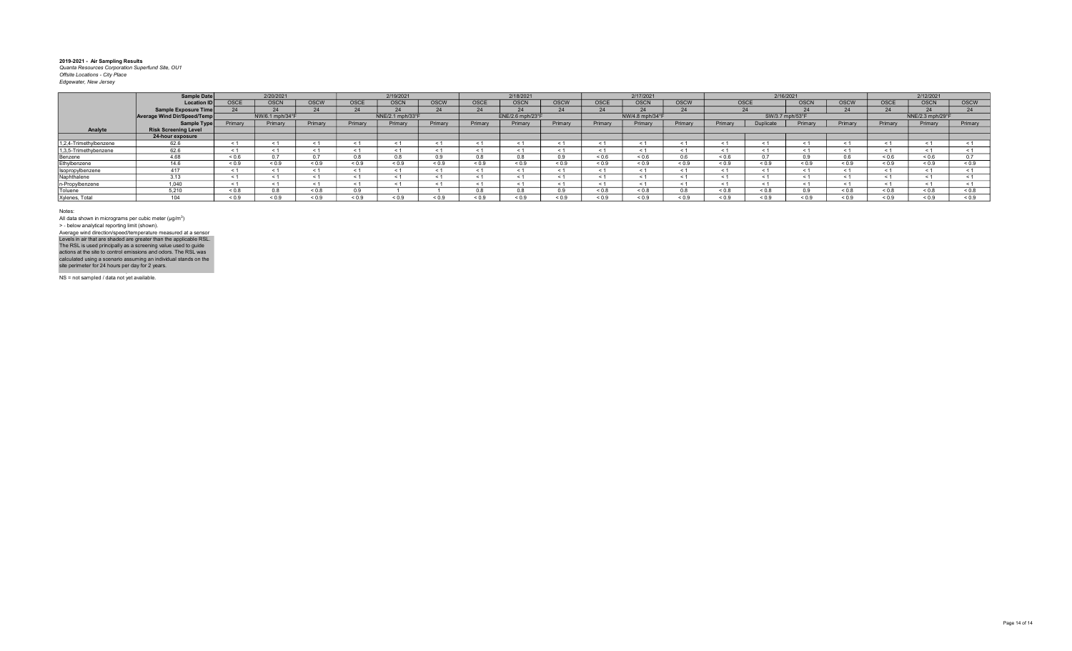|                        | Sample Date                 |             | 2/20/2021       |             |             | 2/19/2021        |             |             | 2/18/2021        |             |                   | 2/17/2021       |               |            | 2/16/2021       |              |              |                   | 2/12/2021        |               |
|------------------------|-----------------------------|-------------|-----------------|-------------|-------------|------------------|-------------|-------------|------------------|-------------|-------------------|-----------------|---------------|------------|-----------------|--------------|--------------|-------------------|------------------|---------------|
|                        | <b>Location ID</b>          | <b>OSCE</b> | <b>OSCN</b>     | <b>OSCW</b> | <b>OSCE</b> | <b>OSCN</b>      | <b>OSCW</b> | <b>OSCE</b> | <b>OSCN</b>      | <b>OSCW</b> | OSCE              | <b>OSCN</b>     | <b>OSCW</b>   | OSCE       |                 | <b>OSCN</b>  | <b>OSCW</b>  | <b>OSCE</b>       | <b>OSCN</b>      | <b>OSCW</b>   |
|                        | Sample Exposure Time        |             |                 |             |             | $\Omega$         | 24          |             |                  | 24          |                   |                 | 24            |            | $\mathbf{A}$    |              |              |                   |                  | 24            |
|                        | Average Wind Dir/Speed/Temp |             | NW/6.1 mph/34°F |             |             | NNE/2.1 mph/33°F |             |             | ENE/2.6 mph/23°F |             |                   | NW/4.8 mph/34°F |               |            | SW/3.7 mph/53°F |              |              |                   | NNE/2.3 mph/29°F |               |
|                        | Sample Type                 | Primary     | Primary         | Primary     | Primary     | Primary          | Primary     | Primary     | Primary          | Primary     | Primary           | Primary         | Primary       | Primary    | Duplicate       | Primary      | Primary      | Primary           | Primary          | Primary       |
| Analyte                | <b>Risk Screening Level</b> |             |                 |             |             |                  |             |             |                  |             |                   |                 |               |            |                 |              |              |                   |                  |               |
|                        | 24-hour exposure            |             |                 |             |             |                  |             |             |                  |             |                   |                 |               |            |                 |              |              |                   |                  |               |
| 1,2,4-Trimethylbenzene | 62.6                        |             |                 |             |             | $\leq$ 1         | < 1         |             |                  | < 1         |                   |                 | < 1           |            |                 |              |              |                   |                  |               |
| 1,3,5-Trimethybenzene  | 62.6                        |             |                 |             |             | ≺ 1              | < 1         |             |                  | < 1         | $\leq$ 1          |                 | ≺ 1           | ≺ 1        |                 |              |              |                   |                  |               |
| Benzene                | 4.68                        | 0.6         |                 |             | 0.8         | 0.8              | 0.9         |             |                  | 0.9         | ${}^{5}$ ${}^{6}$ | ${}^{5}$ < 0.6  | 0.6           | < 0.6      |                 | n q          |              | ${}^{5}$ ${}^{6}$ | 0.6              | $\sim$ $\sim$ |
| Ethylbenzene           | 14 6                        | 0.9         | ${}_{0.9}$      | ${}_{0.9}$  | 0.9         | 0.9              | ${}_{0.9}$  | < 0.9       | 0.9              | ${}_{0.9}$  | ${}_{0.9}$        | ${}_{0.9}$      | ${}_{0.9}$    | < 0.9      | < 0.9           | 0.9          | 0.9          | ${}_{0.9}$        | ${}_{0.9}$       | 0.9           |
| Isopropylbenzene       | 417                         |             |                 |             |             | < 1              | < 1         |             |                  | < 1         | $\leq$            |                 | < 1           | < 1        |                 |              |              |                   |                  |               |
| Naphthalene            | 3.13                        |             |                 |             |             | < 1              | < 1         |             |                  | < 1         | < 1               |                 | < 1           | < 1        | $\epsilon$      |              |              | < 1               |                  |               |
| n-Propylbenzene        | 1,040                       |             |                 |             |             | $\leq 1$         | < 1         |             |                  | < 1         |                   |                 | < 1           | < 1        |                 |              |              |                   |                  |               |
| Toluene                | 5.210                       | 8.0 >       |                 | < 0.8       | n q         |                  |             |             |                  | 0.9         | ${}_{0.8}$        | ${}_{0.8}$      | $\sim$ $\sim$ | < 0.8      | & 0.8           |              | 0.8          | 0.8               | 0.8              | $0.8 - 0.8$   |
| Xylenes, Total         | 104                         | ${}^{<0.9}$ | ${}_{0.9}$      | 0.9         | 0.9         | 0.9              | ${}_{0.9}$  | < 0.9       | ${}^{<}0.9$      | ${}_{0.9}$  | ${}_{0.9}$        |                 | ${}^{5}$ 0.9  | ${}_{0.9}$ | ${}^{6}$ 0.9    | ${}^{5}$ 0.9 | ${}^{8}$ 0.9 | ${}_{0.9}$        | 0.9              | 0.9           |

Notes:

All data shown in micrograms per cubic meter (μg/m<sup>3</sup>)<br>> - below analytical reporting limit (shown). Levels in air that are shaded are greater than the applicable RSL.<br>The RSL is used principally as a screening value used to guide<br>actions at the site to control emissions and odors. The RSL was<br>calculated using a scenario Average wind direction/speed/temperature measured at a sensor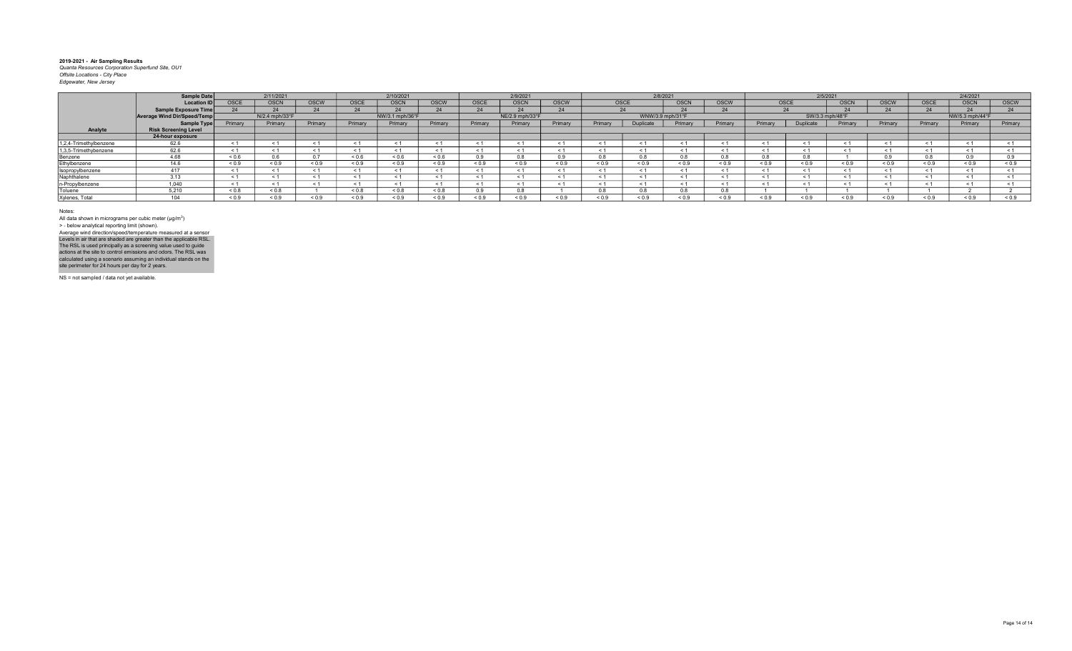|                        | Sample Date                 |            | 2/11/2021      |             |             | 2/10/2021       |            |             | 2/9/2021        |            |            | 2/8/2021         |                  |             |                | 2/5/2021        |                       |             |             | 2/4/2021        |              |
|------------------------|-----------------------------|------------|----------------|-------------|-------------|-----------------|------------|-------------|-----------------|------------|------------|------------------|------------------|-------------|----------------|-----------------|-----------------------|-------------|-------------|-----------------|--------------|
|                        | <b>Location ID</b>          | OSCE       | <b>OSCN</b>    | <b>OSCW</b> | <b>OSCE</b> | <b>OSCN</b>     | OSCW       | <b>OSCE</b> | <b>OSCN</b>     | OSCW       |            | OSCE             | <b>OSCN</b>      | <b>OSCW</b> | OSCE           |                 | <b>OSCN</b>           | <b>OSCW</b> | <b>OSCE</b> | <b>OSCN</b>     | <b>OSCW</b>  |
|                        | Sample Exposure Time        |            |                |             |             |                 |            | 24          | $\bigcap$       |            |            |                  | $\sim$ $\sim$    |             |                | $\sim$ $\sim$   |                       |             |             | $\Omega$        | 24           |
|                        | Average Wind Dir/Speed/Temp |            | N/2.4 mph/33°F |             |             | NW/3.1 mph/36°F |            |             | NE/2.9 mph/33°F |            |            |                  | WNW/3.9 mph/31°F |             |                | SW/3.3 mph/48°F |                       |             |             | NW/5.3 mph/44°F |              |
|                        | Sample Type                 | Primary    | Primary        | Primary     | Primary     | Primary         | Primary    | Primary     | Primary         | Primary    | Primary    | <b>Juplicate</b> | Primary          | Primary     | Primary        | Duplicate       | Primary               | Primary     | Primary     | Primary         | Primary      |
| Analyte                | <b>Risk Screening Level</b> |            |                |             |             |                 |            |             |                 |            |            |                  |                  |             |                |                 |                       |             |             |                 |              |
|                        | 24-hour exposure            |            |                |             |             |                 |            |             |                 |            |            |                  |                  |             |                |                 |                       |             |             |                 |              |
| 1,2,4-Trimethylbenzene | 62.6                        |            | $\leq$         |             |             |                 |            | $\leq$ 1    |                 |            |            |                  |                  |             | < 1            |                 | $\tilde{\phantom{0}}$ |             |             |                 |              |
| 1,3,5-Trimethybenzene  | 62.6                        |            |                |             |             |                 |            | $\leq 1$    | < 1             |            |            |                  |                  |             | < 1            | < 1             | $\tilde{\phantom{0}}$ |             |             |                 |              |
| Benzene                | 4.68                        | ${}_{0.6}$ |                |             | 0.6         | ${}^{6.0}$      | 0.6        | 0.9         |                 |            |            |                  |                  |             | 0 <sup>8</sup> |                 |                       |             |             | n a             |              |
| Ethylbenzene           | 14.6                        | ${}_{0.9}$ | ${}_{0.9}$     | ${}_{0.9}$  | 0.9         | 0.9             | ${}_{0.9}$ | ${}_{0.9}$  | ${}_{0.9}$      | ${}_{0.9}$ | ${}_{0.9}$ | ${}_{0.9}$       | 0.9              | ${}_{0.9}$  | ${}_{0.9}$     | ${}_{0.9}$      | ${}_{0.9}$            | < 0.9       | ${}_{0.9}$  | ${}^{8}$ 0.9    | ${}^{5}$ 0.9 |
| Isopropylbenzene       |                             |            |                |             |             |                 |            | < 1         |                 |            |            |                  |                  |             | < 1            |                 | $\tilde{~}$           |             |             |                 |              |
| Naphthalene            |                             |            |                |             |             |                 |            | < 1         |                 |            |            |                  |                  |             | < 1            |                 | $\tilde{~}$           |             |             |                 |              |
| n-Propylbenzene        | 0.040                       |            |                |             |             |                 |            | $\leq$ 1    |                 |            |            |                  |                  |             | < 1            |                 |                       |             |             |                 |              |
| Toluene                | 5.210                       | ${}_{0.8}$ | < 0.8          |             | < 0.8       | 0.8             | 0.8        | 0.9         |                 |            |            |                  |                  |             |                |                 |                       |             |             |                 |              |
| Xylenes, Total         | 104                         | ${}_{0.9}$ |                | 0.9         | : 0.9       | ${}_{0.9}$      | 0.9        | ${}_{0.9}$  | < 0.9           | ${}_{0.9}$ | < 0.9      | 0.9              | 0.0              | < 0.9       | < 0.9          | ${}^{<}0.9$     | 0.9                   | 0.9         | 0.9         | 5.0.9           | ${}_{0.9}$   |

Notes:

All data shown in micrograms per cubic meter (μg/m<sup>3</sup>)<br>> - below analytical reporting limit (shown). Levels in air that are shaded are greater than the applicable RSL.<br>The RSL is used principally as a screening value used to guide<br>actions at the site to control emissions and odors. The RSL was<br>calculated using a scenario Average wind direction/speed/temperature measured at a sensor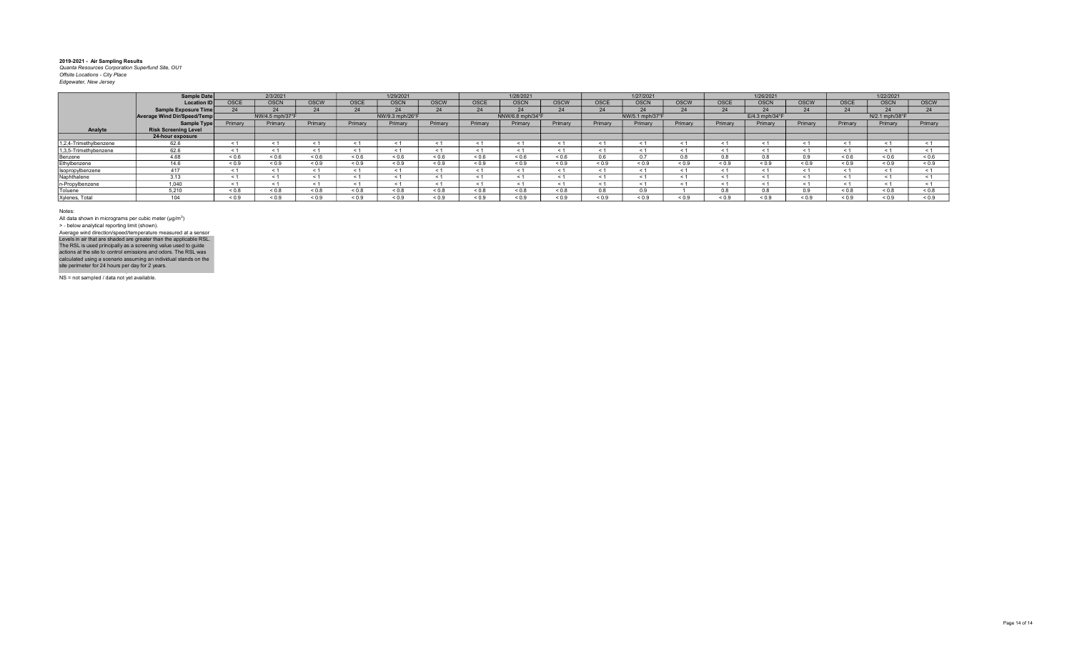|                        | <b>Sample Date</b>          |             | 2/3/2021        |             |             | 1/29/2021       |              |                   | 1/28/2021        |             |             | 1/27/2021       |             |             | 1/26/2021                  |             |             | 1/22/2021      |             |
|------------------------|-----------------------------|-------------|-----------------|-------------|-------------|-----------------|--------------|-------------------|------------------|-------------|-------------|-----------------|-------------|-------------|----------------------------|-------------|-------------|----------------|-------------|
|                        | <b>Location ID</b>          | <b>OSCE</b> | <b>OSCN</b>     | <b>OSCW</b> | <b>OSCE</b> | <b>OSCN</b>     | <b>OSCW</b>  | <b>OSCE</b>       | <b>OSCN</b>      | <b>OSCW</b> | <b>OSCE</b> | <b>OSCN</b>     | <b>OSCW</b> | <b>OSCE</b> | <b>OSCN</b>                | <b>OSCW</b> | <b>OSCE</b> | <b>OSCN</b>    | <b>OSCW</b> |
|                        | <b>Sample Exposure Time</b> |             | 24              |             | 24          | 24              | 24           | 24                |                  | 24          |             |                 | 24          | 24          |                            | 24          | 24          | - 24           |             |
|                        | Average Wind Dir/Speed/Temp |             | NW/4.5 mph/37°F |             |             | NW/9.3 mph/26°F |              |                   | NNW/6.8 mph/34°F |             |             | NW/5.1 mph/37°F |             |             | $E/4.3$ mph/34 $\degree$ F |             |             | N/2.1 mph/38°F |             |
|                        | Sample Type                 | Primary     | Primary         | Primary     | Primary     | Primary         | Primary      | Primary           | Primary          | Primary     | Primary     | Primary         | Primary     | Primary     | Primary                    | Primary     | Primary     | Primary        | Primary     |
| Analyte                | <b>Risk Screening Level</b> |             |                 |             |             |                 |              |                   |                  |             |             |                 |             |             |                            |             |             |                |             |
|                        | 24-hour exposure            |             |                 |             |             |                 |              |                   |                  |             |             |                 |             |             |                            |             |             |                |             |
| 1,2,4-Trimethylbenzene | 62.6                        | $\epsilon$  |                 | - 1         | $\leq 1$    |                 |              |                   |                  | $\leq 1$    |             |                 |             |             | ≺ 1                        |             | $\leq$ 1    | $\epsilon$     |             |
| 1,3,5-Trimethybenzene  | 62.6                        |             | < 1             | - 1         | < 1         |                 |              |                   |                  | < 1         |             |                 |             |             | ≺ 1                        |             | $\leq 1$    | $\epsilon$     |             |
| Benzene                | 4.68                        | ${}_{0.6}$  | ${}_{0.6}$      | 0.6         | 0.6         | ${}_{0.6}$      | 0.6          | ${}^{5}$ ${}^{6}$ | ${}_{0.6}$       | ${}_{0.6}$  |             | 0 <sub>7</sub>  | 0.8         | 0.8         | 0.8                        |             | 0.6         | 0.6            | 0.6         |
| Ethylbenzene           | 14.6                        | ${}_{0.9}$  | ${}_{0.9}$      | 0.9         | ${}_{0.9}$  | ${}_{0.9}$      | < 0.9        | ${}_{0.9}$        | ${}_{0.9}$       | < 0.9       | ${}_{0.9}$  | ${}^{6.0.9}$    | ${}_{0.9}$  | ${}_{0.9}$  | < 0.9                      | ${}_{0.9}$  | ${}_{0.9}$  | ${}_{0.9}$     | ${}_{0.9}$  |
| Isopropylbenzene       |                             |             | < 1             | < 1         | < 1         | < 1             |              |                   |                  | < 1         |             |                 |             |             |                            |             | < 1         | $\epsilon$     |             |
| Naphthalene            | 3.13                        |             |                 | < 1         | < 1         |                 |              |                   |                  | < 1         | $\leq$      |                 |             |             |                            |             |             | $\epsilon$     |             |
| n-Propylbenzene        | 1.040                       |             | < 1             | < 1         | < 1         |                 |              |                   |                  | < 1         |             |                 |             |             |                            |             |             |                |             |
| Toluene                | 5.210                       | < 0.8       | 0.8             | 0.8         | &0.8        | ${}_{0.8}$      | 8.0 >        | ${}_{0.8}$        | < 0.8            | 8.0 >       |             | n a             |             | 0.8         | 8.0                        |             | &0.8        | < 0.8          | 0.8         |
| Xylenes, Total         | 104                         | ${}_{0.9}$  | ${}_{0.9}$      | ${}_{0.9}$  | ${}_{0.9}$  | ${}_{0.9}$      | ${}^{8}$ 0.9 | ${}_{0.9}$        | ${}_{0.9}$       | ${}_{0.9}$  | ${}^{<}0.9$ | ${}^{<0.9}$     | ${}^{6}$    | 0.9         | ${}_{0.9}$                 | ${}_{0.9}$  | ${}_{0.9}$  | ${}_{0.9}$     | ${}_{0.9}$  |

Notes:

All data shown in micrograms per cubic meter (μg/m<sup>3</sup>)<br>> - below analytical reporting limit (shown). Levels in air that are shaded are greater than the applicable RSL.<br>The RSL is used principally as a screening value used to guide<br>actions at the site to control emissions and odors. The RSL was<br>calculated using a scenario Average wind direction/speed/temperature measured at a sensor

NS = not sampled / data not yet available.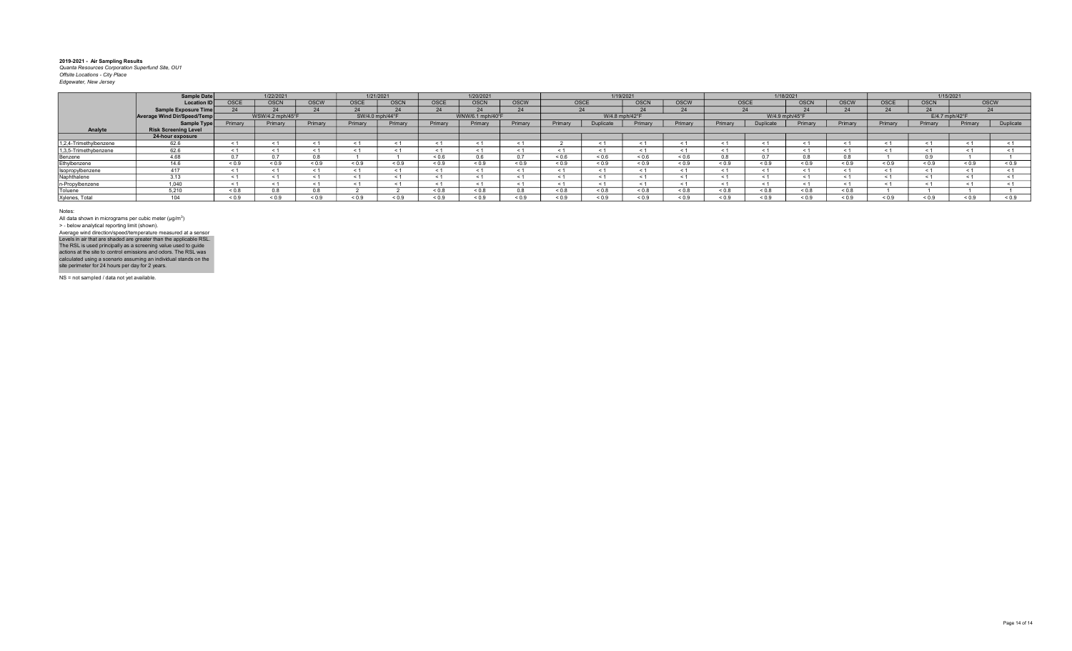|                        | Sample Date                 |             | 1/22/2021        |             |             | 1/21/2021       |                | 1/20/2021        |             |            |                | 1/19/2021   |                         |         |                  | 1/18/2021      |             |             |            | 1/15/2021      |            |
|------------------------|-----------------------------|-------------|------------------|-------------|-------------|-----------------|----------------|------------------|-------------|------------|----------------|-------------|-------------------------|---------|------------------|----------------|-------------|-------------|------------|----------------|------------|
|                        | <b>Location ID</b>          | <b>OSCE</b> | <b>OSCN</b>      | <b>OSCW</b> | <b>OSCE</b> | <b>OSCN</b>     | OSCE           | <b>OSCN</b>      | <b>OSCW</b> |            | OSCE           | <b>OSCN</b> | <b>OSCW</b>             |         | <b>OSCE</b>      | <b>OSCN</b>    | <b>OSCW</b> | <b>OSCE</b> | OSCN       | <b>OSCW</b>    |            |
|                        | Sample Exposure Time        |             |                  |             |             |                 | 2 <sub>A</sub> | 24               | 24          |            | 24             |             | $\sim$ $\epsilon$<br>24 |         | $\mathcal{D}'$   |                |             |             |            |                | 24         |
|                        | Average Wind Dir/Speed/Temp |             | WSW/4.2 mph/45°F |             |             | SW/4.0 mph/44°F |                | WNW/6.1 mph/40°F |             |            | W/4.8 mph/42°F |             |                         |         |                  | W/4.9 mph/45°F |             |             |            | E/4.7 mph/42°F |            |
|                        | Sample Type                 | Primary     | Primary          | Primary     | Primary     | Primary         | Primary        | Primary          | Primary     | Primary    | Duplicate      | Primary     | Primary                 | Primary | <b>Duplicate</b> | Primary        | Primary     | Primary     | Primary    | Primary        | Duplicate  |
| Analyte                | <b>Risk Screening Level</b> |             |                  |             |             |                 |                |                  |             |            |                |             |                         |         |                  |                |             |             |            |                |            |
|                        | 24-hour exposure            |             |                  |             |             |                 |                |                  |             |            |                |             |                         |         |                  |                |             |             |            |                |            |
| 1,2,4-Trimethylbenzene | 62.6                        | $\epsilon$  |                  |             |             |                 |                | < 1              |             |            |                |             |                         |         | < 1              |                |             |             |            |                |            |
| 1,3,5-Trimethybenzene  | 62.6                        | $\epsilon$  |                  |             |             |                 | - 1            | $\leq 1$         | - 1         | $\epsilon$ |                |             |                         |         | $\leq$ 1         |                |             |             |            |                |            |
| Benzene                | 4.68                        |             |                  |             |             |                 | 0.6            | 0.6              |             | 0.6        |                | 0.6         | 0.6                     |         | 0.7              |                |             |             |            |                |            |
| Ethylbenzene           | 14.6                        | 0.9         | < 0.9            | < 0.9       | 0.9         | ${}_{0.9}$      | 0.9            | ${}_{0.9}$       | < 0.9       | < 0.9      | < 0.9          | 0.9         | 0.9                     | 0.9     | ${}_{0.9}$       | ${}_{0.9}$     | ${}_{0.9}$  | 0.9         | < 0.9      | 0.9            | ${}_{0.9}$ |
| Isopropylbenzene       |                             | $\epsilon$  |                  |             |             |                 | $\leq$ 1       | < 1              | < 1         |            |                |             |                         |         | < 1              |                |             |             |            |                |            |
| Naphthalene            |                             | $\tilde{~}$ |                  |             |             |                 |                | < 1              | $<$ 1       |            |                |             |                         |         | $\leq$ 1         |                |             |             |            |                |            |
| n-Propylbenzene        | 1,040                       |             |                  |             |             |                 |                | < 1              |             |            |                |             |                         |         | < 1              |                |             |             |            |                |            |
| Toluene                | 5.210                       | ${}_{0.8}$  |                  | 0.8         |             |                 | 0.8            | ${}_{0.8}$       | 0.8         | ${}_{0.8}$ | ${}_{0.8}$     | 0.8         | 0.0 >                   | 0.8     | 0.8              | ${}_{0.8}$     | ${}_{0.8}$  |             |            |                |            |
| Xylenes, Total         | $\Delta$ $\Delta$ $\Delta$  | ${}_{0.9}$  | 0.9              | ${}_{0.9}$  | < 0.9       | 0.9             | 0.9            | ${}_{0.9}$       | ${}_{0.9}$  | ${}_{0.9}$ | < 0.9          | 0.9         | 0.9                     | 0.9     | ${}_{0.9}$       | ${}_{0.9}$     | ${}_{0.9}$  | 0.9         | ${}_{0.9}$ | 0.9            | ${}_{0.9}$ |

Notes:

All data shown in micrograms per cubic meter (μg/m<sup>3</sup>)<br>> - below analytical reporting limit (shown). Levels in air that are shaded are greater than the applicable RSL.<br>The RSL is used principally as a screening value used to guide<br>actions at the site to control emissions and odors. The RSL was<br>calculated using a scenario Average wind direction/speed/temperature measured at a sensor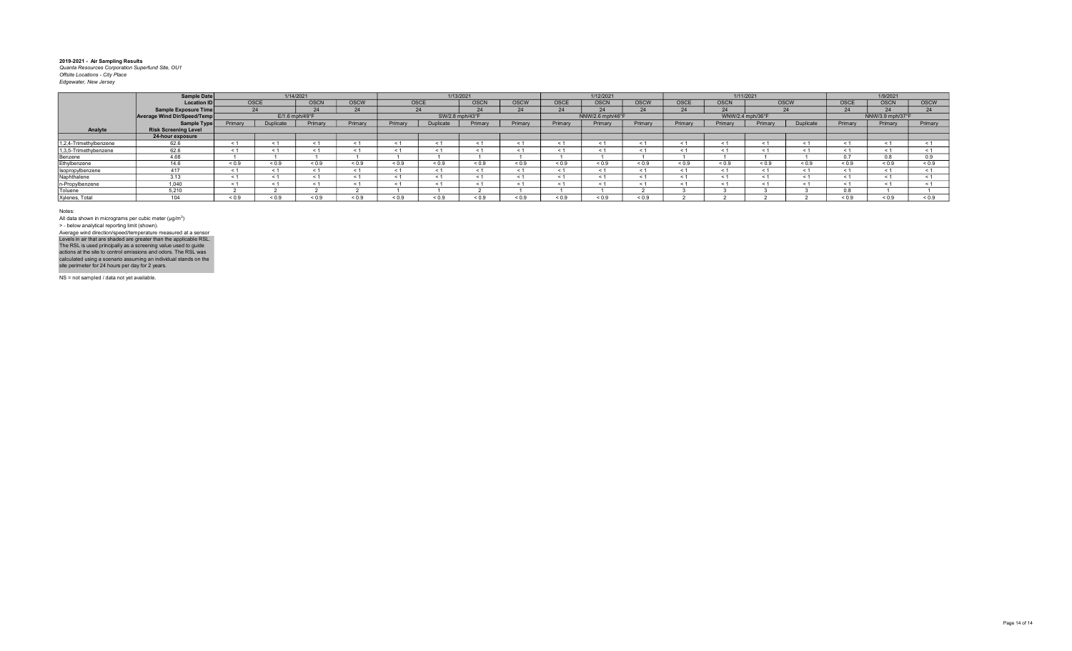|                        | Sample Date                        |            |            | 1/14/2021        |              |            |            | 1/13/2021       |            |            | 1/12/2021        |              |            |             | 1/11/2021        |             |            | 1/9/2021         |             |
|------------------------|------------------------------------|------------|------------|------------------|--------------|------------|------------|-----------------|------------|------------|------------------|--------------|------------|-------------|------------------|-------------|------------|------------------|-------------|
|                        | <b>Location ID</b>                 |            | OSCE       | OSCN             | OSCW         |            | OSCE       | <b>OSCN</b>     | OSCW       | OSCE       | <b>OSCN</b>      | <b>OSCW</b>  | OSCE       | <b>OSCN</b> |                  | <b>OSCW</b> | OSCE       | <b>OSCN</b>      | <b>OSCW</b> |
|                        | Sample Exposure Time               |            | 24         |                  |              |            | 24         |                 |            | 24         |                  | $\Omega$     | 24         |             |                  |             | 24         |                  |             |
|                        | <b>Average Wind Dir/Speed/Temp</b> |            |            | $E/1.6$ mph/49°F |              |            |            | SW/2.8 mph/43°F |            |            | NNW/2.6 mph/46°F |              |            |             | WNW/2.4 mph/36°F |             |            | NNW/3.9 mph/37°F |             |
|                        | <b>Sample Type</b>                 | Primary    | Duplicate  | Primary          | Primary      | Primary    | Duplicate  | Primary         | Primary    | Primary    | Primary          | Primary      | Primary    | Primary     | Primary          | Duplicate   | Primary    | Primary          | Primary     |
| Analyte                | <b>Risk Screening Level</b>        |            |            |                  |              |            |            |                 |            |            |                  |              |            |             |                  |             |            |                  |             |
|                        | 24-hour exposure                   |            |            |                  |              |            |            |                 |            |            |                  |              |            |             |                  |             |            |                  |             |
| 1,2,4-Trimethylbenzene | 62.6                               | < 1        |            |                  |              |            |            |                 |            | < 1        | < 1              | $\leq$ 1     |            |             |                  |             | $\leq$ 1   |                  |             |
| 1,3,5-Trimethybenzene  | 62.6                               | $\leq$ 1   |            |                  |              | ≺ 1        |            |                 |            | - 1        | $\leq$ 1         | ≺ 1          |            |             |                  |             | $\leq$ 1   | $\epsilon$       |             |
| Benzene                | 4.68                               |            |            |                  |              |            |            |                 |            |            |                  |              |            |             |                  |             | 0.7        |                  |             |
| Ethylbenzene           | 14.6                               | ${}_{0.9}$ | ${}_{0.9}$ | ${}_{0.9}$       | ${}_{0.9}$   | ${}_{0.9}$ | ${}_{0.9}$ | ${}_{0.9}$      | ${}_{0.9}$ | ${}_{0.9}$ | ${}_{0.9}$       | ${}_{0.9}$   | ${}_{0.9}$ | ${}_{0.9}$  | ${}_{0.9}$       | ${}_{0.9}$  | ${}_{0.9}$ | ${}_{0.9}$       | ${}_{0.9}$  |
| Isopropylbenzene       | 417                                | < 1        | < 1        |                  |              | < 1        | < 1        |                 |            | < 1        | < 1              | < 1          |            |             |                  |             | < 1        | $\epsilon$       |             |
| Naphthalene            | 3.13                               |            | < 1        |                  |              | < 1        |            |                 |            | < 1        | < 1              | < 1          |            |             |                  |             | < 1        | $\tilde{~}$      |             |
| n-Propylbenzene        | 1.040                              | < 1        | < 1        |                  |              | $\leq$     |            |                 |            | < 1        |                  |              |            |             |                  |             | < 1        |                  |             |
| Toluene                | 5.210                              |            |            |                  |              |            |            |                 |            |            |                  |              |            |             |                  |             | 0.8        |                  |             |
| Xylenes, Total         | 104                                | 0.9        | ${}_{0.9}$ | < 0.9            | ${}^{8}$ 0.9 | ${}_{0.9}$ | 0.9        | ${}_{0.9}$      | ${}_{0.9}$ | ${}_{0.9}$ | 0.9              | ${}^{<}$ 0.9 |            |             |                  |             | 0.9        | ${}_{0.9}$       | ${}_{0.9}$  |

Notes:

All data shown in micrograms per cubic meter (μg/m<sup>3</sup>)<br>> - below analytical reporting limit (shown). Levels in air that are shaded are greater than the applicable RSL.<br>The RSL is used principally as a screening value used to guide<br>actions at the site to control emissions and odors. The RSL was<br>calculated using a scenario Average wind direction/speed/temperature measured at a sensor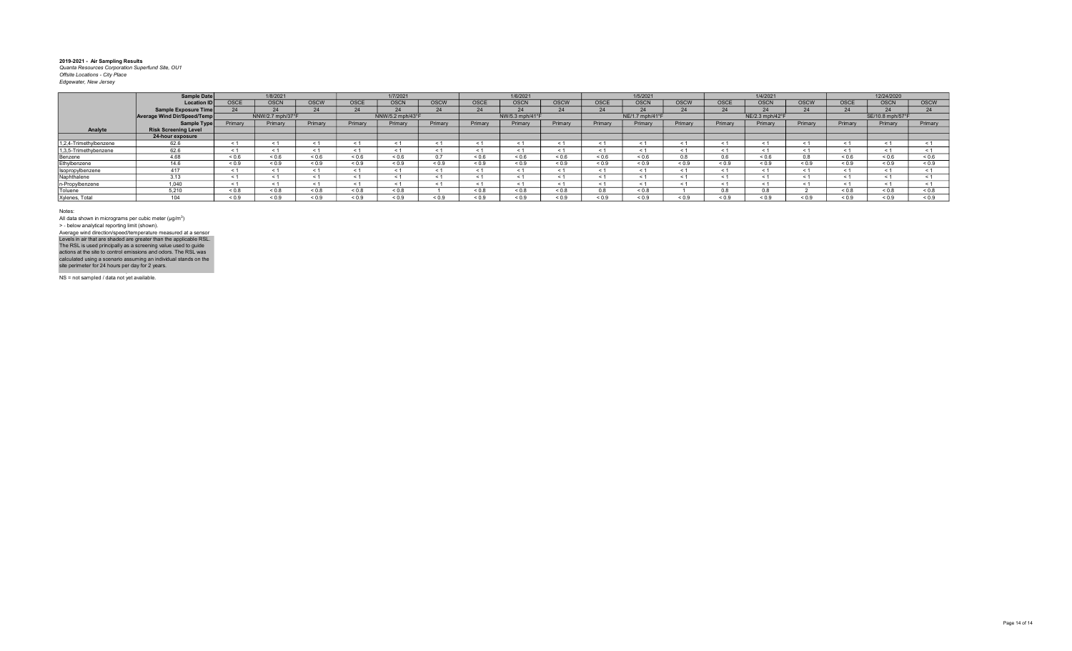|                        | Sample Date                 |             | 1/8/2021         |            |             | 1/7/2021         |         |             | 1/6/2021        |            |             | 1/5/2021        |             |             | 1/4/2021        |             |             | 12/24/2020       |             |
|------------------------|-----------------------------|-------------|------------------|------------|-------------|------------------|---------|-------------|-----------------|------------|-------------|-----------------|-------------|-------------|-----------------|-------------|-------------|------------------|-------------|
|                        | <b>Location IDI</b>         | <b>OSCE</b> | OSCN             | OSCW       | <b>OSCE</b> | <b>OSCN</b>      | OSCW    | <b>OSCE</b> | <b>OSCN</b>     | OSCW       | <b>OSCE</b> | <b>OSCN</b>     | <b>OSCW</b> | <b>OSCE</b> | <b>OSCN</b>     | <b>OSCW</b> | OSCE        | <b>OSCN</b>      | <b>OSCW</b> |
|                        | Sample Exposure Time        |             | 24               |            |             | 24               | 24      | 24          |                 | 24         |             | $\Omega$        | 24          |             |                 |             | 24          |                  |             |
|                        | Average Wind Dir/Speed/Temp |             | NNW/2.7 mph/37°F |            |             | NNW/5.2 mph/43°F |         |             | NW/5.3 mph/41°F |            |             | NE/1.7 mph/41°F |             |             | NE/2.3 mph/42°F |             |             | SE/10.8 mph/57°F |             |
|                        | Sample Type                 | Primary     | Primary          | Primary    | Primary     | Primary          | Primary | Primary     | Primary         | Primary    | Primary     | Primary         | Primary     | Primary     | Primary         | Primary     | Primary     | Primary          | Primary     |
| Analyte                | <b>Risk Screening Level</b> |             |                  |            |             |                  |         |             |                 |            |             |                 |             |             |                 |             |             |                  |             |
|                        | 24-hour exposure            |             |                  |            |             |                  |         |             |                 |            |             |                 |             |             |                 |             |             |                  |             |
| 1.2.4-Trimethylbenzene | 62.6                        | < 1         |                  |            |             | < 1              |         |             |                 |            | < 1         |                 |             |             |                 | < 1         |             |                  |             |
| 1,3,5-Trimethybenzene  | 62.6                        |             | < 1              |            |             | < 1              | < 1     |             |                 | < 1        | < 1         | < 1             |             |             |                 |             | $\leq$ 1    | $\leq$           |             |
| Benzene                | 4.68                        | < 0.6       | 0.6              | < 0.6      | 0.6         | ${}_{0.6}$       | 0 7     | < 0.6       | < 0.6           | ${}_{0.6}$ | 0.6         | 0.6             | 0.8         | 0.6         | < 0.6           | 0.8         | 0.6         | 0.6              | 0.6         |
| Ethylbenzene           | 14.6                        | < 0.9       | ${}_{0.9}$       | < 0.9      | ${}_{0.9}$  | ${}_{0.9}$       | 0.9     | ${}_{0.9}$  | < 0.9           | ${}_{0.9}$ | ${}_{0.9}$  | ${}^{5}$ 0.9    | ${}_{0.9}$  | ${}_{0.9}$  | ${}_{0.9}$      | ${}_{0.9}$  | < 0.9       | ${}_{0.9}$       | ${}_{0.9}$  |
| Isopropylbenzene       | 417                         | < 1         | < 1              |            |             | < 1              | < 1     |             |                 | < 1        | < 1         | < 1             |             |             |                 | < 1         | $\leq$ 1    | $\epsilon$       |             |
| Naphthalene            | 3.13                        |             | < 1              |            |             | $\leq$ 1         |         |             |                 | < 1        |             |                 |             |             |                 |             | $\leq$ 1    |                  |             |
| n-Propylbenzene        | 1.040                       | < 1         | < 1              |            |             | $\leq$ 1         | < 1     |             |                 | < 1        |             |                 |             |             |                 |             | $\leq$ 1    |                  |             |
| Toluene                | 5.210                       | ${}_{0.8}$  | 0.8              | ${}_{0.8}$ | $0.8 - 0.8$ | ${}_{0.8}$       |         | ${}_{0.8}$  | ${}_{0.8}$      | ${}_{0.8}$ | U.S.        | ${}_{0.8}$      |             | 0.8         | 0.8             |             | $0.8 - 0.8$ | 0.8              | ${}_{0.8}$  |
| Xylenes, Total         | 104                         | < 0.9       | ${}_{0.9}$       | < 0.9      | 0.9         | ${}_{0.9}$       | 0.9     | ${}_{0.9}$  | < 0.9           | ${}_{0.9}$ | 0.9         | 0.9             | ${}_{0.9}$  | ${}_{0.9}$  | ${}_{0.9}$      | ${}_{0.9}$  | ${}_{0.9}$  | 0.9              | ${}_{0.9}$  |

Notes:

All data shown in micrograms per cubic meter (μg/m<sup>3</sup>)<br>> - below analytical reporting limit (shown). Levels in air that are shaded are greater than the applicable RSL.<br>The RSL is used principally as a screening value used to guide<br>actions at the site to control emissions and odors. The RSL was<br>calculated using a scenario Average wind direction/speed/temperature measured at a sensor

NS = not sampled / data not yet available.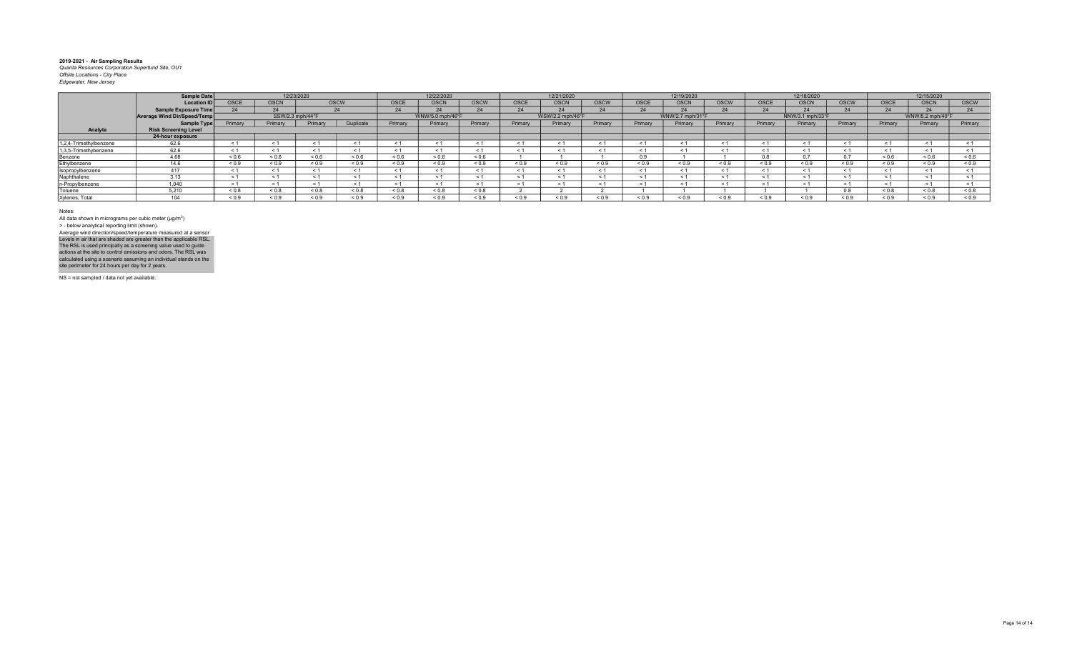|                        | Sample Date                 |              |                  | 12/23/2020   |             |             | 12/22/2020       |             |             | 12/21/2020       |             |            | 12/19/2020       |             |             | 12/18/2020       |             |             | 12/15/2020       |            |
|------------------------|-----------------------------|--------------|------------------|--------------|-------------|-------------|------------------|-------------|-------------|------------------|-------------|------------|------------------|-------------|-------------|------------------|-------------|-------------|------------------|------------|
|                        | <b>Location ID</b>          | OSCE         | <b>OSCN</b>      |              | <b>OSCW</b> | <b>OSCE</b> | <b>OSCN</b>      | <b>OSCW</b> | <b>OSCE</b> | <b>OSCN</b>      | <b>OSCW</b> | OSCE       | <b>OSCN</b>      | <b>OSCW</b> | <b>OSCE</b> | <b>OSCN</b>      | <b>OSCW</b> | <b>OSCE</b> | <b>OSCN</b>      | OSCW       |
|                        | <b>Sample Exposure Time</b> |              |                  |              | $\Omega$    | 74          |                  |             |             |                  |             |            |                  | 24          | $\sim$      |                  |             | -24         |                  |            |
|                        | Average Wind Dir/Speed/Temp |              | SSW/2.3 mph/44°F |              |             |             | WNW/5.0 mph/46°F |             |             | WSW/2.2 mph/46°F |             |            | WNW/2.7 mph/31°F |             |             | NNW/3.1 mph/33°F |             |             | WNW/5.2 mph/40°F |            |
|                        | <b>Sample Type</b>          | Primary      | Primary          | Primary      | Duplicate   | Primary     | Primary          | Primary     | Primary     | Primary          | Primary     | Primary    | Primary          | Primary     | Primary     | Primary          | Primary     | Primary     | Primary          | Primary    |
| Analyte                | <b>Risk Screening Level</b> |              |                  |              |             |             |                  |             |             |                  |             |            |                  |             |             |                  |             |             |                  |            |
|                        | 24-hour exposure            |              |                  |              |             |             |                  |             |             |                  |             |            |                  |             |             |                  |             |             |                  |            |
| 1,2,4-Trimethylbenzene | 62.6                        | < 1          |                  |              |             |             |                  | $\leq 1$    |             |                  |             |            |                  |             | $\tilde{}$  |                  |             |             |                  |            |
| 1,3,5-Trimethybenzene  | 62.6                        |              |                  |              |             | - 1         |                  | $\leq 1$    | < 1         |                  |             |            |                  | $\epsilon$  | $\epsilon$  |                  |             |             |                  |            |
| Benzene                | 4.68                        | 0.6          | 0.6              | 0.6          | 0.6         | 0.6         | 0.6              | 0.6         |             |                  |             | 09         |                  |             |             |                  |             | < 0.6       | 0.6              | 0.6        |
| Ethylbenzene           | 14.6                        | < 0.9        | < 0.9            | 0.9          | 0.9         | < 0.9       | < 0.9            | < 0.9       | 0.9         | < 0.9            | ${}_{0.9}$  | < 0.9      | 0.9              | 0.9         | 0.9         | ${}_{0.9}$       | 0.9         | < 0.9       | 0.9              | ${}_{0.9}$ |
| Isopropylbenzene       | 417                         | < 1          |                  |              |             | - 1         |                  | $\leq 1$    | < 1         | < 1              |             |            |                  | $\epsilon$  | $\tilde{}$  | $\leq 1$         |             |             | < 1              | < 1        |
| Naphthalene            | 3.13                        |              |                  |              |             |             |                  | $\leq$ 1    |             |                  |             |            |                  |             |             |                  |             |             |                  |            |
| n-Propylbenzene        | 1.040                       |              |                  |              |             |             |                  |             |             |                  |             |            |                  |             |             |                  |             |             |                  |            |
| Toluene                | 5.210                       | 0.8          | ${}_{0.8}$       | 0.8          | $0.8 - 0.8$ | 0.8         | ${}_{0.8}$       | < 0.8       |             |                  |             |            |                  |             |             |                  |             | ${}_{0.8}$  | 0.8              | 0.8        |
| Xylenes, Total         | $\Delta$ $\Delta$ $\Delta$  | ${}^{5}$ 0.9 | ${}_{0.9}$       | ${}^{8}$ 0.9 | < 0.9       | ${}_{0.9}$  | ${}_{0.9}$       | 0.9         | 0.9         | ${}_{0.9}$       | ${}_{0.9}$  | ${}_{0.9}$ | ${}_{0.9}$       | ${}_{0.9}$  | ${}_{0.9}$  | 0.9              | 0.9         | ${}_{0.9}$  | ${}_{0.9}$       | ${}_{0.9}$ |

Notes:

All data shown in micrograms per cubic meter (μg/m<sup>3</sup>)<br>> - below analytical reporting limit (shown). Levels in air that are shaded are greater than the applicable RSL.<br>The RSL is used principally as a screening value used to guide<br>actions at the site to control emissions and odors. The RSL was<br>calculated using a scenario Average wind direction/speed/temperature measured at a sensor

NS = not sampled / data not yet available.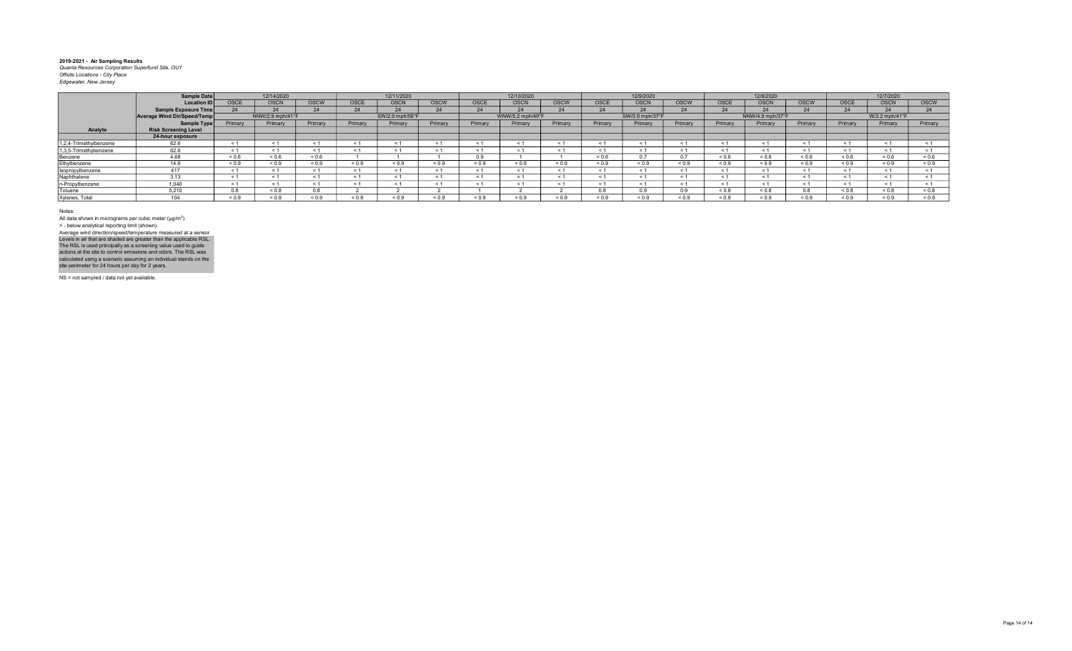|                        | Sample Date                 |             | 12/14/2020       |                |             | 12/11/2020      |              |             | 12/10/2020       |             |             | 12/9/2020             |             |             | 12/8/2020        |             |             | 12/7/2020      |             |
|------------------------|-----------------------------|-------------|------------------|----------------|-------------|-----------------|--------------|-------------|------------------|-------------|-------------|-----------------------|-------------|-------------|------------------|-------------|-------------|----------------|-------------|
|                        | <b>Location ID</b>          | <b>OSCE</b> | <b>OSCN</b>      | <b>OSCW</b>    | <b>OSCE</b> | <b>OSCN</b>     | <b>OSCW</b>  | <b>OSCE</b> | <b>OSCN</b>      | <b>OSCW</b> | <b>OSCE</b> | <b>OSCN</b>           | <b>OSCW</b> | <b>OSCE</b> | <b>OSCN</b>      | <b>OSCW</b> | <b>OSCE</b> | <b>OSCN</b>    | <b>OSCW</b> |
|                        | <b>Sample Exposure Time</b> |             | 24               |                | 24          | 24              | $\mathbf{a}$ |             |                  | 24          |             | $\sim$                | 24          |             | $\sim$           | 24          | 24          |                |             |
|                        | Average Wind Dir/Speed/Temp |             | NNW/2.9 mph/41°F |                |             | SW/2.9 mph/56°F |              |             | WNW/5.2 mph/49°F |             |             | SW/3.9 mph/37°F       |             |             | NNW/4.9 mph/37°F |             |             | W/3.2 mph/41°F |             |
|                        | Sample Type                 | Primary     | Primary          | Primary        | Primary     | Primary         | Primary      | Primary     | Primary          | Primary     | Primary     | Primary               | Primary     | Primary     | Primary          | Primary     | Primary     | Primary        | Primary     |
| Analyte                | <b>Risk Screening Level</b> |             |                  |                |             |                 |              |             |                  |             |             |                       |             |             |                  |             |             |                |             |
|                        | 24-hour exposure            |             |                  |                |             |                 |              |             |                  |             |             |                       |             |             |                  |             |             |                |             |
| 1,2,4-Trimethylbenzene | 62.6                        |             | $\leq$ 1         |                | < 1         |                 |              |             |                  | < 1         |             |                       |             |             |                  |             | - 1         |                |             |
| 1,3,5-Trimethybenzene  | 62.6                        |             | - 1              | $\leq$ 1       | < 1         |                 |              |             |                  | $\leq 1$    | $\leq$      | $\tilde{\phantom{0}}$ |             |             | ≺ 1              |             | $\leq$ 1    | $\leq$ 1       |             |
| Benzene                | 4.68                        | ${}_{0.6}$  | 0.6              | 0.6            |             |                 |              | 0.9         |                  |             | ${}_{0.6}$  | 07                    | 0.7         | 0.6         | ${}_{0.6}$       | ${}_{0.6}$  | 0.6         | 0.6            | ${}_{0.6}$  |
| Ethylbenzene           | 14.6                        | < 0.9       | ${}_{0.9}$       | ${}_{0.9}$     | ${}_{0.9}$  | ${}_{0.9}$      | ${}_{0.9}$   | ${}_{0.9}$  | ${}_{0.9}$       | ${}_{0.9}$  | ${}_{0.9}$  | < 0.9                 | ${}_{0.9}$  | ${}_{0.9}$  | ${}_{0.9}$       | ${}_{0.9}$  | < 0.9       | ${}_{0.9}$     | ${}_{0.9}$  |
| Isopropylbenzene       |                             |             |                  | < 1            | < 1         | $\leq$          |              |             |                  | < 1         |             |                       |             |             |                  |             |             | $\epsilon$     |             |
| Naphthalene            | 3.13                        |             |                  |                | < 1         |                 |              |             |                  | < 1         |             |                       |             |             |                  |             |             |                |             |
| n-Propylbenzene        | 1.040                       |             | < 1              |                | < 1         |                 |              |             |                  | < 1         |             |                       |             |             |                  |             |             |                |             |
| Toluene                | 5.210                       | 0.8         | 0.8              | 0 <sup>8</sup> |             |                 |              |             |                  |             |             |                       |             | 0.8         | ${}_{0.8}$       | 0.8         | &0.8        | $0.8 - 0.8$    | ${}_{0.8}$  |
| Xylenes, Total         |                             | ${}_{0.9}$  | ${}_{0.9}$       | ${}_{0.9}$     | ${}_{0.9}$  | ${}_{0.9}$      | 0.9          | ${}_{0.9}$  | ${}_{0.9}$       | 0.9         | ${}^{<0.9}$ | ${}^{<0.9}$           | ${}^{6}$    | 0.9         | ${}_{0.9}$       | ${}_{0.9}$  | 0.9         | ${}_{0.9}$     | ${}_{0.9}$  |

Notes:

All data shown in micrograms per cubic meter (μg/m<sup>3</sup>)<br>> - below analytical reporting limit (shown). Levels in air that are shaded are greater than the applicable RSL.<br>The RSL is used principally as a screening value used to guide<br>actions at the site to control emissions and odors. The RSL was<br>calculated using a scenario Average wind direction/speed/temperature measured at a sensor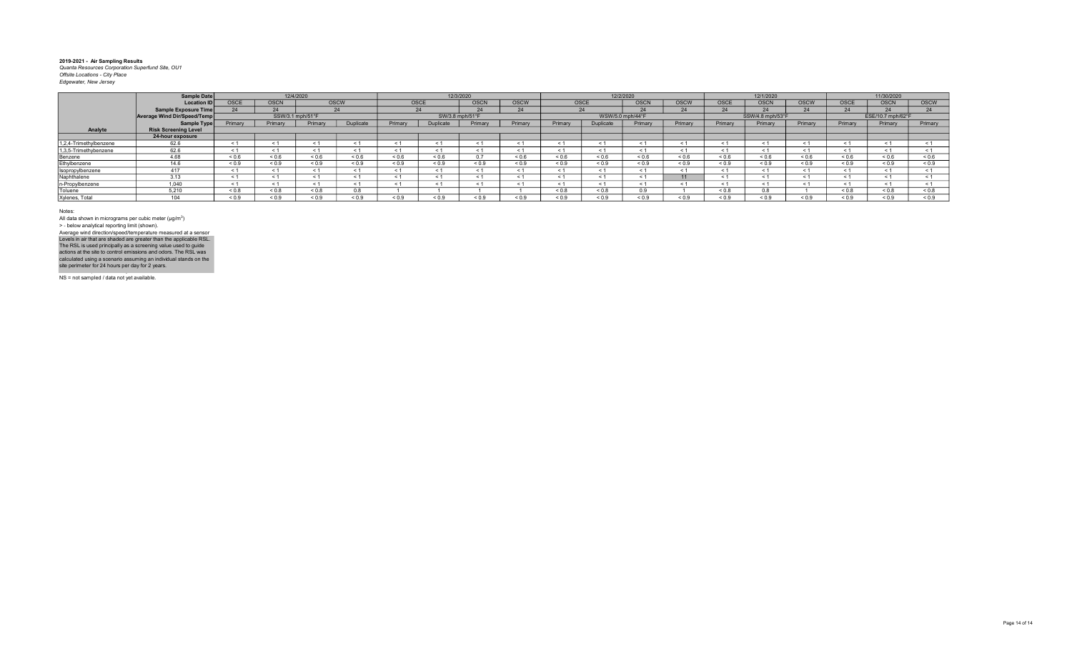|                        | <b>Sample Date</b>                 |                |                  | 12/4/2020    |               |            |                 | 12/3/2020   |             |            |             | 12/2/2020        |             |             | 12/1/2020        |              |             | 11/30/2020        |              |
|------------------------|------------------------------------|----------------|------------------|--------------|---------------|------------|-----------------|-------------|-------------|------------|-------------|------------------|-------------|-------------|------------------|--------------|-------------|-------------------|--------------|
|                        | <b>Location ID</b>                 | <b>OSCE</b>    | <b>OSCN</b>      |              | <b>OSCW</b>   |            | <b>OSCE</b>     | <b>OSCN</b> | <b>OSCW</b> |            | <b>OSCE</b> | <b>OSCN</b>      | <b>OSCW</b> | <b>OSCE</b> | <b>OSCN</b>      | <b>OSCW</b>  | <b>OSCE</b> | <b>OSCN</b>       | <b>OSCW</b>  |
|                        | <b>Sample Exposure Time</b>        |                | 24               |              |               |            | 24              |             |             |            |             | $\sim$           | 24          |             | $\bigcap$        | $\mathbf{a}$ | 24          |                   |              |
|                        | <b>Average Wind Dir/Speed/Temp</b> |                | SSW/3.1 mph/51°F |              |               |            | SW/3.8 mph/51°F |             |             |            |             | WSW/5.0 mph/44°F |             |             | SSW/4.8 mph/53°F |              |             | ESE/10.7 mph/62°F |              |
|                        | Sample Type                        | Primary        | Primary          | Primary      | Duplicate     | Primary    | Duplicate       | Primary     | Primary     | Primary    | Duplicate   | Primary          | Primary     | Primary     | Primary          | Primary      | Primary     | Primary           | Primary      |
| Analyte                | <b>Risk Screening Level</b>        |                |                  |              |               |            |                 |             |             |            |             |                  |             |             |                  |              |             |                   |              |
|                        | 24-hour exposure                   |                |                  |              |               |            |                 |             |             |            |             |                  |             |             |                  |              |             |                   |              |
| 1,2,4-Trimethylbenzene | 62.6                               |                |                  |              | < 1           |            |                 |             |             | < 1        |             |                  |             |             |                  |              | < 1         |                   |              |
| 1,3,5-Trimethybenzene  | 62.6                               |                | < 1              | < 1          | < 1           |            |                 |             |             | < 1        | < 1         |                  |             |             | $\leq 1$         |              | < 1         | < 1               |              |
| Benzene                | 4.68                               | < 0.6          | ${}_{0.6}$       | ${}^{5}$ 0.6 | 0.6           | ${}_{0.6}$ | 0.6             | 0.7         | ${}_{0.6}$  | ${}_{0.6}$ | 0.6         | 0.6              | ${}_{0.6}$  | 0.6         | < 0.6            | < 0.6        | < 0.6       | 0.6               | ${}^{5}$ 0.6 |
| Ethylbenzene           | 14.6                               | < 0.9          | ${}_{0.9}$       | ${}_{0.9}$   | ${}_{0.9}$    | ${}_{0.9}$ | ${}_{0.9}$      | ${}_{0.9}$  | ${}_{0.9}$  | ${}_{0.9}$ | ${}_{0.9}$  | ${}^{6.0}$       | ${}_{0.9}$  | ${}_{0.9}$  | ${}_{0.9}$       | ${}_{0.9}$   | ${}_{0.9}$  | ${}_{0.9}$        | ${}_{0.9}$   |
| Isopropylbenzene       |                                    |                | < 1              |              | < 1           |            |                 |             |             | < 1        |             |                  |             |             | < 1              |              | < 1         |                   |              |
| Naphthalene            | 3.13                               |                | < 1              | < 1          | < 1           |            |                 |             |             | < 1        |             |                  |             |             | < 1              |              | < 1         |                   |              |
| n-Propylbenzene        | 1,040                              |                | < 1              |              | < 1           |            |                 |             |             | < 1        |             |                  |             |             |                  |              | $\leq 1$    |                   |              |
| Toluene                | 5.210                              | ${}_{0.8}$     | ${}_{0.8}$       | 0.8          | $\sim$ $\sim$ |            |                 |             |             | 0.8        | ${}_{0.8}$  | 0.9              |             | 0.8         | 0.8              |              | $0.8 - 0.8$ | $0.8 - 0.8$       | 0.8          |
| Xylenes, Total         | 104                                | ${}^{5}$ < 0.9 | ${}_{0.9}$       | 0.9          | ${}_{0.9}$    | ${}_{0.9}$ | ${}_{0.9}$      | ${}_{0.9}$  | ${}_{0.9}$  | 0.9        | 0.9         | 0.9              | ${}_{0.9}$  | 0.9         | ${}_{0.9}$       | ${}_{0.9}$   | ${}_{0.9}$  | 0.9               | ${}_{0.9}$   |

Notes:

All data shown in micrograms per cubic meter (μg/m<sup>3</sup>)<br>> - below analytical reporting limit (shown). Levels in air that are shaded are greater than the applicable RSL.<br>The RSL is used principally as a screening value used to guide<br>actions at the site to control emissions and odors. The RSL was<br>calculated using a scenario Average wind direction/speed/temperature measured at a sensor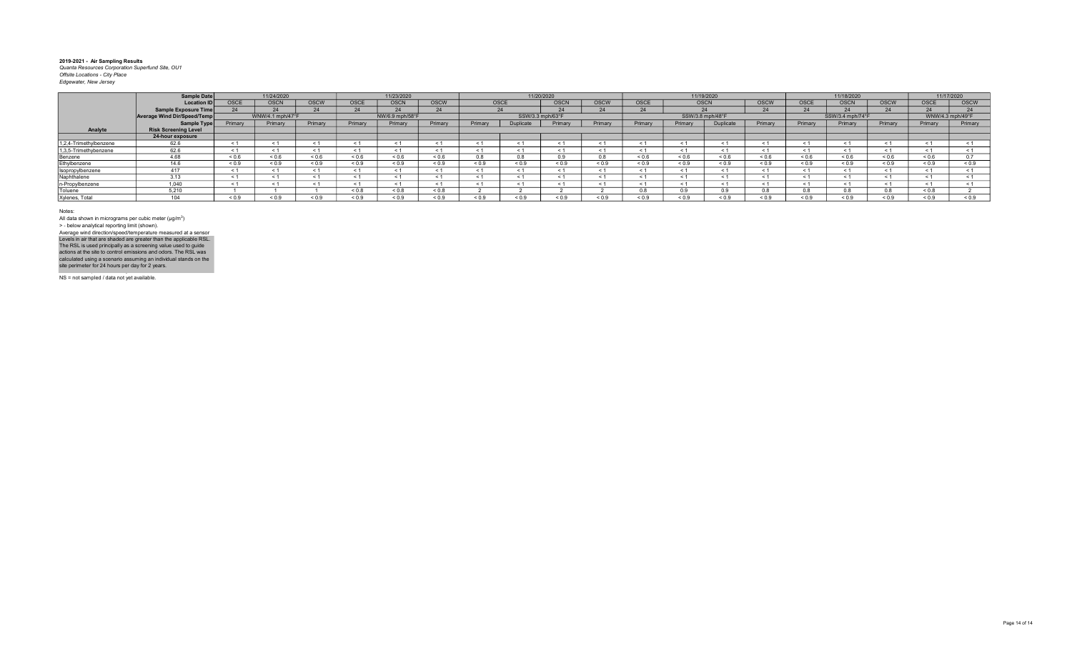|                        | Sample Date                 |              | 11/24/2020       |                   |              | 11/23/2020      |                   |         |                  | 11/20/2020  |             |            |            | 11/19/2020       |                   |             | 11/18/2020       |                   |                  | 11/17/2020    |
|------------------------|-----------------------------|--------------|------------------|-------------------|--------------|-----------------|-------------------|---------|------------------|-------------|-------------|------------|------------|------------------|-------------------|-------------|------------------|-------------------|------------------|---------------|
|                        | <b>Location ID</b>          | <b>OSCE</b>  | <b>OSCN</b>      | <b>OSCW</b>       | OSCE         | <b>OSCN</b>     | <b>OSCW</b>       |         | <b>OSCE</b>      | <b>OSCN</b> | <b>OSCW</b> | OSCE       |            | <b>OSCN</b>      | <b>OSCW</b>       | <b>OSCE</b> | <b>OSCN</b>      | <b>OSCW</b>       | <b>OSCE</b>      | <b>OSCW</b>   |
|                        | <b>Sample Exposure Time</b> |              |                  |                   | $\mathbf{a}$ | 24              | 24                |         |                  | 24          |             |            |            |                  | $\sim$            |             |                  |                   |                  |               |
|                        | Average Wind Dir/Speed/Temp |              | WNW/4.1 mph/47°F |                   |              | NW/6.9 mph/58°F |                   |         | SSW/3.3 mph/63°F |             |             |            |            | SSW/3.8 mph/48°F |                   |             | SSW/3.4 mph/74°F |                   | WNW/4.3 mph/49°F |               |
|                        | Sample Type                 | Primary      | Primary          | Primary           | Primary      | Primary         | Primary           | Primary | Dunlicat         | Primary     | Primary     | Primary    | Primary    | <b>Duplicate</b> | Primary           | Primary     | Primary          | Primary           | Primary          | Primary       |
| Analyte                | <b>Risk Screening Level</b> |              |                  |                   |              |                 |                   |         |                  |             |             |            |            |                  |                   |             |                  |                   |                  |               |
|                        | 24-hour exposure            |              |                  |                   |              |                 |                   |         |                  |             |             |            |            |                  |                   |             |                  |                   |                  |               |
| 1,2,4-Trimethylbenzene | 62.6                        | $\leq$ 1     |                  |                   |              | < 1             |                   |         |                  | < 1         |             |            |            |                  | < 1               |             |                  |                   |                  |               |
| 1,3,5-Trimethybenzene  | 62.6                        | $\leq$ 1     |                  |                   |              | $\leq 1$        | < 1               |         |                  | < 1         | $\leq$ 1    |            |            | ≺ 1              | $\leq 1$          |             |                  |                   |                  | < 1           |
| Benzene                | 4.68                        | 0.6          | 0.6              | ${}^{5}$ ${}^{6}$ | 0.6          | 0.6             | ${}^{5}$ ${}^{6}$ |         |                  | 0.9         |             | 0.6        | ${}_{0.6}$ | < 0.6            | ${}^{5}$ ${}^{6}$ | ${}_{0.6}$  | 0.6              | ${}^{5}$ ${}^{6}$ | 0.6              | $\sim$ $\sim$ |
| Ethylbenzene           | 14.6                        | ${}_{0.9}$   | ${}_{0.9}$       | 0.0               | 0.9          | 0.9             | ${}_{0.9}$        | < 0.9   | 0.9              | ${}_{0.9}$  | ${}_{0.9}$  | ${}_{0.9}$ | ${}_{0.9}$ | < 0.9            | ${}_{0.9}$        | ${}_{0.9}$  | 0.9              | ${}_{0.9}$        | ${}_{0.9}$       | ${}_{0.9}$    |
| Isopropylbenzene       | 417                         | $\leq$ 1     |                  |                   |              | < 1             | $\leq 1$          |         |                  | < 1         | $\leq$      |            |            | < 1              | $\leq$ 1          |             |                  |                   |                  |               |
| Naphthalene            | 3.13                        | < 1          |                  |                   |              | < 1             | < 1               |         |                  | < 1         | < 1         |            |            | < 1              | < 1               |             |                  |                   |                  |               |
| n-Propylbenzene        | 1,040                       | $\leq$ 1     |                  |                   |              | < 1             | < 1               |         |                  | < 1         |             |            |            | $\leq$ 1         | < 1               |             |                  |                   |                  |               |
| Toluene                | 5.210                       |              |                  |                   | 8.0 >        | 0.8             | < 0.8             |         |                  |             |             | 0.8        | $\sim$     | n q              |                   |             |                  |                   | < 0.8            |               |
| Xylenes, Total         | 104                         | ${}^{8}$ 0.9 | ${}^{<0.9}$      | 0.9               | ፡ 0.9        | 0.9             | ${}_{0.9}$        | < 0.9   | ${}^{<}0.9$      | ${}_{0.9}$  | ${}_{0.9}$  |            | ${}_{0.9}$ | ${}_{0.9}$       | 0.9               | ${}^{6.0}$  | ${}_{0.9}$       | ${}_{0.9}$        | 0.9              | 0.9           |

Notes:

All data shown in micrograms per cubic meter (μg/m<sup>3</sup>)<br>> - below analytical reporting limit (shown). Levels in air that are shaded are greater than the applicable RSL.<br>The RSL is used principally as a screening value used to guide<br>actions at the site to control emissions and odors. The RSL was<br>calculated using a scenario Average wind direction/speed/temperature measured at a sensor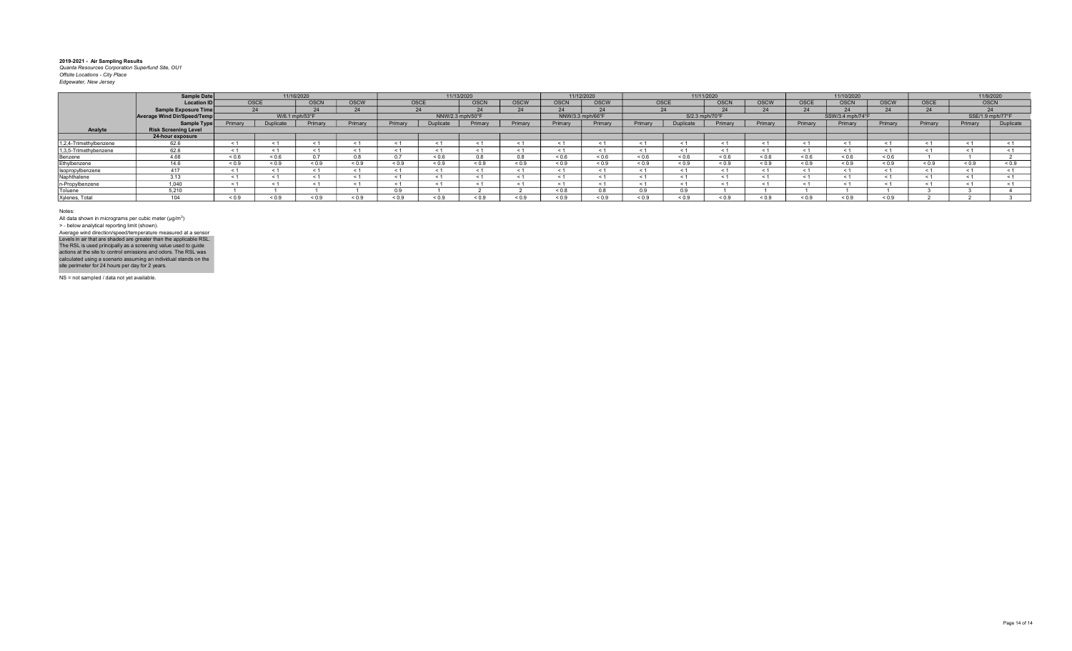|                        | Sample Date                 |                   |            | 11/16/2020     |               |            |                 | 11/13/2020       |            |                  | 11/12/2020 |              |                  | 11/11/2020  |            |            | 11/10/2020          |              |         |             | 11/9/2020        |
|------------------------|-----------------------------|-------------------|------------|----------------|---------------|------------|-----------------|------------------|------------|------------------|------------|--------------|------------------|-------------|------------|------------|---------------------|--------------|---------|-------------|------------------|
|                        | <b>Location ID</b>          |                   | OSCE       | OSCN           | <b>OSCW</b>   |            | <b>OSCE</b>     | OSCN             | OSCW       | <b>OSCN</b>      | OSCW       |              | OSCE             | <b>OSCN</b> | OSCW       | OSCE       | <b>OSCN</b>         | <b>OSCW</b>  | OSCE    | <b>OSCN</b> |                  |
|                        | <b>Sample Exposure Time</b> |                   |            |                |               |            |                 | $\sim$           |            |                  |            |              |                  |             | 24         |            |                     |              |         |             | $\bigcap$        |
|                        | Average Wind Dir/Speed/Temp |                   |            | W/6.1 mph/53°F |               |            |                 | NNW/2.3 mph/50°F |            | NNW/3.3 mph/66°F |            |              | S/2.3 mph/70°F   |             |            |            | SSW/3.4 mph/74°F    |              |         |             | SSE/1.9 mph/77°F |
|                        | Sample Type                 | Primary           | Duplicate  | Primary        | Primary       | Primary    | <b>Duplicat</b> | Primary          | Primary    | Primary          | Primary    | Primary      | <b>Duplicate</b> | Primary     | Primary    | Primary    | Primary             | Primary      | Primary | Primary     | Duplicate        |
| Analyte                | <b>Risk Screening Level</b> |                   |            |                |               |            |                 |                  |            |                  |            |              |                  |             |            |            |                     |              |         |             |                  |
|                        | 24-hour exposure            |                   |            |                |               |            |                 |                  |            |                  |            |              |                  |             |            |            |                     |              |         |             |                  |
| 1,2,4-Trimethylbenzene | 62.6                        |                   |            |                |               |            |                 | $\leq$           |            |                  |            |              |                  |             | < 1        |            |                     |              |         |             |                  |
| 1,3,5-Trimethybenzene  | 62.6                        |                   | < 1        |                |               | $\leq 1$   | < 1             | < 1              |            | < 1              | < 1        |              |                  | < 1         | < 1        |            | < 1                 |              |         |             |                  |
| Benzene                | 4.68                        | ${}^{5}$ ${}^{6}$ | 0.6        |                | $\sim$ $\sim$ | $\sim$ $-$ | ${}^{5.0}$      | 0.8              |            | ${}_{0.6}$       | 0.6        | 0.6          | 0.6              | 0.6         | ${}_{0.6}$ | ${}_{0.6}$ | ${}^{5}$ $\leq$ 0.6 | 0.6          |         |             |                  |
| Ethylbenzene           | 14.6                        | ${}_{0.9}$        | ${}_{0.9}$ | < 0.9          | < 0.9         | ${}_{0.9}$ | < 0.9           | ${}_{0.9}$       | $\leq 0.5$ | < 0.9            | < 0.9      | ${}^{5}$ 0.9 | 0.9              | 0.9         | ${}_{0.9}$ | ${}_{0.9}$ | ${}_{0.9}$          | 0.0          | < 0.9   | 0.9         | ${}_{0.9}$       |
| Isopropylbenzene       | 417                         |                   | $\leq$ 1   |                |               | - 1        | $\leq$ 1        | - 1              |            | $\epsilon$ 1     | $\leq 1$   |              |                  |             | < 1        |            |                     |              |         |             |                  |
| Naphthalene            | 3.13                        |                   |            |                |               |            |                 | $\leq$           |            |                  | < 1        |              |                  |             | $\leq 1$   |            |                     |              |         |             |                  |
| n-Propylbenzene        | 1,040                       |                   |            |                |               |            |                 |                  |            |                  |            |              |                  |             | $\leq 1$   |            |                     |              |         |             |                  |
| Toluene                | 5.210                       |                   |            |                |               | n q        |                 |                  |            | ${}_{0.8}$       |            |              | 0.9              |             |            |            |                     |              |         |             |                  |
| Xylenes, Total         | 104                         | ${}_{0.9}$        | 0.9        | ${}_{0.9}$     | 0.9           | ${}_{0.9}$ | 0.9             | ${}_{0.9}$       | ${}_{0.9}$ | 0.9              | ${}_{0.9}$ | ${}^{5}$ 0.9 | 0.9              | ${}_{0.9}$  | ${}_{0.9}$ | ${}_{0.9}$ | ${}_{0.9}$          | ${}^{8}$ 0.9 |         |             |                  |

Notes:

All data shown in micrograms per cubic meter (μg/m<sup>3</sup>)<br>> - below analytical reporting limit (shown). Levels in air that are shaded are greater than the applicable RSL.<br>The RSL is used principally as a screening value used to guide<br>actions at the site to control emissions and odors. The RSL was<br>calculated using a scenario Average wind direction/speed/temperature measured at a sensor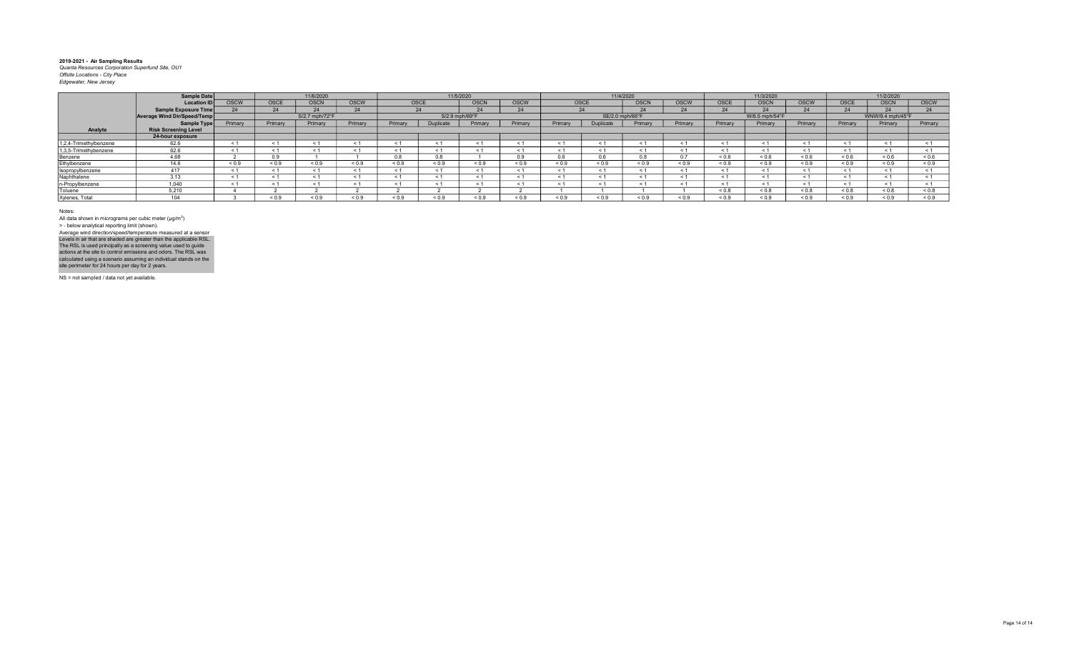|                        | Sample Date                        |             |            | 11/6/2020      |             |            |                  | 11/5/2020   |             |            |              | 11/4/2020       |             |             | 11/3/2020      |              |             | 11/2/2020        |             |
|------------------------|------------------------------------|-------------|------------|----------------|-------------|------------|------------------|-------------|-------------|------------|--------------|-----------------|-------------|-------------|----------------|--------------|-------------|------------------|-------------|
|                        | Location ID                        | <b>OSCW</b> | OSCE       | <b>OSCN</b>    | <b>OSCW</b> |            | OSCE             | <b>OSCN</b> | <b>OSCW</b> |            | <b>OSCE</b>  | <b>OSCN</b>     | <b>OSCW</b> | <b>OSCE</b> | <b>OSCN</b>    | <b>OSCW</b>  | <b>OSCE</b> | <b>OSCN</b>      | <b>OSCW</b> |
|                        | <b>Sample Exposure Time</b>        |             | 24         |                |             |            | 24               |             |             |            | $\mathbf{A}$ | $\sim$          | 24          |             |                | $\mathbf{a}$ | 24          |                  |             |
|                        | <b>Average Wind Dir/Speed/Temp</b> |             |            | S/2.7 mph/72°F |             |            | S/2.9 mph/69°F   |             |             |            |              | SE/2.0 mph/66°F |             |             | W/6.5 mph/54°F |              |             | WNW/9.4 mph/45°F |             |
|                        | Sample Type                        | Primary     | Primary    | Primary        | Primary     | Primary    | <b>Duplicate</b> | Primary     | Primary     | Primary    | Duplicate    | Primary         | Primary     | Primary     | Primary        | Primary      | Primary     | Primary          | Primary     |
| Analyte                | <b>Risk Screening Level</b>        |             |            |                |             |            |                  |             |             |            |              |                 |             |             |                |              |             |                  |             |
|                        | 24-hour exposure                   |             |            |                |             |            |                  |             |             |            |              |                 |             |             |                |              |             |                  |             |
| 1.2.4-Trimethylbenzene | 62.6                               | < 1         | < 1        |                |             | $\leq$     |                  |             |             | < 1        | $\leq 1$     |                 |             |             |                |              | < 1         |                  |             |
| 1,3,5-Trimethybenzene  | 62.6                               | $\leq 1$    | < 1        |                |             | < 1        |                  |             |             | < 1        | $\leq 1$     | < 1             |             |             |                | $\leq 1$     | < 1         | < 1              |             |
| Benzene                | 4.68                               |             | 0.9        |                |             | 0.8        | 0.8              |             | 0.9         | 0.6        |              |                 | 0.7         | 0.6         | < 0.6          | ${}_{0.6}$   | 0.6         | 0.6              | 0.6         |
| Ethylbenzene           | 14.6                               | ${}_{0.9}$  | ${}_{0.9}$ | < 0.9          | ${}_{0.9}$  | ${}_{0.9}$ | 0.9              | ${}_{0.9}$  | < 0.9       | ${}_{0.9}$ | ${}_{0.9}$   | ${}^{5}$ 0.9    | ${}_{0.9}$  | ${}_{0.9}$  | ${}_{0.9}$     | ${}_{0.9}$   | < 0.9       | ${}_{0.9}$       | ${}_{0.9}$  |
| Isopropylbenzene       | 417                                |             | < 1        |                |             | $\leq$     | < 1              |             |             | < 1        |              | < 1             |             |             |                | < 1          | < 1         |                  |             |
| Naphthalene            | 3.13                               |             | < 1        |                |             | < 1        |                  |             |             | < 1        |              | < 1             |             |             |                |              | < 1         |                  |             |
| n-Propylbenzene        | 1.040                              | $\leq$ 1    | < 1        |                |             |            |                  |             |             | < 1        |              |                 |             |             |                |              | $\leq$ 1    |                  |             |
| Toluene                | 5.210                              |             |            |                |             |            |                  |             |             |            |              |                 |             | 0.8         | ${}_{0.8}$     | 0.8          | $0.8 - 0.8$ | 0.8              | ${}_{0.8}$  |
| Xylenes, Total         | 104                                |             | ${}_{0.9}$ | 0.9            | 0.9         | ${}_{0.9}$ | 0.9              | ${}_{0.9}$  | < 0.9       | ${}_{0.9}$ | 0.9          | 0.9             | ${}_{0.9}$  | ${}_{0.9}$  | ${}_{0.9}$     | ${}_{0.9}$   | ${}_{0.9}$  | ${}_{0.9}$       | ${}_{0.9}$  |

Notes:

All data shown in micrograms per cubic meter (μg/m<sup>3</sup>)<br>> - below analytical reporting limit (shown). Levels in air that are shaded are greater than the applicable RSL.<br>The RSL is used principally as a screening value used to guide<br>actions at the site to control emissions and odors. The RSL was<br>calculated using a scenario Average wind direction/speed/temperature measured at a sensor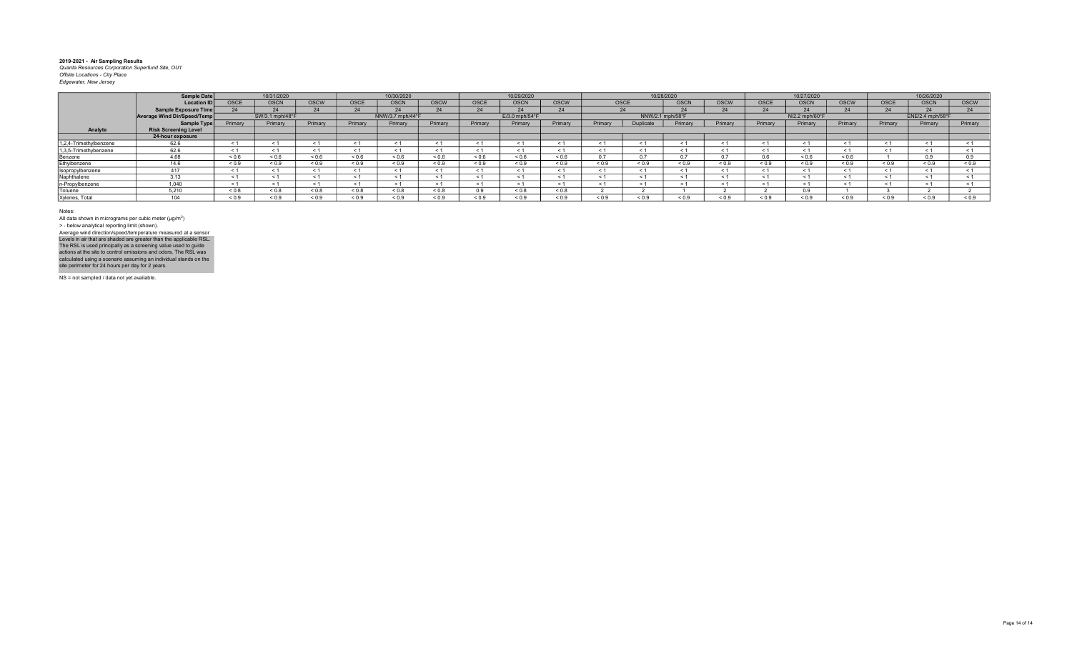|                        | Sample Date                 |             | 10/31/2020      |            |             | 10/30/2020       |             |            | 10/29/2020     |            |             |                  | 10/28/2020    |             |            | 10/27/2020     |             |            | 10/26/2020       |              |
|------------------------|-----------------------------|-------------|-----------------|------------|-------------|------------------|-------------|------------|----------------|------------|-------------|------------------|---------------|-------------|------------|----------------|-------------|------------|------------------|--------------|
|                        | <b>Location ID</b>          | <b>OSCE</b> | <b>OSCN</b>     | OSCW       | <b>OSCE</b> | <b>OSCN</b>      | OSCW        | OSCE       | <b>OSCN</b>    | OSCW       | <b>OSCE</b> |                  | <b>OSCN</b>   | <b>OSCW</b> | OSCE       | <b>OSCN</b>    | <b>OSCW</b> | OSCE       | OSCN             | <b>OSCW</b>  |
|                        | Sample Exposure Time        |             |                 |            |             |                  | 24          |            |                | 24         |             |                  |               | $\bigcap$   |            |                |             |            |                  | $\mathbf{A}$ |
|                        | Average Wind Dir/Speed/Temp |             | SW/3.1 mph/48°F |            |             | NNW/3.7 mph/44°F |             |            | E/3.0 mph/54°F |            |             | NNW/2.1 mph/58°F |               |             |            | N/2.2 mph/60°F |             |            | ENE/2.4 mph/58°F |              |
|                        | Sample Type                 | Primary     | Primary         | Primary    | Primary     | Primary          | Primary     | Primary    | Primary        | Primary    | Primary     | <b>Duplicate</b> | Primary       | Primary     | Primary    | Primary        | Primary     | Primary    | Primary          | Primary      |
| Analyte                | <b>Risk Screening Level</b> |             |                 |            |             |                  |             |            |                |            |             |                  |               |             |            |                |             |            |                  |              |
|                        | 24-hour exposure            |             |                 |            |             |                  |             |            |                |            |             |                  |               |             |            |                |             |            |                  |              |
| 1,2,4-Trimethylbenzene | 62.6                        |             |                 |            |             | ≺ 1              | < 1         |            |                | < 1        |             |                  | ≺ 1           |             | ≺          |                |             |            |                  |              |
| 1,3,5-Trimethybenzene  | 62.6                        |             |                 |            |             | ≺ 1              | < 1         |            |                | < 1        | $\leq$ 1    |                  |               | ≺ 1         |            |                |             |            |                  |              |
| Benzene                | 4.68                        | 0.6         | 0.6             | 0.6        | 0.6         | 0.6              | 0.6         | 0.6        | 0.6            | ${}_{0.6}$ | 0.7         | 07               | $\sim$ $\sim$ | 0.7         |            | 0.6            | 0.6         |            |                  | 0.9          |
| Ethylbenzene           | 146                         | 0.9         | ${}_{0.9}$      | ${}_{0.9}$ | 0.9         | ${}_{0.9}$       | ${}_{0.9}$  | ${}_{0.9}$ | 0.9            | ${}_{0.9}$ | ${}_{0.9}$  | ${}_{0.9}$       | ${}_{0.9}$    | ${}_{0.9}$  | ${}_{0.9}$ | ${}_{0.9}$     | 0.9         | ${}_{0.9}$ | ${}_{0.9}$       | ${}_{0.9}$   |
| Isopropylbenzene       | 417                         |             |                 |            |             | < 1              | < 1         |            |                | < 1        |             |                  | < 1           | < 1         |            |                |             |            |                  |              |
| Naphthalene            | 3.13                        |             |                 |            |             | < 1              | < 1         |            |                | < 1        | $\leq$      |                  | < 1           | < 1         |            |                |             |            |                  |              |
| n-Propylbenzene        | 1,040                       |             |                 |            |             | $\leq 1$         | < 1         |            |                | < 1        |             |                  |               |             |            |                |             |            |                  |              |
| Toluene                | 5.210                       | 0.8         | 0.8             | & 0.8      | 0.8         | 0.8              | $0.8 - 0.8$ |            | 0.0 >          | ${}_{0.8}$ |             |                  |               |             |            |                |             |            |                  |              |
| Xylenes, Total         | 104                         | ${}^{<0.9}$ | ${}^{<0.9}$     | 0.9        | 0.9         | 0.9              | ${}_{0.9}$  | < 0.9      | ${}^{<}0.9$    | ${}_{0.9}$ | ${}_{0.9}$  |                  | ${}^{<}0.9$   | 0.9         | 0.9        | ${}^{5}$ 0.9   | ${}^{<}0.9$ | < 0.9      | 0.9              | 0.9          |

Notes:

All data shown in micrograms per cubic meter (μg/m<sup>3</sup>)<br>> - below analytical reporting limit (shown). Levels in air that are shaded are greater than the applicable RSL.<br>The RSL is used principally as a screening value used to guide<br>actions at the site to control emissions and odors. The RSL was<br>calculated using a scenario Average wind direction/speed/temperature measured at a sensor

NS = not sampled / data not yet available.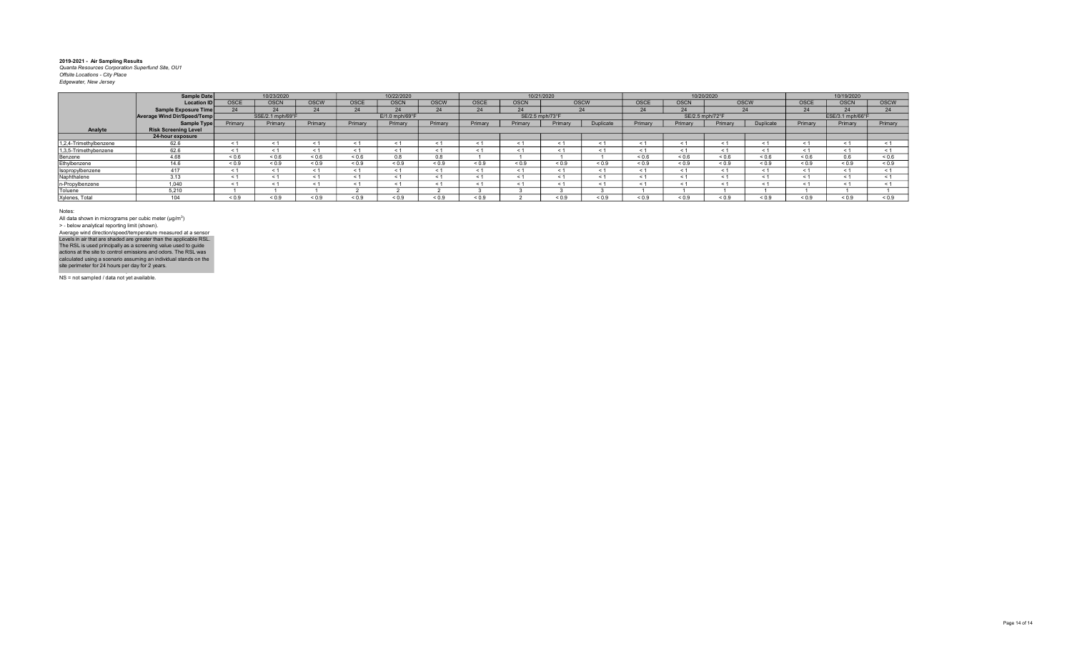|                        | Sample Date                 |            | 10/23/2020       |             |              | 10/22/2020       |             |             |                 | 10/21/2020   |             |            |                 | 10/20/2020 |             |             | 10/19/2020       |             |
|------------------------|-----------------------------|------------|------------------|-------------|--------------|------------------|-------------|-------------|-----------------|--------------|-------------|------------|-----------------|------------|-------------|-------------|------------------|-------------|
|                        | <b>Location ID</b>          | OSCE       | <b>OSCN</b>      | <b>OSCW</b> | OSCE         | <b>OSCN</b>      | <b>OSCW</b> | <b>OSCE</b> | <b>OSCN</b>     |              | <b>OSCW</b> | OSCE       | <b>OSCN</b>     |            | <b>OSCW</b> | <b>OSCE</b> | <b>OSCN</b>      | <b>OSCW</b> |
|                        | Sample Exposure Time        | 24         | 24               | 24          | 24           |                  | 24          | 24          | 24              |              | 24          | 24         | 2 <sub>A</sub>  |            | 24          | 24          |                  | 24          |
|                        | Average Wind Dir/Speed/Temp |            | SSE/2.1 mph/69°F |             |              | $E/1.0$ mph/69°F |             |             | SE/2.5 mph/73°F |              |             |            | SE/2.5 mph/72°F |            |             |             | ESE/3.1 mph/66°F |             |
|                        | Sample Type                 | Primary    | Primary          | Primary     | Primary      | Primary          | Primary     | Primary     | Primary         | Primary      | Duplicate   | Primary    | Primary         | Primary    | Duplicate   | Primary     | Primary          | Primary     |
| Analyte                | <b>Risk Screening Level</b> |            |                  |             |              |                  |             |             |                 |              |             |            |                 |            |             |             |                  |             |
|                        | 24-hour exposure            |            |                  |             |              |                  |             |             |                 |              |             |            |                 |            |             |             |                  |             |
| 1,2,4-Trimethylbenzene | 62.6                        |            |                  | < 1         | $\leq$ 1     | < 1              |             |             | $\leq$          | < 1          | < 1         |            |                 | $\leq$     | < 1         | < 1         |                  |             |
| 1,3,5-Trimethybenzene  | 62.6                        |            | e 1              | < 1         | < 1          | < 1              |             | e 1         | < 1             | < 1          | $\leq 1$    |            | < 1             | < 1        | < 1         | $\leq 1$    | < 1              |             |
| Benzene                | 4.68                        | ${}_{0.6}$ | ${}_{0.6}$       | ${}_{0.6}$  | ${}_{0.6}$   | 0.8              | 0.8         |             |                 |              |             | < 0.6      | ${}_{0.6}$      | ${}_{0.6}$ | ${}_{0.6}$  | ${}_{0.6}$  | 0.6              | ${}_{0.6}$  |
| Ethylbenzene           | 14.6                        | ${}_{0.9}$ | ${}_{0.9}$       | ${}_{0.9}$  | ${}_{0.9}$   | ${}_{0.9}$       | ${}_{0.9}$  | ${}_{0.9}$  | ${}_{0.9}$      | ${}_{0.9}$   | ${}_{0.9}$  | ${}_{0.9}$ | ${}_{0.9}$      | ${}_{0.9}$ | ${}_{0.9}$  | ${}_{0.9}$  | ${}_{0.9}$       | ${}_{0.9}$  |
| Isopropylbenzene       | 417                         |            | < 1              | < 1         | < 1          | < 1              |             | < 1         | < 1             | < 1          | < 1         |            | < 1             | $\leq$     | < 1         | < 1         | < 1              | < 1         |
| Naphthalene            | 3.13                        |            |                  | < 1         | < 1          | < 1              |             | < 1         | < 1             | < 1          | < 1         |            | < 1             | < 1        | < 1         | < 1         |                  | < 1         |
| n-Propylbenzene        | 1.040                       | < 1        | < 1              | < 1         | < 1          | < 1              |             | < 1         | < 1             | < 1          | < 1         |            | < 1             | < 1        | < 1         | < 1         | < 1              |             |
| Toluene                | 5,210                       |            |                  |             |              |                  |             |             |                 |              |             |            |                 |            |             |             |                  |             |
| Xylenes, Total         | $\Delta$ $\Delta$ $\Delta$  | ${}_{0.9}$ | ${}^{8}$ 0.9     | ${}_{0.9}$  | ${}^{8}$ 0.9 | ${}_{0.9}$       | ${}_{0.9}$  | ${}^{<0.9}$ |                 | ${}^{8}$ 0.9 | ${}_{0.9}$  | ${}_{0.9}$ | 0.9             | ${}_{0.9}$ | 0.9         | ${}_{0.9}$  | ${}_{0.9}$       | ${}_{0.9}$  |

Notes:

All data shown in micrograms per cubic meter (μg/m<sup>3</sup>)<br>> - below analytical reporting limit (shown). Levels in air that are shaded are greater than the applicable RSL.<br>The RSL is used principally as a screening value used to guide<br>actions at the site to control emissions and odors. The RSL was<br>calculated using a scenario Average wind direction/speed/temperature measured at a sensor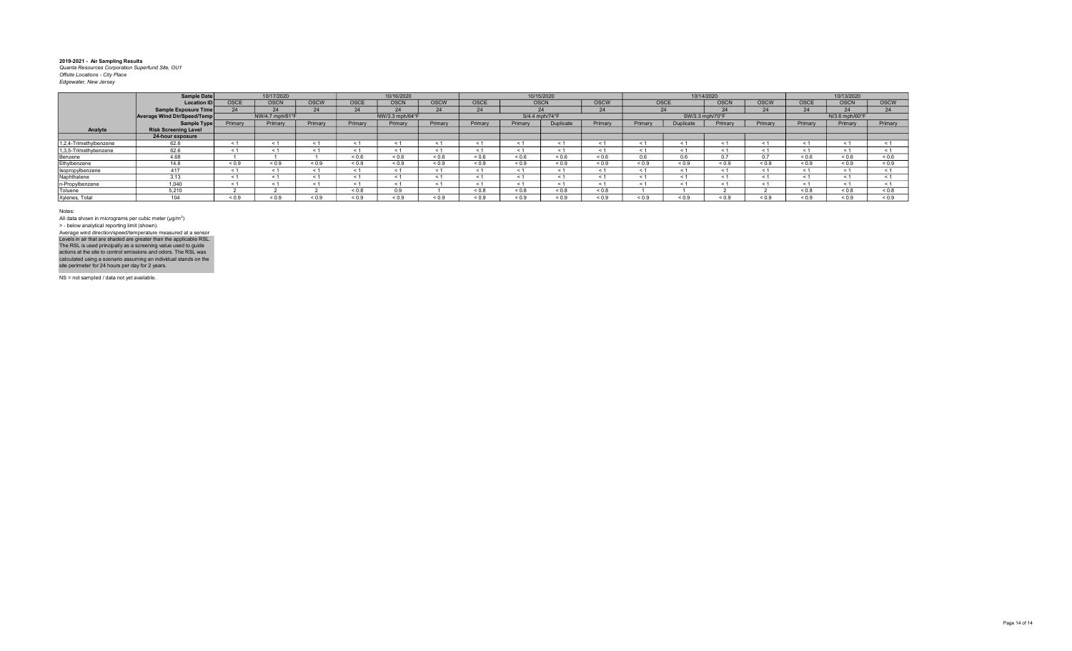|                        | Sample Date                   |             | 10/17/2020      |             |            | 10/16/2020      |            |            | 10/15/2020     |            |            |            |            | 10/14/2020      |             |             | 10/13/2020     |             |
|------------------------|-------------------------------|-------------|-----------------|-------------|------------|-----------------|------------|------------|----------------|------------|------------|------------|------------|-----------------|-------------|-------------|----------------|-------------|
|                        | <b>Location ID</b>            | <b>OSCE</b> | <b>OSCN</b>     | <b>OSCW</b> | OSCE       | <b>OSCN</b>     | OSCW       | OSCE       | <b>OSCN</b>    |            | OSCW       | OSCE       |            | <b>OSCN</b>     | <b>OSCW</b> | <b>OSCE</b> | <b>OSCN</b>    | <b>OSCW</b> |
|                        | <b>Sample Exposure Time</b>   | 24          | 24              | 24          | 24         |                 | 24         | 24         | 24             |            | 24         |            | 24         | 24              | 24          | 24          | 24             | 24          |
|                        | Average Wind Dir/Speed/Temp   |             | NW/4.7 mph/61°F |             |            | NW/3.3 mph/64°F |            |            | S/4.4 mph/74°F |            |            |            |            | SW/3.3 mph/70°F |             |             | N/3.6 mph/60°F |             |
|                        | Sample Type                   | Primary     | Primary         | Primary     | Primary    | Primary         | Primary    | Primary    | Primary        | uplicate   | Primary    | Primary    | Duplicate  | Primary         | Primary     | Primary     | Primary        | Primary     |
| Analyte                | <b>Risk Screening Level</b>   |             |                 |             |            |                 |            |            |                |            |            |            |            |                 |             |             |                |             |
|                        | 24-hour exposure              |             |                 |             |            |                 |            |            |                |            |            |            |            |                 |             |             |                |             |
| 1,2,4-Trimethylbenzene | 62.6                          |             | < '             | < 1         | < 1        | < 1             |            | < 1        | < 1            | < 1        | $\leq 1$   |            | < 1        | $\leq$          | < 1         | < 1         |                | < 1         |
| 1,3,5-Trimethybenzene  | 62.6                          |             |                 | < 1         | $\leq 1$   | < 1             |            |            | < 1            | $\leq 1$   | < 1        |            | < 1        | < 1             | $\leq 1$    | < 1         | $\leq 1$       | < 1         |
| Benzene                | 4.68                          |             |                 |             | ${}_{0.6}$ | < 0.6           | < 0.6      | 0.6        | 0.6            | ${}_{0.6}$ | < 0.6      | 0.6        | 0.6        |                 | 0.7         | < 0.6       | < 0.6          | 0.6         |
| Ethylbenzene           | 14.6                          | ${}_{0.9}$  | ${}_{0.9}$      | ${}_{0.9}$  | ${}_{0.9}$ | ${}_{0.9}$      | ${}_{0.9}$ | ${}_{0.9}$ | ${}_{0.9}$     | ${}_{0.9}$ | ${}_{0.9}$ | ${}_{0.9}$ | ${}_{0.9}$ | ${}_{0.9}$      | 0.9         | ${}_{0.9}$  | ${}_{0.9}$     | ${}_{0.9}$  |
| Isopropylbenzene       | 417                           |             |                 | < 1         | < 1        | < 1             |            |            | < 1            | < 1        | < 1        |            |            | < 1             | < 1         | < 1         |                | < 1         |
| Naphthalene            | 3.13                          | - 1         |                 | < 1         | $\leq$ 1   | < 1             |            | < 1        | - 1            | $\leq$ 1   | $\leq 1$   |            |            | $\leq$ 1        | $\leq$ 1    | $\leq 1$    | < 1            | < 1         |
| n-Propylbenzene        | 1,040                         |             |                 | < 1         | < 1        | < 1             |            |            | $\leq$         | < 1        | ← 1        |            |            |                 | < 1         | ← 1         |                |             |
| Toluene                | 5.210                         |             |                 |             | 0.8        | 0.9             |            | &0.8       | < 0.8          | 0.8        | ${}_{0.8}$ |            |            |                 |             | ${}_{0.8}$  | ${}_{0.8}$     | 0.8         |
| Xylenes, Total         | $\overline{A}$ $\overline{A}$ | < 0.9       | 0.9             | ${}_{0.9}$  | ${}_{0.9}$ | ${}_{0.9}$      | 0.9        | 0.9        | ${}_{0.9}$     | ${}_{0.9}$ | ${}_{0.9}$ | ${}_{0.9}$ | 0.9        | ${}_{0.9}$      | 0.9         | ${}_{0.9}$  | ${}_{0.9}$     | ${}_{0.9}$  |

Notes:

All data shown in micrograms per cubic meter (μg/m<sup>3</sup>)<br>> - below analytical reporting limit (shown). Levels in air that are shaded are greater than the applicable RSL.<br>The RSL is used principally as a screening value used to guide<br>actions at the site to control emissions and odors. The RSL was<br>calculated using a scenario Average wind direction/speed/temperature measured at a sensor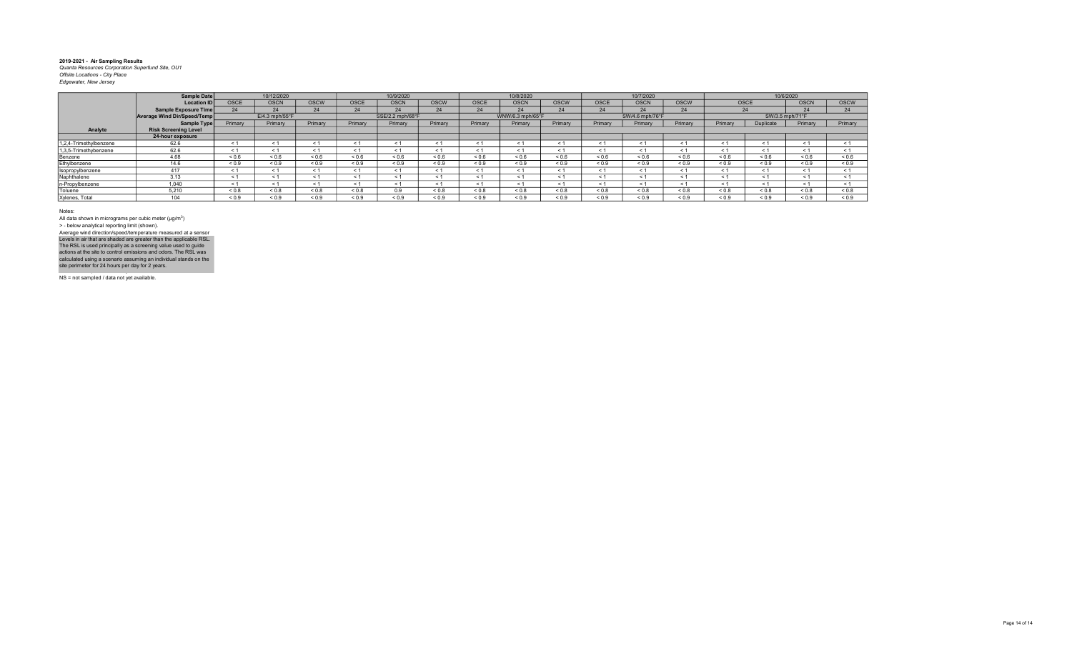|                        | Sample Date                 |             | 10/12/2020                 |             |            | 10/9/2020        |             |             | 10/8/2020        |             |             | 10/7/2020       |             |             | 10/6/2020       |             |             |
|------------------------|-----------------------------|-------------|----------------------------|-------------|------------|------------------|-------------|-------------|------------------|-------------|-------------|-----------------|-------------|-------------|-----------------|-------------|-------------|
|                        | <b>Location IDI</b>         | <b>OSCE</b> | <b>OSCN</b>                | <b>OSCW</b> | OSCE       | <b>OSCN</b>      | <b>OSCW</b> | <b>OSCE</b> | <b>OSCN</b>      | <b>OSCW</b> | <b>OSCE</b> | <b>OSCN</b>     | <b>OSCW</b> | <b>OSCE</b> |                 | <b>OSCN</b> | <b>OSCW</b> |
|                        | Sample Exposure Time        | 24          | 24                         | 24          | 24         | 24               | 24          | 24          | 24               | 24          | 24          | 24              | 24          | 24          |                 | 24          | 24          |
|                        | Average Wind Dir/Speed/Temp |             | $E/4.3$ mph/55 $\degree$ F |             |            | SSE/2.2 mph/68°F |             |             | WNW/6.3 mph/65°F |             |             | SW/4.6 mph/76°F |             |             | SW/3.5 mph/71°F |             |             |
|                        | Sample Type                 | Primary     | Primary                    | Primary     | Primary    | Primary          | Primary     | Primary     | Primary          | Primary     | Primary     | Primary         | Primary     | Primary     | Duplicate       | Primary     | Primary     |
| Analyte                | <b>Risk Screening Level</b> |             |                            |             |            |                  |             |             |                  |             |             |                 |             |             |                 |             |             |
|                        | 24-hour exposure            |             |                            |             |            |                  |             |             |                  |             |             |                 |             |             |                 |             |             |
| 1.2.4-Trimethylbenzene | 62.6                        | $\leq$ 1    | < 1                        | - 1         | < 1        | < 1              | < 1         |             | $\leq$           | < 1         | $\leq 1$    |                 | < 1         | < 1         | < 1             | < 1         |             |
| 1,3,5-Trimethybenzene  | 62.6                        | < 1         | < 1                        | < 1         | < 1        | < 1              | < 1         | < 1         | < 1              | < 1         | < 1         |                 | < 1         | < 1         | < 1             | < 1         |             |
| Benzene                | 4.68                        | 0.6         | 0.6                        | ${}_{0.6}$  | < 0.6      | < 0.6            | < 0.6       | 0.6         | < 0.6            | ${}_{0.6}$  | ${}_{0.6}$  | ${}_{0.6}$      | 0.6         | < 0.6       | 0.6             | < 0.6       | 0.6         |
| Ethylbenzene           | 14.6                        | < 0.9       | ${}_{0.9}$                 | ${}_{0.9}$  | ${}_{0.9}$ | ${}_{0.9}$       | ${}_{0.9}$  | < 0.9       | ${}_{0.9}$       | ${}_{0.9}$  | ${}_{0.9}$  | ${}_{0.9}$      | ${}_{0.9}$  | < 0.9       | ${}_{0.9}$      | < 0.9       | < 0.9       |
| Isopropylbenzene       | 417                         | < 1         | < 1                        | < 1         | $\leq$ 1   | < 1              | < 1         | < 1         | < 1              | < 1         | < 1         | < 1             | < 1         | < 1         | < 1             | < 1         |             |
| Naphthalene            | 3.13                        | $\leq$ 1    | < 1                        | < 1         | < 1        | - < 1            | < 1         | < 1         | - 1              | < 1         | < 1         |                 | $\leq$ 1    | < 1         | < 1             | < 1         | < 1         |
| n-Propylbenzene        | 1.040                       | $\leq 1$    | < 1                        | < 1         | < 1        | < 1              | < 1         |             | $\epsilon$       | < 1         | < 1         |                 | < 1         | < 1         | < 1             | < 1         |             |
| Toluene                | 5.210                       | 0.8         | $0.8 - 0.8$                | ${}_{0.8}$  | ${}_{0.8}$ | 0.9              | $0.8 - 0.8$ | $0.8 - 0.8$ | 0.8              | ${}_{0.8}$  | ${}_{0.8}$  | ${}_{0.8}$      | ${}_{0.8}$  | 0.8         | 0.8             | 0.8         | ${}_{0.8}$  |
| Xylenes, Total         | 104                         | 0.9         | 0.9                        | ${}_{0.9}$  | ${}_{0.9}$ | ${}_{0.9}$       | ${}_{0.9}$  | ${}_{0.9}$  | ${}_{0.9}$       | ${}_{0.9}$  | ${}_{0.9}$  | ${}_{0.9}$      | ${}_{0.9}$  | ${}_{0.9}$  | ${}_{0.9}$      | 0.9         | ${}_{0.9}$  |

Notes:

All data shown in micrograms per cubic meter (μg/m<sup>3</sup>)<br>> - below analytical reporting limit (shown). Levels in air that are shaded are greater than the applicable RSL.<br>The RSL is used principally as a screening value used to guide<br>actions at the site to control emissions and odors. The RSL was<br>calculated using a scenario Average wind direction/speed/temperature measured at a sensor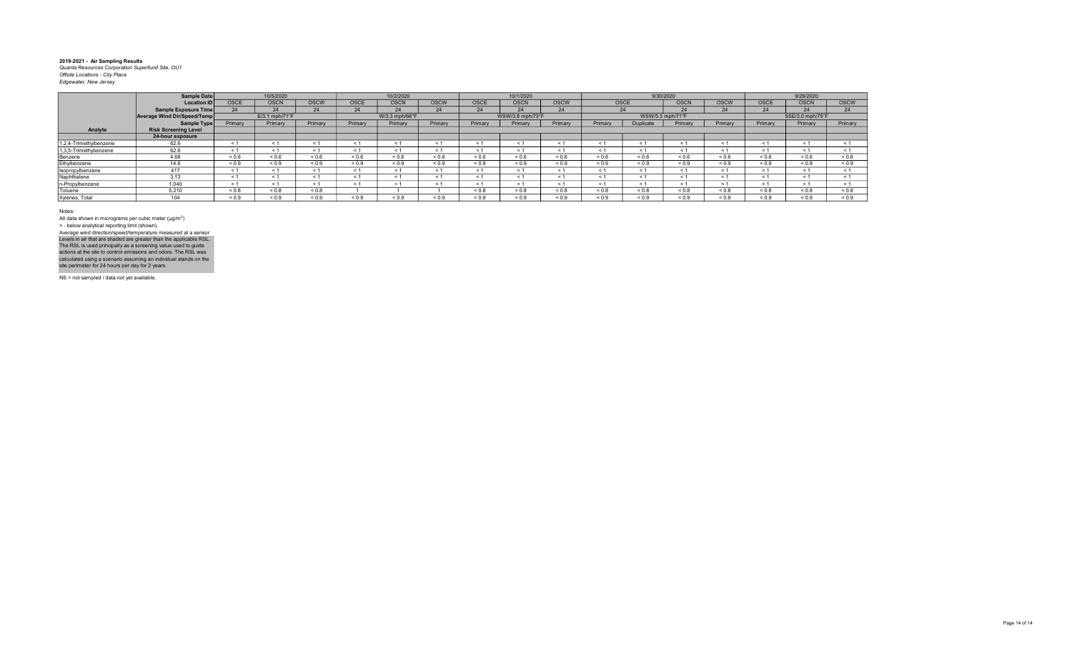|                        | <b>Sample Date</b>          |             | 10/5/2020      |             |                          | 10/2/2020      |                          |             | 10/1/2020        |             |            |            | 9/30/2020        |             |             | 9/29/2020        |                   |
|------------------------|-----------------------------|-------------|----------------|-------------|--------------------------|----------------|--------------------------|-------------|------------------|-------------|------------|------------|------------------|-------------|-------------|------------------|-------------------|
|                        | <b>Location ID</b>          | <b>OSCE</b> | <b>OSCN</b>    | <b>OSCW</b> | <b>OSCE</b>              | <b>OSCN</b>    | OSCW                     | <b>OSCE</b> | <b>OSCN</b>      | <b>OSCW</b> | OSCE       |            | <b>OSCN</b>      | <b>OSCW</b> | <b>OSCE</b> | <b>OSCN</b>      | <b>OSCW</b>       |
|                        | <b>Sample Exposure Time</b> | 24          | 24             | 24          | 24                       | 24             | 24                       | 24          | 24               | 24          |            | 24         |                  | 24          | 24          | 24               | 24                |
|                        | Average Wind Dir/Speed/Temp |             | E/3.1 mph/71°F |             |                          | W/3.3 mph/66°F |                          |             | WSW/3.8 mph/73°F |             |            |            | WSW/5.3 mph/71°F |             |             | SSE/3.0 mph/75°F |                   |
|                        | Sample Type                 | Primary     | Primary        | Primary     | Primary                  | Primary        | Primary                  | Primary     | Primary          | Primary     | Primary    | Duplicate  | Primary          | Primary     | Primary     | Primary          | Primary           |
| Analyte                | <b>Risk Screening Level</b> |             |                |             |                          |                |                          |             |                  |             |            |            |                  |             |             |                  |                   |
|                        | 24-hour exposure            |             |                |             |                          |                |                          |             |                  |             |            |            |                  |             |             |                  |                   |
| 1.2.4-Trimethylbenzene | 62.6                        | < 1         |                | < 1         | $\overline{\phantom{a}}$ | < 1            |                          |             | $\epsilon$       | < 1         | < 1        |            | $\leq$           | < 1         | < 1         | < 1              |                   |
| 1,3,5-Trimethybenzene  | 62.6                        | < 1         |                | < 1         | < 1                      | < 1            | < 1                      |             | $<$ 1            | < 1         | < 1        |            | < 1              | < 1         | < 1         | < 1              |                   |
| Benzene                | 4.68                        | 0.6         | ${}_{0.6}$     | ${}_{0.6}$  | ${}_{0.6}$               | ${}_{0.6}$     | ${}_{0.6}$               | 0.6         | ${}_{0.6}$       | ${}_{0.6}$  | ${}_{0.6}$ | ${}_{0.6}$ | ${}_{0.6}$       | ${}_{0.6}$  | ${}_{0.6}$  | ${}_{0.6}$       | ${}^{5}$ ${}^{6}$ |
| Ethylbenzene           | 14.6                        | ${}_{0.9}$  | ${}_{0.9}$     | ${}_{0.9}$  | ${}_{0.9}$               | ${}_{0.9}$     | ${}_{0.9}$               | ${}_{0.9}$  | ${}_{0.9}$       | ${}_{0.9}$  | ${}_{0.9}$ | ${}_{0.9}$ | ${}_{0.9}$       | ${}_{0.9}$  | ${}_{0.9}$  | ${}_{0.9}$       | ${}_{0.9}$        |
| Isopropylbenzene       | 417                         | < 1         |                | < 1         | < '                      | < 1            | < 1                      |             | $<$ 1            | < 1         | < 1        | $\leq 1$   | < 1              | < 1         | < 1         | < 1              |                   |
| Naphthalene            | 3.13                        | < 1         |                | < 1         | e :                      | < 1            |                          |             | $\epsilon$       | < 1         | < 1        |            | $\leq$           | < 1         | $\leq 1$    | < 1              |                   |
| n-Propylbenzene        | 1.040                       | < 1         |                | < 1         | < '                      | < 1            | $\overline{\phantom{a}}$ |             | $<$ 1            | < 1         | < 1        |            | $\leq$ 1         | < 1         | $\leq 1$    | < 1              |                   |
| Toluene                | 5.210                       | < 0.8       | ${}_{0.8}$     | ${}_{0.8}$  |                          |                |                          | < 0.8       | < 0.8            | < 0.8       | ${}_{0.8}$ | 0.8        | ${}_{0.8}$       | ${}_{0.8}$  | ${}_{0.8}$  | < 0.8            | < 0.8             |
| Xylenes, Total         | $\overline{A}$              | 0.9         | ${}_{0.9}$     | ${}_{0.9}$  | ${}_{0.9}$               | ${}_{0.9}$     | ${}_{0.9}$               | ${}_{0.9}$  | ${}_{0.9}$       | ${}_{0.9}$  | ${}_{0.9}$ | ${}_{0.9}$ | ${}_{0.9}$       | ${}_{0.9}$  | ${}_{0.9}$  | ${}_{0.9}$       | ${}_{0.9}$        |

Notes:

All data shown in micrograms per cubic meter (μg/m<sup>3</sup>)<br>> - below analytical reporting limit (shown). Levels in air that are shaded are greater than the applicable RSL.<br>The RSL is used principally as a screening value used to guide<br>actions at the site to control emissions and odors. The RSL was<br>calculated using a scenario Average wind direction/speed/temperature measured at a sensor

NS = not sampled / data not yet available.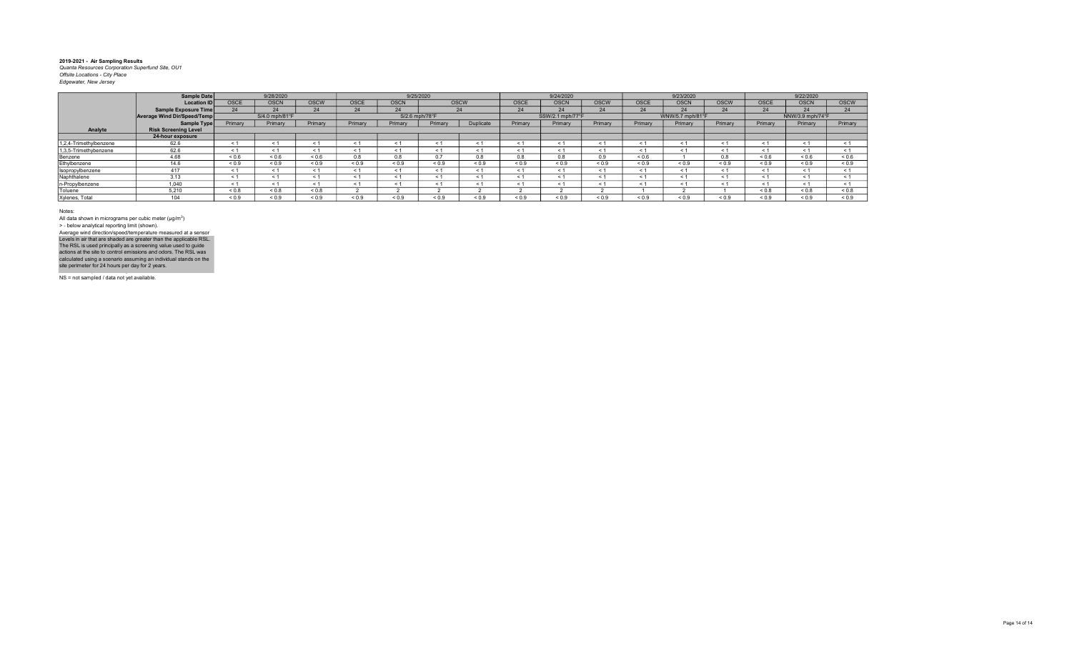|                        | Sample Date                 |             | 9/28/2020      |             |             | 9/25/2020      |             |            |            | 9/24/2020        |             |             | 9/23/2020        |             |             | 9/22/2020        |             |
|------------------------|-----------------------------|-------------|----------------|-------------|-------------|----------------|-------------|------------|------------|------------------|-------------|-------------|------------------|-------------|-------------|------------------|-------------|
|                        | <b>Location IDI</b>         | <b>OSCE</b> | <b>OSCN</b>    | <b>OSCW</b> | <b>OSCE</b> | <b>OSCN</b>    | <b>OSCW</b> |            | OSCE       | <b>OSCN</b>      | <b>OSCW</b> | <b>OSCE</b> | <b>OSCN</b>      | <b>OSCW</b> | <b>OSCE</b> | <b>OSCN</b>      | <b>OSCW</b> |
|                        | Sample Exposure Time        | 24          | 24             | 24          | 24          | 24             | 24          |            | 24         | 24               | 24          | 24          | 24               | 24          | 24          | 24               | 24          |
|                        | Average Wind Dir/Speed/Temp |             | S/4.0 mph/81°F |             |             | S/2.6 mph/78°F |             |            |            | SSW/2.1 mph/77°F |             |             | WNW/5.7 mph/81°F |             |             | NNW/3.9 mph/74°F |             |
|                        | Sample Type                 | Primary     | Primary        | Primary     | Primary     | Primary        | Primary     | Duplicate  | Primary    | Primary          | Primary     | Primary     | Primary          | Primary     | Primary     | Primary          | Primary     |
| Analyte                | <b>Risk Screening Level</b> |             |                |             |             |                |             |            |            |                  |             |             |                  |             |             |                  |             |
|                        | 24-hour exposure            |             |                |             |             |                |             |            |            |                  |             |             |                  |             |             |                  |             |
| 1.2.4-Trimethylbenzene | 62.6                        | $\epsilon$  | < 1            | < 1         | < 1         | $\epsilon$     | < 1         |            | $\epsilon$ |                  | < 1         |             | $\leq$           | < 1         | < 1         | < 1              |             |
| 1,3,5-Trimethybenzene  | 62.6                        | ← 1         | < 1            | < 1         | < 1         | $\leq 1$       | < 1         |            | < 1        | $\leq 1$         | < 1         |             | $\leq$ 1         | < 1         | < 1         | < 1              |             |
| Benzene                | 4.68                        | 0.6         | ${}_{0.6}$     | ${}_{0.6}$  | 0.8         | 0.8            | 0.7         | 0.8        | 0.8        | 0.8              | 0.9         | ${}_{0.6}$  |                  | 0.8         | ${}_{0.6}$  | ${}^{5}$ 0.6     | ${}_{0.6}$  |
| Ethylbenzene           | 14.6                        | ${}_{0.9}$  | ${}_{0.9}$     | ${}_{0.9}$  | ${}_{0.9}$  | ${}_{0.9}$     | ${}_{0.9}$  | ${}_{0.9}$ | ${}_{0.9}$ | ${}_{0.9}$       | ${}_{0.9}$  | ${}_{0.9}$  | ${}_{0.9}$       | ${}_{0.9}$  | ${}_{0.9}$  | ${}_{0.9}$       | ${}_{0.9}$  |
| Isopropylbenzene       | 417                         | < 1         | < 1            | < 1         | < 1         | < 1            | < 1         |            | $\leq 1$   | < 1              | < 1         |             | < 1              | < 1         | < 1         | < 1              |             |
| Naphthalene            | 3.13                        | $<$ 1       | < 1            | < 1         | < 1         | < 1            | < 1         |            | $\epsilon$ |                  | < 1         |             | $\prec$          | < 1         | $\leq 1$    | < 1              |             |
| n-Propylbenzene        | 1.040                       | ← 1         | < 1            | < 1         |             | $\leq$ 1       | < 1         |            | $\leq 1$   | $\leq 1$         | < 1         |             | - 1              | < 1         | $\leq 1$    | < 1              |             |
| Toluene                | 5.210                       | ${}_{0.8}$  | < 0.8          | ${}_{0.8}$  |             |                |             |            |            |                  |             |             |                  |             | &0.8        | < 0.8            | < 0.8       |
| Xylenes, Total         | 104                         | ${}_{0.9}$  | 0.9            | ${}_{0.9}$  | ${}_{0.9}$  | ${}_{0.9}$     | ${}_{0.9}$  | ${}_{0.9}$ | ${}_{0.9}$ | ${}_{0.9}$       | ${}_{0.9}$  | ${}_{0.9}$  | ${}_{0.9}$       | ${}_{0.9}$  | ${}_{0.9}$  | ${}_{0.9}$       | ${}_{0.9}$  |

Notes:

All data shown in micrograms per cubic meter (μg/m<sup>3</sup>)<br>> - below analytical reporting limit (shown). Levels in air that are shaded are greater than the applicable RSL.<br>The RSL is used principally as a screening value used to guide<br>actions at the site to control emissions and odors. The RSL was<br>calculated using a scenario Average wind direction/speed/temperature measured at a sensor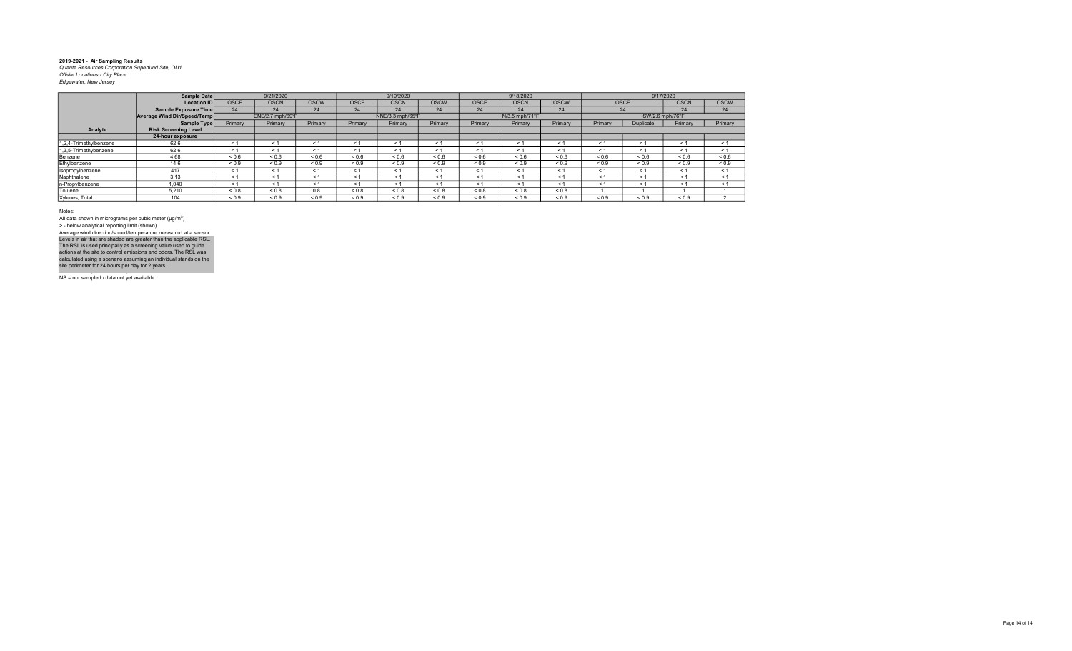|                        | Sample Date                 |             | 9/21/2020        |             |             | 9/19/2020        |             |             | 9/18/2020      |             |            |             | 9/17/2020       |             |
|------------------------|-----------------------------|-------------|------------------|-------------|-------------|------------------|-------------|-------------|----------------|-------------|------------|-------------|-----------------|-------------|
|                        | <b>Location ID</b>          | <b>OSCE</b> | <b>OSCN</b>      | <b>OSCW</b> | <b>OSCE</b> | <b>OSCN</b>      | <b>OSCW</b> | <b>OSCE</b> | <b>OSCN</b>    | <b>OSCW</b> |            | <b>OSCE</b> | <b>OSCN</b>     | <b>OSCW</b> |
|                        | Sample Exposure Time        | 24          | 24               | 24          | 24          | 24               | 24          | 24          | 24             | 24          |            | 24          | 24              | 24          |
|                        | Average Wind Dir/Speed/Temp |             | ENE/2.7 mph/69°F |             |             | NNE/3.3 mph/65°F |             |             | N/3.5 mph/71°F |             |            |             | SW/2.6 mph/76°F |             |
|                        | Sample Type                 | Primary     | Primary          | Primary     | Primary     | Primary          | Primary     | Primary     | Primary        | Primary     | Primary    | Duplicate   | Primary         | Primary     |
| Analyte                | <b>Risk Screening Level</b> |             |                  |             |             |                  |             |             |                |             |            |             |                 |             |
|                        | 24-hour exposure            |             |                  |             |             |                  |             |             |                |             |            |             |                 |             |
| 1,2,4-Trimethylbenzene | 62.6                        | < 1         | $\leq$ 1         | < 1         | < 1         | < 1              | < 1         | < 1         | < 1            | < 1         | $<$ 1      | < 1         | $\leq 1$        | < 1         |
| 1,3,5-Trimethybenzene  | 62.6                        | < 1         | < 1              | < 1         | < 1         | < 1              | < 1         | < 1         | < 1            | < 1         | < 1        | < 1         | < 1             | < 1         |
| Benzene                | 4.68                        | ${}_{0.6}$  | ${}_{0.6}$       | ${}_{0.6}$  | ${}_{0.6}$  | ${}_{0.6}$       | 0.6         | 0.6         | ${}_{0.6}$     | ${}_{0.6}$  | ${}_{0.6}$ | ${}_{0.6}$  | ${}_{0.6}$      | ${}_{0.6}$  |
| Ethylbenzene           | 14.6                        | ${}_{0.9}$  | ${}_{0.9}$       | ${}_{0.9}$  | ${}_{0.9}$  | ${}_{0.9}$       | ${}_{0.9}$  | ${}_{0.9}$  | ${}_{0.9}$     | ${}_{0.9}$  | ${}_{0.9}$ | ${}_{0.9}$  | ${}_{0.9}$      | ${}_{0.9}$  |
| Isopropylbenzene       | 417                         | < 1         | $\leq$ 1         | < 1         | < 1         | < 1              | < 1         | < 1         | < 1            | < 1         | < 1        | < 1         | < 1             | < 1         |
| Naphthalene            | 3.13                        | < 1         | < 1              | < 1         | < 1         | < 1              | < 1         | < 1         | < 1            | < 1         | < 1        | < 1         | < 1             | < 1         |
| n-Propylbenzene        | 1.040                       | < 1         | < 1              | < 1         | < 1         | < 1              | < 1         | < 1         | < 1            | < 1         | < 1        | < 1         | < 1             | < 1         |
| Toluene                | 5.210                       | ${}_{0.8}$  | ${}_{0.8}$       | 0.8         | ${}_{0.8}$  | ${}_{0.8}$       | ${}_{0.8}$  | ${}_{0.8}$  | ${}_{0.8}$     | ${}_{0.8}$  |            |             |                 |             |
| Xylenes, Total         | 104                         | < 0.9       | ${}_{0.9}$       | ${}_{0.9}$  | ${}_{0.9}$  | ${}_{0.9}$       | ${}_{0.9}$  | 0.9         | ${}_{0.9}$     | ${}_{0.9}$  | < 0.9      | ${}_{0.9}$  | ${}_{0.9}$      |             |

Notes:

All data shown in micrograms per cubic meter (μg/m<sup>3</sup>)<br>> - below analytical reporting limit (shown). Levels in air that are shaded are greater than the applicable RSL.<br>The RSL is used principally as a screening value used to guide<br>actions at the site to control emissions and odors. The RSL was<br>calculated using a scenario Average wind direction/speed/temperature measured at a sensor

NS = not sampled / data not yet available.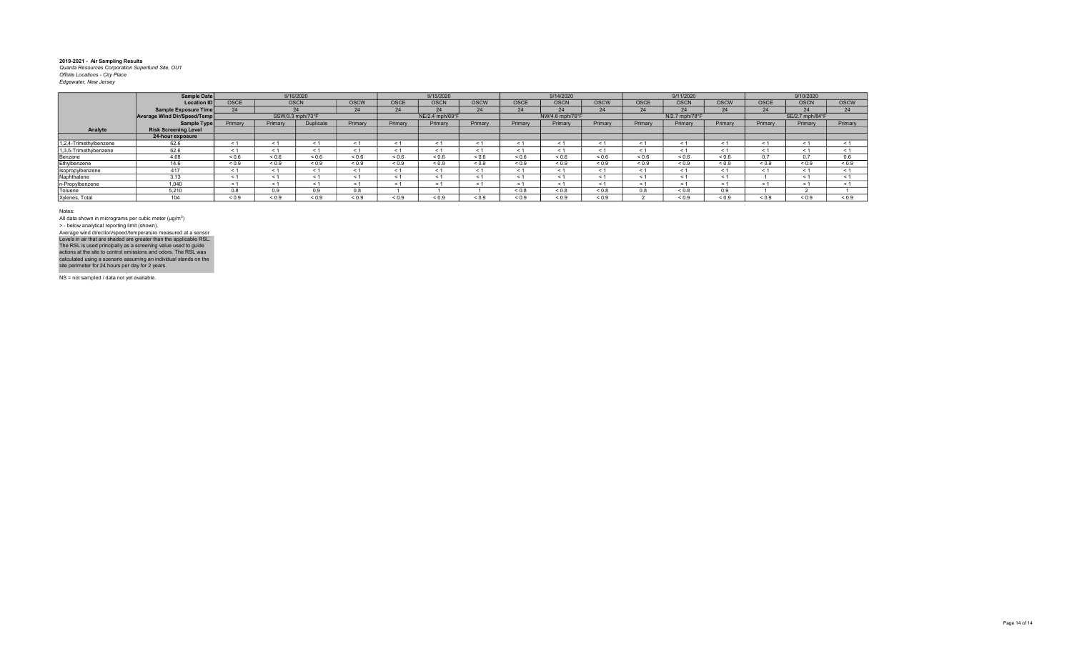|                        | Sample Date                 |                       | 9/16/2020        |            |             |            | 9/15/2020       |             |            | 9/14/2020       |             |             | 9/11/2020      |             |             | 9/10/2020       |             |
|------------------------|-----------------------------|-----------------------|------------------|------------|-------------|------------|-----------------|-------------|------------|-----------------|-------------|-------------|----------------|-------------|-------------|-----------------|-------------|
|                        |                             |                       |                  |            |             |            |                 |             |            |                 |             |             |                |             |             |                 |             |
|                        | <b>Location ID</b>          | <b>OSCE</b>           | <b>OSCN</b>      |            | <b>OSCW</b> | OSCE       | <b>OSCN</b>     | <b>OSCW</b> | OSCE       | <b>OSCN</b>     | <b>OSCW</b> | <b>OSCE</b> | <b>OSCN</b>    | <b>OSCW</b> | <b>OSCE</b> | <b>OSCN</b>     | <b>OSCW</b> |
|                        | Sample Exposure Time        | 24                    | 24               |            | 24          | 24         | 24              | 24          | 24         | 24              | 24          | 24          | 24             | 24          | 24          | 24              | 24          |
|                        | Average Wind Dir/Speed/Temp |                       | SSW/3.3 mph/73°F |            |             |            | NE/2.4 mph/69°F |             |            | NW/4.6 mph/76°F |             |             | N/2.7 mph/78°F |             |             | SE/2.7 mph/84°F |             |
|                        | Sample Type                 | Primary               | Primary          | Duplicate  | Primary     | Primary    | Primary         | Primary     | Primary    | Primary         | Primary     | Primary     | Primary        | Primary     | Primary     | Primary         | Primary     |
| Analyte                | <b>Risk Screening Level</b> |                       |                  |            |             |            |                 |             |            |                 |             |             |                |             |             |                 |             |
|                        | 24-hour exposure            |                       |                  |            |             |            |                 |             |            |                 |             |             |                |             |             |                 |             |
| 1.2.4-Trimethylbenzene | 62.6                        | < 1                   |                  | < 1        |             | $\leq$ 1   | < 1             |             | $\epsilon$ |                 | < 1         |             | < 1            | $\leq 1$    | < 1         |                 | < 1         |
| 1,3,5-Trimethybenzene  | 62.6                        | < 1                   | ≺ 1              | < 1        | < 1         | < 1        | < 1             |             | $\epsilon$ | < 1             | < 1         | < 1         | < 1            | < 1         | < 1         | < 1             | < 1         |
| Benzene                | 4.68                        | ${}_{0.6}$            | 0.6              | ${}_{0.6}$ | ${}_{0.6}$  | ${}_{0.6}$ | ${}_{0.6}$      | 0.6         | ${}_{0.6}$ | ${}_{0.6}$      | ${}_{0.6}$  | ${}_{0.6}$  | ${}_{0.6}$     | ${}_{0.6}$  | 0.7         | 0.7             | 0.6         |
| Ethylbenzene           | 14.6                        | ${}_{0.9}$            | ${}_{0.9}$       | ${}_{0.9}$ | ${}_{0.9}$  | ${}_{0.9}$ | ${}_{0.9}$      | ${}_{0.9}$  | ${}_{0.9}$ | ${}_{0.9}$      | ${}_{0.9}$  | ${}_{0.9}$  | ${}_{0.9}$     | ${}_{0.9}$  | ${}_{0.9}$  | ${}_{0.9}$      | ${}_{0.9}$  |
| Isopropylbenzene       | 417                         | < 1                   | < 1              | < 1        | < 1         | < 1        | < 1             | < 1         | $\epsilon$ | < 1             | < 1         | $\leq 1$    | < 1            | $\leq 1$    | < 1         | < 1             | < 1         |
| Naphthalene            | 3.13                        | < 1                   |                  | < 1        |             | < 1        | < 1             |             | $\epsilon$ | < 1             | < 1         |             | - 1            | $\leq 1$    |             |                 | < 1         |
| n-Propylbenzene        | 1.040                       | < 1                   | ≺ 1              | < 1        | < 1         | $\leq$ 1   | < 1             |             | < 1        | < 1             | < 1         |             | < 1            | < 1         | < 1         | < 1             | < 1         |
| Toluene                | 5.210                       | $\sim$ $\sim$<br>0.8. | 0.9              | 0.9        | 0.8         |            |                 |             | < 0.8      | ${}_{0.8}$      | ${}_{0.8}$  | 0.8         | < 0.8          | 0.9         |             |                 |             |
| Xylenes, Total         | 104                         | ${}_{0.9}$            | ${}_{0.9}$       | ${}_{0.9}$ | ${}_{0.9}$  | ${}_{0.9}$ | ${}_{0.9}$      | ${}_{0.9}$  | ${}_{0.9}$ | ${}_{0.9}$      | ${}_{0.9}$  |             | ${}_{0.9}$     | ${}_{0.9}$  | ${}_{0.9}$  | ${}_{0.9}$      | 0.9         |

Notes:

All data shown in micrograms per cubic meter (μg/m<sup>3</sup>)<br>> - below analytical reporting limit (shown). Levels in air that are shaded are greater than the applicable RSL.<br>The RSL is used principally as a screening value used to guide<br>actions at the site to control emissions and odors. The RSL was<br>calculated using a scenario Average wind direction/speed/temperature measured at a sensor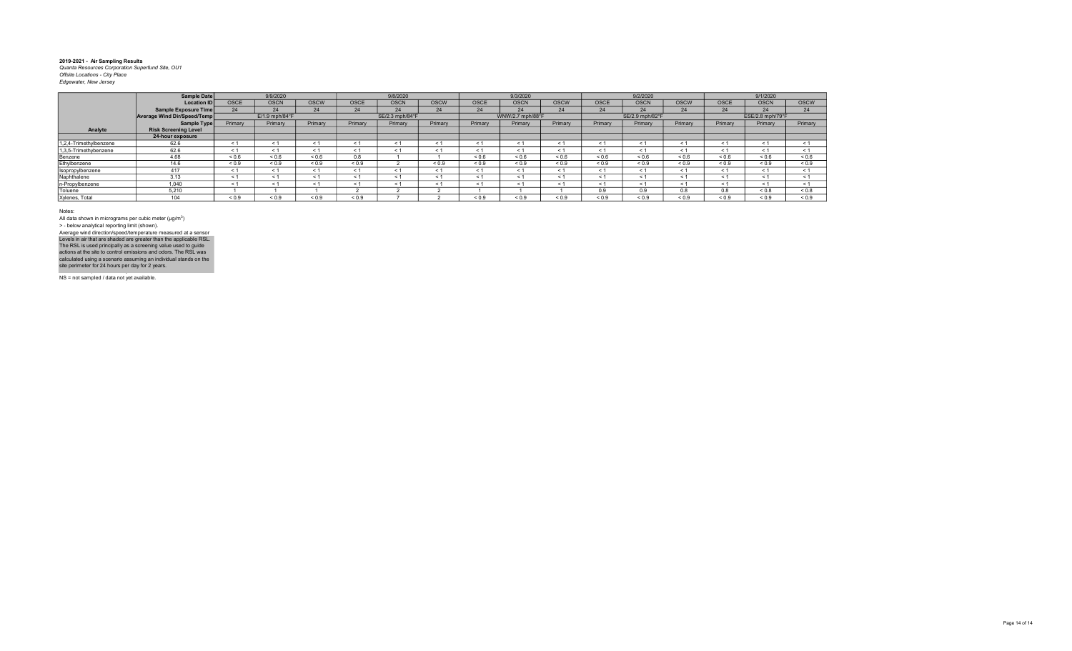|                        | Sample Date                 |                     | 9/9/2020       |             |             | 9/8/2020        |             |             | 9/3/2020         |             |             | 9/2/2020        |             |             | 9/1/2020         |             |
|------------------------|-----------------------------|---------------------|----------------|-------------|-------------|-----------------|-------------|-------------|------------------|-------------|-------------|-----------------|-------------|-------------|------------------|-------------|
|                        | <b>Location ID</b>          | <b>OSCE</b>         | <b>OSCN</b>    | <b>OSCW</b> | <b>OSCE</b> | <b>OSCN</b>     | <b>OSCW</b> | <b>OSCE</b> | <b>OSCN</b>      | <b>OSCW</b> | <b>OSCE</b> | <b>OSCN</b>     | <b>OSCW</b> | <b>OSCE</b> | <b>OSCN</b>      | <b>OSCW</b> |
|                        | Sample Exposure Time        | 24                  | 24             | 24          | 24          | 24              | 24          | 24          | 24               | 24          | 24          | 24              | 24          | 24          | 24               | 24          |
|                        | Average Wind Dir/Speed/Temp |                     | E/1.9 mph/84°F |             |             | SE/2.3 mph/84°F |             |             | WNW/2.7 mph/88°F |             |             | SE/2.9 mph/82°F |             |             | ESE/2.8 mph/79°F |             |
|                        | Sample Type                 | Primary             | Primary        | Primary     | Primary     | Primary         | Primary     | Primary     | Primary          | Primary     | Primary     | Primary         | Primary     | Primary     | Primary          | Primary     |
| Analyte                | <b>Risk Screening Level</b> |                     |                |             |             |                 |             |             |                  |             |             |                 |             |             |                  |             |
|                        | 24-hour exposure            |                     |                |             |             |                 |             |             |                  |             |             |                 |             |             |                  |             |
| 1,2,4-Trimethylbenzene | 62.6                        | ← 1                 |                |             | < 1         | $\leq 1$        |             |             | < 1              | $\epsilon$  | $\leq$ 1    | < 1             | - 1         | - 1         | < 1              | < 1         |
| 1,3,5-Trimethybenzene  | 62.6                        | < 1                 | < 1            |             | < 1         | < 1             | < 1         | < 1         | < 1              | $\leq$ 1    | < 1         | < 1             | < 1         | < 1         | < 1              | < 1         |
| Benzene                | 4.68                        | ${}^{5}$ ${}^{0.6}$ | ${}_{0.6}$     | ${}_{0.6}$  | 0.8         |                 |             | ${}_{0.6}$  | ${}_{0.6}$       | ${}_{0.6}$  | 0.6         | ${}_{0.6}$      | ${}_{0.6}$  | < 0.6       | ${}_{0.6}$       | ${}_{0.6}$  |
| Ethylbenzene           | 14.6                        | ${}_{0.9}$          | ${}_{0.9}$     | ${}_{0.9}$  | < 0.9       |                 | < 0.9       | ${}_{0.9}$  | ${}_{0.9}$       | < 0.9       | ${}_{0.9}$  | < 0.9           | ${}_{0.9}$  | ${}_{0.9}$  | ${}_{0.9}$       | ${}_{0.9}$  |
| Isopropylbenzene       | 417                         | < 1                 | < 1            |             | < 1         | < 1             |             | < 1         | < 1              | $\leq$ 1    | < 1         | < 1             | < 1         | < 1         | < 1              | < 1         |
| Naphthalene            | 3.13                        | < 1                 | < 1            |             | < 1         | < 1             |             |             | < 1              | $\leq$      | < 1         | < 1             | < 1         | < 1         | < 1              | < 1         |
| n-Propylbenzene        | 1.040                       | < 1                 | < 1            |             | < 1         |                 |             | < 1         | < 1              | $\leq$ 1    | < 1         | < 1             | < 1         | < 1         | < 1              | < 1         |
| Toluene                | 5,210                       |                     |                |             |             |                 |             |             |                  |             | 0.9         | 0.9             | 0.8         | 0.8         | ${}_{0.8}$       | ${}_{0.8}$  |
| Xylenes, Total         | 104                         | 0.9                 | ${}^{<}0.9$    | < 0.9       | 0.9         |                 |             | 0.9         | ${}_{0.9}$       | < 0.9       | < 0.9       | 0.9             | < 0.9       | < 0.9       | < 0.9            | < 0.9       |

Notes:

All data shown in micrograms per cubic meter (μg/m<sup>3</sup>)<br>> - below analytical reporting limit (shown). Levels in air that are shaded are greater than the applicable RSL.<br>The RSL is used principally as a screening value used to guide<br>actions at the site to control emissions and odors. The RSL was<br>calculated using a scenario Average wind direction/speed/temperature measured at a sensor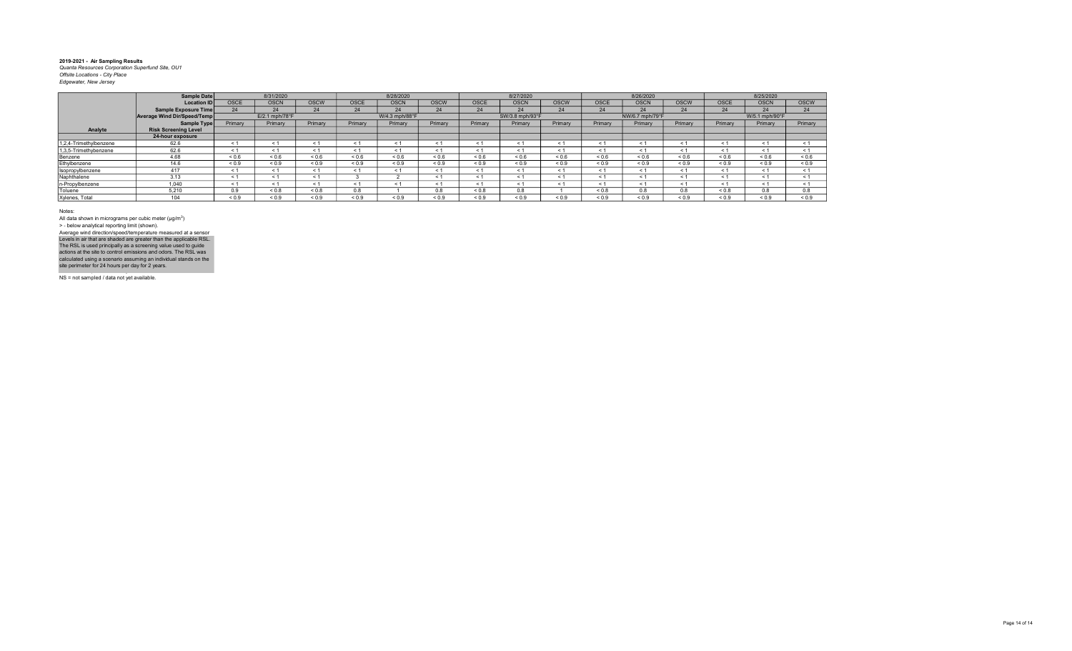|                        | Sample Date                        |                          | 8/31/2020      |              |             | 8/28/2020      |             |             | 8/27/2020       |             |              | 8/26/2020       |             |             | 8/25/2020      |                   |
|------------------------|------------------------------------|--------------------------|----------------|--------------|-------------|----------------|-------------|-------------|-----------------|-------------|--------------|-----------------|-------------|-------------|----------------|-------------------|
|                        | <b>Location ID</b>                 | <b>OSCE</b>              | <b>OSCN</b>    | <b>OSCW</b>  | <b>OSCE</b> | <b>OSCN</b>    | <b>OSCW</b> | <b>OSCE</b> | <b>OSCN</b>     | <b>OSCW</b> | <b>OSCE</b>  | <b>OSCN</b>     | <b>OSCW</b> | <b>OSCE</b> | <b>OSCN</b>    | <b>OSCW</b>       |
|                        | <b>Sample Exposure Time</b>        |                          | 24             | 24           | 24          | 24             | 24          | 24          | 24              | 24          | 24           | 24              | 24          | 24          | 24             | 24                |
|                        | <b>Average Wind Dir/Speed/Temp</b> |                          | E/2.1 mph/78°F |              |             | W/4.3 mph/88°F |             |             | SW/3.8 mph/93°F |             |              | NW/6.7 mph/79°F |             |             | W/5.1 mph/90°F |                   |
|                        | <b>Sample Type</b>                 | Primary                  | Primary        | Primary      | Primary     | Primary        | Primary     | Primary     | Primary         | Primary     | Primary      | Primary         | Primary     | Primary     | Primary        | Primary           |
| Analyte                | <b>Risk Screening Level</b>        |                          |                |              |             |                |             |             |                 |             |              |                 |             |             |                |                   |
|                        | 24-hour exposure                   |                          |                |              |             |                |             |             |                 |             |              |                 |             |             |                |                   |
| 1,2,4-Trimethylbenzene | 62.6                               | $<$ 1                    |                |              |             | < 1            |             |             |                 | $\leq$ 1    | $\leq$       | < 1             | < 1         | $\leq$      | < 1            | < 1               |
| 1,3,5-Trimethybenzene  | 62.6                               | < 1                      |                | $\leq 1$     |             | < 1            | $\leq 1$    | ≺ 1         | < 1             | < 1         | < 1          | < 1             | < 1         | $\leq$ 1    | < 1            | < 1               |
| Benzene                | 4.68                               | ${}_{0.6}$               | ${}^{5}$       | ${}_{0.6}$   | ${}_{0.6}$  | < 0.6          | ${}_{0.6}$  | ${}_{0.6}$  | ${}_{0.6}$      | 0.6         | ${}^{5}$ 0.6 | ${}_{0.6}$      | 0.6         | ${}_{0.6}$  | ${}_{0.6}$     | ${}^{5}$ ${}^{6}$ |
| Ethylbenzene           | 14.6                               | ${}_{0.9}$               | ${}_{0.9}$     | ${}_{0.9}$   | ${}_{0.9}$  | ${}_{0.9}$     | ${}_{0.9}$  | ${}_{0.9}$  | ${}_{0.9}$      | ${}_{0.9}$  | ${}_{0.9}$   | ${}_{0.9}$      | ${}_{0.9}$  | ${}_{0.9}$  | ${}_{0.9}$     | ${}_{0.9}$        |
| Isopropylbenzene       | 417                                | < 1                      |                | < 1          |             | < 1            | < 1         |             | < 1             | < 1         | < 1          | < 1             | < 1         | - 1         | < 1            | < 1               |
| Naphthalene            | 3.13                               | $\overline{\phantom{0}}$ |                |              |             |                |             |             | < 1             | < 1         | $\leq$ 1     | < 1             | < 1         | < 1         | < 1            | < 1               |
| n-Propylbenzene        | 1,040                              | $\leq 1$                 |                | < 1          |             | < 1            |             |             | < 1             | < 1         | $<$ 1        | < 1             | < 1         | $\leq$ 1    | < 1            | < 1               |
| Toluene                | 5.210                              | 0.9                      | ${}_{0.8}$     | ${}_{0.8}$   | 0.8         |                | 0.8         | < 0.8       | 0.8             |             | < 0.8        | 0.8             | 0.8         | < 0.8       | 0.8            | 0.8               |
| Xylenes, Total         | 104                                | ${}_{0.9}$               | 0.9            | ${}^{5}$ 0.9 | < 0.9       | 0.9            | 0.9         | 0.9         | 0.9             | ${}_{0.9}$  | < 0.9        | 0.9             | 0.9         | < 0.9       | < 0.9          | 0.9               |

Notes:

All data shown in micrograms per cubic meter (μg/m<sup>3</sup>)<br>> - below analytical reporting limit (shown). Levels in air that are shaded are greater than the applicable RSL.<br>The RSL is used principally as a screening value used to guide<br>actions at the site to control emissions and odors. The RSL was<br>calculated using a scenario Average wind direction/speed/temperature measured at a sensor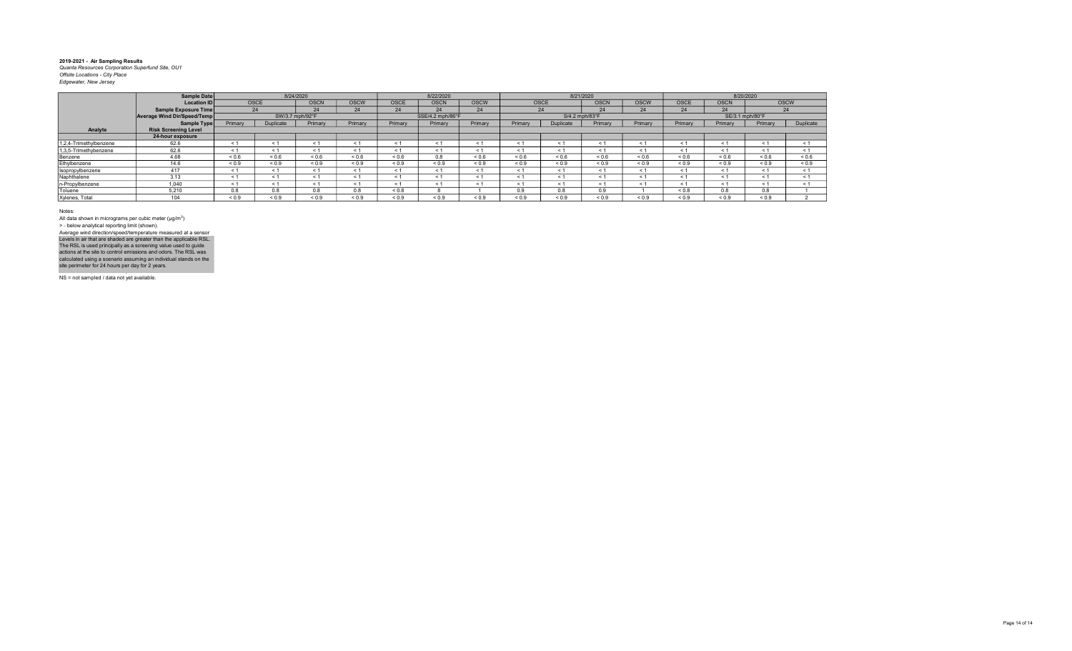|                        | Sample Date                 |             |             | 8/24/2020       |             |             | 8/22/2020        |             |            |                | 8/21/2020   |             |             | 8/20/2020       |            |             |
|------------------------|-----------------------------|-------------|-------------|-----------------|-------------|-------------|------------------|-------------|------------|----------------|-------------|-------------|-------------|-----------------|------------|-------------|
|                        | <b>Location ID</b>          | <b>OSCE</b> |             | <b>OSCN</b>     | <b>OSCW</b> | <b>OSCE</b> | <b>OSCN</b>      | <b>OSCW</b> | OSCE       |                | <b>OSCN</b> | <b>OSCW</b> | <b>OSCE</b> | <b>OSCN</b>     |            | <b>OSCW</b> |
|                        | Sample Exposure Time        | 24          |             | 24              | 24          | 24          | 24               | 24          |            | 24             | 24          | 24          | 24          | 24              |            | 24          |
|                        | Average Wind Dir/Speed/Temp |             |             | SW/3.7 mph/92°F |             |             | SSE/4.2 mph/86°F |             |            | S/4.2 mph/83°F |             |             |             | SE/3.1 mph/80°F |            |             |
|                        | Sample Type                 | Primary     | Duplicate   | Primary         | Primary     | Primary     | Primary          | Primary     | Primary    | Duplicate      | Primary     | Primary     | Primary     | Primary         | Primary    | Duplicate   |
| Analyte                | <b>Risk Screening Level</b> |             |             |                 |             |             |                  |             |            |                |             |             |             |                 |            |             |
|                        | 24-hour exposure            |             |             |                 |             |             |                  |             |            |                |             |             |             |                 |            |             |
| 1,2,4-Trimethylbenzene | 62.6                        |             |             |                 | < 1         | $\leq 1$    |                  |             | < 1        |                | < 1         | < 1         | < 1         | < 1             | < 1        | $\leq 1$    |
| 1,3,5-Trimethybenzene  | 62.6                        | < 1         | < 1         |                 | < 1         | < 1         | ← 1              | < 1         | < 1        | < 1            | < 1         | < 1         | < 1         | < 1             | < 1        | < 1         |
| Benzene                | 4.68                        | ${}_{0.6}$  | ${}_{0.6}$  | ${}_{0.6}$      | ${}_{0.6}$  | ${}_{0.6}$  | 0.8              | ${}_{0.6}$  | ${}_{0.6}$ | ${}_{0.6}$     | 0.6         | 0.6         | ${}_{0.6}$  | ${}_{0.6}$      | ${}_{0.6}$ | ${}_{0.6}$  |
| Ethylbenzene           | 14.6                        | ${}_{0.9}$  | ${}_{0.9}$  | ${}_{0.9}$      | ${}_{0.9}$  | ${}_{0.9}$  | ${}_{0.9}$       | ${}_{0.9}$  | ${}_{0.9}$ | ${}_{0.9}$     | ${}_{0.9}$  | < 0.9       | 0.9         | < 0.9           | ${}_{0.9}$ | ${}_{0.9}$  |
| Isopropylbenzene       | 417                         | < 1         | < 1         |                 | < 1         | < 1         | < 1              | < 1         | < 1        | $\leq$ 1       | < 1         | < 1         | < 1         | < 1             | < 1        | < 1         |
| Naphthalene            | 3.13                        | < 1         | < 1         |                 | < 1         | < 1         |                  | < 1         | < 1        | $\leq$         | < 1         | < 1         | < 1         | < 1             | < 1        | < 1         |
| n-Propylbenzene        | 1.040                       | < 1         | < 1         |                 | < 1         | < 1         |                  | < 1         | < 1        | $\leq 1$       | < 1         | < 1         | < 1         | < 1             | < 1        | < 1         |
| Toluene                | 5,210                       | 0.8         | 0.8         | 0.8             | 0.8         | < 0.8       |                  |             | 0.9        | 0.8            | 0.9         |             | ${}_{0.8}$  | 0.8             | 0.8        |             |
| Xylenes, Total         | 104                         | 0.9         | ${}^{<}0.9$ | < 0.9           | < 0.9       | ${}_{0.9}$  | 0.9              | 0.9         | ${}_{0.9}$ | ${}_{0.9}$     | < 0.9       | < 0.9       | < 0.9       | < 0.9           | ${}_{0.9}$ |             |

Notes:

All data shown in micrograms per cubic meter (μg/m<sup>3</sup>)<br>> - below analytical reporting limit (shown). Levels in air that are shaded are greater than the applicable RSL.<br>The RSL is used principally as a screening value used to guide<br>actions at the site to control emissions and odors. The RSL was<br>calculated using a scenario Average wind direction/speed/temperature measured at a sensor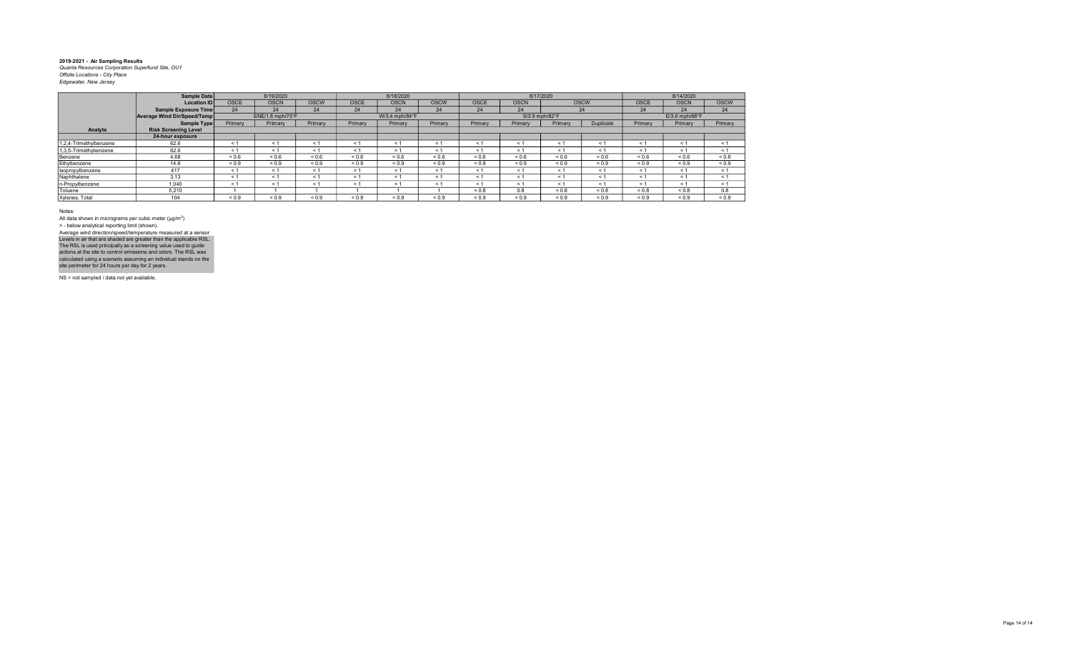|                        | Sample Date                 |             | 8/19/2020        |             |             | 8/18/2020      |             |             |                | 8/17/2020  |             |             | 8/14/2020      |             |
|------------------------|-----------------------------|-------------|------------------|-------------|-------------|----------------|-------------|-------------|----------------|------------|-------------|-------------|----------------|-------------|
|                        | <b>Location ID</b>          | <b>OSCE</b> | <b>OSCN</b>      | <b>OSCW</b> | <b>OSCE</b> | <b>OSCN</b>    | <b>OSCW</b> | <b>OSCE</b> | <b>OSCN</b>    |            | <b>OSCW</b> | <b>OSCE</b> | <b>OSCN</b>    | <b>OSCW</b> |
|                        | Sample Exposure Time        | 24          | 24               | 24          | 24          | 24             | 24          | 24          | 24             |            | 24          | 24          | 24             | 24          |
|                        | Average Wind Dir/Speed/Temp |             | ENE/1.8 mph/75°F |             |             | W/3.4 mph/84°F |             |             | S/3.9 mph/82°F |            |             |             | E/3.6 mph/88°F |             |
|                        | Sample Type                 | Primary     | Primary          | Primary     | Primary     | Primary        | Primary     | Primary     | Primary        | Primary    | Duplicate   | Primary     | Primary        | Primary     |
| Analyte                | <b>Risk Screening Level</b> |             |                  |             |             |                |             |             |                |            |             |             |                |             |
|                        | 24-hour exposure            |             |                  |             |             |                |             |             |                |            |             |             |                |             |
| 1,2,4-Trimethylbenzene | 62.6                        |             | < 1              | < 1         | < 1         | < 1            | $\leq$      | < 1         | < 1            | < 1        | < 1         | < 1         | $\leq 1$       | < 1         |
| 1,3,5-Trimethybenzene  | 62.6                        | ≺ 1         | < 1              | < 1         | < 1         | < 1            | $\leq$ 1    | < 1         | < 1            | < 1        | < 1         | < 1         | < 1            | < 1         |
| Benzene                | 4.68                        | ${}_{0.6}$  | 0.6              | ${}_{0.6}$  | ${}_{0.6}$  | ${}_{0.6}$     | 0.6         | 0.6         | ${}_{0.6}$     | ${}_{0.6}$ | ${}_{0.6}$  | ${}_{0.6}$  | ${}_{0.6}$     | ${}_{0.6}$  |
| Ethylbenzene           | 14.6                        | ${}_{0.9}$  | ${}_{0.9}$       | ${}_{0.9}$  | ${}_{0.9}$  | ${}_{0.9}$     | ${}_{0.9}$  | ${}_{0.9}$  | ${}_{0.9}$     | ${}_{0.9}$ | ${}_{0.9}$  | ${}_{0.9}$  | ${}_{0.9}$     | ${}_{0.9}$  |
| Isopropylbenzene       | 417                         | < 1         | < 1              | < 1         | < 1         | < 1            | < 1         | < 1         | < 1            | < 1        | < 1         | < 1         | < 1            | < 1         |
| Naphthalene            | 3.13                        | < 1         | < 1              | < 1         | < 1         | < 1            | < 1         | < 1         | < 1            | < 1        | < 1         | < 1         | < 1            | < 1         |
| n-Propylbenzene        | 1,040                       | $\leq$ 1    | < 1              | ≺ 1         | < 1         | < 1            | < 1         | < 1         | < 1            | < 1        | < 1         | < 1         | < 1            | < 1         |
| Toluene                | 5.210                       |             |                  |             |             |                |             | 0.8         | 0.8            | ${}_{0.8}$ | ${}_{0.8}$  | ${}_{0.8}$  | ${}_{0.8}$     | 0.8         |
| Xylenes, Total         | 104                         | ${}_{0.9}$  | ${}_{0.9}$       | ${}_{0.9}$  | ${}_{0.9}$  | ${}_{0.9}$     | ${}_{0.9}$  | ${}_{0.9}$  | ${}_{0.9}$     | ${}_{0.9}$ | ${}_{0.9}$  | ${}_{0.9}$  | ${}_{0.9}$     | ${}_{0.9}$  |

Notes:

All data shown in micrograms per cubic meter (μg/m<sup>3</sup>)<br>> - below analytical reporting limit (shown). Levels in air that are shaded are greater than the applicable RSL.<br>The RSL is used principally as a screening value used to guide<br>actions at the site to control emissions and odors. The RSL was<br>calculated using a scenario Average wind direction/speed/temperature measured at a sensor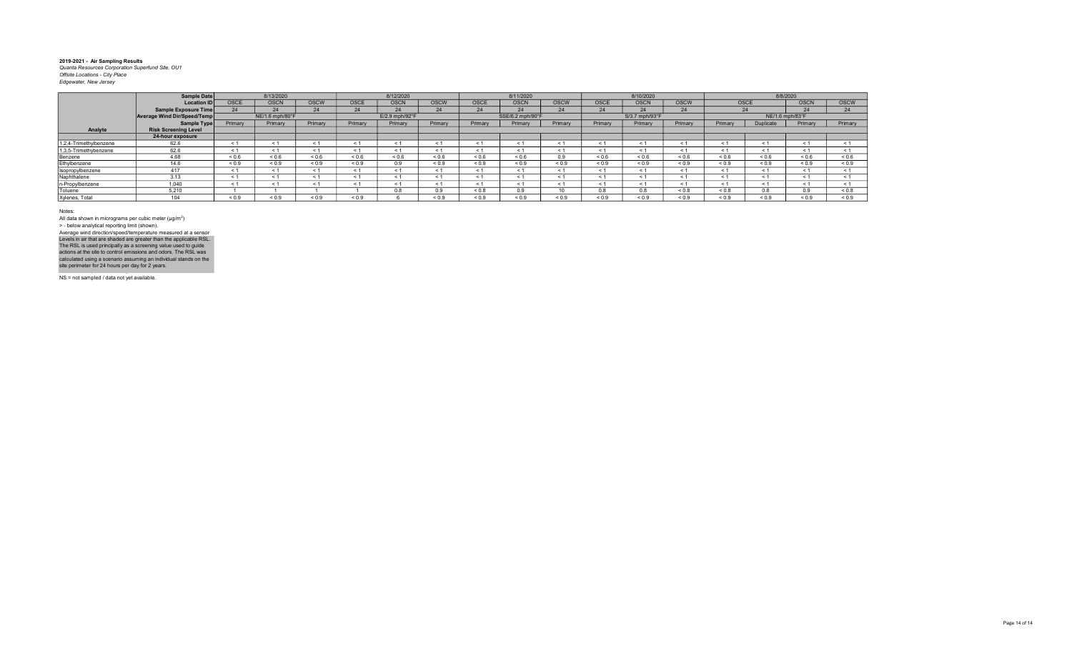|                        | Sample Date                 |             | 8/13/2020       |             |            | 8/12/2020      |             |             | 8/11/2020        |             |             | 8/10/2020      |             |             |                 | 8/8/2020    |             |
|------------------------|-----------------------------|-------------|-----------------|-------------|------------|----------------|-------------|-------------|------------------|-------------|-------------|----------------|-------------|-------------|-----------------|-------------|-------------|
|                        | <b>Location IDI</b>         | <b>OSCE</b> | <b>OSCN</b>     | <b>OSCW</b> | OSCE       | <b>OSCN</b>    | <b>OSCW</b> | <b>OSCE</b> | <b>OSCN</b>      | <b>OSCW</b> | <b>OSCE</b> | <b>OSCN</b>    | <b>OSCW</b> | <b>OSCE</b> |                 | <b>OSCN</b> | <b>OSCW</b> |
|                        | Sample Exposure Time        | 24          | 24              | 24          | 24         | 24             | 24          | 24          | 24               | 24          | 24          | 24             | 24          |             | 24              | 24          | 24          |
|                        | Average Wind Dir/Speed/Temp |             | NE/1.6 mph/80°F |             |            | E/2.9 mph/92°F |             |             | SSE/6.2 mph/90°F |             |             | S/3.7 mph/93°F |             |             | NE/1.6 mph/83°F |             |             |
|                        | Sample Type                 | Primary     | Primary         | Primary     | Primary    | Primary        | Primary     | Primary     | Primary          | Primary     | Primary     | Primary        | Primary     | Primary     | Duplicate       | Primary     | Primary     |
| Analyte                | <b>Risk Screening Level</b> |             |                 |             |            |                |             |             |                  |             |             |                |             |             |                 |             |             |
|                        | 24-hour exposure            |             |                 |             |            |                |             |             |                  |             |             |                |             |             |                 |             |             |
| 1.2.4-Trimethylbenzene | 62.6                        | $\epsilon$  | < 1             | < 1         | < 1        | $\epsilon$     | < 1         |             | $\epsilon$       |             | < 1         |                | $\tilde{ }$ | < 1         | < 1             | < 1         |             |
| 1,3,5-Trimethybenzene  | 62.6                        | $\leq 1$    | < 1             | < 1         | < 1        | $\leq 1$       | < 1         |             | $\leq$ 1         | $\leq 1$    | < 1         |                | < 1         | < 1         | < 1             | < 1         |             |
| Benzene                | 4.68                        | ${}_{0.6}$  | ${}_{0.6}$      | ${}_{0.6}$  | ${}_{0.6}$ | ${}_{0.6}$     | ${}_{0.6}$  | 0.6         | < 0.6            | 0.9         | ${}_{0.6}$  | ${}_{0.6}$     | < 0.6       | < 0.6       | ${}_{0.6}$      | < 0.6       | 0.6         |
| Ethylbenzene           | 14.6                        | ${}_{0.9}$  | ${}_{0.9}$      | ${}_{0.9}$  | ${}_{0.9}$ | 0.9            | ${}_{0.9}$  | ${}_{0.9}$  | ${}_{0.9}$       | ${}_{0.9}$  | ${}_{0.9}$  | ${}_{0.9}$     | ${}_{0.9}$  | ${}_{0.9}$  | ${}_{0.9}$      | ${}_{0.9}$  | ${}_{0.9}$  |
| Isopropylbenzene       | 417                         | < 1         | < 1             | < 1         | < 1        | < 1            | < 1         | < 1         | < 1              | < 1         | < 1         |                | < 1         | < 1         | < 1             | < 1         |             |
| Naphthalene            | 3.13                        | $\leq$ 1    | < 1             | < 1         | < 1        | < 1            | < 1         | < 1         | < 1              | < 1         | < 1         |                | < 1         | < 1         | < 1             | < 1         | < 1         |
| n-Propylbenzene        | 1.040                       | $\leq$ 1    | < 1             | < 1         | < 1        | < 1            | < 1         |             | < 1              | < 1         | < 1         |                | < 1         | < 1         | < 1             | < 1         |             |
| Toluene                | 5.210                       |             |                 |             |            | 0.8            | 0.9         | $0.8 - 0.8$ | 0.9              |             | 0.8         | 0.8            | ${}_{0.8}$  | 0.8         | 0.8             | 0.9         | ${}_{0.8}$  |
| Xylenes, Total         | 104                         | ${}_{0.9}$  | 0.9             | ${}_{0.9}$  | ${}_{0.9}$ |                | 0.9         | ${}_{0.9}$  | ${}_{0.9}$       | ${}_{0.9}$  | ${}_{0.9}$  | ${}_{0.9}$     | ${}_{0.9}$  | ${}_{0.9}$  | ${}_{0.9}$      | 0.9         | ${}_{0.9}$  |

Notes:

All data shown in micrograms per cubic meter (μg/m<sup>3</sup>)<br>> - below analytical reporting limit (shown). Levels in air that are shaded are greater than the applicable RSL.<br>The RSL is used principally as a screening value used to guide<br>actions at the site to control emissions and odors. The RSL was<br>calculated using a scenario Average wind direction/speed/temperature measured at a sensor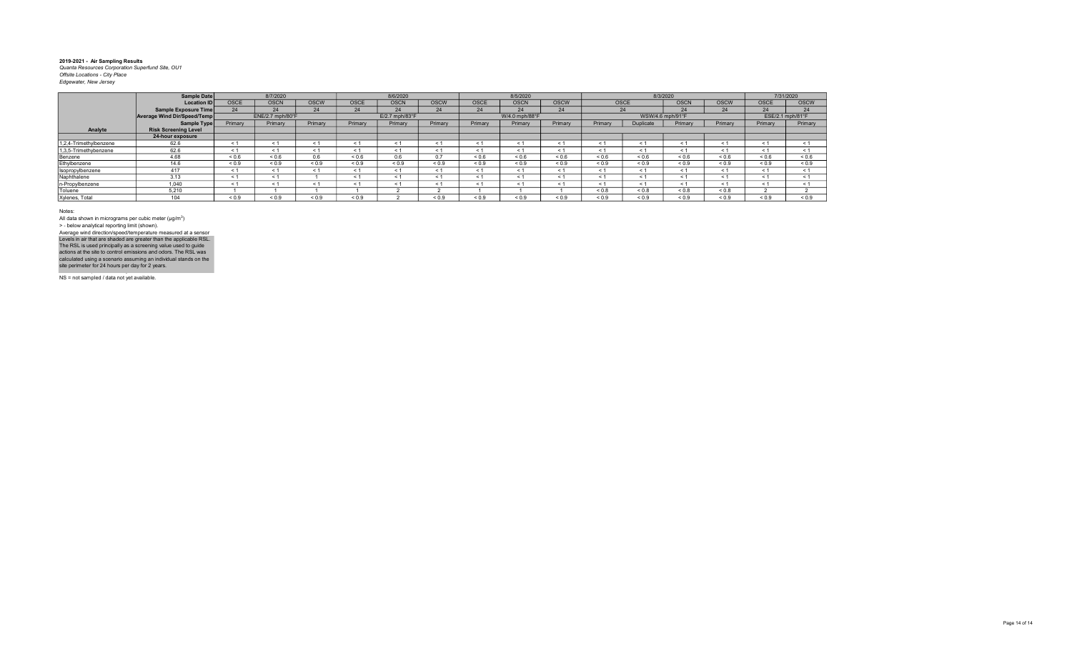|                        | Sample Date                 |             | 8/7/2020         |             |            | 8/6/2020         |             |             | 8/5/2020       |             |            | 8/3/2020          |             |             |             | 7/31/2020        |
|------------------------|-----------------------------|-------------|------------------|-------------|------------|------------------|-------------|-------------|----------------|-------------|------------|-------------------|-------------|-------------|-------------|------------------|
|                        | <b>Location ID</b>          | <b>OSCE</b> | <b>OSCN</b>      | <b>OSCW</b> | OSCE       | <b>OSCN</b>      | <b>OSCW</b> | <b>OSCE</b> | <b>OSCN</b>    | <b>OSCW</b> | OSCE       |                   | <b>OSCN</b> | <b>OSCW</b> | <b>OSCE</b> | <b>OSCW</b>      |
|                        | Sample Exposure Time        |             | 24               | 24          | 24         | 24               | 24          | 24          | 24             | 24          |            |                   | 24          | 24          | 24          | 24               |
|                        | Average Wind Dir/Speed/Temp |             | ENE/2.7 mph/80°F |             |            | $E/2.7$ mph/83°F |             |             | W/4.0 mph/88°F |             |            | WSW/4.6 mph/91°F  |             |             |             | ESE/2.1 mph/81°F |
|                        | Sample Type                 | Primary     | Primary          | Primary     | Primary    | Primary          | Primary     | Primary     | Primary        | Primary     | Primary    | <b>Duplicate</b>  | Primary     | Primary     | Primary     | Primary          |
| Analyte                | <b>Risk Screening Level</b> |             |                  |             |            |                  |             |             |                |             |            |                   |             |             |             |                  |
|                        | 24-hour exposure            |             |                  |             |            |                  |             |             |                |             |            |                   |             |             |             |                  |
| 1,2,4-Trimethylbenzene | 62.6                        | < 1         | < 1              |             |            |                  |             |             |                |             | < 1        |                   | $\prec$     | < 1         | $\leq$ 1    | < 1              |
| 1,3,5-Trimethybenzene  | 62.6                        | < 1         | < 1              | < 1         |            |                  | ← 1         | < 1         | $\leq 1$       | ≺ 1         | $\leq 1$   | $<$ 1             | $<$ 1       | < 1         | < 1         | < 1              |
| Benzene                | 4.68                        | 0.6         | ${}_{0.6}$       | 0.6         | ${}_{0.6}$ | 0.6              | 0.7         | 0.6         | ${}_{0.6}$     | ${}_{0.6}$  | ${}_{0.6}$ | ${}^{5}$ ${}^{6}$ | 0.6         | < 0.6       | ${}_{0.6}$  | ${}_{0.6}$       |
| Ethylbenzene           | 14.6                        | ${}_{0.9}$  | ${}_{0.9}$       | ${}_{0.9}$  | ${}_{0.9}$ | ${}_{0.9}$       | ${}_{0.9}$  | ${}_{0.9}$  | ${}_{0.9}$     | ${}_{0.9}$  | ${}_{0.9}$ | ${}_{0.9}$        | ${}_{0.9}$  | ${}_{0.9}$  | ${}_{0.9}$  | ${}_{0.9}$       |
| Isopropylbenzene       | 417                         | < 1         | < 1              | < 1         |            |                  | < 1         | < 1         | < 1            |             | < 1        | $\leq$            | $\leq$      | < 1         | < 1         | < 1              |
| Naphthalene            | 3.13                        | < 1         | < 1              |             | < 1        |                  |             | < 1         | < 1            |             | < 1        | $\leq$            | $\leq$      | < 1         | < 1         | < 1              |
| n-Propylbenzene        | 1.040                       | $\leq 1$    | < 1              |             |            |                  | $\leq 1$    | < 1         |                |             | $\leq 1$   | $<$ 1             | $\leq 1$    | < 1         | < 1         | < 1              |
| Toluene                | 5.210                       |             |                  |             |            |                  |             |             |                |             | ${}_{0.8}$ | < 0.8             | < 0.8       | < 0.8       |             |                  |
| Xylenes, Total         | 104                         | 0.9         | ${}_{0.9}$       | ${}_{0.9}$  | ${}_{0.9}$ |                  | 0.9         | 0.9         | < 0.9          | < 0.9       | ${}_{0.9}$ | ${}_{0.9}$        | < 0.9       | 0.9         | < 0.9       | ${}_{0.9}$       |

Notes:

All data shown in micrograms per cubic meter (μg/m<sup>3</sup>)<br>> - below analytical reporting limit (shown). Levels in air that are shaded are greater than the applicable RSL.<br>The RSL is used principally as a screening value used to guide<br>actions at the site to control emissions and odors. The RSL was<br>calculated using a scenario Average wind direction/speed/temperature measured at a sensor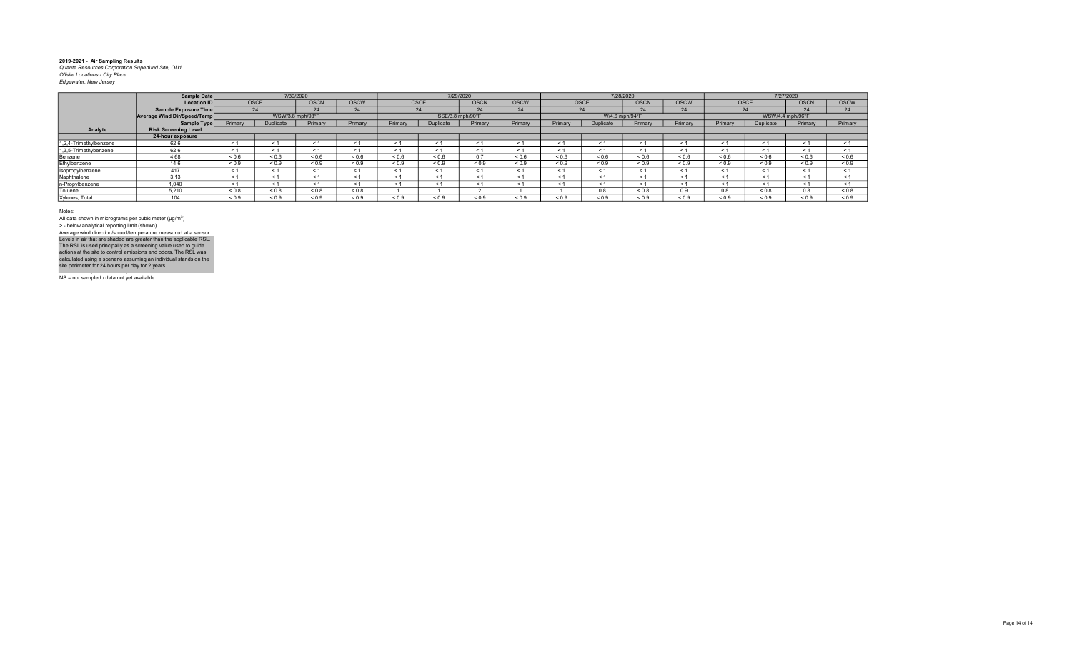|                        | Sample Date                        |            |                  | 7/30/2020   |             |            |                  | 7/29/2020   |            |            | 7/28/2020      |             |             |            |                  | 7/27/2020   |            |
|------------------------|------------------------------------|------------|------------------|-------------|-------------|------------|------------------|-------------|------------|------------|----------------|-------------|-------------|------------|------------------|-------------|------------|
|                        | <b>Location ID</b>                 |            | <b>OSCE</b>      | <b>OSCN</b> | <b>OSCW</b> | OSCE       |                  | <b>OSCN</b> | OSCW       | OSCE       |                | <b>OSCN</b> | <b>OSCW</b> |            | <b>OSCE</b>      | <b>OSCN</b> | OSCW       |
|                        | Sample Exposure Time               |            | 24               |             | 24          |            | 24               | 24          | 24         |            | 24             | 24          | 24          |            | 24               | 24          | 24         |
|                        | <b>Average Wind Dir/Speed/Temp</b> |            | WSW/3.8 mph/93°F |             |             |            | SSE/3.8 mph/90°F |             |            |            | W/4.6 mph/94°F |             |             |            | WSW/4.4 mph/96°F |             |            |
|                        | Sample Type                        | Primary    | Duplicate        | Primary     | Primary     | Primary    | Duplicate        | Primary     | Primary    | Primary    | Duplicate      | Primary     | Primary     | Primary    | Duplicate        | Primary     | Primary    |
| Analyte                | <b>Risk Screening Level</b>        |            |                  |             |             |            |                  |             |            |            |                |             |             |            |                  |             |            |
|                        | 24-hour exposure                   |            |                  |             |             |            |                  |             |            |            |                |             |             |            |                  |             |            |
| 1.2.4-Trimethylbenzene | 62.6                               | < 1        | < 1              | < 1         |             | < 1        |                  | < 1         | $\leq$ 1   | < 1        | $\leq 1$       |             | < 1         |            | < 1              |             | < 1        |
| 1,3,5-Trimethybenzene  | 62.6                               | < 1        | < 1              | < 1         |             | < 1        | < 1              | < 1         | $<$ 1      | < 1        | < 1            |             | < 1         | < 1        | < 1              | < 1         | < 1        |
| Benzene                | 4.68                               | 0.6        | 0.6              | ${}_{0.6}$  | ${}_{0.6}$  | ${}_{0.6}$ | ${}_{0.6}$       | 0.7         | ${}_{0.6}$ | ${}_{0.6}$ | 0.6            | 0.6         | 0.6         | ${}_{0.6}$ | ${}_{0.6}$       | 0.6         | ${}_{0.6}$ |
| Ethylbenzene           | 14.6                               | ${}_{0.9}$ | ${}_{0.9}$       | ${}_{0.9}$  | ${}_{0.9}$  | ${}_{0.9}$ | ${}_{0.9}$       | < 0.9       | ${}_{0.9}$ | ${}_{0.9}$ | ${}_{0.9}$     | ${}_{0.9}$  | < 0.9       | ${}_{0.9}$ | ${}_{0.9}$       | ${}_{0.9}$  | ${}_{0.9}$ |
| Isopropylbenzene       | 417                                | < 1        | < 1              | < 1         |             | < 1        | < 1              | < 1         | < 1        | < 1        | < 1            |             | < 1         | < 1        | < 1              | < 1         | < 1        |
| Naphthalene            | 3.13                               | $<$ 1      | < 1              | < 1         |             | < 1        |                  | < 1         | $\leq$ 1   | < 1        | $<$ 1          |             | < 1         |            | < 1              | < 1         | < 1        |
| n-Propylbenzene        | 1.040                              | < 1        | < 1              | < 1         | - 1         | < 1        | < ′              | < 1         | < 1        | $\leq$ 1   | ≺ 1            |             | < 1         | - 1        | < 1              |             | < 1        |
| Toluene                | 5.210                              | ${}_{0.8}$ | ${}_{0.8}$       | ${}_{0.8}$  | ${}_{0.8}$  |            |                  |             |            |            | 0.8            | ${}_{0.8}$  | 0.9         | 0.8        | ${}_{0.8}$       | 0.8         | ${}_{0.8}$ |
| Xylenes, Total         | 101                                | ${}_{0.9}$ | 0.9              | ${}_{0.9}$  | ${}_{0.9}$  | ${}_{0.9}$ | ${}_{0.9}$       | ${}_{0.9}$  | ${}_{0.9}$ | ${}_{0.9}$ | ${}_{0.9}$     | 0.9         | 0.9         | ${}_{0.9}$ | ${}_{0.9}$       | ${}_{0.9}$  | ${}_{0.9}$ |

Notes:

All data shown in micrograms per cubic meter (μg/m<sup>3</sup>)<br>> - below analytical reporting limit (shown). Levels in air that are shaded are greater than the applicable RSL.<br>The RSL is used principally as a screening value used to guide<br>actions at the site to control emissions and odors. The RSL was<br>calculated using a scenario Average wind direction/speed/temperature measured at a sensor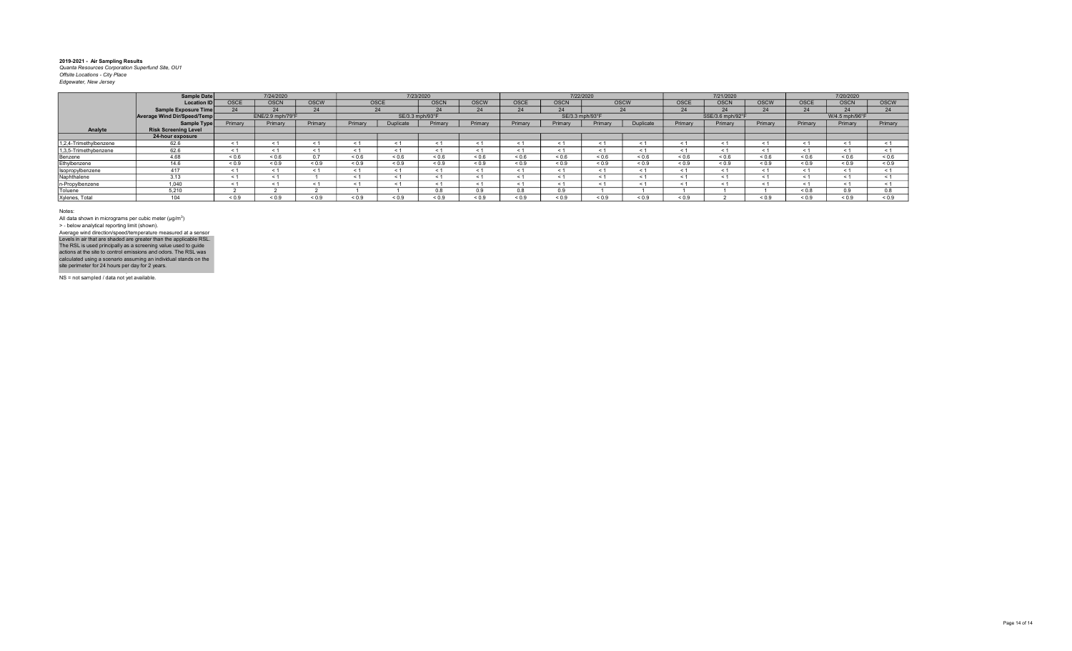|                        | Sample Date                 |             | 7/24/2020         |              |              |                 | 7/23/2020   |              |              |                 | 7/22/2020   |            |             | 7/21/2020        |              |             | 7/20/2020      |              |
|------------------------|-----------------------------|-------------|-------------------|--------------|--------------|-----------------|-------------|--------------|--------------|-----------------|-------------|------------|-------------|------------------|--------------|-------------|----------------|--------------|
|                        | <b>Location ID</b>          | <b>OSCE</b> | <b>OSCN</b>       | OSCW         |              | <b>OSCE</b>     | <b>OSCN</b> | <b>OSCW</b>  | <b>OSCE</b>  | <b>OSCN</b>     | <b>OSCW</b> |            | OSCE        | <b>OSCN</b>      | <b>OSCW</b>  | <b>OSCE</b> | <b>OSCN</b>    | <b>OSCW</b>  |
|                        | <b>Sample Exposure Time</b> | 24          | $\bigcap$         | 24           |              | 24              | 24          | 24           | 24           | 24              | 24          |            | 24          | $\sim$           | 24           | 24          | 24             | $\mathbf{a}$ |
|                        | Average Wind Dir/Speed/Temp |             | ENE/2.9 mph/79°F  |              |              | SE/3.3 mph/93°F |             |              |              | SE/3.3 mph/93°F |             |            |             | SSE/3.6 mph/92°F |              |             | W/4.5 mph/96°F |              |
|                        | Sample Type                 | Primary     | Primary           | Primary      | Primary      | Duplicate       | Primary     | Primary      | Primary      | Primary         | Primary     | Duplicate  | Primary     | Primary          | Primary      | Primary     | Primary        | Primary      |
| Analyte                | <b>Risk Screening Level</b> |             |                   |              |              |                 |             |              |              |                 |             |            |             |                  |              |             |                |              |
|                        | 24-hour exposure            |             |                   |              |              |                 |             |              |              |                 |             |            |             |                  |              |             |                |              |
| 1,2,4-Trimethylbenzene | 62.6                        |             |                   | < 1          | < 1          | < 1             |             |              | $\leq$       | < 1             | < 1         |            |             | $\epsilon$       | < 1          | < 1         |                |              |
| 1,3,5-Trimethybenzene  | 62.6                        | < 1         | < 1               | < 1          | < 1          | < 1             | < 1         | < 1          | < 1          | < 1             | < 1         | < 1        | < 1         | < 1              | < 1          | < 1         | < 1            | < 1          |
| Benzene                | 4.68                        | ${}_{0.6}$  | ${}^{5}$ ${}^{6}$ | 0.7          | 0.6          | ${}_{0.6}$      | ${}_{0.6}$  | ${}_{0.6}$   | ${}_{0.6}$   | ${}_{0.6}$      | ${}_{0.6}$  | ${}_{0.6}$ | ${}_{0.6}$  | ${}_{0.6}$       | ${}_{0.6}$   | ${}_{0.6}$  | ${}_{0.6}$     | 0.6          |
| Ethylbenzene           | 14.6                        | ${}_{0.9}$  | ${}_{0.9}$        | ${}_{0.9}$   | ${}_{0.9}$   | ${}_{0.9}$      | ${}_{0.9}$  | ${}_{0.9}$   | ${}_{0.9}$   | ${}_{0.9}$      | ${}_{0.9}$  | ${}_{0.9}$ | ${}_{0.9}$  | ${}_{0.9}$       | ${}_{0.9}$   | ${}_{0.9}$  | ${}_{0.9}$     | ${}_{0.9}$   |
| Isopropylbenzene       | 417                         |             | $\leq 1$          | < 1          | < 1          | < 1             |             | < 1          | < 1          | < 1             | < 1         |            | < 1         | < 1              | < 1          | < 1         | < 1            | < 1          |
| Naphthalene            | 3.13                        |             |                   |              | < 1          | < 1             |             |              | $\leq$       | < 1             |             |            |             | $\leq$           | < 1          | < 1         |                | < 1          |
| n-Propylbenzene        | 1.040                       | $\leq$ 1    | k.                | < 1          | $\leq$ 1     | $\leq 1$        |             | < 1          | < 1          | < 1             | $\leq 1$    |            |             | $\leq$           | < 1          | ← 1         | < 1            |              |
| Toluene                | 5,210                       |             |                   |              |              |                 | 0.8         | 0.9          | U.ŏ          | 0.9             |             |            |             |                  |              | ${}_{0.8}$  | 0.9            | 0.8          |
| Xylenes, Total         | $\lambda$                   | ${}_{0.9}$  | < 0.9             | ${}^{8}$ 0.9 | ${}^{8}$ 0.9 | ${}_{0.9}$      | ${}_{0.9}$  | ${}^{8}$ 0.9 | ${}^{5}$ 0.9 | ${}^{8}$ 0.9    | ${}_{0.9}$  | ${}_{0.9}$ | ${}^{<0.9}$ |                  | ${}^{8}$ 0.9 | ${}_{0.9}$  | ${}_{0.9}$     | 0.9          |

Notes:

All data shown in micrograms per cubic meter (μg/m<sup>3</sup>)<br>> - below analytical reporting limit (shown). Levels in air that are shaded are greater than the applicable RSL.<br>The RSL is used principally as a screening value used to guide<br>actions at the site to control emissions and odors. The RSL was<br>calculated using a scenario Average wind direction/speed/temperature measured at a sensor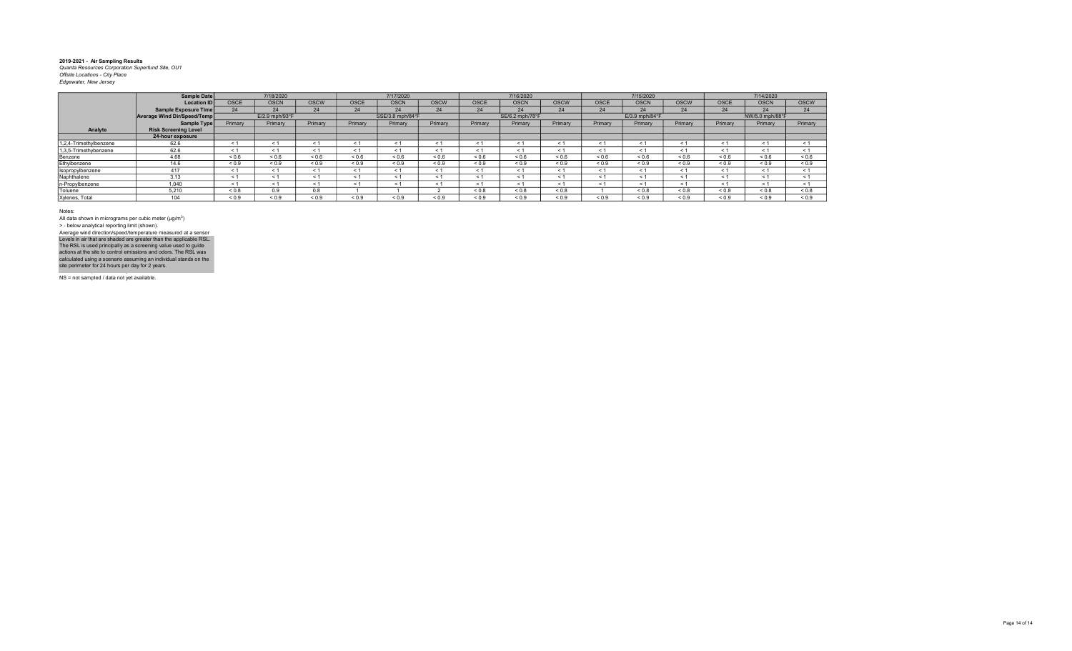|                        | <b>Sample Date</b>          |             | 7/18/2020      |              |             | 7/17/2020        |             |             | 7/16/2020       |             |              | 7/15/2020      |             |             | 7/14/2020       |             |
|------------------------|-----------------------------|-------------|----------------|--------------|-------------|------------------|-------------|-------------|-----------------|-------------|--------------|----------------|-------------|-------------|-----------------|-------------|
|                        | <b>Location ID</b>          | <b>OSCE</b> | <b>OSCN</b>    | <b>OSCW</b>  | <b>OSCE</b> | <b>OSCN</b>      | <b>OSCW</b> | <b>OSCE</b> | <b>OSCN</b>     | <b>OSCW</b> | <b>OSCE</b>  | <b>OSCN</b>    | <b>OSCW</b> | <b>OSCE</b> | <b>OSCN</b>     | <b>OSCW</b> |
|                        | <b>Sample Exposure Time</b> |             | 24             | 24           | 24          | 24               | 24          | 24          | 24              | 24          | 24           | 24             | 24          | 24          | 24              | 24          |
|                        | Average Wind Dir/Speed/Temp |             | E/2.9 mph/93°F |              |             | SSE/3.8 mph/84°F |             |             | SE/6.2 mph/78°F |             |              | E/3.9 mph/84°F |             |             | NW/5.0 mph/88°F |             |
|                        | <b>Sample Type</b>          | Primary     | Primary        | Primary      | Primary     | Primary          | Primary     | Primary     | Primary         | Primary     | Primary      | Primary        | Primary     | Primary     | Primary         | Primary     |
| Analyte                | <b>Risk Screening Level</b> |             |                |              |             |                  |             |             |                 |             |              |                |             |             |                 |             |
|                        | 24-hour exposure            |             |                |              |             |                  |             |             |                 |             |              |                |             |             |                 |             |
| 1,2,4-Trimethylbenzene | 62.6                        | ← 1         |                |              |             | < 1              | < 1         |             |                 | $\epsilon$  | $\leq$ 1     | < 1            | < 1         | $\leq$ 1    | < 1             | < 1         |
| 1,3,5-Trimethybenzene  | 62.6                        | < 1         |                | < 1          |             | < 1              | < 1         | < 1         | < 1             | < 1         | $<$ 1        | < 1            | < 1         | < 1         | < 1             | < 1         |
| Benzene                | 4.68                        | ${}_{0.6}$  | ${}_{0.6}$     | ${}_{0.6}$   | ${}_{0.6}$  | ${}_{0.6}$       | ${}_{0.6}$  | ${}_{0.6}$  | ${}_{0.6}$      | ${}_{0.6}$  | ${}^{5}$ 0.6 | ${}_{0.6}$     | 0.6         | ${}_{0.6}$  | ${}_{0.6}$      | ${}_{0.6}$  |
| Ethylbenzene           | 14.6                        | ${}_{0.9}$  | ${}_{0.9}$     | ${}_{0.9}$   | ${}_{0.9}$  | ${}_{0.9}$       | ${}_{0.9}$  | ${}_{0.9}$  | ${}_{0.9}$      | ${}_{0.9}$  | < 0.9        | < 0.9          | < 0.9       | ${}_{0.9}$  | ${}_{0.9}$      | ${}_{0.9}$  |
| Isopropylbenzene       | 417                         | < 1         |                | < 1          |             | < 1              | < 1         |             | < 1             | < 1         | < 1          | < 1            | < 1         | < 1         | < 1             | < 1         |
| Naphthalene            | 3.13                        | < '         |                | < 1          |             | < 1              | < 1         |             | < 1             | < 1         | < 1          | < 1            | < 1         | < 1         | < 1             | < 1         |
| n-Propylbenzene        | 1.040                       | < 1         |                | < 1          |             | < 1              |             |             | < 1             | < 1         | $\leq 1$     | < 1            | < 1         | $\leq$ 1    | < 1             | $\leq 1$    |
| Toluene                | 5.210                       | ${}_{0.8}$  | 0.9            | 0.8          |             |                  |             | < 0.8       | ${}_{0.8}$      | ${}_{0.8}$  |              | < 0.8          | ${}_{0.8}$  | < 0.8       | ${}_{0.8}$      | ${}_{0.8}$  |
| Xylenes, Total         | 104                         | ${}_{0.9}$  | 0.9            | ${}^{5}$ 0.9 | < 0.9       | 0.9              | 0.9         | 0.9         | 0.9             | ${}_{0.9}$  | < 0.9        | 0.9            | 0.9         | < 0.9       | < 0.9           | 0.9         |

Notes:

All data shown in micrograms per cubic meter (μg/m<sup>3</sup>)<br>> - below analytical reporting limit (shown). Levels in air that are shaded are greater than the applicable RSL.<br>The RSL is used principally as a screening value used to guide<br>actions at the site to control emissions and odors. The RSL was<br>calculated using a scenario Average wind direction/speed/temperature measured at a sensor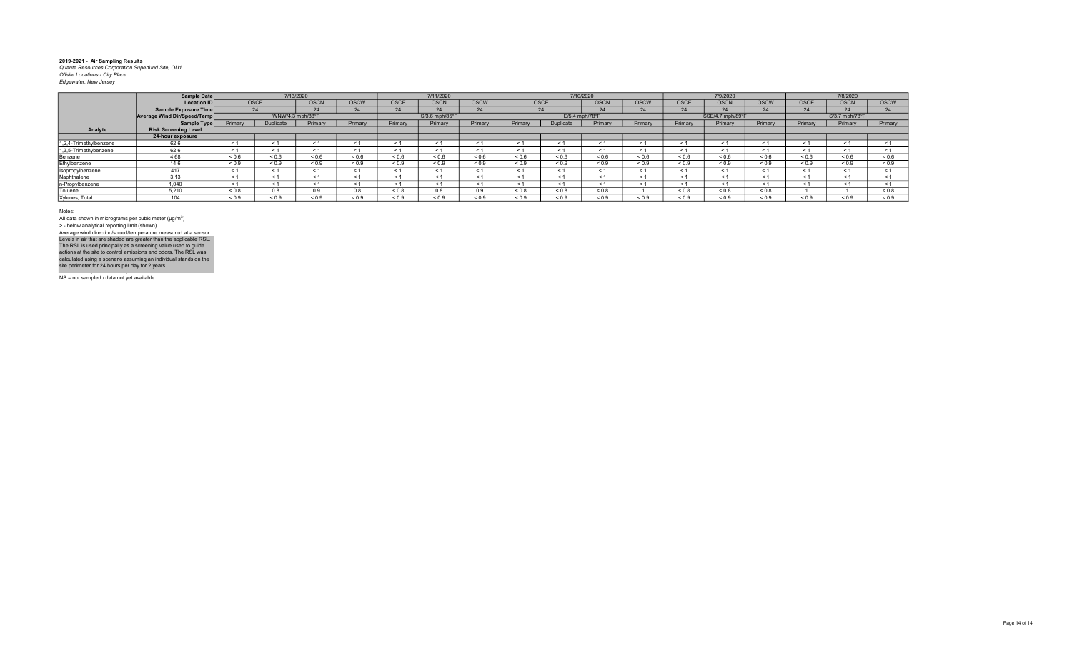|                        | Sample Date                   |            | 7/13/2020        |             |             |              | 7/11/2020      |             |            |                  | 7/10/2020   |             |            | 7/9/2020         |             |             | 7/8/2020          |             |
|------------------------|-------------------------------|------------|------------------|-------------|-------------|--------------|----------------|-------------|------------|------------------|-------------|-------------|------------|------------------|-------------|-------------|-------------------|-------------|
|                        | Location ID                   |            | <b>OSCE</b>      | <b>OSCN</b> | <b>OSCW</b> | <b>OSCE</b>  | <b>OSCN</b>    | <b>OSCW</b> | OSCE       |                  | <b>OSCN</b> | <b>OSCW</b> | OSCE       | <b>OSCN</b>      | <b>OSCW</b> | <b>OSCE</b> | <b>OSCN</b>       | <b>OSCW</b> |
|                        | <b>Sample Exposure Time</b>   |            | 24               | 24          | 24          | 24           |                | 24          |            | 24               | 24          | 24          | 24         | $\sim$           | 24          | 24          |                   | 24          |
|                        | Average Wind Dir/Speed/Temp   |            | WNW/4.3 mph/88°F |             |             |              | S/3.6 mph/85°F |             |            | $E/5.4$ mph/78°F |             |             |            | SSE/4.7 mph/89°F |             |             | S/3.7 mph/78°F    |             |
|                        | Sample Type                   | Primary    | Duplicate        | Primary     | Primary     | Primary      | Primary        | Primary     | Primary    | Juplicate        | Primary     | Primary     | Primary    | Primary          | Primary     | Primary     | Primary           | Primary     |
| Analyte                | <b>Risk Screening Level</b>   |            |                  |             |             |              |                |             |            |                  |             |             |            |                  |             |             |                   |             |
|                        | 24-hour exposure              |            |                  |             |             |              |                |             |            |                  |             |             |            |                  |             |             |                   |             |
| 1,2,4-Trimethylbenzene | 62.6                          |            |                  | < 1         | < 1         | < 1          |                |             | < 1        | < 1              | < 1         |             |            | < 1              | < 1         | < 1         |                   |             |
| 1,3,5-Trimethybenzene  | 62.6                          | - 1        |                  | < 1         | $\leq$ 1    | $\leq 1$     |                |             | - 1        | $\leq$ 1         | $\leq 1$    |             |            | - 1              | $\leq$ 1    | ≺ 1         | $\leq 1$          | < 1         |
| Benzene                | 4.68                          | ${}_{0.6}$ | 0.6              | 0.6         | ${}_{0.6}$  | ${}^{5}$ 0.6 | ${}_{0.6}$     | 0.6         | ${}_{0.6}$ | ${}_{0.6}$       | ${}_{0.6}$  | ${}_{0.6}$  | 0.6        | ${}_{0.6}$       | ${}_{0.6}$  | ${}_{0.6}$  | ${}^{5}$ ${}^{6}$ | 0.6         |
| Ethylbenzene           | 14.6                          | ${}_{0.9}$ | ${}_{0.9}$       | ${}_{0.9}$  | ${}_{0.9}$  | ${}_{0.9}$   | ${}_{0.9}$     | ${}_{0.9}$  | ${}_{0.9}$ | ${}_{0.9}$       | ${}_{0.9}$  | ${}_{0.9}$  | ${}_{0.9}$ | ${}_{0.9}$       | ${}_{0.9}$  | ${}_{0.9}$  | ${}_{0.9}$        | ${}_{0.9}$  |
| Isopropylbenzene       | 417                           |            |                  | $\leq 1$    | < 1         | < 1          |                |             | $\leq$     | < 1              | < 1         |             |            | $\leq$           | < 1         | < 1         |                   |             |
| Naphthalene            | 3.13                          |            | < 1              | - 1         | $\leq$ 1    | < 1          |                | ← 1         | $\leq$ 1   | $\leq$ 1         | $\leq 1$    |             | ← 1        | $\leq$ 1         | < 1         | < 1         | < 1               | < 1         |
| n-Propylbenzene        | 1,040                         |            |                  |             | < 1         | < 1          |                |             |            | < 1              | ← 1         |             |            | $\epsilon$       | < 1         |             |                   |             |
| Toluene                | 5.210                         | < 0.8      | 8.0              |             | 0.8         | < 0.8        | 0.8            | 0.9         | 0.8        | 0.8              | < 0.8       |             | &0.8       | < 0.8            | & 0.8       |             |                   | 0.8         |
| Xylenes, Total         | $\overline{A}$ $\overline{A}$ | < 0.9      | 0.9              | ${}_{0.9}$  | ${}_{0.9}$  | ${}_{0.9}$   | ${}_{0.9}$     | 0.9         | ${}_{0.9}$ | ${}_{0.9}$       | ${}_{0.9}$  | ${}_{0.9}$  | 0.9        | ${}_{0.9}$       | < 0.9       | ${}_{0.9}$  | ${}_{0.9}$        | ${}_{0.9}$  |

Notes:

All data shown in micrograms per cubic meter (μg/m<sup>3</sup>)<br>> - below analytical reporting limit (shown). Levels in air that are shaded are greater than the applicable RSL.<br>The RSL is used principally as a screening value used to guide<br>actions at the site to control emissions and odors. The RSL was<br>calculated using a scenario Average wind direction/speed/temperature measured at a sensor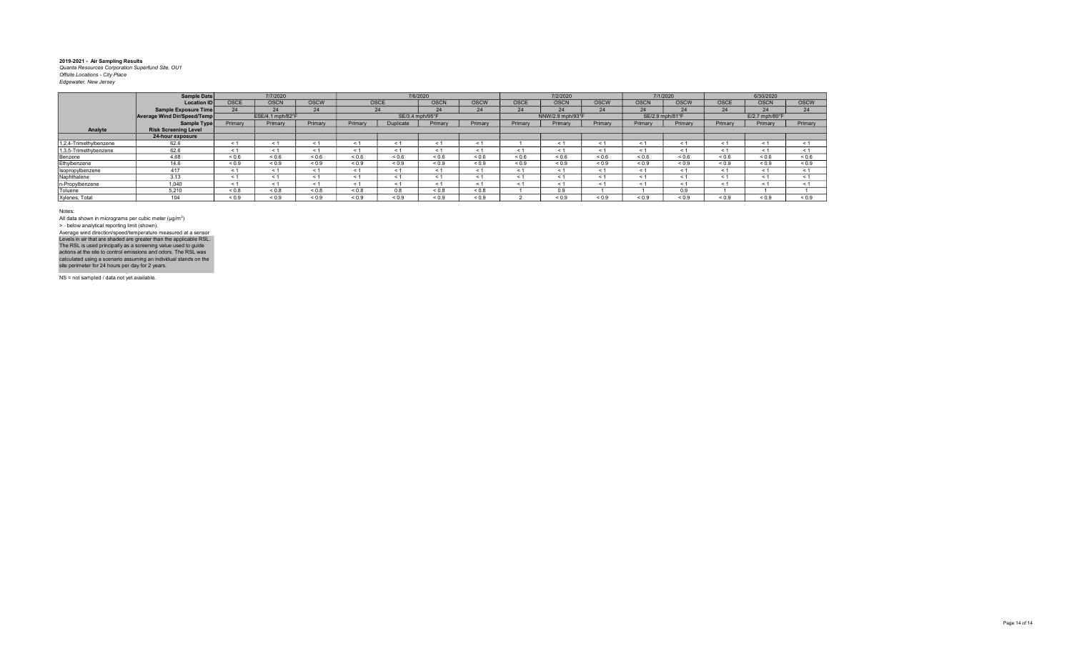|                        | Sample Date                 |             | 7/7/2020         |             |            |                   | 7/6/2020    |             |             | 7/2/2020         |            |             | 7/1/2020        |                   | 6/30/2020                  |             |
|------------------------|-----------------------------|-------------|------------------|-------------|------------|-------------------|-------------|-------------|-------------|------------------|------------|-------------|-----------------|-------------------|----------------------------|-------------|
|                        | <b>Location ID</b>          | <b>OSCE</b> | <b>OSCN</b>      | <b>OSCW</b> |            | OSCE              | <b>OSCN</b> | <b>OSCW</b> | <b>OSCE</b> | <b>OSCN</b>      | OSCW       | <b>OSCN</b> | <b>OSCW</b>     | OSCE              | <b>OSCN</b>                | <b>OSCW</b> |
|                        | Sample Exposure Time        |             | 24               | 24          |            | 24                | 24          | 24          | 24          | 24               | 24         | 24          | 24              | 24                | 24                         | 24          |
|                        | Average Wind Dir/Speed/Temp |             | ESE/4.1 mph/82°F |             |            | SE/3.4 mph/95°F   |             |             |             | NNW/2.9 mph/93°F |            |             | SE/2.9 mph/81°F |                   | $E/2.7$ mph/80 $\degree$ F |             |
|                        | Sample Type                 | Primary     | Primary          | Primary     | Primary    | Duplicate         | Primary     | Primary     | Primary     | Primary          | Primary    | Primary     | Primary         | Primary           | Primary                    | Primary     |
| Analyte                | <b>Risk Screening Level</b> |             |                  |             |            |                   |             |             |             |                  |            |             |                 |                   |                            |             |
|                        | 24-hour exposure            |             |                  |             |            |                   |             |             |             |                  |            |             |                 |                   |                            |             |
| 1,2,4-Trimethylbenzene | 62.6                        | $\leq 1$    | < 1              |             |            |                   |             |             |             |                  | < 1        | $\leq$      | < 1             | < 1               | < 1                        | $\leq$      |
| 1,3,5-Trimethybenzene  | 62.6                        | < 1         | < 1              | < 1         | < 1        | < 1               | $\leq 1$    | ≺ 1         | < 1         | < 1              | < 1        | - 1         | < 1             | < 1               | < 1                        | < 1         |
| Benzene                | 4.68                        | 0.6         | ${}_{0.6}$       | ${}_{0.6}$  | ${}_{0.6}$ | ${}^{5}$ ${}^{6}$ | ${}_{0.6}$  | ${}_{0.6}$  | ${}_{0.6}$  | 0.6              | ${}_{0.6}$ | ${}_{0.6}$  | ${}_{0.6}$      | ${}^{5}$ ${}^{6}$ | ${}_{0.6}$                 | ${}_{0.6}$  |
| Ethylbenzene           | 14.6                        | ${}_{0.9}$  | ${}_{0.9}$       | ${}_{0.9}$  | ${}_{0.9}$ | < 0.9             | < 0.9       | < 0.9       | < 0.9       | ${}_{0.9}$       | ${}_{0.9}$ | < 0.9       | ${}_{0.9}$      | < 0.9             | < 0.9                      | ${}_{0.9}$  |
| Isopropylbenzene       | 417                         | < 1         | < 1              |             | < 1        | < 1               | < 1         | ← 1         | < 1         | < 1              | < 1        | < 1         | < 1             | < 1               | < 1                        | < 1         |
| Naphthalene            | 3.13                        | < 1         | < 1              |             |            | < 1               | < 1         |             | < 1         | $\leq$           | < 1        | < 1         | < 1             | < 1               | < 1                        | < 1         |
| n-Propylbenzene        | 1.040                       | $\leq 1$    | < 1              |             |            | < 1               |             |             | < 1         | $\leq 1$         | < 1        | $\leq$ 1    | < 1             | < 1               | < 1                        | $\leq 1$    |
| Toluene                | 5,210                       | 0.8         | ${}_{0.8}$       | ${}_{0.8}$  | ${}_{0.8}$ | 0.8               | ${}_{0.8}$  | < 0.8       |             | 0.9              |            |             | 0.9             |                   |                            |             |
| Xylenes, Total         | 104                         | < 0.9       | ${}_{0.9}$       | < 0.9       | ${}_{0.9}$ | 0.9               | 0.9         | < 0.9       |             | 0.9              | 0.9        | < 0.9       | 0.9             | < 0.9             | < 0.9                      | < 0.9       |

Notes:

All data shown in micrograms per cubic meter (μg/m<sup>3</sup>)<br>> - below analytical reporting limit (shown). Average wind direction/speed/temperature measured at a sensor

NS = not sampled / data not yet available. Levels in air that are shaded are greater than the applicable RSL.<br>The RSL is used principally as a screening value used to guide<br>actions at the site to control emissions and odors. The RSL was<br>calculated using a scenario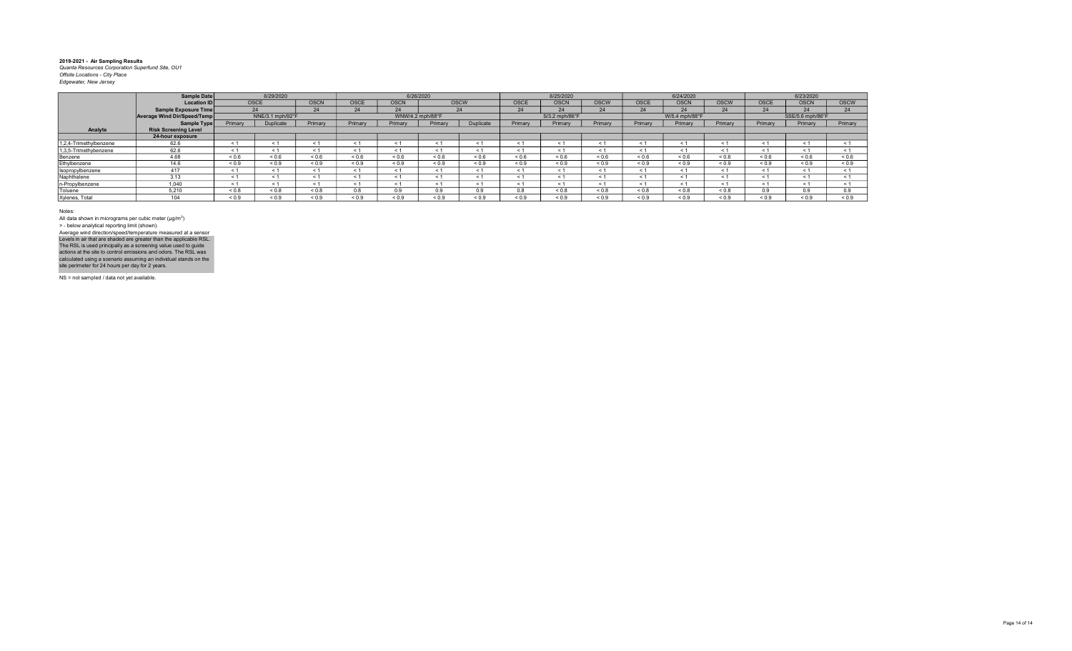|                        | <b>Sample Date</b>          |            | 6/29/2020        |             |                          | 6/26/2020        |            |             |               | 6/25/2020      |             |                   | 6/24/2020      |             |             | 6/23/2020        |             |
|------------------------|-----------------------------|------------|------------------|-------------|--------------------------|------------------|------------|-------------|---------------|----------------|-------------|-------------------|----------------|-------------|-------------|------------------|-------------|
|                        | <b>Location ID</b>          |            | <b>OSCE</b>      | <b>OSCN</b> | <b>OSCE</b>              | <b>OSCN</b>      |            | <b>OSCW</b> | OSCE          | <b>OSCN</b>    | <b>OSCW</b> | <b>OSCE</b>       | <b>OSCN</b>    | <b>OSCW</b> | <b>OSCE</b> | <b>OSCN</b>      | <b>OSCW</b> |
|                        | <b>Sample Exposure Time</b> |            | 24               | 24          | 24                       | 24               |            | 24          | 24            | 24             | 24          | 24                | 24             | 24          | 24          | 24               | 24          |
|                        | Average Wind Dir/Speed/Temp |            | NNE/3.1 mph/92°F |             |                          | WNW/4.2 mph/88°F |            |             |               | S/3.2 mph/86°F |             |                   | W/5.4 mph/88°F |             |             | SSE/5.6 mph/86°F |             |
|                        | Sample Type                 | Primary    | Duplicate        | Primary     | Primary                  | Primary          | Primary    | Duplicate   | Primary       | Primary        | Primary     | Primary           | Primary        | Primary     | Primary     | Primary          | Primary     |
| Analyte                | <b>Risk Screening Level</b> |            |                  |             |                          |                  |            |             |               |                |             |                   |                |             |             |                  |             |
|                        | 24-hour exposure            |            |                  |             |                          |                  |            |             |               |                |             |                   |                |             |             |                  |             |
| 1,2,4-Trimethylbenzene | 62.6                        | < 1        |                  | < 1         | < '                      | < 1              | < '        |             | $\leq$        | < 1            | < 1         | ← 1               | < 1            | < 1         | $\leq 1$    | < 1              |             |
| 1,3,5-Trimethybenzene  | 62.6                        | < 1        |                  | < 1         | < 1                      | < 1              | < '        |             | $\leq$ $\leq$ | < 1            | $\leq 1$    |                   | $\leq$ 1       | < 1         | < 1         | < 1              | < 1         |
| Benzene                | 4.68                        | 0.6        | ${}_{0.6}$       | ${}_{0.6}$  | ${}_{0.6}$               | ${}_{0.6}$       | ${}_{0.6}$ | 0.6         | ${}_{0.6}$    | ${}_{0.6}$     | ${}_{0.6}$  | ${}^{5}$ ${}^{6}$ | ${}_{0.6}$     | 0.6         | ${}_{0.6}$  | ${}_{0.6}$       | ${}_{0.6}$  |
| Ethylbenzene           | 14.6                        | ${}_{0.9}$ | ${}_{0.9}$       | ${}_{0.9}$  | ${}_{0.9}$               | ${}_{0.9}$       | ${}_{0.9}$ | ${}_{0.9}$  | ${}_{0.9}$    | ${}_{0.9}$     | ${}_{0.9}$  | ${}_{0.9}$        | ${}_{0.9}$     | ${}_{0.9}$  | ${}_{0.9}$  | ${}_{0.9}$       | ${}_{0.9}$  |
| Isopropylbenzene       | 417                         | < 1        | < 1              | < 1         | < 1                      | < 1              | < 1        |             | $<$ 1         | < 1            | < 1         | < 1               | < 1            | < 1         | $\leq 1$    | < 1              |             |
| Naphthalene            | 3.13                        | < 1        |                  | < 1         | $\overline{\phantom{a}}$ | < 1              | < '        |             | $\epsilon$    | < 1            | < 1         | 5 T               | < 1            | < 1         | $\leq 1$    | < 1              |             |
| n-Propylbenzene        | 1.040                       | < 1        |                  | < 1         | < 1                      | < 1              | < '        |             | $\epsilon$    | < 1            | < 1         |                   | - < 1          | < 1         | $\leq 1$    | < 1              |             |
| Toluene                | 5.210                       | 0.0 >      | ${}_{0.8}$       | ${}_{0.8}$  | 0.8                      | 0.9              | 0.9        | 99          | 0.8           | ${}_{0.8}$     | ${}_{0.8}$  | ${}_{0.8}$        | ${}_{0.8}$     | ${}_{0.8}$  | 0.9         | 0.9              | 0.9         |
| Xylenes, Total         | $\Delta$ $\Delta$           | < 0.9      | ${}_{0.9}$       | ${}_{0.9}$  | ${}_{0.9}$               | ${}_{0.9}$       | ${}_{0.9}$ | ${}_{0.9}$  | ${}_{0.9}$    | ${}_{0.9}$     | ${}_{0.9}$  | ${}_{0.9}$        | ${}_{0.9}$     | ${}_{0.9}$  | ${}_{0.9}$  | ${}_{0.9}$       | < 0.9       |

Notes:

All data shown in micrograms per cubic meter (μg/m<sup>3</sup>)<br>> - below analytical reporting limit (shown). Average wind direction/speed/temperature measured at a sensor

NS = not sampled / data not yet available. Levels in air that are shaded are greater than the applicable RSL.<br>The RSL is used principally as a screening value used to guide<br>actions at the site to control emissions and odors. The RSL was<br>calculated using a scenario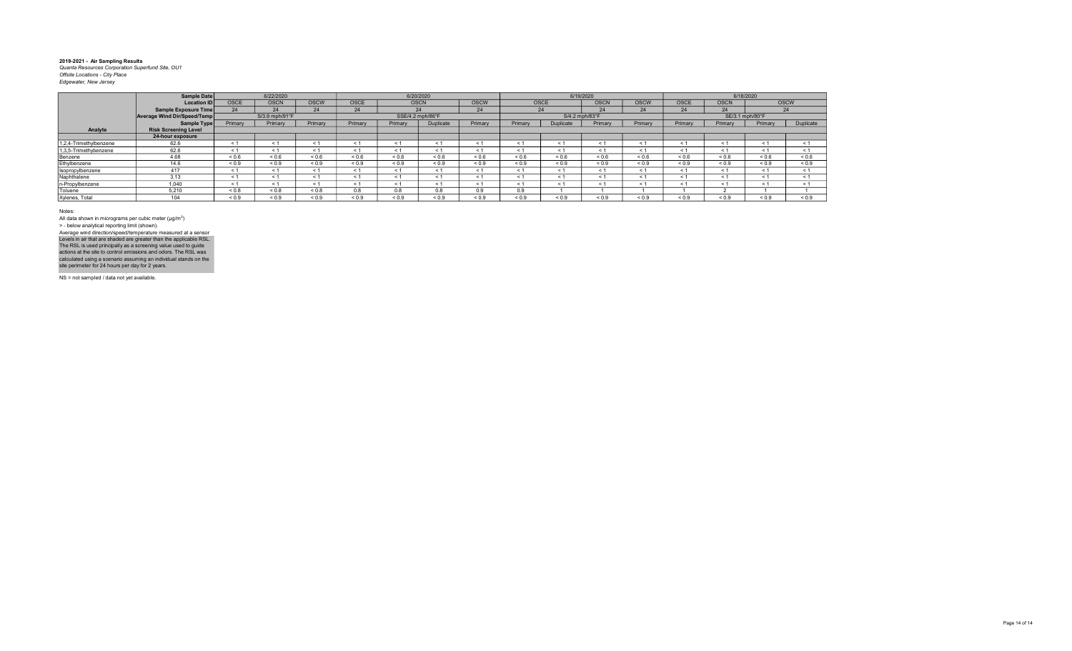|                        | Sample Date                 |             | 6/22/2020      |             |             | 6/20/2020        |            |             |            | 6/19/2020      |             |             |             | 6/18/2020       |             |            |
|------------------------|-----------------------------|-------------|----------------|-------------|-------------|------------------|------------|-------------|------------|----------------|-------------|-------------|-------------|-----------------|-------------|------------|
|                        | Location ID                 | <b>OSCE</b> | <b>OSCN</b>    | <b>OSCW</b> | <b>OSCE</b> | <b>OSCN</b>      |            | <b>OSCW</b> | OSCE       |                | <b>OSCN</b> | <b>OSCW</b> | <b>OSCE</b> | <b>OSCN</b>     | <b>OSCW</b> |            |
|                        | Sample Exposure Time        |             | 24             | 24          | 24          |                  | 24         | 24          |            | 24             | 24          | 24          | 24          | 24              | 24          |            |
|                        | Average Wind Dir/Speed/Temp |             | S/3.9 mph/91°F |             |             | SSE/4.2 mph/86°F |            |             |            | S/4.2 mph/83°F |             |             |             | SE/3.1 mph/80°F |             |            |
|                        | Sample Type                 | Primary     | Primary        | Primary     | Primary     | Primary          | Duplicate  | Primary     | Primary    | Duplicate      | Primary     | Primary     | Primary     | Primary         | Primary     | Duplicate  |
| Analyte                | <b>Risk Screening Level</b> |             |                |             |             |                  |            |             |            |                |             |             |             |                 |             |            |
|                        | 24-hour exposure            |             |                |             |             |                  |            |             |            |                |             |             |             |                 |             |            |
| 1,2,4-Trimethylbenzene | 62.6                        |             |                |             |             | < 1              |            |             | $\leq$ 1   | < 1            | $\leq$      | $\leq$      | < 1         | < 1             | $\leq$      | < 1        |
| 1,3,5-Trimethybenzene  | 62.6                        |             | < 1            |             |             | $\leq 1$         | $\leq 1$   |             |            | < 1            | $\leq$      | $\leq$ 1    | < 1         | < 1             | - 1         | < 1        |
| Benzene                | 4.68                        | ${}_{0.6}$  | ${}_{0.6}$     | ${}_{0.6}$  | < 0.6       | < 0.6            | < 0.6      | 0.6         | < 0.6      | 0.6            | 0.6         | 0.6         | 0.6         | 0.6             | < 0.6       | < 0.6      |
| Ethylbenzene           | 14.6                        | ${}_{0.9}$  | ${}_{0.9}$     | ${}_{0.9}$  | ${}_{0.9}$  | ${}_{0.9}$       | ${}_{0.9}$ | ${}_{0.9}$  | ${}_{0.9}$ | ${}_{0.9}$     | ${}_{0.9}$  | ${}_{0.9}$  | ${}_{0.9}$  | ${}_{0.9}$      | ${}_{0.9}$  | ${}_{0.9}$ |
| Isopropylbenzene       | 417                         | <b>c</b> 1  | < 1            |             | < 1         | < 1              | $\leq 1$   |             | < 1        | < 1            | $<$ 1       | < 1         | < 1         | < 1             | < 1         | < 1        |
| Naphthalene            | 3.13                        |             |                |             |             | < 1              |            |             |            | < 1            | $<$ 1       | $\leq 1$    | < 1         | < 1             | < 1         | < 1        |
| n-Propylbenzene        | 1,040                       | ≺ 1         | < 1            |             | < 1         | < 1              | $\leq 1$   |             | < 1        | < 1            | $\leq$ 1    | < 1         | < 1         | < 1             | < 1         | < 1        |
| Toluene                | 5.210                       | ${}_{0.8}$  | ${}_{0.8}$     | ${}_{0.8}$  | 0.8         | 0.8              | 0.8        | 0.9         | 0.9        |                |             |             |             |                 |             |            |
| Xylenes, Total         | 104                         | ${}_{0.9}$  | ${}_{0.9}$     | ${}_{0.9}$  | ${}_{0.9}$  | ${}_{0.9}$       | ${}_{0.9}$ | ${}_{0.9}$  | ${}_{0.9}$ | ${}_{0.9}$     | ${}_{0.9}$  | ${}_{0.9}$  | ${}_{0.9}$  | ${}_{0.9}$      | ${}_{0.9}$  | ${}_{0.9}$ |

Notes:

All data shown in micrograms per cubic meter (μg/m<sup>3</sup>)<br>> - below analytical reporting limit (shown). Levels in air that are shaded are greater than the applicable RSL.<br>The RSL is used principally as a screening value used to guide<br>actions at the site to control emissions and odors. The RSL was<br>calculated using a scenario Average wind direction/speed/temperature measured at a sensor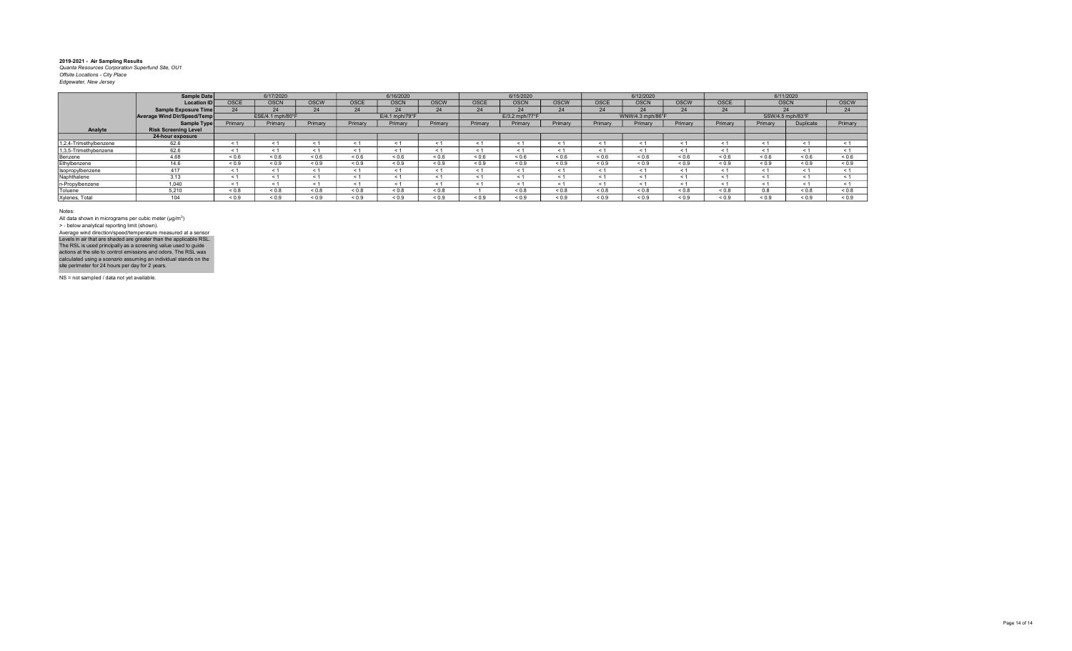|                        | <b>Sample Date</b>          |            | 6/17/2020        |             |             | 6/16/2020      |            |            | 6/15/2020      |             |             | 6/12/2020        |             |             |                  | 6/11/2020        |            |
|------------------------|-----------------------------|------------|------------------|-------------|-------------|----------------|------------|------------|----------------|-------------|-------------|------------------|-------------|-------------|------------------|------------------|------------|
|                        | <b>Location ID</b>          | OSCE       | <b>OSCN</b>      | <b>OSCW</b> | <b>OSCE</b> | <b>OSCN</b>    | OSCW       | OSCE       | <b>OSCN</b>    | <b>OSCW</b> | <b>OSCE</b> | <b>OSCN</b>      | <b>OSCW</b> | <b>OSCE</b> | <b>OSCN</b>      |                  | OSCW       |
|                        | <b>Sample Exposure Time</b> | 24         | $24^{\circ}$     | 24          | 24          | 24             | 24         | 24         | 24             | 24          | 24          | $24^{1}$         | 24          | 24          | 24               |                  | 24         |
|                        | Average Wind Dir/Speed/Temp |            | ESE/4.1 mph/80°F |             |             | E/4.1 mph/79°F |            |            | E/3.2 mph/77°F |             |             | WNW/4.3 mph/86°F |             |             | SSW/4.5 mph/83°F |                  |            |
|                        | <b>Sample Type</b>          | Primary    | Primary          | Primary     | Primary     | Primary        | Primary    | Primary    | Primary        | Primary     | Primary     | Primary          | Primary     | Primary     | Primary          | <b>Duplicate</b> | Primary    |
| Analyte                | <b>Risk Screening Level</b> |            |                  |             |             |                |            |            |                |             |             |                  |             |             |                  |                  |            |
|                        | 24-hour exposure            |            |                  |             |             |                |            |            |                |             |             |                  |             |             |                  |                  |            |
| 1,2,4-Trimethylbenzene | 62.6                        | < 1        |                  | < 1         |             | $\leq$ 1       | < 1        |            | $\leq$ 1       |             | $\leq$ 1    |                  | < 1         |             | < 1              |                  | < 1        |
| 1,3,5-Trimethybenzene  | 62.6                        | < 1        |                  | < 1         | < 1         | < 1            | < 1        |            | < 1            | < 1         | $\leq$ 1    |                  | < 1         |             | < 1              | ← 1              | < 1        |
| Benzene                | 4.68                        | 0.6        | ${}^{<0.6}$      | ${}_{0.6}$  | ${}_{0.6}$  | ${}_{0.6}$     | 0.6        | 0.6        | ${}_{0.6}$     | ${}_{0.6}$  | 0.6         | 0.6              | ${}_{0.6}$  | ${}_{0.6}$  | ${}_{0.6}$       | < 0.6            | ${}_{0.6}$ |
| Ethylbenzene           | 14.6                        | ${}_{0.9}$ | ${}_{0.9}$       | ${}_{0.9}$  | ${}_{0.9}$  | ${}_{0.9}$     | < 0.9      | < 0.9      | ${}_{0.9}$     | ${}_{0.9}$  | ${}_{0.9}$  | ${}_{0.9}$       | < 0.9       | ${}_{0.9}$  | ${}_{0.9}$       | ${}_{0.9}$       | ${}_{0.9}$ |
| Isopropylbenzene       | 417                         | < 1        |                  | < 1         | < 1         | < 1            | < 1        | < 1        | < 1            | < 1         | < 1         |                  | < 1         |             | < 1              | < 1              | < 1        |
| Naphthalene            | 3.13                        | < 1        |                  | < 1         | $\leq 1$    | < 1            | < 1        |            | $\leq$ 1       | < 1         | - 1         |                  | < 1         |             | < 1              |                  | < 1        |
| n-Propylbenzene        | 1.040                       | < 1        |                  | $\leq$ 1    | < 1         | $\leq$ 1       | < 1        | $\leq 1$   | < 1            | < 1         | $\leq 1$    |                  | < 1         |             | < 1              |                  | < 1        |
| Toluene                | 5.210                       | ${}_{0.8}$ | ${}_{0.8}$       | ${}_{0.8}$  | ${}_{0.8}$  | ${}_{0.8}$     | ${}_{0.8}$ |            | ${}_{0.8}$     | ${}_{0.8}$  | $0.8 - 0.8$ | ${}_{0.8}$       | ${}_{0.8}$  | ${}_{0.8}$  | 0.8              | ${}_{0.8}$       | ${}_{0.8}$ |
| Xylenes, Total         | $\overline{A}$              | ${}_{0.9}$ | ${}_{0.9}$       | ${}_{0.9}$  | ${}_{0.9}$  | ${}_{0.9}$     | ${}_{0.9}$ | ${}_{0.9}$ | ${}_{0.9}$     | ${}_{0.9}$  | ${}_{0.9}$  | 0.9              | 0.9         | ${}_{0.9}$  | ${}_{0.9}$       | ${}_{0.9}$       | ${}_{0.9}$ |

Notes:

All data shown in micrograms per cubic meter (μg/m<sup>3</sup>)<br>> - below analytical reporting limit (shown). Average wind direction/speed/temperature measured at a sensor

Levels in air that are shaded are greater than the applicable RSL.<br>The RSL is used principally as a screening value used to guide<br>actions at the site to control emissions and odors. The RSL was<br>calculated using a scenario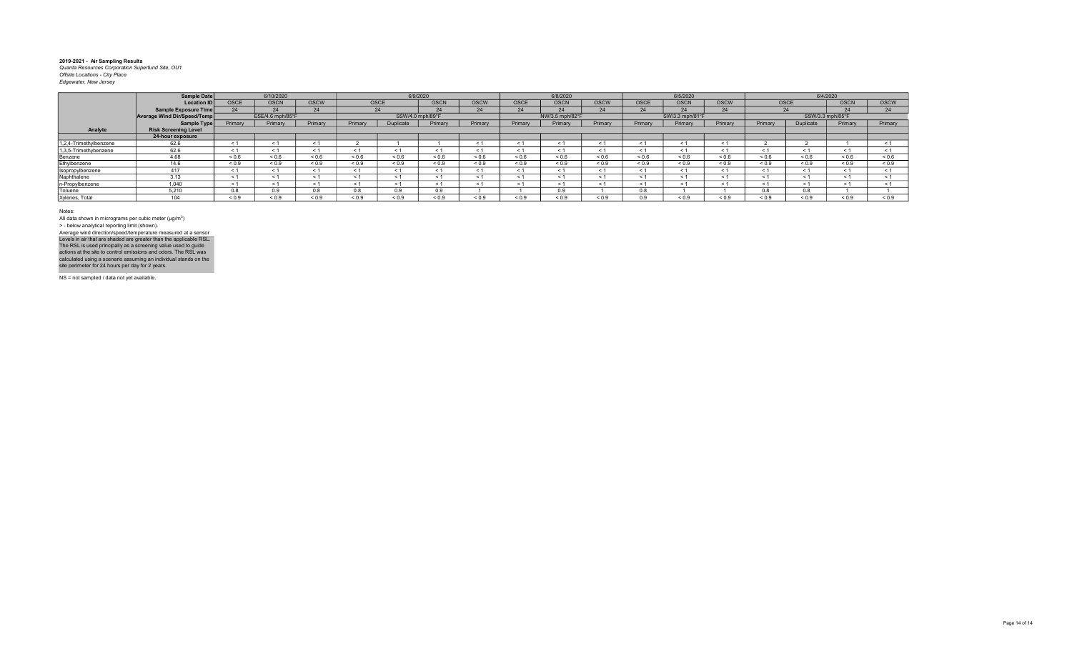|                        | Sample Date                 |             | 6/10/2020        |             |            | 6/9/2020         |             |             |            | 6/8/2020        |             |             | 6/5/2020        |                |                      | 6/4/2020         |                   |              |
|------------------------|-----------------------------|-------------|------------------|-------------|------------|------------------|-------------|-------------|------------|-----------------|-------------|-------------|-----------------|----------------|----------------------|------------------|-------------------|--------------|
|                        | Location ID                 | <b>OSCE</b> | <b>OSCN</b>      | <b>OSCW</b> | OSCE       |                  | <b>OSCN</b> | <b>OSCW</b> | OSCE       | <b>OSCN</b>     | <b>OSCW</b> | <b>OSCE</b> | <b>OSCN</b>     | <b>OSCW</b>    | OSCE                 |                  | <b>OSCN</b>       | <b>OSCW</b>  |
|                        | Sample Exposure Time        | 24          | 24               | 24          |            | 24               | 24          | 24          | 24         | 24              | 24          | 24          | 24              | 24             |                      | 24               | 24                | $24^{\circ}$ |
|                        | Average Wind Dir/Speed/Temp |             | ESE/4.6 mph/85°F |             |            | SSW/4.0 mph/89°F |             |             |            | NW/3.5 mph/82°F |             |             | SW/3.3 mph/81°F |                |                      | SSW/3.3 mph/85°F |                   |              |
|                        | Sample Type                 | Primary     | Primary          | Primary     | Primary    | <b>Duplicate</b> | Primary     | Primary     | Primary    | Primary         | Primary     | Primary     | Primary         | Primary        | Primary              | Duplicate        | Primary           | Primary      |
| Analyte                | <b>Risk Screening Level</b> |             |                  |             |            |                  |             |             |            |                 |             |             |                 |                |                      |                  |                   |              |
|                        | 24-hour exposure            |             |                  |             |            |                  |             |             |            |                 |             |             |                 |                |                      |                  |                   |              |
| 1,2,4-Trimethylbenzene | 62.6                        | < 1         |                  | $\leq$      |            |                  |             |             | $\leq$     | < 1             |             | < 1         |                 | $\epsilon$     |                      |                  |                   | < 1          |
| 1,3,5-Trimethybenzene  | 62.6                        | < 1         |                  | < 1         | < 1        | $\epsilon$ 1     | < 1         |             | < 1        | < 1             | $\leq 1$    | < 1         |                 | $\epsilon$     | < 1                  |                  | < 1               | < 1          |
| Benzene                | 4.68                        | ${}_{0.6}$  | 0.6              | ${}_{0.6}$  | 0.6        | ${}_{0.6}$       | ${}_{0.6}$  | 0.6         | ${}_{0.6}$ | 0.6             | ${}_{0.6}$  | ${}_{0.6}$  | 0.6             | ${}_{0.6}$     | 0.6                  | ${}^{5}$ 0.6     | ${}^{5}$ ${}^{6}$ | 0.6          |
| Ethylbenzene           | 14.6                        | ${}_{0.9}$  | ${}_{0.9}$       | ${}_{0.9}$  | ${}_{0.9}$ | ${}_{0.9}$       | ${}_{0.9}$  | ${}_{0.9}$  | ${}_{0.9}$ | 0.9             | ${}_{0.9}$  | ${}_{0.9}$  | ${}_{0.9}$      | ${}_{0.9}$     | 0.9                  | ${}_{0.9}$       | ${}_{0.9}$        | ${}_{0.9}$   |
| Isopropylbenzene       | 417                         | < 1         | < 1              | $\leq 1$    | < 1        | < 1              | < 1         | < 1         | $\leq 1$   | < 1             | < 1         | < 1         | < 1             | $\leq$ 1       | < 1                  | < 1              | < 1               | < 1          |
| Naphthalene            | 3.13                        | < 1         |                  | < 1         | < 1        | < 1              | < 1         |             | < 1        | < 1             | < 1         | < 1         |                 | $\checkmark$ : | < 1                  | < 1              | < 1               | < 1          |
| n-Propylbenzene        | 1.040                       | < 1         |                  | $\leq 1$    | < 1        | < 1              | < 1         |             | $\leq 1$   | < 1             | < 1         | < 1         |                 | $\leq$         | < 1                  | < 1              | < 1               |              |
| Toluene                | 5.210                       | 0.8         | 0.9              | 0.8         | U.ö        | 0.9              | 0.9         |             |            | 0.9             |             | 0.8         |                 |                | $\sim$ $\sim$<br>U.X | 0.8              |                   |              |
| Xylenes, Total         |                             | ${}_{0.9}$  | 0.9              | ${}_{0.9}$  | ${}^{6.0}$ | ${}_{0.9}$       | ${}_{0.9}$  | 0.9         | ${}_{0.9}$ | ${}^{6.0}$      | ${}_{0.9}$  | 0.9         | ${}^{6.0}$      | ${}_{0.9}$     | ${}^{8}$ 0.9         | ${}_{0.9}$       | ${}_{0.9}$        | 0.9          |

Notes:

All data shown in micrograms per cubic meter (μg/m<sup>3</sup>)<br>> - below analytical reporting limit (shown). Levels in air that are shaded are greater than the applicable RSL.<br>The RSL is used principally as a screening value used to guide<br>actions at the site to control emissions and odors. The RSL was<br>calculated using a scenario Average wind direction/speed/temperature measured at a sensor

NS = not sampled / data not yet available.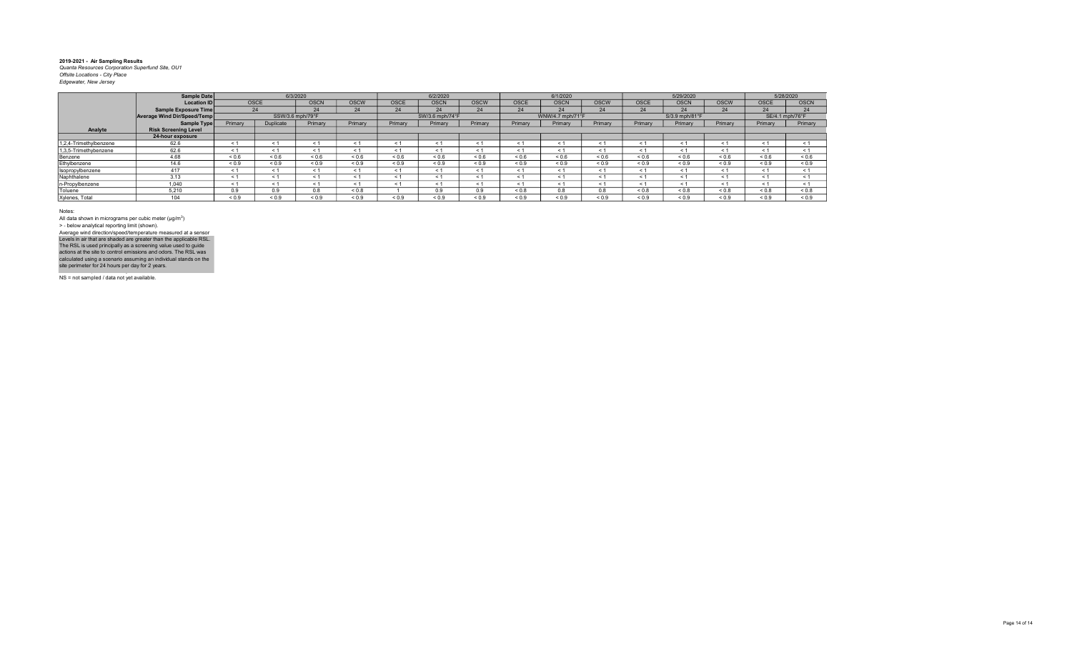|                        | Sample Date                 |                   |                  | 6/3/2020    |             |             | 6/2/2020        |             |             | 6/1/2020         |             |             | 5/29/2020      |             |                 | 5/28/2020   |
|------------------------|-----------------------------|-------------------|------------------|-------------|-------------|-------------|-----------------|-------------|-------------|------------------|-------------|-------------|----------------|-------------|-----------------|-------------|
|                        | <b>Location ID</b>          | <b>OSCE</b>       |                  | <b>OSCN</b> | <b>OSCW</b> | <b>OSCE</b> | <b>OSCN</b>     | <b>OSCW</b> | <b>OSCE</b> | <b>OSCN</b>      | <b>OSCW</b> | <b>OSCE</b> | <b>OSCN</b>    | <b>OSCW</b> | <b>OSCE</b>     | <b>OSCN</b> |
|                        | Sample Exposure Time        | 24                |                  | 24          | 24          | 24          | 24              | 24          | 24          | 24               | 24          | 24          | 24             | 24          | 24              | 24          |
|                        | Average Wind Dir/Speed/Temp |                   | SSW/3.6 mph/79°F |             |             |             | SW/3.6 mph/74°F |             |             | WNW/4.7 mph/71°F |             |             | S/3.9 mph/81°F |             | SE/4.1 mph/76°F |             |
|                        | Sample Type                 | Primary           | Duplicate        | Primary     | Primary     | Primary     | Primary         | Primary     | Primary     | Primary          | Primary     | Primary     | Primary        | Primary     | Primary         | Primary     |
| Analyte                | <b>Risk Screening Level</b> |                   |                  |             |             |             |                 |             |             |                  |             |             |                |             |                 |             |
|                        | 24-hour exposure            |                   |                  |             |             |             |                 |             |             |                  |             |             |                |             |                 |             |
| 1,2,4-Trimethylbenzene | 62.6                        | $\leq 1$          |                  |             |             | < 1         |                 | < 1         | < 1         | < 1              | < 1         | $\leq$      | < 1            | $\leq$      | $\leq$ 1        | < 1         |
| 1,3,5-Trimethybenzene  | 62.6                        | ← 1               | ← 1              | < 1         |             | < 1         | < 1             | < 1         | < 1         | < 1              | < 1         | < 1         | < 1            | < 1         | < 1             | < 1         |
| Benzene                | 4.68                        | ${}^{5}$ ${}^{6}$ | ${}^{5}$         | ${}_{0.6}$  | ${}_{0.6}$  | ${}_{0.6}$  | < 0.6           | 0.6         | ${}_{0.6}$  | ${}_{0.6}$       | ${}_{0.6}$  | ${}_{0.6}$  | ${}_{0.6}$     | ${}_{0.6}$  | ${}_{0.6}$      | ${}_{0.6}$  |
| Ethylbenzene           | 14.6                        | ${}_{0.9}$        | ${}_{0.9}$       | < 0.9       | ${}_{0.9}$  | ${}_{0.9}$  | ${}_{0.9}$      | ${}_{0.9}$  | ${}_{0.9}$  | ${}_{0.9}$       | < 0.9       | ${}_{0.9}$  | ${}_{0.9}$     | ${}_{0.9}$  | ${}_{0.9}$      | ${}_{0.9}$  |
| Isopropylbenzene       | 417                         | < 1               |                  | < 1         | < 1         | < 1         | < 1             | < 1         | < 1         | < 1              | < 1         | $\leq$ 1    | < 1            | < 1         | < 1             | < 1         |
| Naphthalene            | 3.13                        | < 1               |                  | < 1         |             | < 1         | < 1             | < 1         | < 1         | < 1              | < 1         | < 1         | < 1            | < 1         | < 1             | < 1         |
| n-Propylbenzene        | 1.040                       | < 1               |                  | < 1         |             | < 1         | < 1             | < 1         | < 1         | < 1              | < 1         | $\leq$ 1    | < 1            | < 1         | < 1             | < 1         |
| Toluene                | 5.210                       | 0.9               | 0.9              | 0.8         | < 0.8       |             | 0.9             | 0.9         | ${}_{0.8}$  | 0.8              | 0.8         | ${}_{0.8}$  | ${}_{0.8}$     | ${}_{0.8}$  | ${}_{0.8}$      | ${}_{0.8}$  |
| Xylenes, Total         | 104                         | 0.9               | < 0.9            | 0.9         | < 0.9       | ${}_{0.9}$  | < 0.9           | 0.9         | ${}_{0.9}$  | < 0.9            | 0.9         | 0.9         | ${}_{0.9}$     | < 0.9       | < 0.9           | ${}_{0.9}$  |

Notes:

All data shown in micrograms per cubic meter (μg/m<sup>3</sup>)<br>> - below analytical reporting limit (shown). Levels in air that are shaded are greater than the applicable RSL.<br>The RSL is used principally as a screening value used to guide<br>actions at the site to control emissions and odors. The RSL was<br>calculated using a scenario Average wind direction/speed/temperature measured at a sensor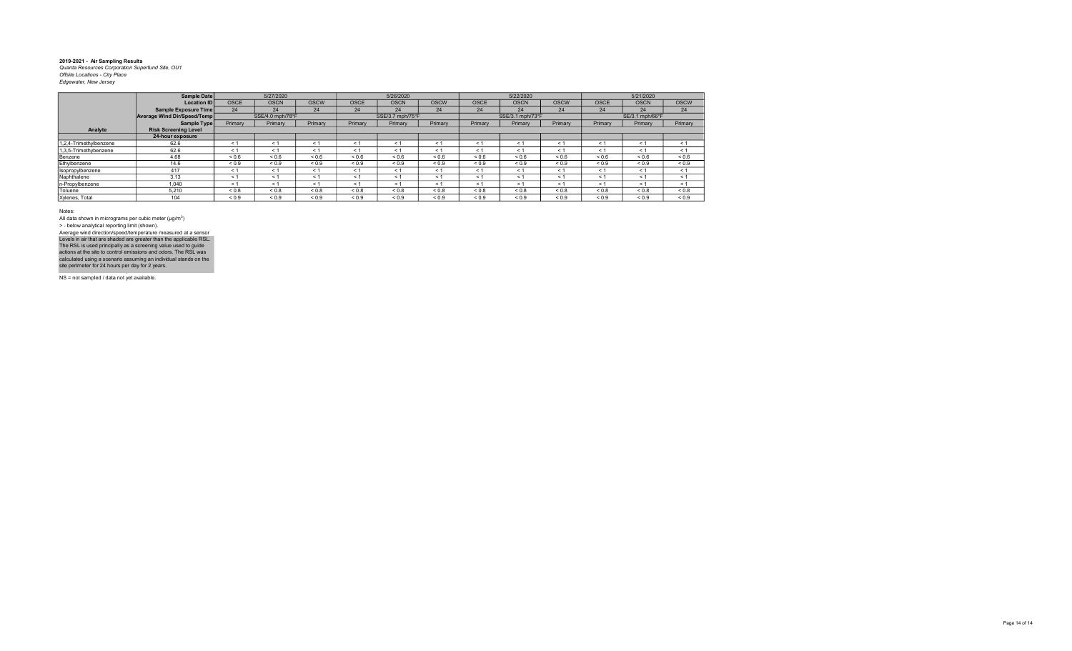|                        | Sample Date                 |             | 5/27/2020        |               |             | 5/26/2020        |             |             | 5/22/2020        |             |             | 5/21/2020       |             |
|------------------------|-----------------------------|-------------|------------------|---------------|-------------|------------------|-------------|-------------|------------------|-------------|-------------|-----------------|-------------|
|                        | <b>Location IDI</b>         | <b>OSCE</b> | <b>OSCN</b>      | <b>OSCW</b>   | <b>OSCE</b> | <b>OSCN</b>      | <b>OSCW</b> | <b>OSCE</b> | <b>OSCN</b>      | <b>OSCW</b> | <b>OSCE</b> | <b>OSCN</b>     | <b>OSCW</b> |
|                        | Sample Exposure Time        | 24          | 24               | 24            | 24          | 24               | 24          | 24          | 24               | 24          | 24          | 24              | 24          |
|                        | Average Wind Dir/Speed/Temp |             | SSE/4.0 mph/78°F |               |             | SSE/3.7 mph/75°F |             |             | SSE/3.1 mph/73°F |             |             | SE/3.1 mph/66°F |             |
|                        | Sample Type                 | Primary     | Primary          | Primary       | Primary     | Primary          | Primary     | Primary     | Primary          | Primary     | Primary     | Primary         | Primary     |
| Analyte                | <b>Risk Screening Level</b> |             |                  |               |             |                  |             |             |                  |             |             |                 |             |
|                        | 24-hour exposure            |             |                  |               |             |                  |             |             |                  |             |             |                 |             |
| 1,2,4-Trimethylbenzene | 62.6                        | < 1         | < 1              | < 1           | < 1         | < 1              | < 1         | < 1         | $\leq 1$         | $\leq 1$    | < 1         | < 1             | < 1         |
| 1.3.5-Trimethybenzene  | 62.6                        | < 1         | $\leq$ 1         | $\leq$ $\leq$ | $\leq 1$    | < 1              | < 1         | < 1         | < 1              | $\leq$ 1    | < 1         | < 1             | < 1         |
| Benzene                | 4.68                        | 0.6         | 0.6              | 0.6           | ${}_{0.6}$  | ${}_{0.6}$       | 0.6         | 0.6         | ${}_{0.6}$       | ${}_{0.6}$  | ${}_{0.6}$  | ${}_{0.6}$      | ${}_{0.6}$  |
| Ethylbenzene           | 14.6                        | ${}_{0.9}$  | ${}_{0.9}$       | ${}_{0.9}$    | ${}_{0.9}$  | ${}_{0.9}$       | ${}_{0.9}$  | ${}_{0.9}$  | ${}_{0.9}$       | ${}_{0.9}$  | ${}_{0.9}$  | ${}_{0.9}$      | ${}_{0.9}$  |
| Isopropylbenzene       | 417                         | < 1         | < 1              | < 1           | < 1         | < 1              | < 1         | $\leq 1$    | < 1              | $\leq 1$    | < 1         | < 1             | < 1         |
| Naphthalene            | 3.13                        | < 1         | < 1              | < 1           | < 1         | < 1              | < 1         | < 1         | < 1              | $\leq 1$    | < 1         | < 1             | < 1         |
| n-Propylbenzene        | 1.040                       | < 1         | $\leq 1$         | $\leq 1$      | $\leq 1$    | < 1              | < 1         | $\leq 1$    | < 1              | $\leq 1$    | < 1         | < 1             | < 1         |
| Toluene                | 5.210                       | ${}_{0.8}$  | ${}_{0.8}$       | ${}_{0.8}$    | ${}_{0.8}$  | ${}_{0.8}$       | 0.8         | 0.8         | ${}_{0.8}$       | ${}_{0.8}$  | ${}_{0.8}$  | ${}_{0.8}$      | 0.8         |
| Xylenes, Total         | 104                         | ${}_{0.9}$  | ${}_{0.9}$       | ${}_{0.9}$    | ${}_{0.9}$  | ${}_{0.9}$       | ${}_{0.9}$  | ${}_{0.9}$  | ${}_{0.9}$       | ${}_{0.9}$  | ${}_{0.9}$  | ${}_{0.9}$      | ${}_{0.9}$  |

Notes:

All data shown in micrograms per cubic meter (μg/m<sup>3</sup>)<br>> - below analytical reporting limit (shown). Average wind direction/speed/temperature measured at a sensor

NS = not sampled / data not yet available. Levels in air that are shaded are greater than the applicable RSL.<br>The RSL is used principally as a screening value used to guide<br>actions at the site to control emissions and odors. The RSL was<br>calculated using a scenario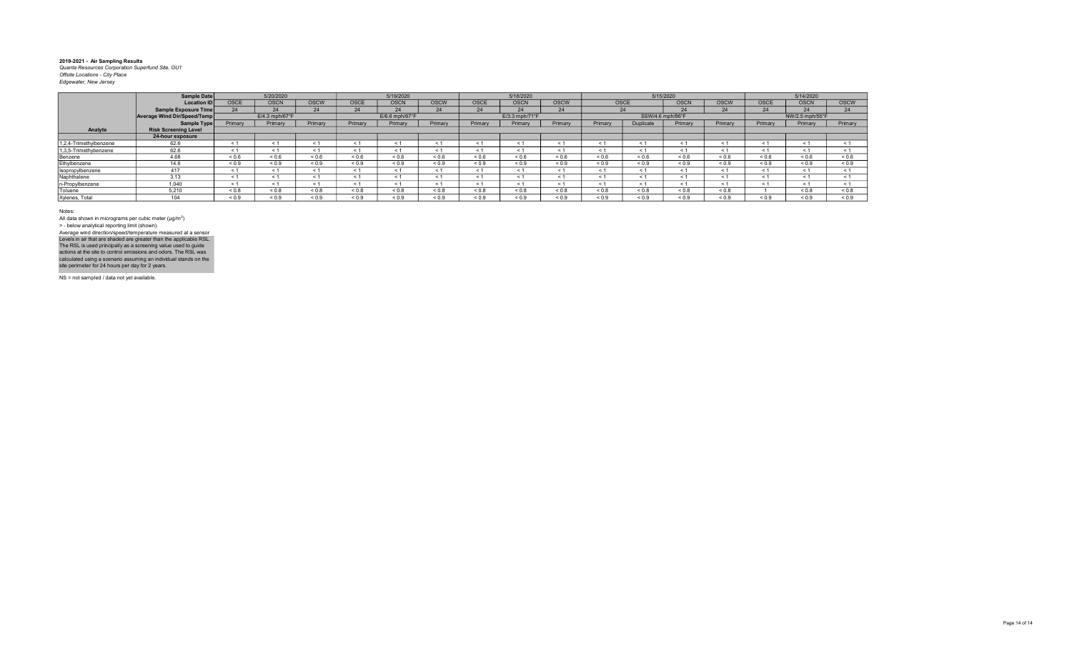| <b>Location ID</b>          | <b>OSCE</b>                                | <b>OSCN</b>                | <b>OSCW</b> | OSCE       | <b>OSCN</b>                | <b>OSCW</b> | OSCE       | <b>OSCN</b>      | <b>OSCW</b> |            |            | <b>OSCN</b>           | <b>OSCW</b>                   | <b>OSCE</b> | <b>OSCN</b> | <b>OSCW</b>                  |
|-----------------------------|--------------------------------------------|----------------------------|-------------|------------|----------------------------|-------------|------------|------------------|-------------|------------|------------|-----------------------|-------------------------------|-------------|-------------|------------------------------|
| Sample Exposure Time        | 24                                         | 24                         | 24          | 24         | 24                         | 24          | 24         | 24               | 24          |            |            | 24                    | 24                            | 24          | 24          | 24                           |
|                             |                                            | $E/4.3$ mph/67 $\degree$ F |             |            | $E/6.6$ mph/67 $\degree$ F |             |            | $E/3.3$ mph/71°F |             |            |            |                       |                               |             |             |                              |
|                             | Primary                                    | Primary                    | Primary     | Primary    | Primary                    | Primary     | Primary    | Primary          | Primary     | Primary    | Duplicate  | Primary               | Primary                       | Primary     | Primary     | Primary                      |
| <b>Risk Screening Level</b> |                                            |                            |             |            |                            |             |            |                  |             |            |            |                       |                               |             |             |                              |
| 24-hour exposure            |                                            |                            |             |            |                            |             |            |                  |             |            |            |                       |                               |             |             |                              |
| 62.6                        | $\leq$ 1                                   | < 1                        | < 1         | < 1        | < 1                        | < 1         |            | $\epsilon$       | < 1         | < 1        |            | < 1                   | < 1                           | $\leq 1$    | < 1         |                              |
| 62.6                        | $\epsilon$                                 | < 1                        | $\leq$ 1    | < 1        | $\leq$ 1                   | < 1         |            | $\leq$           |             | < 1        |            | $\leq$                | < 1                           | < 1         | < 1         | < 1                          |
| 4.68                        | 0.6                                        | 0.6                        | ${}_{0.6}$  | ${}_{0.6}$ | ${}_{0.6}$                 | 0.6         | 0.6        | 0.6              | ${}_{0.6}$  | 0.6        | 0.6        | ${}_{0.6}$            | ${}_{0.6}$                    | ${}_{0.6}$  | ${}_{0.6}$  | ${}_{0.6}$                   |
| 14.6                        | ${}_{0.9}$                                 | ${}_{0.9}$                 | ${}_{0.9}$  | ${}_{0.9}$ | ${}_{0.9}$                 | ${}_{0.9}$  | ${}_{0.9}$ | ${}_{0.9}$       | ${}_{0.9}$  | ${}_{0.9}$ | ${}_{0.9}$ | ${}_{0.9}$            | ${}_{0.9}$                    | ${}_{0.9}$  | ${}_{0.9}$  | ${}_{0.9}$                   |
| 417                         | $\leq 1$                                   | < 1                        | < 1         | < 1        | < 1                        | < 1         |            | $\leq$ 1         | < 1         | < 1        |            | < 1                   | < 1                           | < 1         | < 1         |                              |
| 3.13                        |                                            |                            | < 1         | e 1        | < 1                        | < 1         |            | $\epsilon$       |             | < 1        |            | $\tilde{\phantom{0}}$ | $<$ 1                         | < 1         | < 1         |                              |
| 1.040                       | $\leq$ 1                                   | < 1                        | - 1         | < 1        | $\leq$ 1                   | < 1         |            | $\leq$ 1         | $\leq 1$    | < 1        |            | - 1                   | < 1                           | < 1         | < 1         |                              |
| 5.210                       | ${}_{0.8}$                                 | ${}_{0.8}$                 | ${}_{0.8}$  | ${}_{0.8}$ | ${}_{0.8}$                 | < 0.8       | < 0.8      | &0.8             | ${}_{0.8}$  | ${}_{0.8}$ | ${}_{0.8}$ | ${}_{0.8}$            | ${}_{0.8}$                    |             | < 0.8       | < 0.8                        |
| 10 <sub>1</sub>             | ${}_{0.9}$                                 | 0.9                        | ${}_{0.9}$  | ${}_{0.9}$ | ${}_{0.9}$                 | ${}_{0.9}$  | ${}_{0.9}$ | ${}_{0.9}$       | ${}_{0.9}$  | ${}_{0.9}$ | ${}_{0.9}$ | ${}_{0.9}$            | ${}_{0.9}$                    | ${}_{0.9}$  | ${}_{0.9}$  | ${}_{0.9}$                   |
|                             | Sample Date<br>Average Wind Dir/Speed/Temp | Sample Type                | 5/20/2020   |            |                            | 5/19/2020   |            |                  | 5/18/2020   |            |            | OSCE<br>24            | 5/15/2020<br>SSW/4.6 mph/86°F |             |             | 5/14/2020<br>NW/2.5 mph/55°F |

Notes:

All data shown in micrograms per cubic meter (μg/m<sup>3</sup>)<br>> - below analytical reporting limit (shown). Average wind direction/speed/temperature measured at a sensor

NS = not sampled / data not yet available. Levels in air that are shaded are greater than the applicable RSL.<br>The RSL is used principally as a screening value used to guide<br>actions at the site to control emissions and odors. The RSL was<br>calculated using a scenario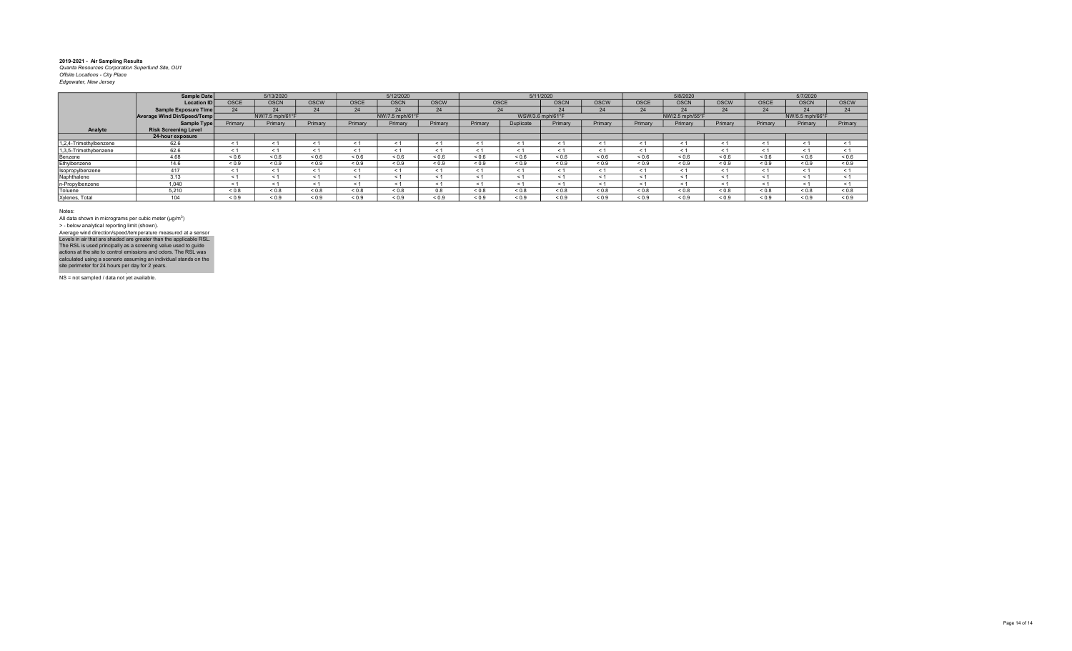|                        | Sample Date                 |             | 5/13/2020       |             |             | 5/12/2020       |             |             | 5/11/2020        |             |             |             | 5/8/2020        |             |             | 5/7/2020        |             |
|------------------------|-----------------------------|-------------|-----------------|-------------|-------------|-----------------|-------------|-------------|------------------|-------------|-------------|-------------|-----------------|-------------|-------------|-----------------|-------------|
|                        | <b>Location ID</b>          | <b>OSCE</b> | <b>OSCN</b>     | <b>OSCW</b> | <b>OSCE</b> | <b>OSCN</b>     | <b>OSCW</b> | OSCE        |                  | <b>OSCN</b> | <b>OSCW</b> | <b>OSCE</b> | <b>OSCN</b>     | <b>OSCW</b> | <b>OSCE</b> | <b>OSCN</b>     | <b>OSCW</b> |
|                        | Sample Exposure Time        | 24          | 24              | 24          | 24          | 24              | 24          |             | 24               | 24          | 24          | 24          | 24              | 24          | 24          | 24              | 24          |
|                        | Average Wind Dir/Speed/Temp |             | NW/7.5 mph/61°F |             |             | NW/7.5 mph/61°F |             |             | WSW/3.6 mph/61°F |             |             |             | NW/2.5 mph/55°F |             |             | NW/5.5 mph/66°F |             |
|                        | Sample Type                 | Primary     | Primary         | Primary     | Primary     | Primary         | Primary     | Primary     | Duplicate        | Primary     | Primary     | Primary     | Primary         | Primary     | Primary     | Primary         | Primary     |
| Analyte                | <b>Risk Screening Level</b> |             |                 |             |             |                 |             |             |                  |             |             |             |                 |             |             |                 |             |
|                        | 24-hour exposure            |             |                 |             |             |                 |             |             |                  |             |             |             |                 |             |             |                 |             |
| 1,2,4-Trimethylbenzene | 62.6                        | < 1         |                 | < 1         | < 1         | < 1             |             | < 1         | < 1              | < 1         | < 1         |             | < 1             | < 1         | < 1         | < 1             | < 1         |
| 1,3,5-Trimethybenzene  | 62.6                        | < 1         |                 | < 1         | < 1         | < 1             | < 1         | < 1         | < 1              | < 1         | < 1         | ← 1         | < 1             | < 1         | < 1         | < 1             |             |
| Benzene                | 4.68                        | ${}_{0.6}$  | ${}^{5}$ < 0.6  | 0.6         | 0.6         | ${}_{0.6}$      | 0.6         | 0.6         | 0.6              | ${}_{0.6}$  | ${}_{0.6}$  | ${}_{0.6}$  | ${}_{0.6}$      | < 0.6       | ${}_{0.6}$  | 0.6             | < 0.6       |
| Ethylbenzene           | 14.6                        | ${}_{0.9}$  | ${}_{0.9}$      | < 0.9       | ${}_{0.9}$  | ${}_{0.9}$      | ${}_{0.9}$  | ${}_{0.9}$  | ${}_{0.9}$       | ${}_{0.9}$  | ${}_{0.9}$  | ${}_{0.9}$  | ${}_{0.9}$      | ${}_{0.9}$  | ${}_{0.9}$  | ${}_{0.9}$      | ${}_{0.9}$  |
| Isopropylbenzene       | 417                         | < 1         |                 | < 1         | < 1         | < 1             |             | < 1         | $\leq$ 1         | < 1         | < 1         |             | < 1             | < 1         | < 1         | < 1             |             |
| Naphthalene            | 3.13                        | < 1         |                 | < 1         | < 1         | < 1             | ← 1         | < 1         | < 1              | < 1         | < 1         | ← 1         | < 1             | < 1         | < 1         | < 1             |             |
| n-Propylbenzene        | 1.040                       | < 1         |                 | < 1         | < 1         | < 1             |             |             | $\leq$ 1         | < 1         | < 1         |             | < 1             | $\leq$      | < 1         |                 |             |
| Toluene                | 5.210                       | ${}_{0.8}$  | ${}_{0.8}$      | ${}_{0.8}$  | ${}_{0.8}$  | ${}_{0.8}$      | 0.8         | $0.8 - 0.8$ | $0.8 - 0.8$      | ${}_{0.8}$  | 0.8         | ${}_{0.8}$  | ${}_{0.8}$      | ${}_{0.8}$  | $0.8 - 0.8$ | 0.8             | ${}_{0.8}$  |
| Xylenes, Total         | 104                         | ${}_{0.9}$  | ${}_{0.9}$      | < 0.9       | ${}_{0.9}$  | ${}_{0.9}$      | ${}_{0.9}$  | ${}_{0.9}$  | ${}_{0.9}$       | ${}_{0.9}$  | ${}_{0.9}$  | ${}_{0.9}$  | ${}_{0.9}$      | ${}_{0.9}$  | ${}_{0.9}$  | ${}_{0.9}$      | ${}_{0.9}$  |

Notes:

All data shown in micrograms per cubic meter (μg/m<sup>3</sup>)<br>> - below analytical reporting limit (shown). Average wind direction/speed/temperature measured at a sensor

NS = not sampled / data not yet available. Levels in air that are shaded are greater than the applicable RSL.<br>The RSL is used principally as a screening value used to guide<br>actions at the site to control emissions and odors. The RSL was<br>calculated using a scenario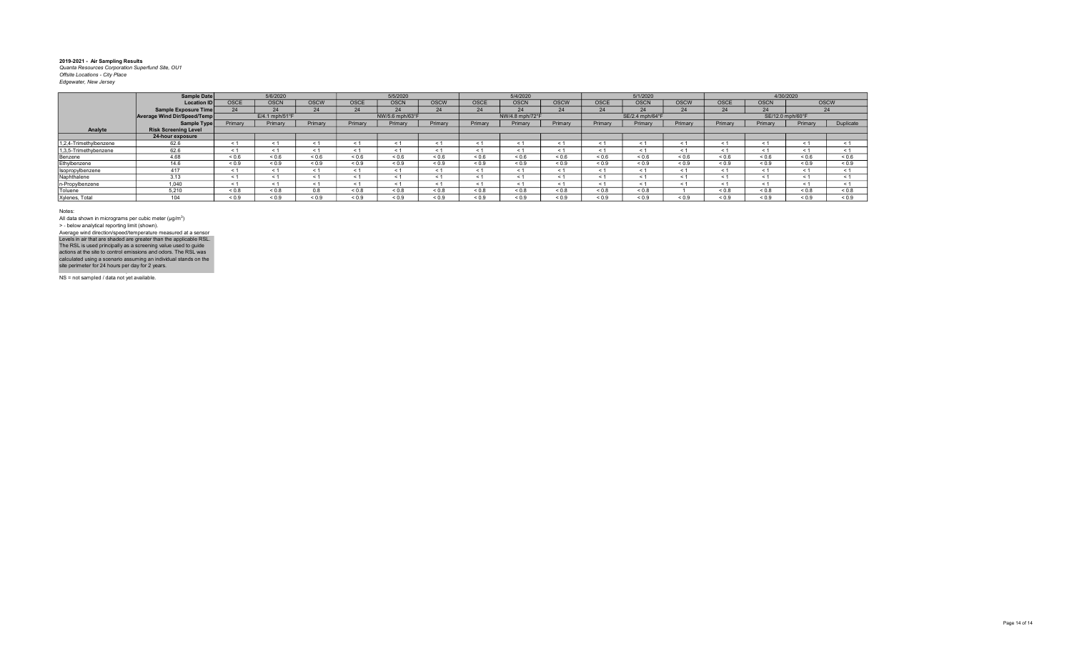|                        | Sample Date                 |             | 5/6/2020       |             |            | 5/5/2020        |             |             | 5/4/2020        |             |             | 5/1/2020        |             |            | 4/30/2020        |              |             |
|------------------------|-----------------------------|-------------|----------------|-------------|------------|-----------------|-------------|-------------|-----------------|-------------|-------------|-----------------|-------------|------------|------------------|--------------|-------------|
|                        | <b>Location ID</b>          | <b>OSCE</b> | <b>OSCN</b>    | <b>OSCW</b> | OSCE       | <b>OSCN</b>     | <b>OSCW</b> | <b>OSCE</b> | <b>OSCN</b>     | <b>OSCW</b> | <b>OSCE</b> | <b>OSCN</b>     | <b>OSCW</b> | OSCE       | <b>OSCN</b>      |              | <b>OSCW</b> |
|                        | Sample Exposure Time        | 24          | 24             | 24          | 24         | 24              | 24          | 24          | 24              | 24          | 24          | 24              | 24          | 24         | 24               |              | 24          |
|                        | Average Wind Dir/Speed/Temp |             | E/4.1 mph/51°F |             |            | NW/5.6 mph/63°F |             |             | NW/4.8 mph/72°F |             |             | SE/2.4 mph/64°F |             |            | SE/12.0 mph/60°F |              |             |
|                        | Sample Type                 | Primary     | Primary        | Primary     | Primary    | Primary         | Primary     | Primary     | Primary         | Primary     | Primary     | Primary         | Primary     | Primary    | Primary          | Primary      | Duplicate   |
| Analyte                | <b>Risk Screening Level</b> |             |                |             |            |                 |             |             |                 |             |             |                 |             |            |                  |              |             |
|                        | 24-hour exposure            |             |                |             |            |                 |             |             |                 |             |             |                 |             |            |                  |              |             |
| 1,2,4-Trimethylbenzene | 62.6                        | ← 1         | < 1            | < 1         | $\leq$ 1   | < 1             | < 1         | < 1         | $\epsilon$      | ≺ 1         | < 1         |                 | < 1         | < 1        | < 1              | < 1          | < 1         |
| 1,3,5-Trimethybenzene  | 62.6                        | ≺ 1         | < 1            | < 1         | < 1        | $\leq 1$        | < 1         | < 1         | - 1             | $\leq 1$    | $\leq 1$    |                 | - 1         | < 1        | < 1              | $\leq 1$     | $\leq 1$    |
| Benzene                | 4.68                        | 0.6         | 0.6            | ${}_{0.6}$  | ${}_{0.6}$ | ${}_{0.6}$      | ${}_{0.6}$  | 0.6         | < 0.6           | ${}_{0.6}$  | 0.6         | ${}_{0.6}$      | ${}_{0.6}$  | < 0.6      | ${}_{0.6}$       | ${}^{5}$ 0.6 | ${}_{0.6}$  |
| Ethylbenzene           | 14.6                        | ${}_{0.9}$  | ${}_{0.9}$     | ${}_{0.9}$  | ${}_{0.9}$ | ${}_{0.9}$      | ${}_{0.9}$  | ${}_{0.9}$  | ${}_{0.9}$      | ${}_{0.9}$  | ${}_{0.9}$  | ${}_{0.9}$      | ${}_{0.9}$  | ${}_{0.9}$ | ${}_{0.9}$       | ${}_{0.9}$   | ${}_{0.9}$  |
| Isopropylbenzene       | 417                         | < 1         | < 1            | < 1         | < 1        | < 1             | < 1         | < 1         | < 1             | < 1         | < 1         |                 | < 1         | < 1        | < 1              | < 1          |             |
| Naphthalene            | 3.13                        | $\epsilon$  | < 1            | < 1         | < 1        | < 1             | < 1         | $\epsilon$  | $\leq$          | < 1         | < 1         |                 | $\prec$     | < 1        | < 1              | < 1          | < 1         |
| n-Propylbenzene        | 1.040                       | $\leq 1$    | < 1            | < 1         | < 1        | < 1             | < 1         |             | $\epsilon$      | < 1         | < 1         |                 | < 1         | < 1        | < 1              | < 1          |             |
| Toluene                | 5.210                       | 0.8         | ${}_{0.8}$     | 0.8         | ${}_{0.8}$ | ${}_{0.8}$      | $0.8 - 0.8$ | $0.8 - 0.8$ | 0.8             | ${}_{0.8}$  | 0.8         | ${}_{0.8}$      |             | 0.8        | 0.8              | 0.8          | ${}_{0.8}$  |
| Xylenes, Total         | 104                         | 0.9         | 0.9            | ${}_{0.9}$  | ${}_{0.9}$ | ${}_{0.9}$      | < 0.9       | ${}_{0.9}$  | ${}_{0.9}$      | ${}_{0.9}$  | ${}_{0.9}$  | ${}_{0.9}$      | ${}_{0.9}$  | ${}_{0.9}$ | ${}_{0.9}$       | 0.9          | ${}_{0.9}$  |

Notes:

All data shown in micrograms per cubic meter (μg/m<sup>3</sup>)<br>> - below analytical reporting limit (shown). Levels in air that are shaded are greater than the applicable RSL.<br>The RSL is used principally as a screening value used to guide<br>actions at the site to control emissions and odors. The RSL was<br>calculated using a scenario Average wind direction/speed/temperature measured at a sensor

NS = not sampled / data not yet available.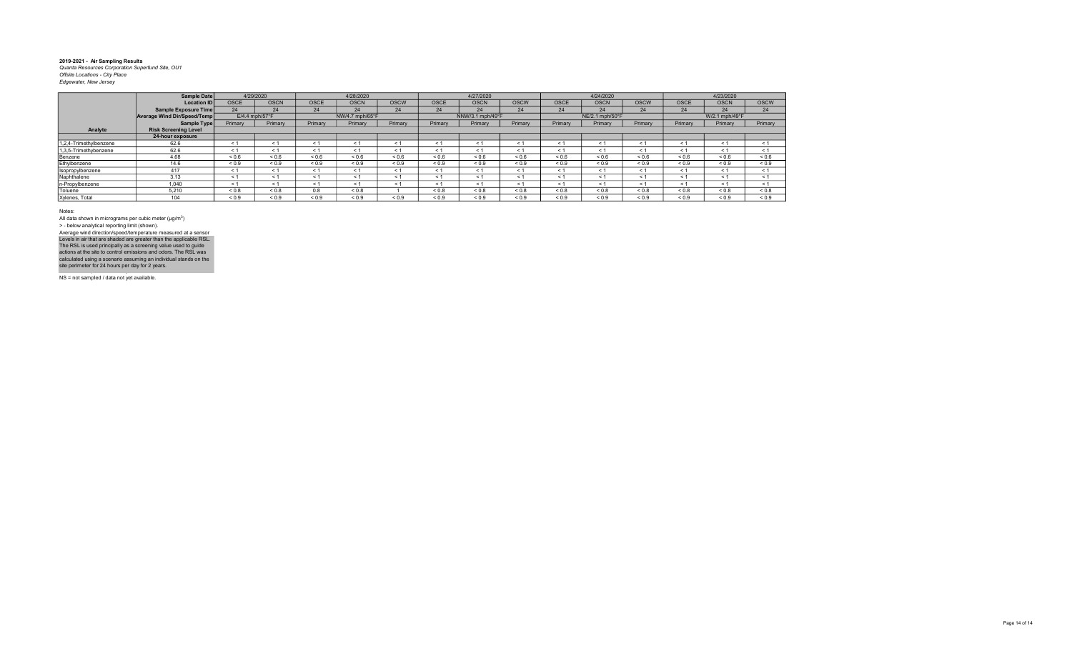|                        | Sample Date                 |                   | 4/29/2020        |             | 4/28/2020       |             |              | 4/27/2020        |             |            | 4/24/2020       |             |             | 4/23/2020      |             |
|------------------------|-----------------------------|-------------------|------------------|-------------|-----------------|-------------|--------------|------------------|-------------|------------|-----------------|-------------|-------------|----------------|-------------|
|                        | <b>Location ID</b>          | <b>OSCE</b>       | <b>OSCN</b>      | <b>OSCE</b> | <b>OSCN</b>     | <b>OSCW</b> | <b>OSCE</b>  | <b>OSCN</b>      | <b>OSCW</b> | OSCE       | <b>OSCN</b>     | <b>OSCW</b> | <b>OSCE</b> | <b>OSCN</b>    | <b>OSCW</b> |
|                        | Sample Exposure Time        | 24                | 24               | 24          | 24              | 24          | 24           | 24               | 24          | 24         | 24              | 24          | 24          | 24             | 24          |
|                        | Average Wind Dir/Speed/Temp |                   | $E/4.4$ mph/57°F |             | NW/4.7 mph/65°F |             |              | NNW/3.1 mph/49°F |             |            | NE/2.1 mph/50°F |             |             | W/2.1 mph/49°F |             |
|                        | Sample Type                 | Primary           | Primary          | Primary     | Primary         | Primary     | Primary      | Primary          | Primary     | Primary    | Primary         | Primary     | Primary     | Primary        | Primary     |
| Analyte                | <b>Risk Screening Level</b> |                   |                  |             |                 |             |              |                  |             |            |                 |             |             |                |             |
|                        | 24-hour exposure            |                   |                  |             |                 |             |              |                  |             |            |                 |             |             |                |             |
| 1,2,4-Trimethylbenzene | 62.6                        | < 1               | < 1              | < 1         | $\leq 1$        | $\leq$ 1    |              | < 1              | < 1         | < 1        | < 1             | < 1         | < 1         | < 1            | < 1         |
| 1,3,5-Trimethybenzene  | 62.6                        | < 1               | < 1              | < 1         | < 1             | < 1         | ← 1          | < 1              | < 1         | < 1        | < 1             | < 1         | < 1         | < 1            | < 1         |
| Benzene                | 4.68                        | ${}^{5}$ ${}^{6}$ | ${}^{<0.6}$      | ${}_{0.6}$  | ${}_{0.6}$      | 0.6         | ${}^{5}$ 0.6 | ${}_{0.6}$       | ${}_{0.6}$  | ${}_{0.6}$ | 0.6             | ${}_{0.6}$  | ${}_{0.6}$  | ${}_{0.6}$     | ${}_{0.6}$  |
| Ethylbenzene           | 14.6                        | ${}_{0.9}$        | ${}_{0.9}$       | ${}_{0.9}$  | ${}_{0.9}$      | ${}_{0.9}$  | ${}_{0.9}$   | ${}_{0.9}$       | ${}_{0.9}$  | ${}_{0.9}$ | ${}_{0.9}$      | ${}_{0.9}$  | ${}_{0.9}$  | ${}_{0.9}$     | ${}_{0.9}$  |
| Isopropylbenzene       | 417                         | < 1               | < 1              | < 1         | < 1             | < 1         | e 1          | < 1              | < 1         | < 1        | < 1             | < 1         | < 1         | < 1            | < 1         |
| Naphthalene            | 3.13                        | < 1               | < 1              | < 1         | < 1             | < 1         |              | < 1              | < 1         | < 1        | < 1             | < 1         | < 1         | < 1            | < 1         |
| n-Propylbenzene        | 1.040                       | < 1               | < 1              | < 1         | < 1             | < 1         | ← 1          | < 1              | < 1         | < 1        | < 1             | < 1         | < 1         | < 1            | < 1         |
| Toluene                | 5.210                       | ${}_{0.8}$        | ${}_{0.8}$       | 0.8         | < 0.8           |             | < 0.8        | ${}_{0.8}$       | < 0.8       | < 0.8      | $0.8 - 0.8$     | ${}_{0.8}$  | 0.8         | ${}_{0.8}$     | ${}_{0.8}$  |
| Xylenes, Total         | 104                         | ${}_{0.9}$        | ${}_{0.9}$       | ${}_{0.9}$  | ${}_{0.9}$      | ${}_{0.9}$  | ${}_{0.9}$   | ${}_{0.9}$       | ${}_{0.9}$  | ${}_{0.9}$ | ${}_{0.9}$      | ${}_{0.9}$  | ${}_{0.9}$  | ${}_{0.9}$     | ${}_{0.9}$  |

Notes:

All data shown in micrograms per cubic meter (μg/m<sup>3</sup>)<br>> - below analytical reporting limit (shown). Levels in air that are shaded are greater than the applicable RSL.<br>The RSL is used principally as a screening value used to guide<br>actions at the site to control emissions and odors. The RSL was<br>calculated using a scenario Average wind direction/speed/temperature measured at a sensor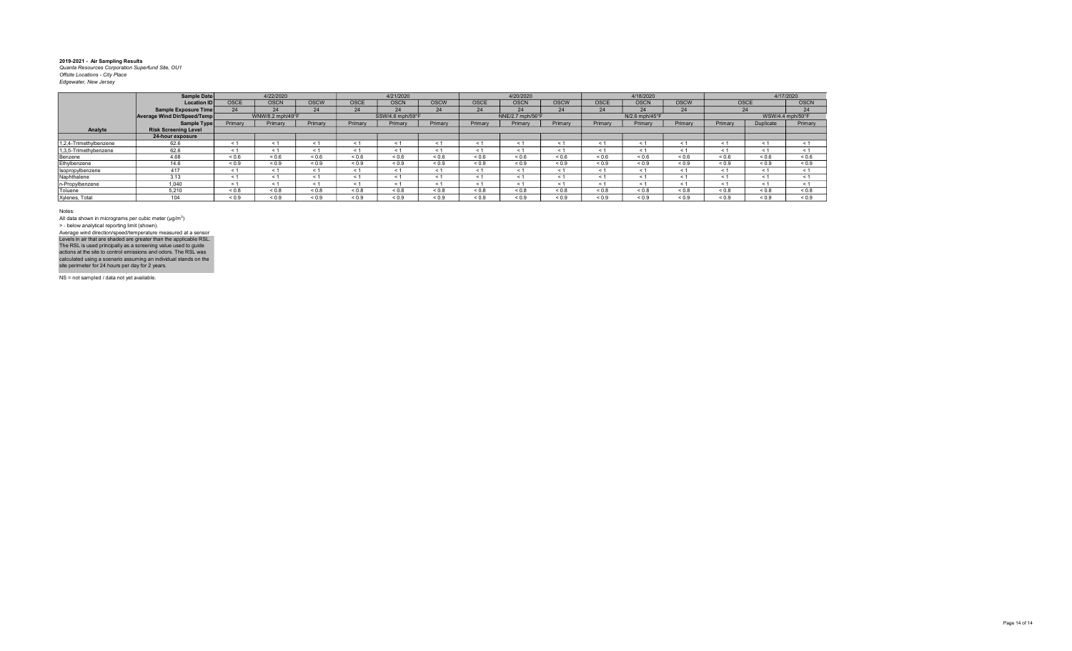|                        | Sample Date                 |             | 4/22/2020         |             |            | 4/21/2020        |             |             | 4/20/2020        |             |             | 4/18/2020      |             |             | 4/17/2020        |             |
|------------------------|-----------------------------|-------------|-------------------|-------------|------------|------------------|-------------|-------------|------------------|-------------|-------------|----------------|-------------|-------------|------------------|-------------|
|                        | <b>Location ID</b>          | <b>OSCE</b> | <b>OSCN</b>       | <b>OSCW</b> | OSCE       | <b>OSCN</b>      | <b>OSCW</b> | <b>OSCE</b> | <b>OSCN</b>      | <b>OSCW</b> | <b>OSCE</b> | <b>OSCN</b>    | <b>OSCW</b> | <b>OSCE</b> |                  | <b>OSCN</b> |
|                        | Sample Exposure Time        | 24          | 24                | 24          | 24         | 24               | 24          | 24          | 24               | 24          | 24          | 24             | 24          | 24          |                  | 24          |
|                        | Average Wind Dir/Speed/Temp |             | WNW/8.2 mph/49°F  |             |            | SSW/4.6 mph/59°F |             |             | NNE/2.7 mph/56°F |             |             | N/2.6 mph/45°F |             |             | WSW/4.4 mph/50°F |             |
|                        | Sample Type                 | Primary     | Primary           | Primary     | Primary    | Primary          | Primary     | Primary     | Primary          | Primary     | Primary     | Primary        | Primary     | Primary     | Duplicate        | Primary     |
| Analyte                | <b>Risk Screening Level</b> |             |                   |             |            |                  |             |             |                  |             |             |                |             |             |                  |             |
|                        | 24-hour exposure            |             |                   |             |            |                  |             |             |                  |             |             |                |             |             |                  |             |
| 1,2,4-Trimethylbenzene | 62.6                        | < 1         | < 1               | < 1         | < 1        | < 1              | < 1         | < 1         | < 1              | < 1         | < 1         | < 1            | < 1         | < 1         | < 1              | < 1         |
| 1,3,5-Trimethybenzene  | 62.6                        | < 1         | < 1               | < 1         | < 1        | < 1              | < 1         | < 1         | < 1              | < 1         | $\leq 1$    | < 1            | < 1         | < 1         | < 1              | < 1         |
| Benzene                | 4.68                        | ${}_{0.6}$  | ${}^{5}$ ${}^{6}$ | ${}_{0.6}$  | 0.6        | 0.6              | 0.6         | ${}_{0.6}$  | ${}_{0.6}$       | < 0.6       | < 0.6       | ${}_{0.6}$     | 0.6         | ${}_{0.6}$  | ${}_{0.6}$       | ${}_{0.6}$  |
| Ethylbenzene           | 14.6                        | ${}_{0.9}$  | ${}_{0.9}$        | ${}_{0.9}$  | ${}_{0.9}$ | ${}_{0.9}$       | ${}_{0.9}$  | ${}_{0.9}$  | ${}_{0.9}$       | ${}_{0.9}$  | ${}_{0.9}$  | ${}_{0.9}$     | ${}_{0.9}$  | ${}_{0.9}$  | ${}_{0.9}$       | ${}_{0.9}$  |
| Isopropylbenzene       | 417                         | < 1         | < 1               |             | < 1        | < 1              | < 1         | < 1         | < 1              | < 1         | < 1         | < 1            | < 1         | < 1         | < 1              | < 1         |
| Naphthalene            | 3.13                        | < 1         | < 1               | < 1         | < 1        | < 1              | < 1         | < 1         | < 1              | < 1         | < 1         | < 1            | < 1         | < 1         | < 1              | < 1         |
| n-Propylbenzene        | 1.040                       | < 1         | < 1               |             | < 1        | < 1              | < 1         | < 1         | < 1              | < 1         | $\leq$ 1    | < 1            | $\leq$ 1    | < 1         | $\leq$ 1         | < 1         |
| Toluene                | 5.210                       | < 0.8       | &0.8              | < 0.8       | & 0.8      | &0.8             | < 0.8       | &0.8        | < 0.8            | < 0.8       | < 0.8       | < 0.8          | < 0.8       | < 0.8       | ${}_{0.8}$       | ${}_{0.8}$  |
| Xylenes, Total         | 104                         | < 0.9       | ${}_{0.9}$        | ${}_{0.9}$  | ${}_{0.9}$ | 0.9              | ${}_{0.9}$  | 0.9         | ${}_{0.9}$       | < 0.9       | 0.9         | ${}_{0.9}$     | ${}_{0.9}$  | ${}_{0.9}$  | ${}_{0.9}$       | ${}_{0.9}$  |

Notes:

All data shown in micrograms per cubic meter (μg/m<sup>3</sup>)<br>> - below analytical reporting limit (shown). Average wind direction/speed/temperature measured at a sensor

Levels in air that are shaded are greater than the applicable RSL.<br>The RSL is used principally as a screening value used to guide<br>actions at the site to control emissions and odors. The RSL was<br>calculated using a scenario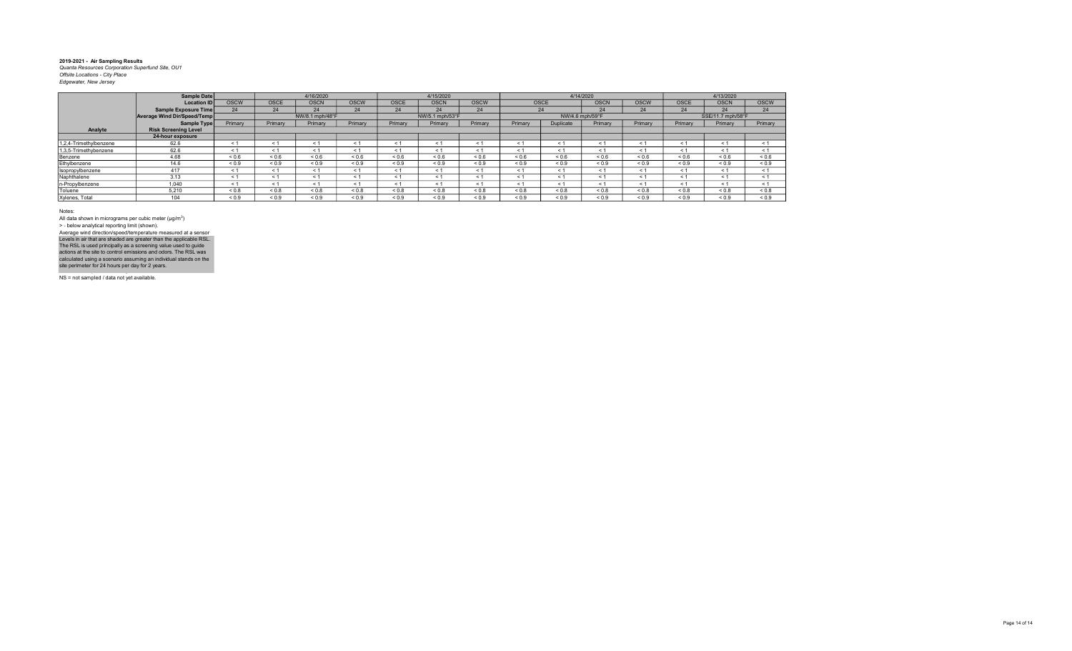|                        | Sample Date                 |             |             | 4/16/2020       |             |             | 4/15/2020       |             |            | 4/14/2020       |             |             |             | 4/13/2020         |             |
|------------------------|-----------------------------|-------------|-------------|-----------------|-------------|-------------|-----------------|-------------|------------|-----------------|-------------|-------------|-------------|-------------------|-------------|
|                        | <b>Location ID</b>          | <b>OSCW</b> | <b>OSCE</b> | <b>OSCN</b>     | <b>OSCW</b> | <b>OSCE</b> | <b>OSCN</b>     | <b>OSCW</b> |            | <b>OSCE</b>     | <b>OSCN</b> | <b>OSCW</b> | OSCE        | <b>OSCN</b>       | <b>OSCW</b> |
|                        | Sample Exposure Time        | 24          | 24          | 24              | 24          | 24          | 24              | 24          |            | 24              | 24          | 24          | 24          | 24                | 24          |
|                        | Average Wind Dir/Speed/Temp |             |             | NW/8.1 mph/48°F |             |             | NW/5.1 mph/53°F |             |            | NW/4.6 mph/59°F |             |             |             | SSE/11.7 mph/58°F |             |
|                        | Sample Type                 | Primary     | Primary     | Primary         | Primary     | Primary     | Primary         | Primary     | Primary    | Duplicate       | Primary     | Primary     | Primary     | Primary           | Primary     |
| Analyte                | <b>Risk Screening Level</b> |             |             |                 |             |             |                 |             |            |                 |             |             |             |                   |             |
|                        | 24-hour exposure            |             |             |                 |             |             |                 |             |            |                 |             |             |             |                   |             |
| 1,2,4-Trimethylbenzene | 62.6                        | < 1         | $\leq 1$    | < 1             | $\prec$     | < 1         |                 | $\leq$      | $\leq$     | $\leq$ 1        | < 1         | < 1         | < 1         | < 1               | < 1         |
| 1,3,5-Trimethybenzene  | 62.6                        | < 1         | $\leq 1$    | < 1             | $\leq 1$    | < 1         |                 | < 1         | $\leq$ 1   | < 1             | < 1         | ≺ 1         | < 1         | < 1               | < 1         |
| Benzene                | 4.68                        | ${}_{0.6}$  | 0.6         | ${}_{0.6}$      | 0.6         | ${}_{0.6}$  | ${}_{0.6}$      | ${}_{0.6}$  | ${}_{0.6}$ | ${}_{0.6}$      | ${}_{0.6}$  | ${}_{0.6}$  | 0.6         | ${}_{0.6}$        | ${}_{0.6}$  |
| Ethylbenzene           | 14.6                        | ${}_{0.9}$  | ${}_{0.9}$  | ${}_{0.9}$      | ${}_{0.9}$  | ${}_{0.9}$  | ${}_{0.9}$      | ${}_{0.9}$  | ${}_{0.9}$ | ${}_{0.9}$      | ${}_{0.9}$  | ${}_{0.9}$  | ${}_{0.9}$  | ${}_{0.9}$        | ${}_{0.9}$  |
| Isopropylbenzene       | 417                         | < 1         | < 1         | < 1             | < 1         | < 1         | < 1             | < 1         | < 1        | < 1             | < 1         | < 1         | < 1         | < 1               | < 1         |
| Naphthalene            | 3.13                        | < 1         | < 1         | < 1             | < 1         | < 1         | < 1             | $\leq 1$    | $\leq$ 1   | < 1             | < 1         | < 1         | < 1         | < 1               | < 1         |
| n-Propylbenzene        | 1.040                       | < 1         | < 1         | < 1             | < 1         | < 1         | < 1             | < 1         | < 1        | < 1             | < 1         | $\leq 1$    | < 1         | < 1               | < 1         |
| Toluene                | 5.210                       | ${}_{0.8}$  | ${}_{0.8}$  | ${}_{0.8}$      | $0.8 - 0.8$ | ${}_{0.8}$  | < 0.8           | ${}_{0.8}$  | 0.8        | ${}_{0.8}$      | ${}_{0.8}$  | ${}_{0.8}$  | $0.8 - 0.8$ | ${}_{0.8}$        | ${}_{0.8}$  |
| Xylenes, Total         | 104                         | ${}_{0.9}$  | ${}_{0.9}$  | ${}_{0.9}$      | ${}_{0.9}$  | ${}_{0.9}$  | ${}_{0.9}$      | ${}_{0.9}$  | ${}_{0.9}$ | ${}_{0.9}$      | ${}_{0.9}$  | ${}_{0.9}$  | ${}_{0.9}$  | ${}_{0.9}$        | ${}_{0.9}$  |

Notes:

All data shown in micrograms per cubic meter (μg/m<sup>3</sup>)<br>> - below analytical reporting limit (shown). Levels in air that are shaded are greater than the applicable RSL.<br>The RSL is used principally as a screening value used to guide<br>actions at the site to control emissions and odors. The RSL was<br>calculated using a scenario Average wind direction/speed/temperature measured at a sensor

NS = not sampled / data not yet available.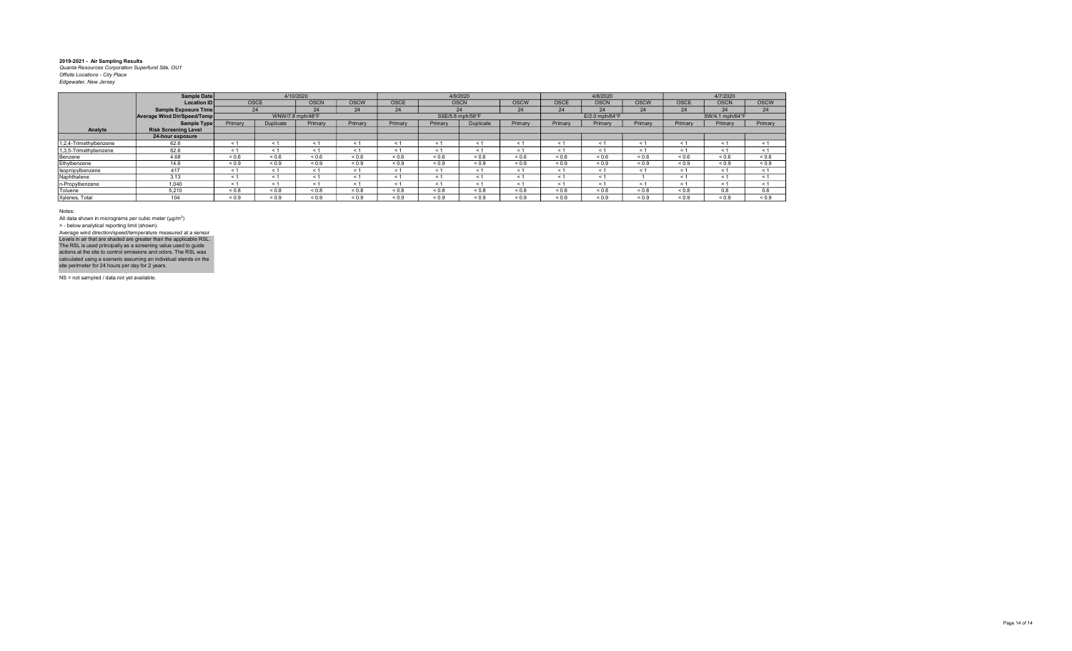|                        | Sample Date                 |            |             | 4/10/2020        |             |             |                  | 4/9/2020    |             |             | 4/8/2020                   |             |             | 4/7/2020        |             |
|------------------------|-----------------------------|------------|-------------|------------------|-------------|-------------|------------------|-------------|-------------|-------------|----------------------------|-------------|-------------|-----------------|-------------|
|                        | <b>Location ID</b>          |            | <b>OSCE</b> | <b>OSCN</b>      | <b>OSCW</b> | <b>OSCE</b> |                  | <b>OSCN</b> | <b>OSCW</b> | <b>OSCE</b> | <b>OSCN</b>                | <b>OSCW</b> | <b>OSCE</b> | <b>OSCN</b>     | <b>OSCW</b> |
|                        | Sample Exposure Time        |            | 24          | 24               | 24          | 24          |                  | 24          | 24          | 24          | 24                         | 24          | 24          | 24              | 24          |
|                        | Average Wind Dir/Speed/Temp |            |             | WNW/7.8 mph/48°F |             |             | SSE/5.8 mph/58°F |             |             |             | $E/2.0$ mph/64 $\degree$ F |             |             | SW/4.1 mph/64°F |             |
|                        | Sample Type                 | Primary    | Duplicate   | Primary          | Primary     | Primary     | Primary          | Duplicate   | Primary     | Primary     | Primary                    | Primary     | Primary     | Primary         | Primary     |
| Analyte                | <b>Risk Screening Level</b> |            |             |                  |             |             |                  |             |             |             |                            |             |             |                 |             |
|                        | 24-hour exposure            |            |             |                  |             |             |                  |             |             |             |                            |             |             |                 |             |
| 1,2,4-Trimethylbenzene | 62.6                        | < 1        | < 1         | < 1              | < 1         | < 1         | $\leq 1$         | < 1         | < 1         | < 1         | $\leq$ 1                   | $<$ 1       | < 1         | < 1             | < 1         |
| 1,3,5-Trimethybenzene  | 62.6                        | < 1        | < 1         | < 1              | < 1         | < 1         | < 1              | < 1         | < 1         | < 1         | < 1                        | ← 1         | < 1         | < 1             | < 1         |
| Benzene                | 4.68                        | ${}_{0.6}$ | 0.6         | ${}_{0.6}$       | ${}_{0.6}$  | < 0.6       | 0.6              | ${}_{0.6}$  | < 0.6       | < 0.6       | 0.6                        | ${}_{0.6}$  | ${}_{0.6}$  | ${}_{0.6}$      | ${}_{0.6}$  |
| Ethylbenzene           | 14.6                        | ${}_{0.9}$ | ${}_{0.9}$  | ${}_{0.9}$       | ${}_{0.9}$  | ${}_{0.9}$  | ${}_{0.9}$       | ${}_{0.9}$  | ${}_{0.9}$  | ${}_{0.9}$  | ${}_{0.9}$                 | ${}_{0.9}$  | ${}_{0.9}$  | ${}_{0.9}$      | ${}_{0.9}$  |
| Isopropylbenzene       | 417                         | < 1        | < 1         | < 1              | < 1         | < 1         | < 1              | < 1         | < 1         | $\leq 1$    | $\leq$ 1                   | < 1         | < 1         | < 1             | < 1         |
| Naphthalene            | 3.13                        | < 1        | < 1         | < 1              | < 1         | < 1         | < 1              | < 1         | < 1         | < 1         | $\leq$ 1                   |             | $\leq 1$    | < 1             | < 1         |
| n-Propylbenzene        | 1,040                       | < 1        | < 1         | < 1              | < 1         | < 1         | < 1              | < 1         | $\leq 1$    | $\leq 1$    | $<$ 1                      | < 1         | < 1         | < 1             | < 1         |
| Toluene                | 5.210                       | ${}_{0.8}$ | 0.8         | ${}_{0.8}$       | ${}_{0.8}$  | ${}_{0.8}$  | 0.8              | ${}_{0.8}$  | ${}_{0.8}$  | ${}_{0.8}$  | ${}_{0.8}$                 | ${}_{0.8}$  | ${}_{0.8}$  | 0.8             | 0.8         |
| Xylenes, Total         | 104                         | ${}_{0.9}$ | ${}_{0.9}$  | ${}_{0.9}$       | < 0.9       | 0.9         | 0.9              | ${}_{0.9}$  | 0.9         | ${}_{0.9}$  | 0.9                        | ${}_{0.9}$  | ${}_{0.9}$  | ${}_{0.9}$      | ${}_{0.9}$  |

Notes:

All data shown in micrograms per cubic meter (μg/m<sup>3</sup>)<br>> - below analytical reporting limit (shown). Levels in air that are shaded are greater than the applicable RSL.<br>The RSL is used principally as a screening value used to guide<br>actions at the site to control emissions and odors. The RSL was<br>calculated using a scenario Average wind direction/speed/temperature measured at a sensor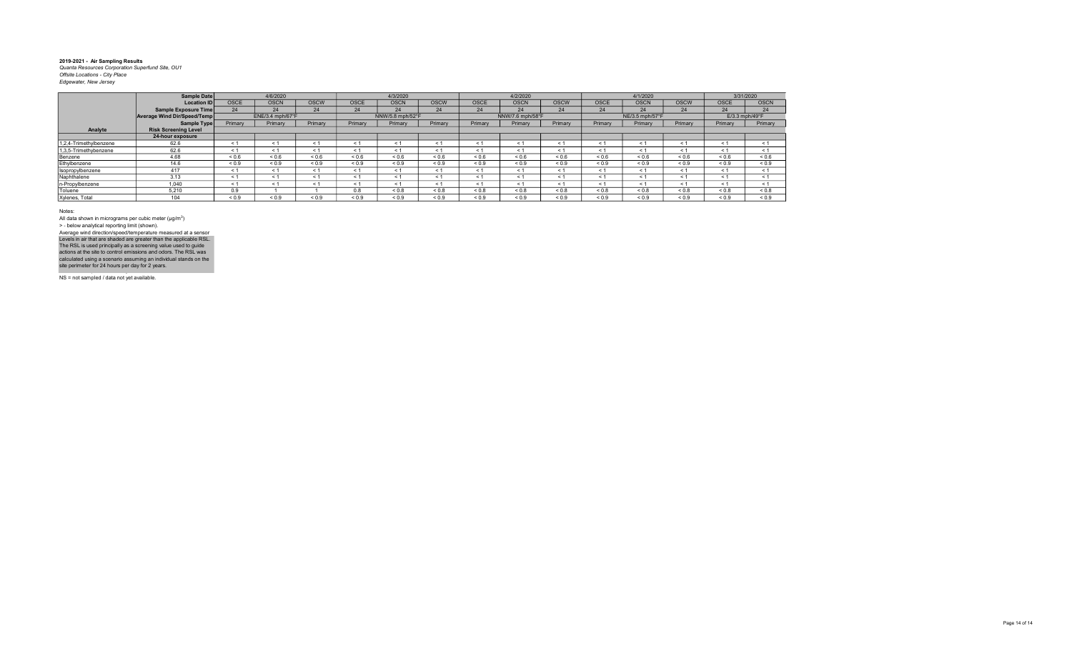|                        | Sample Date                 |             | 4/6/2020         |             |            | 4/3/2020         |             |             | 4/2/2020         |             |             | 4/1/2020        |             |                | 3/31/2020   |
|------------------------|-----------------------------|-------------|------------------|-------------|------------|------------------|-------------|-------------|------------------|-------------|-------------|-----------------|-------------|----------------|-------------|
|                        | <b>Location ID</b>          | <b>OSCE</b> | <b>OSCN</b>      | <b>OSCW</b> | OSCE       | <b>OSCN</b>      | <b>OSCW</b> | <b>OSCE</b> | <b>OSCN</b>      | <b>OSCW</b> | <b>OSCE</b> | <b>OSCN</b>     | <b>OSCW</b> | OSCE           | <b>OSCN</b> |
|                        | Sample Exposure Time        | 24          | 24               | 24          | 24         | 24               | 24          | 24          | 24               | 24          | 24          | 24              | 24          | 24             | 24          |
|                        | Average Wind Dir/Speed/Temp |             | ENE/3.4 mph/67°F |             |            | NNW/5.8 mph/52°F |             |             | NNW/7.6 mph/58°F |             |             | NE/3.5 mph/57°F |             | E/3.3 mph/49°F |             |
|                        | Sample Type                 | Primary     | Primary          | Primary     | Primary    | Primary          | Primary     | Primary     | Primary          | Primary     | Primary     | Primary         | Primary     | Primary        | Primary     |
| Analyte                | <b>Risk Screening Level</b> |             |                  |             |            |                  |             |             |                  |             |             |                 |             |                |             |
|                        | 24-hour exposure            |             |                  |             |            |                  |             |             |                  |             |             |                 |             |                |             |
| 1,2,4-Trimethylbenzene | 62.6                        | < 1         | $\leq 1$         | < 1         | < 1        | < 1              | < 1         | < 1         | < 1              | < 1         | < 1         | $\leq 1$        | < 1         | < 1            | < 1         |
| 1,3,5-Trimethybenzene  | 62.6                        | < 1         | < 1              | < 1         | < 1        | < 1              | < 1         | $\leq 1$    | < 1              | < 1         | < 1         | < 1             | < 1         | < 1            | < 1         |
| Benzene                | 4.68                        | ${}_{0.6}$  | ${}_{0.6}$       | ${}_{0.6}$  | ${}_{0.6}$ | 0.6              | ${}_{0.6}$  | ${}_{0.6}$  | ${}_{0.6}$       | ${}_{0.6}$  | 0.6         | ${}_{0.6}$      | 0.6         | ${}_{0.6}$     | ${}_{0.6}$  |
| Ethylbenzene           | 14.6                        | ${}_{0.9}$  | ${}_{0.9}$       | ${}_{0.9}$  | ${}_{0.9}$ | ${}_{0.9}$       | ${}_{0.9}$  | ${}_{0.9}$  | ${}_{0.9}$       | ${}_{0.9}$  | ${}_{0.9}$  | ${}_{0.9}$      | ${}_{0.9}$  | ${}_{0.9}$     | ${}_{0.9}$  |
| Isopropylbenzene       | 417                         | < 1         | < 1              | < 1         | < 1        | < 1              | < 1         | $\leq 1$    | < 1              | < 1         | < 1         | < 1             | < 1         | < 1            | < 1         |
| Naphthalene            | 3.13                        | < 1         | < 1              | < 1         | < 1        | < 1              | < 1         | < 1         | < 1              | < 1         | < 1         | < 1             | < 1         | < 1            | < 1         |
| n-Propylbenzene        | 1.040                       | < 1         | < 1              | < 1         | < 1        | < 1              | < 1         | < 1         | < 1              | < 1         | < 1         | < 1             | < 1         | < 1            | < 1         |
| Toluene                | 5.210                       | 0.9         |                  |             | 0.8        | $0.8 - 0.8$      | ${}_{0.8}$  | ${}_{0.8}$  | ${}_{0.8}$       | ${}_{0.8}$  | ${}_{0.8}$  | ${}_{0.8}$      | $0.8 - 0.8$ | ${}_{0.8}$     | ${}_{0.8}$  |
| Xylenes, Total         | 104                         | ${}_{0.9}$  | ${}_{0.9}$       | ${}_{0.9}$  | ${}_{0.9}$ | ${}_{0.9}$       | ${}_{0.9}$  | ${}_{0.9}$  | ${}_{0.9}$       | ${}_{0.9}$  | ${}_{0.9}$  | ${}_{0.9}$      | ${}_{0.9}$  | ${}_{0.9}$     | ${}_{0.9}$  |

Notes:

All data shown in micrograms per cubic meter (μg/m<sup>3</sup>)<br>> - below analytical reporting limit (shown). Levels in air that are shaded are greater than the applicable RSL.<br>The RSL is used principally as a screening value used to guide<br>actions at the site to control emissions and odors. The RSL was<br>calculated using a scenario Average wind direction/speed/temperature measured at a sensor

NS = not sampled / data not yet available.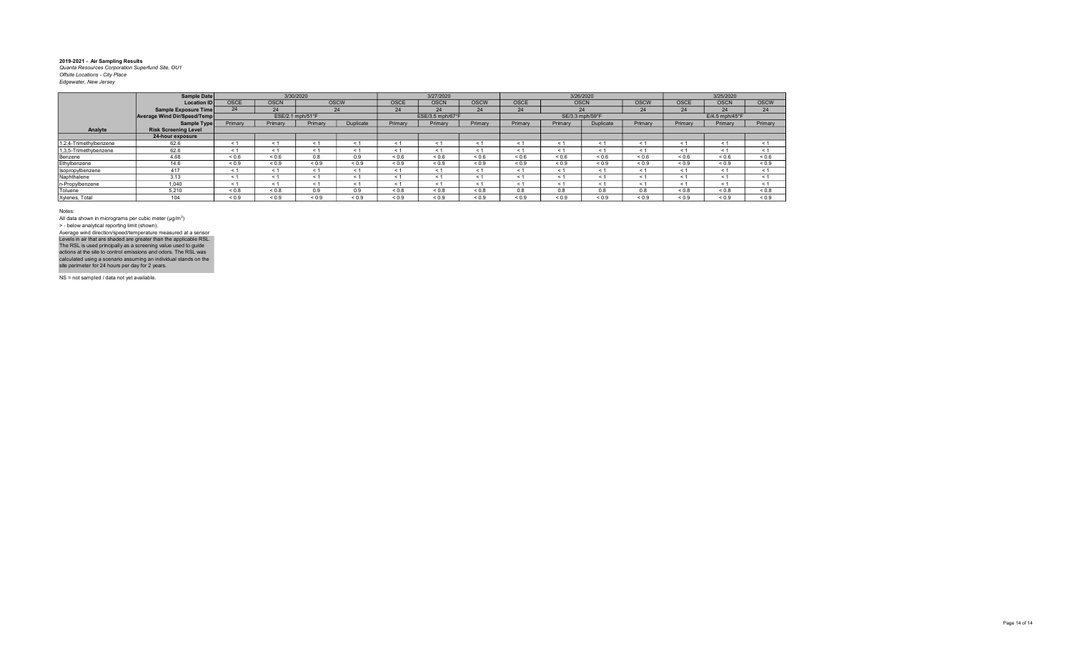|                        | Sample Date                 |            | 3/30/2020        |            |             |             | 3/27/2020        |             |             | 3/26/2020       |            |             |             | 3/25/2020        |             |
|------------------------|-----------------------------|------------|------------------|------------|-------------|-------------|------------------|-------------|-------------|-----------------|------------|-------------|-------------|------------------|-------------|
|                        | Location ID                 | OSCE       | <b>OSCN</b>      |            | <b>OSCW</b> | <b>OSCE</b> | <b>OSCN</b>      | <b>OSCW</b> | <b>OSCE</b> | <b>OSCN</b>     |            | <b>OSCW</b> | OSCE        | <b>OSCN</b>      | <b>OSCW</b> |
|                        | Sample Exposure Time        | 24         | 24               |            | 24          | 24          | 24               | 24          | 24          |                 | 24         | 24          | 24          | 24               | 24          |
|                        | Average Wind Dir/Speed/Temp |            | ESE/2.1 mph/51°F |            |             |             | ESE/3.5 mph/67°F |             |             | SE/3.3 mph/59°F |            |             |             | $E/4.5$ mph/45°F |             |
|                        | Sample Type                 | Primary    | Primary          | Primary    | Duplicate   | Primary     | Primary          | Primary     | Primary     | Primary         | Duplicate  | Primary     | Primary     | Primary          | Primary     |
| Analyte                | <b>Risk Screening Level</b> |            |                  |            |             |             |                  |             |             |                 |            |             |             |                  |             |
|                        | 24-hour exposure            |            |                  |            |             |             |                  |             |             |                 |            |             |             |                  |             |
| 1,2,4-Trimethylbenzene | 62.6                        |            | < 1              | < 1        | < 1         | < 1         |                  |             | $\leq$      | $\leq$ 1        | $<$ 1      | < 1         | < 1         | < 1              | < 1         |
| 1,3,5-Trimethybenzene  | 62.6                        |            | < 1              | $\leq 1$   | < 1         | < 1         | $\leq 1$         | < 1         | $\leq$ 1    | < 1             | $<$ 1      | < 1         | < 1         | < 1              | < 1         |
| Benzene                | 4.68                        | ${}_{0.6}$ | ${}_{0.6}$       | 0.8        | 0.9         | ${}_{0.6}$  | ${}_{0.6}$       | ${}_{0.6}$  | 0.6         | ${}_{0.6}$      | ${}_{0.6}$ | ${}_{0.6}$  | 0.6         | ${}_{0.6}$       | ${}_{0.6}$  |
| Ethylbenzene           | 14.6                        | ${}_{0.9}$ | ${}_{0.9}$       | ${}_{0.9}$ | ${}_{0.9}$  | ${}_{0.9}$  | ${}_{0.9}$       | ${}_{0.9}$  | ${}_{0.9}$  | ${}_{0.9}$      | ${}_{0.9}$ | ${}_{0.9}$  | ${}_{0.9}$  | ${}_{0.9}$       | ${}_{0.9}$  |
| Isopropylbenzene       | 417                         | < 1        | < 1              | < 1        | < 1         | < 1         | < 1              | < 1         | < 1         | < 1             | < 1        | < 1         | < 1         | < 1              | < 1         |
| Naphthalene            | 3.13                        | < 1        | < 1              | < 1        | < 1         | < 1         | < 1              | < 1         | $\leq$ 1    | $\leq 1$        | < 1        | < 1         | < 1         | < 1              | < 1         |
| n-Propylbenzene        | 1.040                       | < 1        | < 1              | < 1        | < 1         | < 1         | < 1              | < 1         | $\leq$ 1    | < 1             | < 1        | < 1         | < 1         | < 1              | < 1         |
| Toluene                | 5.210                       | ${}_{0.8}$ | ${}_{0.8}$       | 0.9        | 0.9         | ${}_{0.8}$  | < 0.8            | &0.8        | 0.8         | 0.8             | 0.8        | 0.8         | $0.8 - 0.8$ | ${}_{0.8}$       | ${}_{0.8}$  |
| Xylenes, Total         | 104                         | ${}_{0.9}$ | ${}_{0.9}$       | ${}_{0.9}$ | ${}_{0.9}$  | ${}_{0.9}$  | ${}_{0.9}$       | ${}_{0.9}$  | ${}_{0.9}$  | ${}_{0.9}$      | ${}_{0.9}$ | ${}_{0.9}$  | ${}_{0.9}$  | ${}_{0.9}$       | ${}_{0.9}$  |

Notes:

All data shown in micrograms per cubic meter (μg/m<sup>3</sup>)<br>> - below analytical reporting limit (shown). Levels in air that are shaded are greater than the applicable RSL.<br>The RSL is used principally as a screening value used to guide<br>actions at the site to control emissions and odors. The RSL was<br>calculated using a scenario Average wind direction/speed/temperature measured at a sensor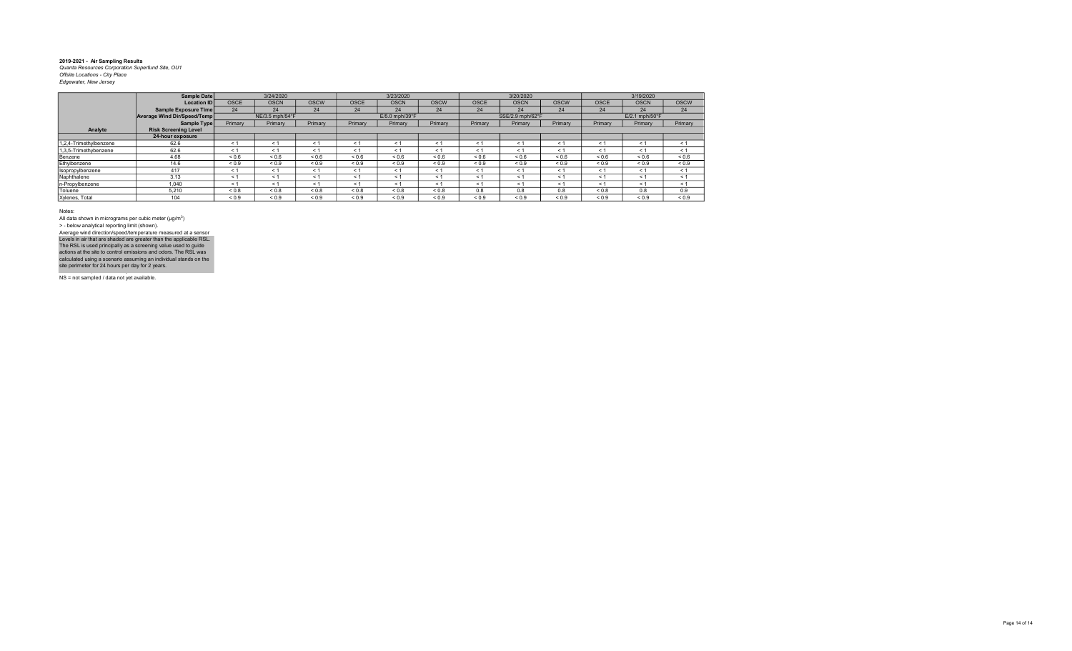|                        | Sample Date                 |             | 3/24/2020       |             |             | 3/23/2020      |             |             | 3/20/2020        |             |                | 3/19/2020                  |             |
|------------------------|-----------------------------|-------------|-----------------|-------------|-------------|----------------|-------------|-------------|------------------|-------------|----------------|----------------------------|-------------|
|                        | <b>Location ID</b>          | <b>OSCE</b> | <b>OSCN</b>     | <b>OSCW</b> | <b>OSCE</b> | <b>OSCN</b>    | <b>OSCW</b> | <b>OSCE</b> | <b>OSCN</b>      | <b>OSCW</b> | <b>OSCE</b>    | <b>OSCN</b>                | <b>OSCW</b> |
|                        | Sample Exposure Time        | 24          | 24              | 24          | 24          | 24             | 24          | 24          | 24               | 24          | 24             | 24                         | 24          |
|                        | Average Wind Dir/Speed/Temp |             | NE/3.5 mph/54°F |             |             | E/5.0 mph/39°F |             |             | SSE/2.9 mph/62°F |             |                | $E/2.1$ mph/50 $\degree$ F |             |
|                        | Sample Type                 | Primary     | Primary         | Primary     | Primary     | Primary        | Primary     | Primary     | Primary          | Primary     | <b>Primary</b> | Primary                    | Primary     |
| Analyte                | <b>Risk Screening Level</b> |             |                 |             |             |                |             |             |                  |             |                |                            |             |
|                        | 24-hour exposure            |             |                 |             |             |                |             |             |                  |             |                |                            |             |
| 1.2.4-Trimethvlbenzene | 62.6                        | < 1         | $<$ 1           | < 1         | < 1         | $\leq$ 1       | < 1         | < 1         | $\leq$ 1         | ≺ 1         | ≺ 1            | $\leq$ 1                   | < 1         |
| 1,3,5-Trimethybenzene  | 62.6                        | < 1         | < 1             | < 1         | < 1         | < 1            | < 1         | < 1         | $\leq 1$         | < 1         | < 1            | $\leq$ 1                   | < 1         |
| Benzene                | 4.68                        | 0.6         | 0.6             | ${}_{0.6}$  | ${}_{0.6}$  | 0.6            | ${}_{0.6}$  | 0.6         | ${}_{0.6}$       | 0.6         | ${}_{0.6}$     | ${}_{0.6}$                 | 0.6         |
| Ethylbenzene           | 14.6                        | ${}_{0.9}$  | ${}_{0.9}$      | ${}_{0.9}$  | ${}_{0.9}$  | ${}_{0.9}$     | ${}_{0.9}$  | ${}_{0.9}$  | ${}_{0.9}$       | ${}_{0.9}$  | ${}_{0.9}$     | ${}_{0.9}$                 | ${}_{0.9}$  |
| Isopropylbenzene       | 417                         | < 1         | $\leq$ 1        | < 1         | < 1         | < 1            | < 1         | < 1         | $\leq 1$         | < 1         | < 1            | < 1                        | < 1         |
| Naphthalene            | 3.13                        | < 1         | < 1             | < 1         | < 1         | < 1            | < 1         | < 1         | $\leq 1$         | $\leq 1$    | < 1            | $\leq 1$                   | < 1         |
| n-Propylbenzene        | 1.040                       | < 1         | $\leq 1$        | < 1         | < 1         | $\leq 1$       | < 1         | < 1         | $\leq$ 1         | $\leq 1$    | < 1            | $\leq$ 1                   | < 1         |
| Toluene                | 5.210                       | 0.8         | < 0.8           | 0.8         | ${}_{0.8}$  | ${}_{0.8}$     | ${}_{0.8}$  | 0.8         | 0.8              | 0.8         | < 0.8          | 0.8                        | 0.9         |
| Xylenes, Total         | 104                         | ${}_{0.9}$  | ${}_{0.9}$      | ${}_{0.9}$  | ${}_{0.9}$  | ${}_{0.9}$     | ${}_{0.9}$  | ${}_{0.9}$  | ${}_{0.9}$       | ${}_{0.9}$  | ${}_{0.9}$     | ${}_{0.9}$                 | ${}_{0.9}$  |

Notes:

All data shown in micrograms per cubic meter (μg/m<sup>3</sup>)<br>> - below analytical reporting limit (shown). Average wind direction/speed/temperature measured at a sensor

NS = not sampled / data not yet available. Levels in air that are shaded are greater than the applicable RSL.<br>The RSL is used principally as a screening value used to guide<br>actions at the site to control emissions and odors. The RSL was<br>calculated using a scenario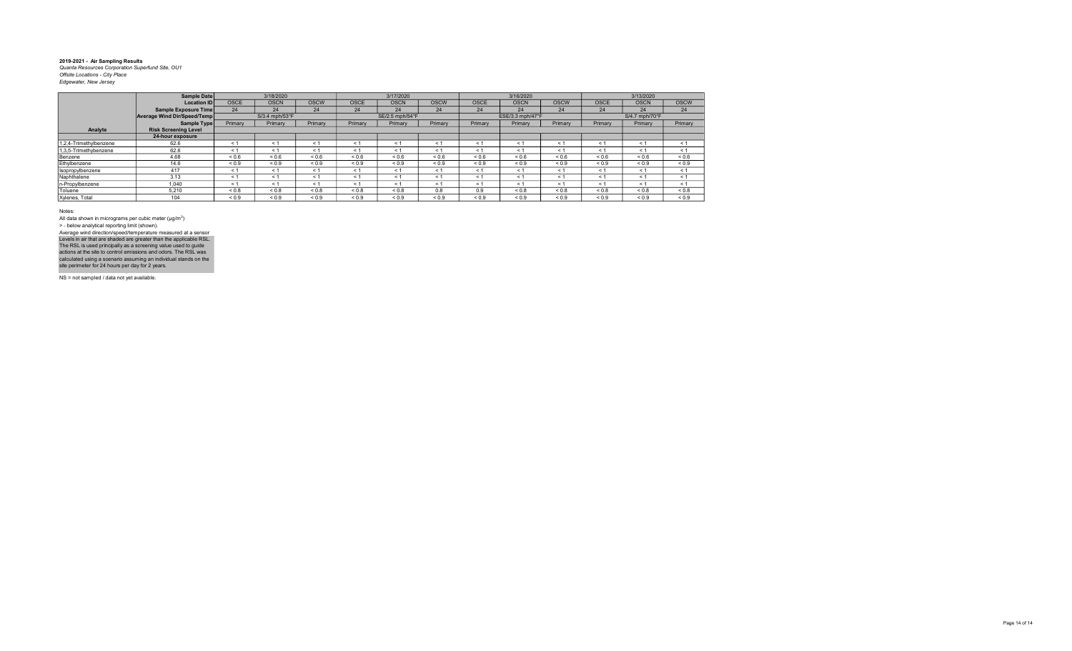|                        | Sample Date                 |             | 3/18/2020      |             |             | 3/17/2020       |             |             | 3/16/2020        |             |             | 3/13/2020                  |             |
|------------------------|-----------------------------|-------------|----------------|-------------|-------------|-----------------|-------------|-------------|------------------|-------------|-------------|----------------------------|-------------|
|                        | <b>Location ID</b>          | <b>OSCE</b> | <b>OSCN</b>    | <b>OSCW</b> | <b>OSCE</b> | <b>OSCN</b>     | <b>OSCW</b> | <b>OSCE</b> | <b>OSCN</b>      | <b>OSCW</b> | <b>OSCE</b> | <b>OSCN</b>                | <b>OSCW</b> |
|                        | Sample Exposure Time        | 24          | 24             | 24          | 24          | 24              | 24          | 24          | 24               | 24          | 24          | 24                         | 24          |
|                        | Average Wind Dir/Speed/Temp |             | S/3.4 mph/53°F |             |             | SE/2.5 mph/54°F |             |             | ESE/3.3 mph/47°F |             |             | $S/4.7$ mph/70 $\degree$ F |             |
|                        | Sample Type                 | Primary     | Primary        | Primary     | Primary     | Primary         | Primary     | Primary     | Primary          | Primary     | Primary     | Primary                    | Primary     |
| Analyte                | <b>Risk Screening Level</b> |             |                |             |             |                 |             |             |                  |             |             |                            |             |
|                        | 24-hour exposure            |             |                |             |             |                 |             |             |                  |             |             |                            |             |
| 1,2,4-Trimethylbenzene | 62.6                        | < 1         | $\leq$ 1       | < 1         | $\leq$ 1    | < 1             | < 1         | < 1         | $\leq$ 1         | ≺ 1         | $\leq 1$    | $\leq$ 1                   | < 1         |
| 1.3.5-Trimethybenzene  | 62.6                        | < 1         | $\leq$ 1       | < 1         | < 1         | < 1             | < 1         | < 1         | < 1              | < 1         | ← 1         | $\leq$ 1                   | < 1         |
| Benzene                | 4.68                        | ${}_{0.6}$  | ${}_{0.6}$     | ${}_{0.6}$  | ${}_{0.6}$  | ${}_{0.6}$      | ${}_{0.6}$  | 0.6         | ${}_{0.6}$       | 0.6         | ${}_{0.6}$  | ${}_{0.6}$                 | ${}_{0.6}$  |
| Ethylbenzene           | 14.6                        | ${}_{0.9}$  | ${}_{0.9}$     | ${}_{0.9}$  | ${}_{0.9}$  | ${}_{0.9}$      | ${}_{0.9}$  | ${}_{0.9}$  | ${}_{0.9}$       | ${}_{0.9}$  | ${}_{0.9}$  | ${}_{0.9}$                 | ${}_{0.9}$  |
| Isopropylbenzene       | 417                         | < 1         | $\leq 1$       | < 1         | < 1         | < 1             | < 1         | < 1         | < 1              | $\leq 1$    | < 1         | < 1                        | < 1         |
| Naphthalene            | 3.13                        | < 1         | < 1            | < 1         | < 1         | $\leq$ 1        | < 1         | < 1         | $\leq 1$         | $\leq 1$    | < 1         | < 1                        | < 1         |
| n-Propylbenzene        | 1.040                       | < 1         | ← 1            | < 1         | < 1         | $\leq$ 1        | < 1         | < 1         | < 1              | $\leq 1$    | < 1         | < 1                        | < 1         |
| Toluene                | 5,210                       | ${}_{0.8}$  | ${}_{0.8}$     | ${}_{0.8}$  | ${}_{0.8}$  | ${}_{0.8}$      | 0.8         | 0.9         | 0.8              | 0.8         | ${}_{0.8}$  | ${}_{0.8}$                 | ${}_{0.8}$  |
| Xylenes, Total         | 104                         | ${}_{0.9}$  | ${}_{0.9}$     | ${}_{0.9}$  | ${}_{0.9}$  | ${}_{0.9}$      | ${}_{0.9}$  | ${}_{0.9}$  | ${}_{0.9}$       | ${}_{0.9}$  | ${}_{0.9}$  | ${}_{0.9}$                 | ${}_{0.9}$  |

Notes:

All data shown in micrograms per cubic meter (μg/m<sup>3</sup>)<br>> - below analytical reporting limit (shown). Average wind direction/speed/temperature measured at a sensor

NS = not sampled / data not yet available. Levels in air that are shaded are greater than the applicable RSL.<br>The RSL is used principally as a screening value used to guide<br>actions at the site to control emissions and odors. The RSL was<br>calculated using a scenario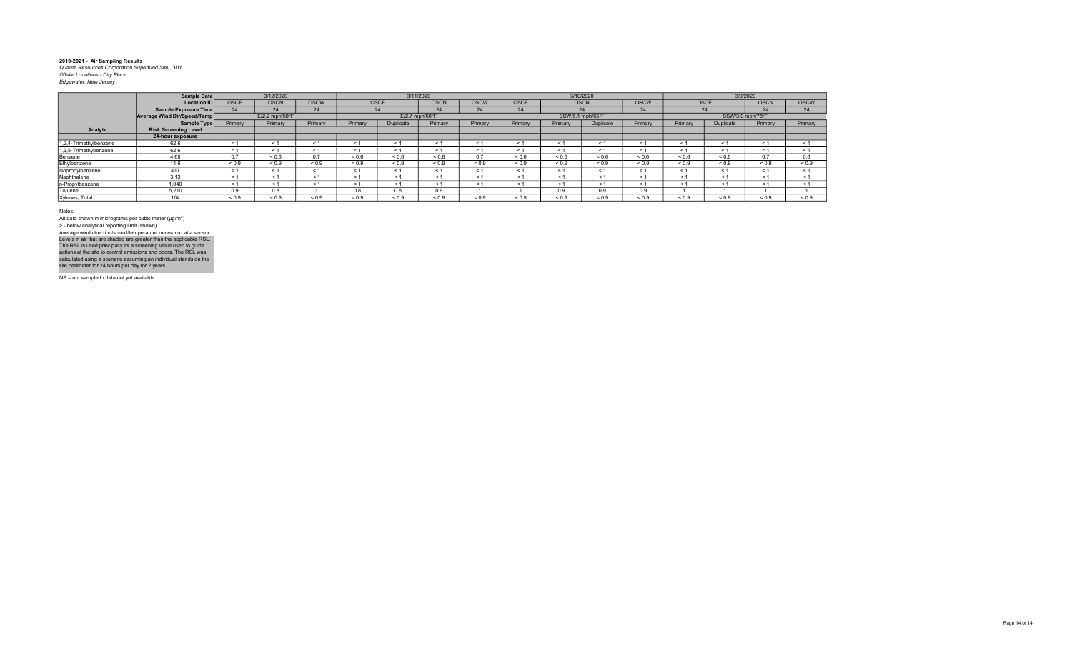|                        | Sample Date                 |             | 3/12/2020                  |             |            |             | 3/11/2020                  |             |             |                  | 3/10/2020        |             |            | 3/9/2020         |             |             |
|------------------------|-----------------------------|-------------|----------------------------|-------------|------------|-------------|----------------------------|-------------|-------------|------------------|------------------|-------------|------------|------------------|-------------|-------------|
|                        | <b>Location ID</b>          | <b>OSCE</b> | <b>OSCN</b>                | <b>OSCW</b> |            | <b>OSCE</b> | <b>OSCN</b>                | <b>OSCW</b> | <b>OSCE</b> | <b>OSCN</b>      |                  | <b>OSCW</b> | OSCE       |                  | <b>OSCN</b> | <b>OSCW</b> |
|                        | Sample Exposure Time        |             | 24                         | 24          |            | 24          | 24                         | 24          | 24          |                  | 24               | 24          | 24         |                  | 24          | 24          |
|                        | Average Wind Dir/Speed/Temp |             | $E/2.2$ mph/50 $\degree$ F |             |            |             | $E/2.7$ mph/60 $\degree$ F |             |             | SSW/5.1 mph/65°F |                  |             |            | SSW/3.9 mph/78°F |             |             |
|                        | Sample Type                 | Primary     | Primary                    | Primary     | Primary    | Duplicate   | Primary                    | Primary     | Primary     | Primary          | <b>Duplicate</b> | Primary     | Primary    | Duplicate        | Primary     | Primary     |
| Analyte                | <b>Risk Screening Level</b> |             |                            |             |            |             |                            |             |             |                  |                  |             |            |                  |             |             |
|                        | 24-hour exposure            |             |                            |             |            |             |                            |             |             |                  |                  |             |            |                  |             |             |
| 1,2,4-Trimethylbenzene | 62.6                        | < 1         | < 1                        |             |            |             | < 1                        | < 1         |             | < 1              | $\leq$           | < 1         | < 1        | $\leq$           | < 1         | < 1         |
| 1,3,5-Trimethybenzene  | 62.6                        | $\leq 1$    | ← 1                        |             | < 1        |             | $\leq 1$                   | $\leq 1$    |             | < 1              | $\leq$           | < 1         | < 1        | $\leq$ 1         | < 1         | < 1         |
| Benzene                | 4.68                        | 0.7         | 0.6                        | 0.7         | < 0.6      | < 0.6       | ${}_{0.6}$                 | 07          | < 0.6       | 0.6              | < 0.6            | < 0.6       | 0.6        | < 0.6            | 0.7         | 0.6         |
| Ethylbenzene           | 14.6                        | ${}_{0.9}$  | ${}_{0.9}$                 | ${}_{0.9}$  | ${}_{0.9}$ | ${}_{0.9}$  | ${}_{0.9}$                 | ${}_{0.9}$  | ${}_{0.9}$  | ${}_{0.9}$       | ${}_{0.9}$       | ${}_{0.9}$  | ${}_{0.9}$ | ${}_{0.9}$       | ${}_{0.9}$  | ${}_{0.9}$  |
| Isopropylbenzene       | 417                         | < 1         | < 1                        |             | < 1        |             | < 1                        | < 1         |             | < 1              | $<$ 1            | < 1         | < 1        | < 1              | < 1         | < 1         |
| Naphthalene            | 3.13                        | < 1         | < 1                        |             |            |             | < 1                        |             |             | < 1              |                  | < 1         | < 1        | $\leq$           | < 1         | < 1         |
| n-Propylbenzene        | 1,040                       | < 1         | $\leq 1$                   |             | ← 1        |             | $\leq 1$                   | $\leq 1$    |             | < 1              | < 1              | < 1         | < 1        | $\leq$ 1         | < 1         | < 1         |
| Toluene                | 5.210                       | 0.9         | 0.8                        |             | 0.8        | 0.8         | 0.9                        |             |             | 0.9              | 0.9              | 0.9         |            |                  |             |             |
| Xylenes, Total         | 104                         | ${}_{0.9}$  | ${}_{0.9}$                 | ${}_{0.9}$  | ${}_{0.9}$ | ${}_{0.9}$  | ${}_{0.9}$                 | ${}_{0.9}$  | ${}_{0.9}$  | ${}_{0.9}$       | ${}_{0.9}$       | ${}_{0.9}$  | ${}_{0.9}$ | ${}_{0.9}$       | ${}_{0.9}$  | ${}_{0.9}$  |

Notes:

All data shown in micrograms per cubic meter (μg/m<sup>3</sup>)<br>> - below analytical reporting limit (shown). Levels in air that are shaded are greater than the applicable RSL.<br>The RSL is used principally as a screening value used to guide<br>actions at the site to control emissions and odors. The RSL was<br>calculated using a scenario Average wind direction/speed/temperature measured at a sensor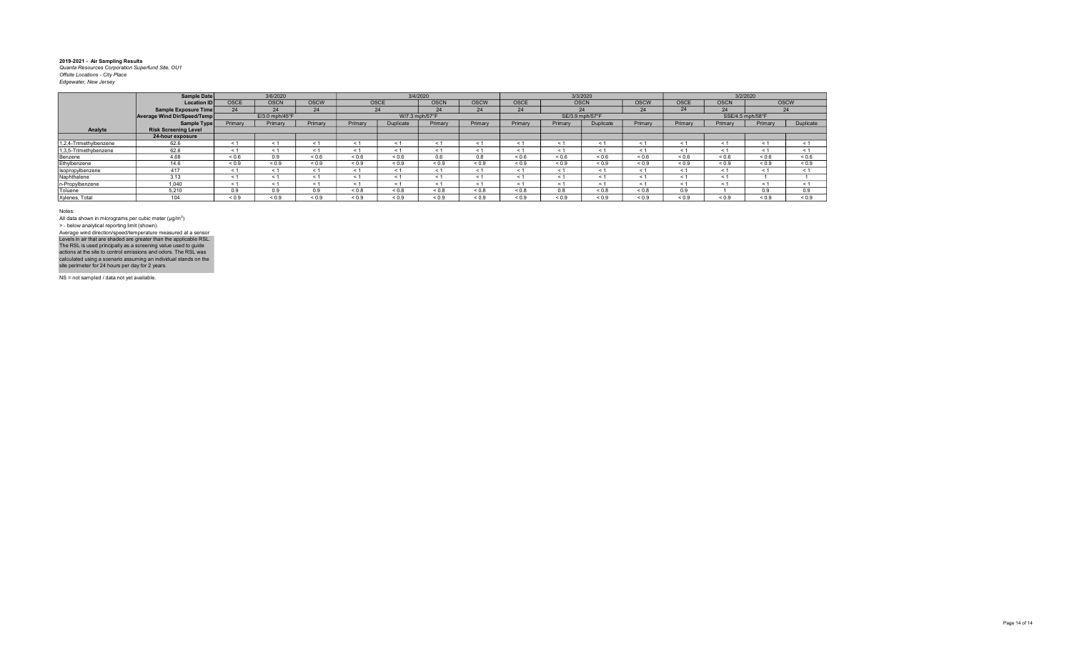|                        | Sample Date                 |            | 3/6/2020       |             |            |                | 3/4/2020    |             |             |             | 3/3/2020         |             |            |                  | 3/2/2020   |             |
|------------------------|-----------------------------|------------|----------------|-------------|------------|----------------|-------------|-------------|-------------|-------------|------------------|-------------|------------|------------------|------------|-------------|
|                        | <b>Location ID</b>          | OSCE       | <b>OSCN</b>    | <b>OSCW</b> |            | OSCE           | <b>OSCN</b> | <b>OSCW</b> | <b>OSCE</b> | <b>OSCN</b> |                  | <b>OSCW</b> | OSCE       | <b>OSCN</b>      |            | <b>OSCW</b> |
|                        | Sample Exposure Time        | 24         | 24             | 24          |            | 24             | 24          | 24          | 24          |             | 24               | 24          | 24         | 24               |            | 24          |
|                        | Average Wind Dir/Speed/Temp |            | E/3.0 mph/45°F |             |            | W/7.3 mph/57°F |             |             |             |             | SE/3.9 mph/57°F  |             |            | SSE/4.5 mph/58°F |            |             |
|                        | Sample Type                 | Primary    | Primary        | Primary     | Primary    | Duplicate      | Primary     | Primary     | Primary     | Primary     | <b>Duplicate</b> | Primary     | Primary    | Primary          | Primary    | Duplicate   |
| Analyte                | <b>Risk Screening Level</b> |            |                |             |            |                |             |             |             |             |                  |             |            |                  |            |             |
|                        | 24-hour exposure            |            |                |             |            |                |             |             |             |             |                  |             |            |                  |            |             |
| 1,2,4-Trimethylbenzene | 62.6                        | < 1        |                |             |            |                |             |             |             |             |                  | < 1         | < 1        | $\epsilon$       | < 1        | < 1         |
| 1,3,5-Trimethybenzene  | 62.6                        | < 1        | < 1            |             | < 1        |                | < 1         | $\leq 1$    |             | < 1         | $<$ 1            | < 1         | < 1        | $\leq$ 1         | < 1        | < 1         |
| Benzene                | 4.68                        | ${}_{0.6}$ | 0.9            | ${}_{0.6}$  | ${}_{0.6}$ | ${}_{0.6}$     | 0.6         | 0.8         | < 0.6       | < 0.6       | < 0.6            | 0.6         | 0.6        | < 0.6            | < 0.6      | ${}_{0.6}$  |
| Ethylbenzene           | 14.6                        | ${}_{0.9}$ | ${}_{0.9}$     | ${}_{0.9}$  | ${}_{0.9}$ | ${}_{0.9}$     | ${}_{0.9}$  | ${}_{0.9}$  | ${}_{0.9}$  | ${}_{0.9}$  | ${}_{0.9}$       | ${}_{0.9}$  | ${}_{0.9}$ | ${}_{0.9}$       | ${}_{0.9}$ | ${}_{0.9}$  |
| Isopropylbenzene       | 417                         | < 1        | < 1            |             | < 1        |                | < 1         | < 1         | < 1         | < 1         | < 1              | < 1         | < 1        | < 1              | < 1        | < 1         |
| Naphthalene            | 3.13                        | < 1        | $\leq 1$       | ~           | ← 1        |                | < 1         | < 1         |             | < 1         | < 1              | < 1         | < 1        | < 1              |            |             |
| n-Propylbenzene        | 1.040                       | < 1        | < 1            |             | < 1        |                | < 1         | < 1         |             | < 1         | $\leq$ 1         | < 1         | < 1        | < 1              | < 1        | < 1         |
| Toluene                | 5.210                       | 0.9        | 0.9            | 0.9         | ${}_{0.8}$ | ${}_{0.8}$     | ${}_{0.8}$  | ${}_{0.8}$  | 0.8         | 0.8         | ${}_{0.8}$       | ${}_{0.8}$  | 0.9        |                  | 0.9        | 0.9         |
| Xylenes, Total         | 104                         | ${}_{0.9}$ | 0.9            | ${}_{0.9}$  | ${}_{0.9}$ | ${}_{0.9}$     | ${}_{0.9}$  | ${}_{0.9}$  | ${}_{0.9}$  | ${}_{0.9}$  | ${}_{0.9}$       | ${}_{0.9}$  | ${}_{0.9}$ | ${}_{0.9}$       | ${}_{0.9}$ | ${}_{0.9}$  |

Notes:

All data shown in micrograms per cubic meter (μg/m<sup>3</sup>)<br>> - below analytical reporting limit (shown). Levels in air that are shaded are greater than the applicable RSL.<br>The RSL is used principally as a screening value used to guide<br>actions at the site to control emissions and odors. The RSL was<br>calculated using a scenario Average wind direction/speed/temperature measured at a sensor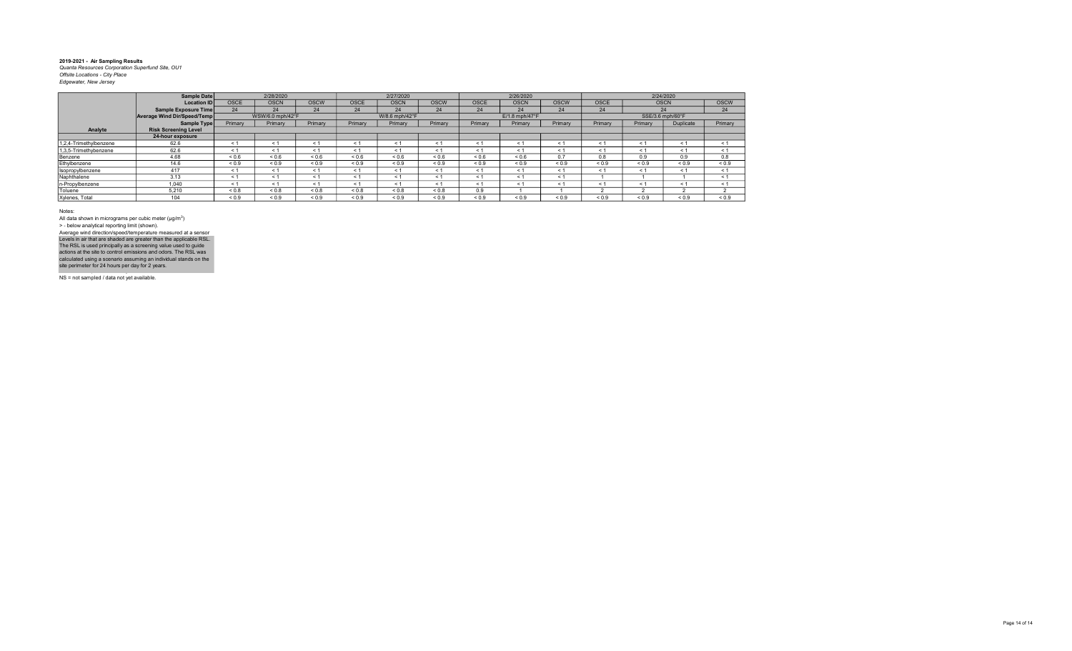|                        | Sample Date                 |             | 2/28/2020        |             |             | 2/27/2020      |             |             | 2/26/2020                  |             |             |            | 2/24/2020        |             |
|------------------------|-----------------------------|-------------|------------------|-------------|-------------|----------------|-------------|-------------|----------------------------|-------------|-------------|------------|------------------|-------------|
|                        | <b>Location ID</b>          | <b>OSCE</b> | <b>OSCN</b>      | <b>OSCW</b> | <b>OSCE</b> | <b>OSCN</b>    | <b>OSCW</b> | <b>OSCE</b> | <b>OSCN</b>                | <b>OSCW</b> | <b>OSCE</b> |            | <b>OSCN</b>      | <b>OSCW</b> |
|                        | Sample Exposure Time        | 24          | 24               | 24          | 24          | 24             | 24          | 24          | 24                         | 24          | 24          |            | 24               | 24          |
|                        | Average Wind Dir/Speed/Temp |             | WSW/6.0 mph/42°F |             |             | W/8.6 mph/42°F |             |             | $E/1.8$ mph/47 $\degree$ F |             |             |            | SSE/3.6 mph/60°F |             |
|                        | Sample Type                 | Primary     | Primary          | Primary     | Primary     | Primary        | Primary     | Primary     | Primary                    | Primary     | Primary     | Primary    | Duplicate        | Primary     |
| Analyte                | <b>Risk Screening Level</b> |             |                  |             |             |                |             |             |                            |             |             |            |                  |             |
|                        | 24-hour exposure            |             |                  |             |             |                |             |             |                            |             |             |            |                  |             |
| 1,2,4-Trimethylbenzene | 62.6                        | < 1         | < 1              | ≺ 1         | < 1         | < 1            | $\leq$      | < 1         | $\leq$ 1                   | $\leq$ 1    | $\leq 1$    | $\leq 1$   | < 1              | < 1         |
| 1,3,5-Trimethybenzene  | 62.6                        | < 1         | < 1              | < 1         | < 1         | < 1            | < 1         | < 1         | < 1                        | < 1         | < 1         | < 1        | < 1              | < 1         |
| Benzene                | 4.68                        | ${}_{0.6}$  | ${}_{0.6}$       | < 0.6       | ${}_{0.6}$  | 0.6            | 0.6         | 0.6         | ${}_{0.6}$                 | 0.7         | 8.0         | 0.9        | 0.9              | 0.8         |
| Ethylbenzene           | 14.6                        | ${}_{0.9}$  | ${}_{0.9}$       | ${}_{0.9}$  | ${}_{0.9}$  | ${}_{0.9}$     | ${}_{0.9}$  | ${}_{0.9}$  | ${}_{0.9}$                 | ${}_{0.9}$  | ${}_{0.9}$  | ${}_{0.9}$ | ${}_{0.9}$       | ${}_{0.9}$  |
| Isopropylbenzene       | 417                         | < 1         | < 1              | < 1         | < 1         | < 1            | $\leq$ 1    | < 1         | < 1                        | < 1         | < 1         | < 1        | $\leq 1$         | < 1         |
| Naphthalene            | 3.13                        | < 1         | < 1              | < 1         | < 1         | < 1            | < 1         | < 1         | < 1                        | < 1         |             |            |                  | < 1         |
| n-Propylbenzene        | 1.040                       | < 1         | < 1              | $\leq 1$    | < 1         | < 1            | < 1         | < 1         | < 1                        | < 1         | < 1         | < 1        | < 1              | < 1         |
| Toluene                | 5.210                       | ${}_{0.8}$  | ${}_{0.8}$       | 0.8         | 0.8         | 0.8            | &0.8        | 0.9         |                            |             |             |            |                  |             |
| Xylenes, Total         | 104                         | ${}_{0.9}$  | ${}_{0.9}$       | ${}_{0.9}$  | ${}_{0.9}$  | ${}_{0.9}$     | ${}_{0.9}$  | ${}_{0.9}$  | ${}_{0.9}$                 | ${}_{0.9}$  | ${}_{0.9}$  | ${}_{0.9}$ | ${}_{0.9}$       | ${}_{0.9}$  |

Notes:

All data shown in micrograms per cubic meter (μg/m<sup>3</sup>)<br>> - below analytical reporting limit (shown). Average wind direction/speed/temperature measured at a sensor

NS = not sampled / data not yet available. Levels in air that are shaded are greater than the applicable RSL.<br>The RSL is used principally as a screening value used to guide<br>actions at the site to control emissions and odors. The RSL was<br>calculated using a scenario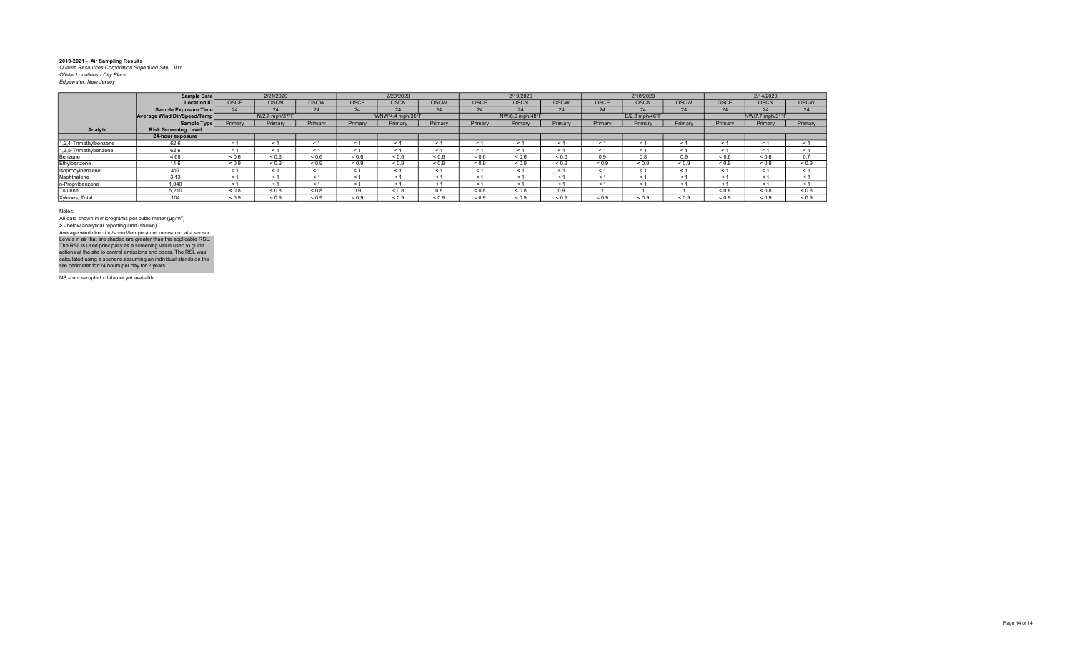|                        | <b>Sample Date</b>          |                          | 2/21/2020      |              |             | 2/20/2020        |             |            | 2/19/2020       |             |             | 2/18/2020                   |             |             | 2/14/2020       |             |
|------------------------|-----------------------------|--------------------------|----------------|--------------|-------------|------------------|-------------|------------|-----------------|-------------|-------------|-----------------------------|-------------|-------------|-----------------|-------------|
|                        | <b>Location ID</b>          | <b>OSCE</b>              | <b>OSCN</b>    | <b>OSCW</b>  | <b>OSCE</b> | <b>OSCN</b>      | <b>OSCW</b> | OSCE       | <b>OSCN</b>     | <b>OSCW</b> | <b>OSCE</b> | <b>OSCN</b>                 | <b>OSCW</b> | <b>OSCE</b> | <b>OSCN</b>     | <b>OSCW</b> |
|                        | <b>Sample Exposure Time</b> |                          |                | 24           | 24          | 24               | 24          | 24         | 24              | 24          | 24          | 24                          | 24          | 24          | 24              | 24          |
|                        | Average Wind Dir/Speed/Temp |                          | N/2.7 mph/37°F |              |             | WNW/4.4 mph/35°F |             |            | NW/6.9 mph/48°F |             |             | $E/2.8$ mph/46 $^{\circ}$ F |             |             | NW/7.7 mph/31°F |             |
|                        | <b>Sample Type</b>          | Primary                  | Primary        | Primary      | Primary     | Primary          | Primary     | Primary    | Primary         | Primary     | Primary     | Primary                     | Primary     | Primary     | Primary         | Primary     |
| Analyte                | <b>Risk Screening Level</b> |                          |                |              |             |                  |             |            |                 |             |             |                             |             |             |                 |             |
|                        | 24-hour exposure            |                          |                |              |             |                  |             |            |                 |             |             |                             |             |             |                 |             |
| 1,2,4-Trimethylbenzene | 62.6                        | < 1                      |                |              | < 1         |                  |             | < 1        | $\leq$ $\leq$   | < 1         | $\leq$ 1    | < 1                         | $\leq$ 1    | < 1         | $\leq$          | < 1         |
| 1,3,5-Trimethybenzene  | 62.6                        | < 1                      |                |              | < 1         | < 1              |             | < 1        | $\leq$          | < 1         | < 1         | < 1                         | < 1         | < 1         | $\leq$          | < 1         |
| Benzene                | 4.68                        | ${}_{0.6}$               | ${}_{0.6}$     | ${}_{0.6}$   | < 0.6       | ${}_{0.6}$       | ${}_{0.6}$  | 0.6        | ${}_{0.6}$      | ${}_{0.6}$  | 0.9         | 0.8                         | 0.9         | ${}_{0.6}$  | ${}_{0.6}$      | 0.7         |
| Ethylbenzene           | 14.6                        | ${}_{0.9}$               | ${}_{0.9}$     | ${}_{0.9}$   | < 0.9       | < 0.9            | ${}_{0.9}$  | < 0.9      | < 0.9           | ${}_{0.9}$  | ${}_{0.9}$  | < 0.9                       | < 0.9       | < 0.9       | ${}_{0.9}$      | ${}_{0.9}$  |
| Isopropylbenzene       | 417                         | < 1                      |                |              | < 1         | $\leq 1$         | < 1         | < 1        | < 1             | < 1         | < 1         | < 1                         | < 1         | < 1         | < 1             | < 1         |
| Naphthalene            | 3.13                        | $\overline{\phantom{a}}$ |                |              | < 1         |                  |             | < 1        | $\leq$          | < 1         | < 1         | < 1                         | < 1         | < 1         | $\leq$ 1        | < 1         |
| n-Propylbenzene        | 1.040                       | $\leq 1$                 |                |              | < 1         |                  |             | < 1        | < 1             | < 1         | $\leq$ 1    | < 1                         | < 1         | < 1         | $\leq 1$        | < 1         |
| Toluene                | 5.210                       | ${}_{0.8}$               | ${}_{0.8}$     | ${}_{0.8}$   | 0.9         | < 0.8            | 0.8         | ${}_{0.8}$ | < 0.8           | 0.9         |             |                             |             | < 0.8       | < 0.8           | ${}_{0.8}$  |
| Xylenes, Total         | 104                         | ${}_{0.9}$               | 0.9            | ${}^{5}$ 0.9 | 0.9         | < 0.9            | < 0.9       | ${}_{0.9}$ | < 0.9           | < 0.9       | 0.9         | ${}_{0.9}$                  | 0.9         | < 0.9       | 0.9             | ${}_{0.9}$  |

Notes:

All data shown in micrograms per cubic meter (μg/m<sup>3</sup>)<br>> - below analytical reporting limit (shown). Average wind direction/speed/temperature measured at a sensor

NS = not sampled / data not yet available. Levels in air that are shaded are greater than the applicable RSL.<br>The RSL is used principally as a screening value used to guide<br>actions at the site to control emissions and odors. The RSL was<br>calculated using a scenario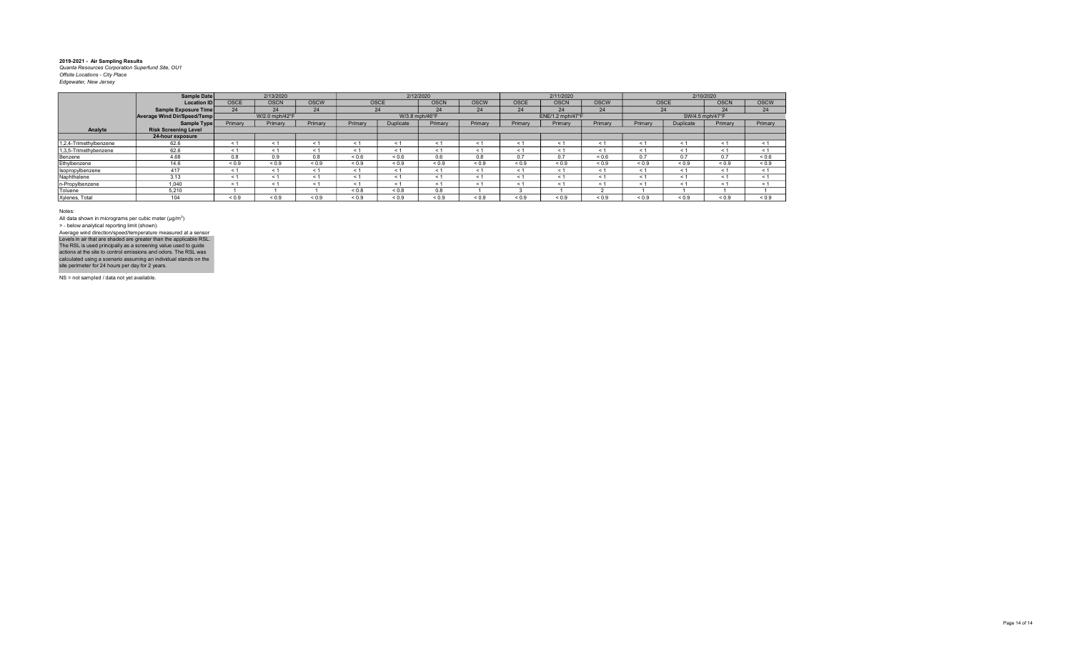|                        | Sample Date                 |             | 2/13/2020      |             |            |                  | 2/12/2020   |             |             | 2/11/2020        |             |            |                 | 2/10/2020   |             |
|------------------------|-----------------------------|-------------|----------------|-------------|------------|------------------|-------------|-------------|-------------|------------------|-------------|------------|-----------------|-------------|-------------|
|                        | <b>Location ID</b>          | <b>OSCE</b> | <b>OSCN</b>    | <b>OSCW</b> | OSCE       |                  | <b>OSCN</b> | <b>OSCW</b> | <b>OSCE</b> | <b>OSCN</b>      | <b>OSCW</b> |            | <b>OSCE</b>     | <b>OSCN</b> | <b>OSCW</b> |
|                        | Sample Exposure Time        | 24          | 24             | 24          |            | 24               | 24          | 24          | 24          | 24               | 24          |            | 24              | 24          | 24          |
|                        | Average Wind Dir/Speed/Temp |             | W/2.0 mph/42°F |             |            | W/3.8 mph/46°F   |             |             |             | ENE/1.2 mph/47°F |             |            | SW/4.5 mph/47°F |             |             |
|                        | Sample Type                 | Primary     | Primary        | Primary     | Primary    | <b>Duplicate</b> | Primary     | Primary     | Primary     | Primary          | Primary     | Primary    | Duplicate       | Primary     | Primary     |
| Analyte                | <b>Risk Screening Level</b> |             |                |             |            |                  |             |             |             |                  |             |            |                 |             |             |
|                        | 24-hour exposure            |             |                |             |            |                  |             |             |             |                  |             |            |                 |             |             |
| 1,2,4-Trimethylbenzene | 62.6                        | < 1         | < 1            | < 1         | < 1        | < 1              | ← 1         | < 1         | < 1         | < 1              | < 1         | $\leq 1$   | < 1             | $\leq 1$    | < 1         |
| 1,3,5-Trimethybenzene  | 62.6                        | < 1         | < 1            | < 1         | $\leq 1$   | < 1              | < 1         | < 1         | < 1         | < 1              | < 1         | $\leq 1$   | < 1             | < 1         | < 1         |
| Benzene                | 4.68                        | 0.8         | 0.9            | 0.8         | ${}_{0.6}$ | 0.6              | 0.6         | 0.8         | 0.7         | 0.7              | ${}_{0.6}$  | 0.7        | 0.7             | 0.7         | ${}_{0.6}$  |
| Ethylbenzene           | 14.6                        | ${}_{0.9}$  | ${}_{0.9}$     | ${}_{0.9}$  | ${}_{0.9}$ | ${}_{0.9}$       | ${}_{0.9}$  | ${}_{0.9}$  | ${}_{0.9}$  | ${}_{0.9}$       | ${}_{0.9}$  | ${}_{0.9}$ | ${}_{0.9}$      | ${}_{0.9}$  | ${}_{0.9}$  |
| Isopropylbenzene       | 417                         | < 1         | < 1            | < 1         | < 1        | < 1              | < 1         | < 1         | < 1         | < 1              | < 1         | < 1        | < 1             | < 1         | < 1         |
| Naphthalene            | 3.13                        | < 1         | < 1            | < 1         | < 1        | < 1              |             | < 1         | < 1         | < 1              | < 1         | < 1        | < 1             | < 1         | < 1         |
| n-Propylbenzene        | 1,040                       | < 1         | < 1            | < 1         | < 1        | < 1              | < 1         | < 1         | < 1         | < 1              | < 1         | $\leq 1$   | < 1             | < 1         | < 1         |
| Toluene                | 5.210                       |             |                |             | ${}_{0.8}$ | 0.8              | 0.8         |             |             |                  |             |            |                 |             |             |
| Xylenes, Total         | 104                         | ${}_{0.9}$  | ${}_{0.9}$     | ${}_{0.9}$  | ${}_{0.9}$ | ${}_{0.9}$       | ${}_{0.9}$  | ${}_{0.9}$  | ${}_{0.9}$  | ${}_{0.9}$       | ${}_{0.9}$  | ${}_{0.9}$ | ${}_{0.9}$      | 0.9         | ${}_{0.9}$  |

Notes:

All data shown in micrograms per cubic meter (μg/m<sup>3</sup>)<br>> - below analytical reporting limit (shown). Levels in air that are shaded are greater than the applicable RSL.<br>The RSL is used principally as a screening value used to guide<br>actions at the site to control emissions and odors. The RSL was<br>calculated using a scenario Average wind direction/speed/temperature measured at a sensor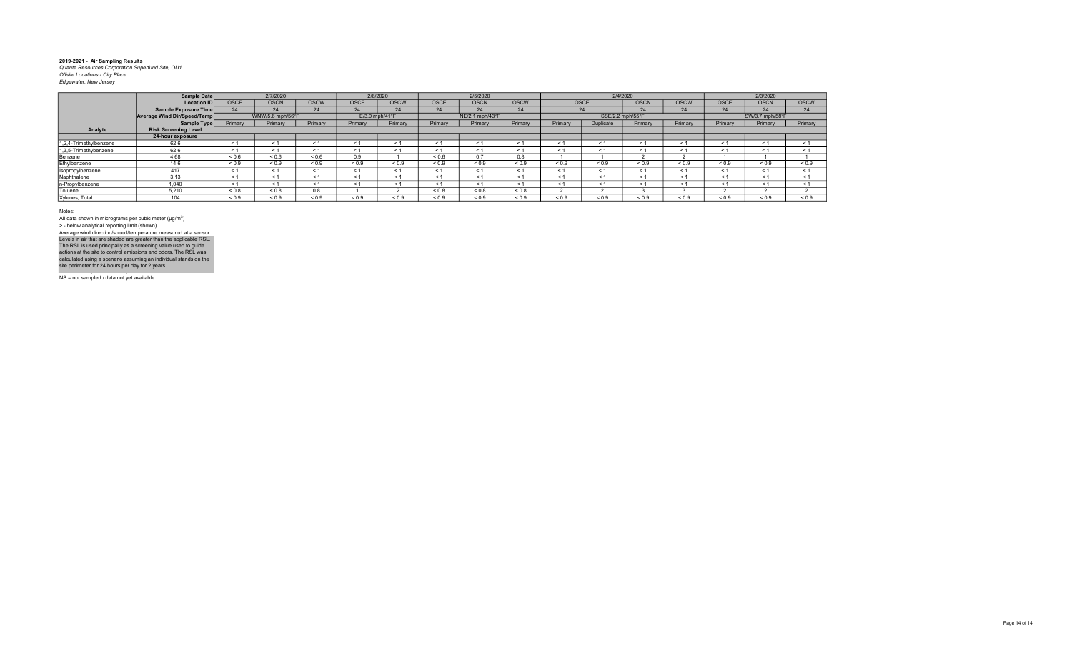|                        | Sample Date                 |             | 2/7/2020         |             |             | 2/6/2020         |             | 2/5/2020        |             |            | 2/4/2020         |             |             |             | 2/3/2020        |             |
|------------------------|-----------------------------|-------------|------------------|-------------|-------------|------------------|-------------|-----------------|-------------|------------|------------------|-------------|-------------|-------------|-----------------|-------------|
|                        | <b>Location ID</b>          | <b>OSCE</b> | <b>OSCN</b>      | <b>OSCW</b> | <b>OSCE</b> | <b>OSCW</b>      | <b>OSCE</b> | <b>OSCN</b>     | <b>OSCW</b> | OSCE       |                  | <b>OSCN</b> | <b>OSCW</b> | <b>OSCE</b> | <b>OSCN</b>     | <b>OSCW</b> |
|                        | Sample Exposure Time        | 24          | 24               | 24          | 24          | 24               | 24          | 24              | 24          |            | 24               | 24          | 24          | 24          | 24              | 24          |
|                        | Average Wind Dir/Speed/Temp |             | WNW/5.6 mph/56°F |             |             | $E/3.0$ mph/41°F |             | NE/2.1 mph/43°F |             |            | SSE/2.2 mph/55°F |             |             |             | SW/3.7 mph/58°F |             |
|                        | Sample Type                 | Primary     | Primary          | Primary     | Primary     | Primary          | Primary     | Primary         | Primary     | Primary    | <b>Duplicate</b> | Primary     | Primary     | Primary     | Primary         | Primary     |
| Analyte                | <b>Risk Screening Level</b> |             |                  |             |             |                  |             |                 |             |            |                  |             |             |             |                 |             |
|                        | 24-hour exposure            |             |                  |             |             |                  |             |                 |             |            |                  |             |             |             |                 |             |
| 1,2,4-Trimethylbenzene | 62.6                        | < 1         |                  |             |             | < 1              | < 1         |                 |             | < 1        | $\leq$           | $\leq$      | < 1         | < 1         | $\leq$          | < 1         |
| 1,3,5-Trimethybenzene  | 62.6                        | < 1         | ← 1              | $\leq 1$    | < 1         | < 1              | $\leq 1$    | < 1             | ← 1         | < 1        | < 1              | < 1         | < 1         | < 1         | < 1             | < 1         |
| Benzene                | 4.68                        | ${}_{0.6}$  | ${}_{0.6}$       | ${}_{0.6}$  | 0.9         |                  | ${}_{0.6}$  | 07              | 0.8         |            |                  |             |             |             |                 |             |
| Ethylbenzene           | 14.6                        | ${}_{0.9}$  | ${}_{0.9}$       | ${}_{0.9}$  | ${}_{0.9}$  | ${}_{0.9}$       | ${}_{0.9}$  | ${}_{0.9}$      | ${}_{0.9}$  | ${}_{0.9}$ | ${}_{0.9}$       | < 0.9       | < 0.9       | ${}_{0.9}$  | ${}_{0.9}$      | ${}_{0.9}$  |
| Isopropylbenzene       | 417                         | < 1         | < 1              |             | < 1         | < 1              | < 1         |                 |             | < 1        | < 1              | < 1         | < 1         | < 1         | < 1             | < 1         |
| Naphthalene            | 3.13                        | $\leq 1$    | < 1              |             |             | < 1              | < 1         | < 1             | < 1         | < 1        | $\leq$           | < 1         | < 1         | < 1         | < 1             | < 1         |
| n-Propylbenzene        | 1.040                       | < 1         | < 1              |             | < 1         | < 1              | $\leq 1$    | $\leq 1$        | < 1         | < 1        | < 1              | $\leq 1$    | < 1         | < 1         | < 1             | < 1         |
| Toluene                | 5,210                       | ${}_{0.8}$  | ${}_{0.8}$       | 0.8         |             |                  | < 0.8       | < 0.8           | < 0.8       |            |                  |             |             |             |                 |             |
| Xylenes, Total         | 104                         | ${}_{0.9}$  | ${}^{6}$         | ${}_{0.9}$  | < 0.9       | 0.9              | < 0.9       | 0.9             | 0.9         | ${}_{0.9}$ | ${}_{0.9}$       | < 0.9       | < 0.9       | < 0.9       | < 0.9           | 0.9         |

Notes:

All data shown in micrograms per cubic meter (μg/m<sup>3</sup>)<br>> - below analytical reporting limit (shown). Levels in air that are shaded are greater than the applicable RSL.<br>The RSL is used principally as a screening value used to guide<br>actions at the site to control emissions and odors. The RSL was<br>calculated using a scenario Average wind direction/speed/temperature measured at a sensor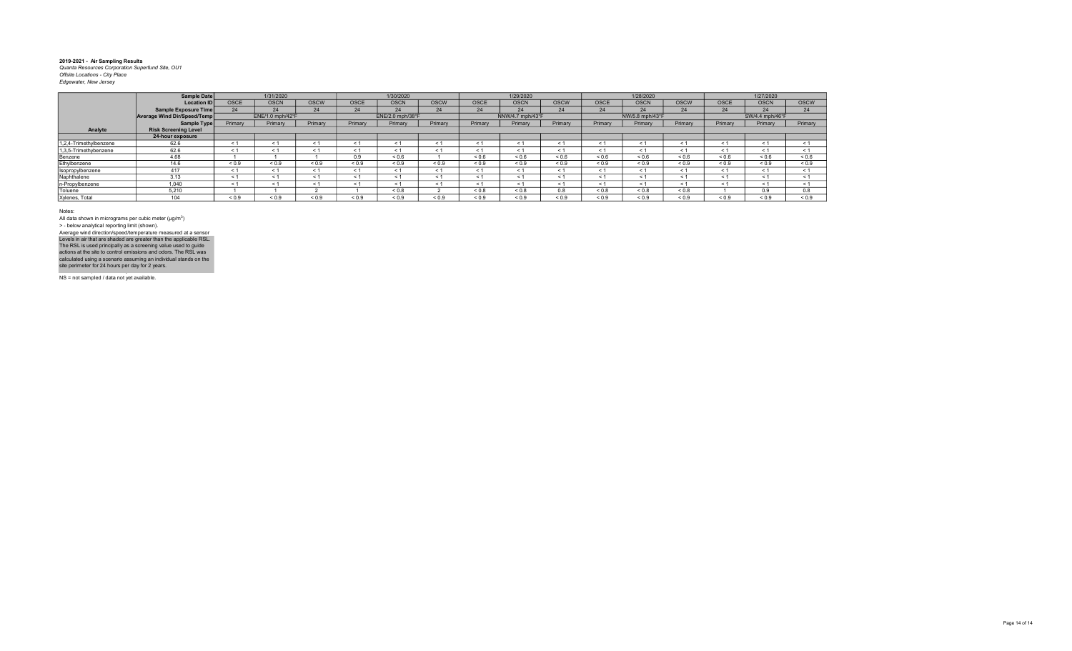|                        | Sample Date                 |             | 1/31/2020        |             |             | 1/30/2020        |             |             | 1/29/2020        |             |             | 1/28/2020       |             |             | 1/27/2020       |             |
|------------------------|-----------------------------|-------------|------------------|-------------|-------------|------------------|-------------|-------------|------------------|-------------|-------------|-----------------|-------------|-------------|-----------------|-------------|
|                        | <b>Location ID</b>          | <b>OSCE</b> | <b>OSCN</b>      | <b>OSCW</b> | <b>OSCE</b> | <b>OSCN</b>      | <b>OSCW</b> | <b>OSCE</b> | <b>OSCN</b>      | <b>OSCW</b> | <b>OSCE</b> | <b>OSCN</b>     | <b>OSCW</b> | <b>OSCE</b> | <b>OSCN</b>     | <b>OSCW</b> |
|                        | Sample Exposure Time        | 24          | 24               | 24          | 24          | 24               | 24          | 24          | 24               | 24          | 24          | 24              | 24          | 24          | 24              | 24          |
|                        | Average Wind Dir/Speed/Temp |             | ENE/1.0 mph/42°F |             |             | ENE/2.0 mph/38°F |             |             | NNW/4.7 mph/43°F |             |             | NW/5.8 mph/43°F |             |             | SW/4.4 mph/46°F |             |
|                        | Sample Type                 | Primary     | Primary          | Primary     | Primary     | Primary          | Primary     | Primary     | Primary          | Primary     | Primary     | Primary         | Primary     | Primary     | Primary         | Primary     |
| Analyte                | <b>Risk Screening Level</b> |             |                  |             |             |                  |             |             |                  |             |             |                 |             |             |                 |             |
|                        | 24-hour exposure            |             |                  |             |             |                  |             |             |                  |             |             |                 |             |             |                 |             |
| 1.2.4-Trimethylbenzene | 62.6                        | ← 1         |                  | < 1         | < 1         | < 1              | $\leq$      | < 1         | < 1              | < 1         | < 1         | < 1             | < 1         | < 1         | $\leq 1$        | < 1         |
| 1,3,5-Trimethybenzene  | 62.6                        |             | ← 1              | < 1         |             | $\leq 1$         | $\leq$ 1    | < 1         | < 1              | - 1         | < 1         | < 1             | < 1         | < 1         | < 1             | < 1         |
| Benzene                | 4.68                        |             |                  |             | 0.9         | < 0.6            |             | < 0.6       | 0.6              | 0.6         | < 0.6       | 0.6             | < 0.6       | < 0.6       | < 0.6           | ${}_{0.6}$  |
| Ethylbenzene           | 14.6                        | ${}_{0.9}$  | ${}_{0.9}$       | ${}_{0.9}$  | ${}_{0.9}$  | ${}_{0.9}$       | ${}_{0.9}$  | ${}_{0.9}$  | ${}_{0.9}$       | ${}_{0.9}$  | ${}_{0.9}$  | ${}_{0.9}$      | ${}_{0.9}$  | ${}_{0.9}$  | ${}_{0.9}$      | ${}_{0.9}$  |
| Isopropylbenzene       | 417                         |             |                  | < 1         | < 1         | < 1              | < 1         | < 1         | < 1              | < 1         | < 1         | < 1             | < 1         | < 1         | $\leq 1$        | < 1         |
| Naphthalene            | 3.13                        |             | < 1              | $\leq 1$    | ≺ 1         | < 1              | < 1         | < 1         | < 1              | < 1         | < 1         | < 1             | < 1         | < 1         | < 1             | < 1         |
| n-Propylbenzene        | 1,040                       |             |                  | < 1         |             | < 1              | $\leq$ 1    | $\leq$ 1    | < 1              | < 1         | < 1         | < 1             | < 1         | < 1         | $\leq 1$        | < 1         |
| Toluene                | 5.210                       |             |                  |             |             | ${}_{0.8}$       |             | ${}_{0.8}$  | ${}_{0.8}$       | 0.8         | ${}_{0.8}$  | ${}_{0.8}$      | ${}_{0.8}$  |             | 0.9             | 0.8         |
| Xylenes, Total         | 104                         | ${}_{0.9}$  | ${}_{0.9}$       | ${}_{0.9}$  | ${}_{0.9}$  | ${}_{0.9}$       | ${}_{0.9}$  | ${}_{0.9}$  | ${}_{0.9}$       | ${}_{0.9}$  | ${}_{0.9}$  | ${}_{0.9}$      | ${}_{0.9}$  | ${}_{0.9}$  | ${}_{0.9}$      | ${}_{0.9}$  |

Notes:

All data shown in micrograms per cubic meter (μg/m<sup>3</sup>)<br>> - below analytical reporting limit (shown). Levels in air that are shaded are greater than the applicable RSL.<br>The RSL is used principally as a screening value used to guide<br>actions at the site to control emissions and odors. The RSL was<br>calculated using a scenario Average wind direction/speed/temperature measured at a sensor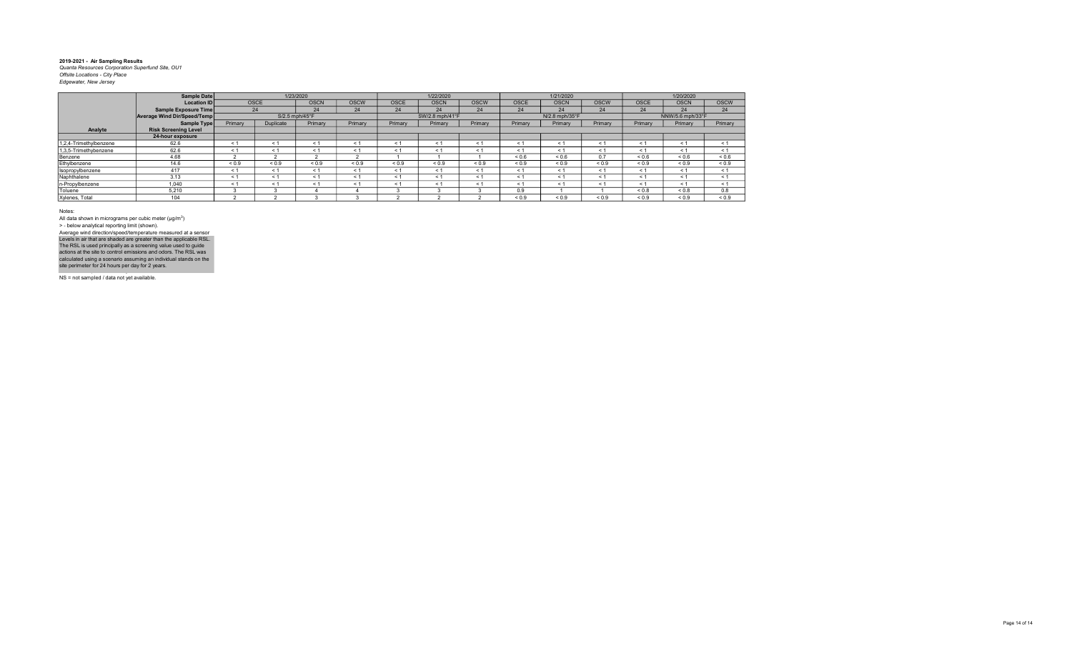|                        | Sample Date                 |            |             | 1/23/2020      |             |             | 1/22/2020       |             |             | 1/21/2020      |             |             | 1/20/2020        |             |
|------------------------|-----------------------------|------------|-------------|----------------|-------------|-------------|-----------------|-------------|-------------|----------------|-------------|-------------|------------------|-------------|
|                        | <b>Location ID</b>          |            | <b>OSCE</b> | <b>OSCN</b>    | <b>OSCW</b> | <b>OSCE</b> | <b>OSCN</b>     | <b>OSCW</b> | <b>OSCE</b> | <b>OSCN</b>    | <b>OSCW</b> | <b>OSCE</b> | <b>OSCN</b>      | <b>OSCW</b> |
|                        | Sample Exposure Time        |            | 24          | 24             | 24          | 24          | 24              | 24          | 24          | 24             | 24          | 24          | 24               | 24          |
|                        | Average Wind Dir/Speed/Temp |            |             | S/2.5 mph/45°F |             |             | SW/2.8 mph/41°F |             |             | N/2.8 mph/35°F |             |             | NNW/5.6 mph/33°F |             |
|                        | Sample Type                 | Primary    | Duplicate   | Primary        | Primary     | Primary     | Primary         | Primary     | Primary     | Primary        | Primary     | Primary     | Primary          | Primary     |
| Analyte                | <b>Risk Screening Level</b> |            |             |                |             |             |                 |             |             |                |             |             |                  |             |
|                        | 24-hour exposure            |            |             |                |             |             |                 |             |             |                |             |             |                  |             |
| 1,2,4-Trimethylbenzene | 62.6                        | < 1        | < 1         | < 1            | < 1         | $\leq$      | $\leq$          | < 1         | < 1         | $\leq$         |             | $\leq$ 1    | < 1              | < 1         |
| 1,3,5-Trimethybenzene  | 62.6                        | < 1        | < 1         | < 1            | < 1         | < 1         | $\leq$          | < 1         | $\leq$ 1    | < 1            | ← 1         | < 1         | $\leq 1$         | < 1         |
| Benzene                | 4.68                        |            |             |                |             |             |                 |             | ${}_{0.6}$  | ${}_{0.6}$     | 0.7         | ${}_{0.6}$  | ${}_{0.6}$       | ${}_{0.6}$  |
| Ethylbenzene           | 14.6                        | ${}_{0.9}$ | ${}_{0.9}$  | ${}_{0.9}$     | ${}_{0.9}$  | ${}_{0.9}$  | ${}_{0.9}$      | ${}_{0.9}$  | ${}_{0.9}$  | ${}_{0.9}$     | ${}_{0.9}$  | ${}_{0.9}$  | ${}_{0.9}$       | ${}_{0.9}$  |
| Isopropylbenzene       | 417                         | < 1        | < 1         | < 1            | < 1         | < 1         | < 1             | < 1         | < 1         | < 1            | < 1         | < 1         | < 1              | < 1         |
| Naphthalene            | 3.13                        | < 1        | < 1         | < 1            | < 1         | < 1         | $\leq$ 1        | < 1         | < 1         | < 1            | $\leq 1$    | < 1         | < 1              | < 1         |
| n-Propylbenzene        | 1,040                       | < 1        | < 1         | < 1            | < 1         | < 1         | $\leq$          | < 1         | $\leq 1$    | < 1            | ← 1         | < 1         | < 1              | < 1         |
| Toluene                | 5,210                       |            |             |                |             |             |                 |             | 0.9         |                |             | ${}_{0.8}$  | ${}_{0.8}$       | 0.8         |
| Xylenes, Total         | 104                         |            |             |                |             |             |                 |             | ${}_{0.9}$  | ${}_{0.9}$     | ${}_{0.9}$  | ${}_{0.9}$  | ${}_{0.9}$       | ${}_{0.9}$  |

Notes:

All data shown in micrograms per cubic meter (μg/m<sup>3</sup>)<br>> - below analytical reporting limit (shown). Levels in air that are shaded are greater than the applicable RSL.<br>The RSL is used principally as a screening value used to guide<br>actions at the site to control emissions and odors. The RSL was<br>calculated using a scenario Average wind direction/speed/temperature measured at a sensor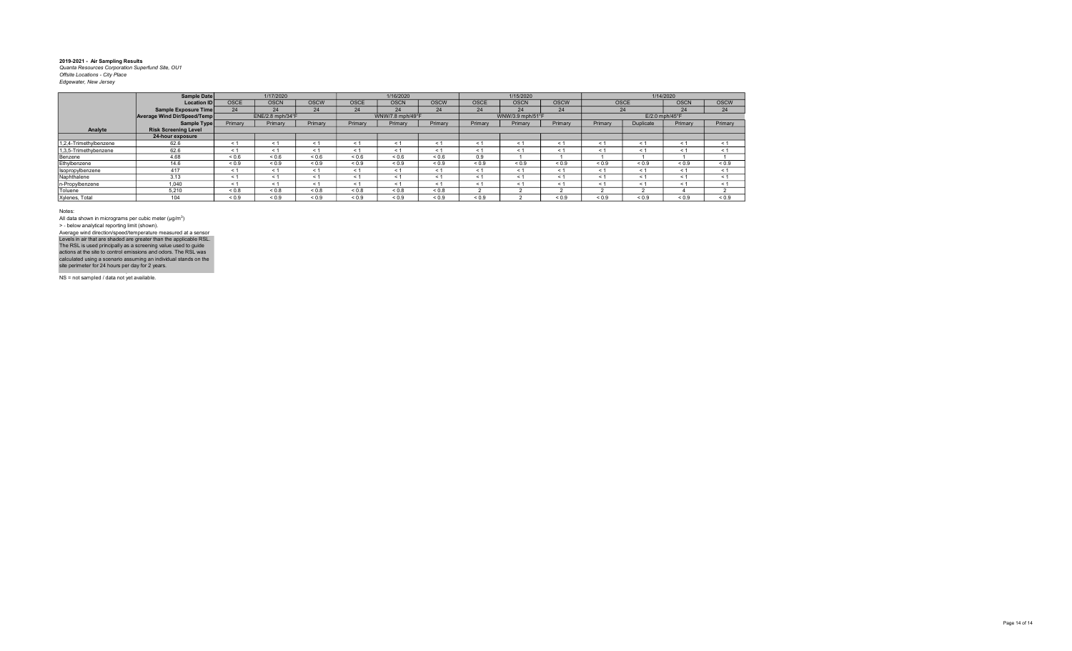|                        | Sample Date                        |             | 1/17/2020        |             |             | 1/16/2020        |             |             | 1/15/2020        |             |            |             | 1/14/2020        |             |
|------------------------|------------------------------------|-------------|------------------|-------------|-------------|------------------|-------------|-------------|------------------|-------------|------------|-------------|------------------|-------------|
|                        | <b>Location ID</b>                 | <b>OSCE</b> | <b>OSCN</b>      | <b>OSCW</b> | <b>OSCE</b> | <b>OSCN</b>      | <b>OSCW</b> | <b>OSCE</b> | <b>OSCN</b>      | <b>OSCW</b> |            | <b>OSCE</b> | <b>OSCN</b>      | <b>OSCW</b> |
|                        | Sample Exposure Time               | 24          | 24               | 24          | 24          | 24               | 24          | 24          | 24               | 24          |            | 24          | 24               | 24          |
|                        | <b>Average Wind Dir/Speed/Temp</b> |             | ENE/2.8 mph/34°F |             |             | WNW/7.8 mph/49°F |             |             | WNW/3.9 mph/51°F |             |            |             | $E/2.0$ mph/45°F |             |
|                        | Sample Type                        | Primary     | Primary          | Primary     | Primary     | Primary          | Primary     | Primary     | Primary          | Primary     | Primary    | Duplicate   | Primary          | Primary     |
| Analyte                | <b>Risk Screening Level</b>        |             |                  |             |             |                  |             |             |                  |             |            |             |                  |             |
|                        | 24-hour exposure                   |             |                  |             |             |                  |             |             |                  |             |            |             |                  |             |
| 1,2,4-Trimethylbenzene | 62.6                               | $\leq 1$    | < 1              | < 1         | < 1         | $\leq$ 1         | < 1         | < 1         | < 1              | < 1         | $\leq 1$   | < 1         | $\leq 1$         | < 1         |
| 1,3,5-Trimethybenzene  | 62.6                               | < 1         | < 1              | < 1         | < 1         | < 1              | < 1         | < 1         | < 1              | < 1         | $<$ 1      | < 1         | < 1              | < 1         |
| Benzene                | 4.68                               | < 0.6       | ${}_{0.6}$       | ${}_{0.6}$  | ${}_{0.6}$  | < 0.6            | ${}_{0.6}$  | 0.9         |                  |             |            |             |                  |             |
| Ethylbenzene           | 14.6                               | ${}_{0.9}$  | ${}_{0.9}$       | ${}_{0.9}$  | ${}_{0.9}$  | ${}_{0.9}$       | ${}_{0.9}$  | ${}_{0.9}$  | ${}_{0.9}$       | ${}_{0.9}$  | ${}_{0.9}$ | ${}_{0.9}$  | ${}_{0.9}$       | ${}_{0.9}$  |
| Isopropylbenzene       | 417                                | < 1         | < 1              | < 1         | < 1         | < 1              | < 1         | < 1         | < 1              | < 1         | < 1        | < 1         | $\leq 1$         | < 1         |
| Naphthalene            | 3.13                               | < 1         | < 1              | < 1         | $\leq 1$    | < 1              | < 1         | < 1         | < 1              | < 1         | < 1        | < 1         | $\leq 1$         | < 1         |
| n-Propylbenzene        | 1.040                              | < 1         | < 1              | < 1         | < 1         | < 1              | < 1         | < 1         | < 1              | < 1         | < 1        | < 1         | < 1              | < 1         |
| Toluene                | 5.210                              | < 0.8       | < 0.8            | ${}_{0.8}$  | 0.8         | < 0.8            | ${}_{0.8}$  |             |                  |             |            |             |                  |             |
| Xylenes, Total         | 104                                | ${}_{0.9}$  | ${}_{0.9}$       | ${}_{0.9}$  | ${}_{0.9}$  | ${}_{0.9}$       | ${}_{0.9}$  | ${}_{0.9}$  |                  | ${}_{0.9}$  | ${}_{0.9}$ | ${}_{0.9}$  | ${}_{0.9}$       | ${}_{0.9}$  |

Notes:

All data shown in micrograms per cubic meter (μg/m<sup>3</sup>)<br>> - below analytical reporting limit (shown). Average wind direction/speed/temperature measured at a sensor

NS = not sampled / data not yet available. Levels in air that are shaded are greater than the applicable RSL.<br>The RSL is used principally as a screening value used to guide<br>actions at the site to control emissions and odors. The RSL was<br>calculated using a scenario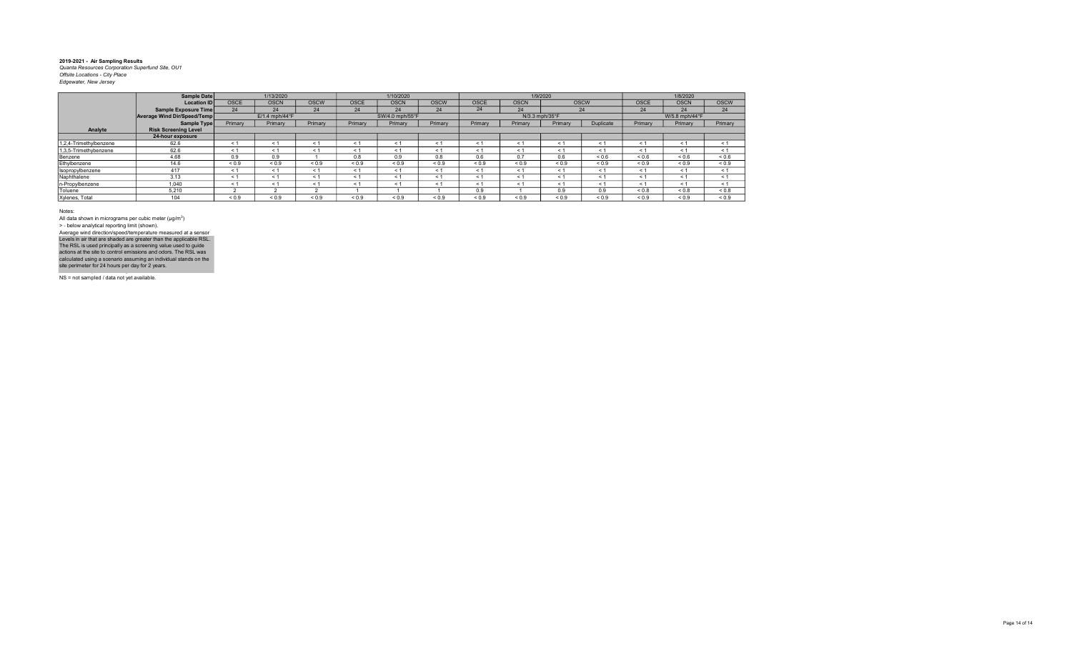|                        | Sample Date                 |             | 1/13/2020                  |             |             | 1/10/2020       |             |             |                | 1/9/2020   |             |             | 1/8/2020          |             |
|------------------------|-----------------------------|-------------|----------------------------|-------------|-------------|-----------------|-------------|-------------|----------------|------------|-------------|-------------|-------------------|-------------|
|                        | <b>Location ID</b>          | <b>OSCE</b> | <b>OSCN</b>                | <b>OSCW</b> | <b>OSCE</b> | <b>OSCN</b>     | <b>OSCW</b> | <b>OSCE</b> | <b>OSCN</b>    |            | <b>OSCW</b> | <b>OSCE</b> | <b>OSCN</b>       | <b>OSCW</b> |
|                        | Sample Exposure Time        | 24          | 24                         | 24          | 24          | 24              | 24          | 24          | 24             |            | 24          | 24          | 24                | 24          |
|                        | Average Wind Dir/Speed/Temp |             | $E/1.4$ mph/44 $\degree$ F |             |             | SW/4.0 mph/55°F |             |             | N/3.3 mph/35°F |            |             |             | W/5.8 mph/44°F    |             |
|                        | Sample Type                 | Primary     | Primary                    | Primary     | Primary     | Primary         | Primary     | Primary     | Primary        | Primary    | Duplicate   | Primary     | Primary           | Primary     |
| Analyte                | <b>Risk Screening Level</b> |             |                            |             |             |                 |             |             |                |            |             |             |                   |             |
|                        | 24-hour exposure            |             |                            |             |             |                 |             |             |                |            |             |             |                   |             |
| 1,2,4-Trimethylbenzene | 62.6                        | $\leq 1$    | < 1                        | $\leq 1$    | < 1         | < 1             | $\leq$      | < 1         | < 1            | < 1        | < 1         | < 1         | $\leq 1$          | < 1         |
| 1,3,5-Trimethybenzene  | 62.6                        | $\leq$ 1    | < 1                        | ← 1         | < 1         | < 1             | $<$ 1       | $\leq$ 1    | < 1            | < 1        | < 1         | $\leq 1$    | < 1               | $\leq$ 1    |
| Benzene                | 4.68                        | 0.9         | 0.9                        |             | 0.8         | 0.9             | 0.8         | 0.6         | 0.7            | 0.6        | < 0.6       | ${}_{0.6}$  | ${}^{5}$ ${}^{6}$ | ${}_{0.6}$  |
| Ethylbenzene           | 14.6                        | ${}_{0.9}$  | ${}_{0.9}$                 | ${}_{0.9}$  | ${}_{0.9}$  | ${}_{0.9}$      | ${}_{0.9}$  | ${}_{0.9}$  | ${}_{0.9}$     | ${}_{0.9}$ | ${}_{0.9}$  | ${}_{0.9}$  | ${}_{0.9}$        | ${}_{0.9}$  |
| Isopropylbenzene       | 417                         | $\leq$ 1    | < 1                        | ← 1         | < 1         | < 1             | $\leq$      | < 1         | < 1            | < 1        | < 1         | < 1         | $\leq 1$          | < 1         |
| Naphthalene            | 3.13                        | $\leq$ 1    | < 1                        | $\leq 1$    | < 1         | < 1             | $\leq$      | < 1         | < 1            | < 1        | < 1         | < 1         | < 1               | < 1         |
| n-Propylbenzene        | 1.040                       | < 1         | < 1                        | $\leq 1$    | < 1         | < 1             | < 1         | < 1         | < 1            | < 1        | < 1         | < 1         | $\leq 1$          | < 1         |
| Toluene                | 5.210                       |             |                            |             |             |                 |             | 0.9         |                | 0.9        | 0.9         | ${}_{0.8}$  | ${}_{0.8}$        | ${}_{0.8}$  |
| Xylenes, Total         | 104                         | ${}_{0.9}$  | ${}_{0.9}$                 | ${}_{0.9}$  | ${}_{0.9}$  | ${}_{0.9}$      | ${}_{0.9}$  | ${}_{0.9}$  | ${}_{0.9}$     | ${}_{0.9}$ | ${}_{0.9}$  | ${}_{0.9}$  | ${}_{0.9}$        | ${}_{0.9}$  |

Notes:

All data shown in micrograms per cubic meter (μg/m<sup>3</sup>)<br>> - below analytical reporting limit (shown). Levels in air that are shaded are greater than the applicable RSL.<br>The RSL is used principally as a screening value used to guide<br>actions at the site to control emissions and odors. The RSL was<br>calculated using a scenario Average wind direction/speed/temperature measured at a sensor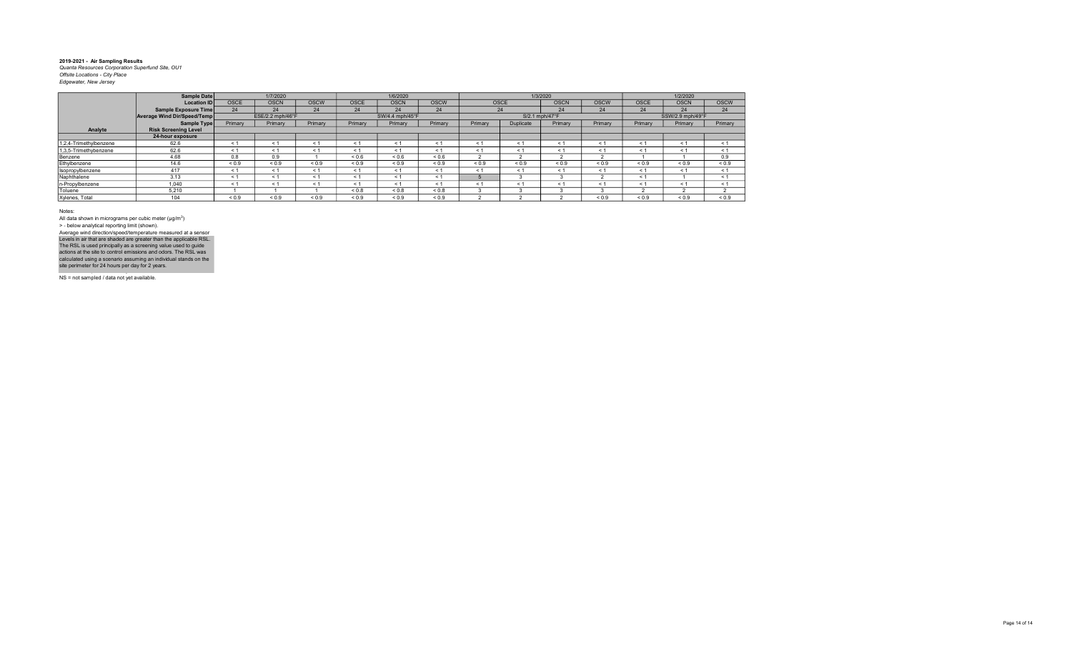|                        | Sample Date                 |             | 1/7/2020         |             |             | 1/6/2020        |              |            |                | 1/3/2020    |             |             | 1/2/2020         |             |
|------------------------|-----------------------------|-------------|------------------|-------------|-------------|-----------------|--------------|------------|----------------|-------------|-------------|-------------|------------------|-------------|
|                        | <b>Location ID</b>          | <b>OSCE</b> | <b>OSCN</b>      | <b>OSCW</b> | <b>OSCE</b> | <b>OSCN</b>     | <b>OSCW</b>  |            | <b>OSCE</b>    | <b>OSCN</b> | <b>OSCW</b> | <b>OSCE</b> | <b>OSCN</b>      | <b>OSCW</b> |
|                        | Sample Exposure Time        | 24          | 24               | 24          | 24          | 24              | 24           |            | 24             | 24          | 24          | 24          | 24               | 24          |
|                        | Average Wind Dir/Speed/Temp |             | ESE/2.2 mph/46°F |             |             | SW/4.4 mph/45°F |              |            | S/2.1 mph/47°F |             |             |             | SSW/2.9 mph/49°F |             |
|                        | Sample Type                 | Primary     | Primary          | Primary     | Primary     | Primary         | Primary      | Primary    | Duplicate      | Primary     | Primary     | Primary     | Primary          | Primary     |
| Analyte                | <b>Risk Screening Level</b> |             |                  |             |             |                 |              |            |                |             |             |             |                  |             |
|                        | 24-hour exposure            |             |                  |             |             |                 |              |            |                |             |             |             |                  |             |
| 1,2,4-Trimethylbenzene | 62.6                        | < 1         | < 1              | < 1         | < 1         | < 1             | $\leq$       | < 1        | < 1            | < 1         | $<$ 1       | < 1         | $\leq 1$         | < 1         |
| 1,3,5-Trimethybenzene  | 62.6                        | ≺ 1         | < 1              | $\leq 1$    | < 1         | < 1             | $\leq$ 1     | < 1        | < 1            | < 1         | < 1         | < 1         | $\leq 1$         | < 1         |
| Benzene                | 4.68                        | 0.8         | 0.9              |             | ${}_{0.6}$  | ${}_{0.6}$      | ${}^{5}$ 0.6 |            |                |             |             |             |                  | 0.9         |
| Ethylbenzene           | 14.6                        | ${}_{0.9}$  | ${}_{0.9}$       | ${}_{0.9}$  | ${}_{0.9}$  | ${}_{0.9}$      | ${}_{0.9}$   | ${}_{0.9}$ | ${}_{0.9}$     | ${}_{0.9}$  | ${}_{0.9}$  | ${}_{0.9}$  | ${}_{0.9}$       | ${}_{0.9}$  |
| Isopropylbenzene       | 417                         | < 1         | < 1              | < 1         | < 1         | < 1             | < 1          | < 1        | < 1            | < 1         | < 1         | < 1         | < 1              | < 1         |
| Naphthalene            | 3.13                        | < 1         | < 1              | < 1         | < 1         | < 1             | < 1          |            |                |             |             | < 1         |                  | < 1         |
| n-Propylbenzene        | 1,040                       | $\leq$ 1    | < 1              | $\leq 1$    | < 1         | < 1             | $\leq$ 1     | < 1        | < 1            | < 1         | < 1         | < 1         | < 1              | < 1         |
| Toluene                | 5.210                       |             |                  |             | ${}_{0.8}$  | ${}_{0.8}$      | 0.8          |            |                |             |             |             |                  |             |
| Xylenes, Total         | 104                         | ${}_{0.9}$  | ${}_{0.9}$       | ${}_{0.9}$  | ${}_{0.9}$  | ${}_{0.9}$      | ${}_{0.9}$   |            |                |             | ${}_{0.9}$  | ${}_{0.9}$  | ${}_{0.9}$       | ${}_{0.9}$  |

Notes:

All data shown in micrograms per cubic meter (μg/m<sup>3</sup>)<br>> - below analytical reporting limit (shown). Levels in air that are shaded are greater than the applicable RSL.<br>The RSL is used principally as a screening value used to guide<br>actions at the site to control emissions and odors. The RSL was<br>calculated using a scenario Average wind direction/speed/temperature measured at a sensor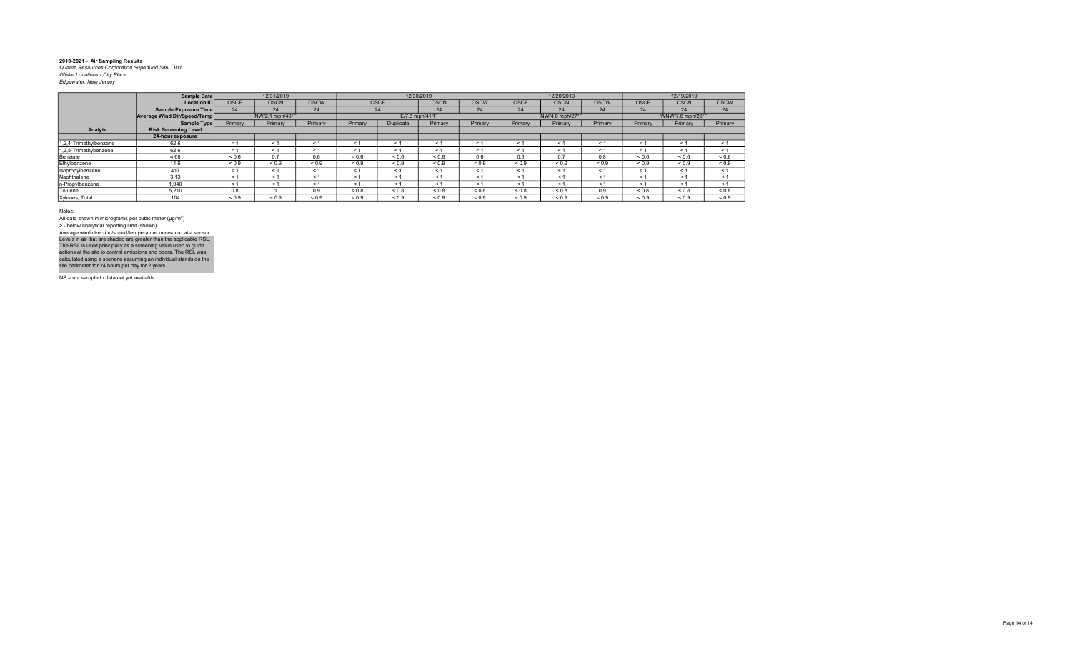|                        | Sample Date                 |             | 12/31/2019      |             |            |             | 12/30/2019       |             |             | 12/20/2019      |             |             | 12/19/2019       |             |
|------------------------|-----------------------------|-------------|-----------------|-------------|------------|-------------|------------------|-------------|-------------|-----------------|-------------|-------------|------------------|-------------|
|                        | <b>Location IDI</b>         | <b>OSCE</b> | <b>OSCN</b>     | <b>OSCW</b> |            | <b>OSCE</b> | <b>OSCN</b>      | <b>OSCW</b> | <b>OSCE</b> | <b>OSCN</b>     | <b>OSCW</b> | <b>OSCE</b> | <b>OSCN</b>      | <b>OSCW</b> |
|                        | Sample Exposure Time        | 24          | 24              | 24          |            | 24          | 24               | 24          | 24          | 24              | 24          | 24          | 24               | 24          |
|                        | Average Wind Dir/Speed/Temp |             | NW/2.1 mph/40°F |             |            |             | $E/7.3$ mph/41°F |             |             | NW/4.8 mph/27°F |             |             | WNW/7.6 mph/26°F |             |
|                        | Sample Type                 | Primary     | Primary         | Primary     | Primary    | Duplicate   | Primary          | Primary     | Primary     | Primary         | Primary     | Primary     | Primary          | Primary     |
| Analyte                | <b>Risk Screening Level</b> |             |                 |             |            |             |                  |             |             |                 |             |             |                  |             |
|                        | 24-hour exposure            |             |                 |             |            |             |                  |             |             |                 |             |             |                  |             |
| 1,2,4-Trimethylbenzene | 62.6                        | $\leq$ 1    | < 1             | $\leq 1$    | < 1        | < 1         | < 1              | $\leq$ 1    | $\leq 1$    | $\leq 1$        | $\leq 1$    | $\leq$ 1    | $\leq 1$         | < 1         |
| 1,3,5-Trimethybenzene  | 62.6                        | < 1         | < 1             | < 1         | < 1        | < 1         | < 1              | < 1         | < 1         | < 1             | < 1         | < 1         | < 1              | < 1         |
| Benzene                | 4.68                        | ${}_{0.6}$  | 0.7             | 0.6         | ${}_{0.6}$ | ${}_{0.6}$  | ${}_{0.6}$       | 0.6         | 0.6         | 0.7             | 0.8         | ${}_{0.6}$  | ${}_{0.6}$       | ${}_{0.6}$  |
| Ethylbenzene           | 14.6                        | ${}_{0.9}$  | < 0.9           | ${}_{0.9}$  | ${}_{0.9}$ | ${}_{0.9}$  | ${}_{0.9}$       | ${}_{0.9}$  | ${}_{0.9}$  | ${}_{0.9}$      | ${}_{0.9}$  | ${}_{0.9}$  | ${}_{0.9}$       | ${}_{0.9}$  |
| Isopropylbenzene       | 417                         | < 1         | < 1             | < 1         | < 1        | < 1         | < 1              | < 1         | < 1         | < 1             | < 1         | < 1         | < 1              | < 1         |
| Naphthalene            | 3.13                        | $\leq$ 1    | < 1             | < 1         | < 1        | < 1         | < 1              | < 1         | < 1         | $\leq 1$        | $\leq 1$    | < 1         | < 1              | < 1         |
| n-Propylbenzene        | 1.040                       | < 1         | < 1             | < 1         | < 1        | < 1         | < 1              | < 1         | < 1         | $\leq 1$        | < 1         | < 1         | < 1              | < 1         |
| Toluene                | 5.210                       | 0.8         |                 | 0.9         | ${}_{0.8}$ | ${}_{0.8}$  | ${}_{0.8}$       | ${}_{0.8}$  | 0.8         | ${}_{0.8}$      | 0.9         | ${}_{0.8}$  | ${}_{0.8}$       | ${}_{0.8}$  |
| Xylenes, Total         | 104                         | ${}_{0.9}$  | ${}_{0.9}$      | ${}_{0.9}$  | ${}_{0.9}$ | ${}_{0.9}$  | ${}_{0.9}$       | ${}_{0.9}$  | ${}_{0.9}$  | ${}_{0.9}$      | ${}_{0.9}$  | ${}_{0.9}$  | ${}_{0.9}$       | ${}_{0.9}$  |

Notes:

All data shown in micrograms per cubic meter (μg/m<sup>3</sup>)<br>> - below analytical reporting limit (shown). Levels in air that are shaded are greater than the applicable RSL.<br>The RSL is used principally as a screening value used to guide<br>actions at the site to control emissions and odors. The RSL was<br>calculated using a scenario Average wind direction/speed/temperature measured at a sensor

NS = not sampled / data not yet available.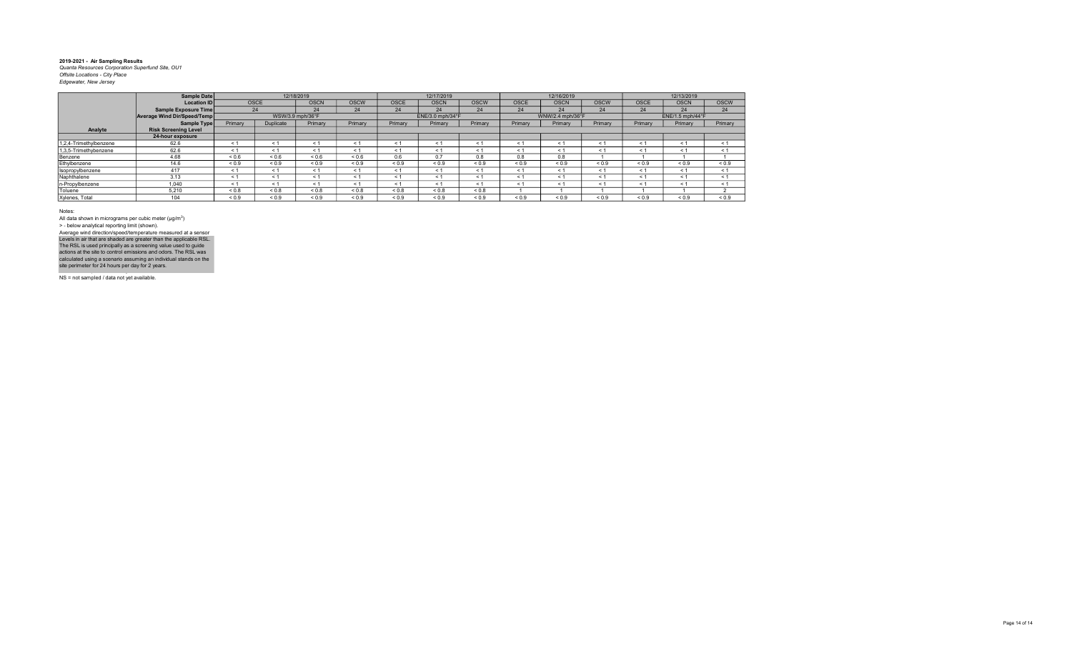|                        | Sample Date                 |            |                | 12/18/2019       |             |             | 12/17/2019       |             |             | 12/16/2019       |             |             | 12/13/2019       |             |
|------------------------|-----------------------------|------------|----------------|------------------|-------------|-------------|------------------|-------------|-------------|------------------|-------------|-------------|------------------|-------------|
|                        | <b>Location ID</b>          |            | <b>OSCE</b>    | <b>OSCN</b>      | <b>OSCW</b> | <b>OSCE</b> | <b>OSCN</b>      | <b>OSCW</b> | <b>OSCE</b> | <b>OSCN</b>      | <b>OSCW</b> | <b>OSCE</b> | <b>OSCN</b>      | <b>OSCW</b> |
|                        | Sample Exposure Time        | 24         |                | 24               | 24          | 24          | 24               | 24          | 24          | 24               | 24          | 24          | 24               | 24          |
|                        | Average Wind Dir/Speed/Temp |            |                | WSW/3.9 mph/36°F |             |             | ENE/3.0 mph/34°F |             |             | WNW/2.4 mph/36°F |             |             | ENE/1.5 mph/44°F |             |
|                        | <b>Sample Type</b>          | Primary    | Duplicate      | Primary          | Primary     | Primary     | Primary          | Primary     | Primary     | Primary          | Primary     | Primary     | Primary          | Primary     |
| Analyte                | <b>Risk Screening Level</b> |            |                |                  |             |             |                  |             |             |                  |             |             |                  |             |
|                        | 24-hour exposure            |            |                |                  |             |             |                  |             |             |                  |             |             |                  |             |
| 1,2,4-Trimethylbenzene | 62.6                        | < 1        | < 1            | < 1              | < 1         | $\leq$      | $\leq$           | < 1         | < 1         | $\leq$           |             | $\leq$ 1    | < 1              | < 1         |
| 1,3,5-Trimethybenzene  | 62.6                        | < 1        | < 1            | < 1              | < 1         | < 1         | $\leq$ 1         | < 1         | $\leq 1$    | < 1              | < 1         | < 1         | < 1              | < 1         |
| Benzene                | 4.68                        | ${}_{0.6}$ | ${}^{5}$ < 0.6 | 0.6              | ${}_{0.6}$  | 0.6         | 0.7              | 0.8         | 0.8         | 0.8              |             |             |                  |             |
| Ethylbenzene           | 14.6                        | ${}_{0.9}$ | ${}_{0.9}$     | ${}_{0.9}$       | ${}_{0.9}$  | ${}_{0.9}$  | ${}_{0.9}$       | ${}_{0.9}$  | ${}_{0.9}$  | ${}_{0.9}$       | ${}_{0.9}$  | ${}_{0.9}$  | ${}_{0.9}$       | ${}_{0.9}$  |
| Isopropylbenzene       | 417                         | < 1        | < 1            | < 1              | < 1         | < 1         | < 1              | < 1         | < 1         | < 1              | < 1         | < 1         | < 1              | < 1         |
| Naphthalene            | 3.13                        | < 1        | < 1            | < 1              | < 1         | < 1         | $\leq$ 1         | < 1         | < 1         | < 1              | $\leq 1$    | < 1         | < 1              | < 1         |
| n-Propylbenzene        | 1,040                       | < 1        | < 1            | < 1              | < 1         | < 1         | < 1              | < 1         | $\leq 1$    | < 1              | ← 1         | < 1         | < 1              | < 1         |
| Toluene                | 5,210                       | ${}_{0.8}$ | ${}_{0.8}$     | $0.8 - 0.8$      | ${}_{0.8}$  | ${}_{0.8}$  | 0.8              | ${}_{0.8}$  |             |                  |             |             |                  |             |
| Xylenes, Total         | 104                         | ${}_{0.9}$ | ${}_{0.9}$     | ${}_{0.9}$       | ${}_{0.9}$  | ${}_{0.9}$  | ${}_{0.9}$       | ${}_{0.9}$  | ${}_{0.9}$  | ${}_{0.9}$       | ${}_{0.9}$  | ${}_{0.9}$  | ${}_{0.9}$       | ${}_{0.9}$  |

Notes:

All data shown in micrograms per cubic meter (μg/m<sup>3</sup>)<br>> - below analytical reporting limit (shown). Levels in air that are shaded are greater than the applicable RSL.<br>The RSL is used principally as a screening value used to guide<br>actions at the site to control emissions and odors. The RSL was<br>calculated using a scenario Average wind direction/speed/temperature measured at a sensor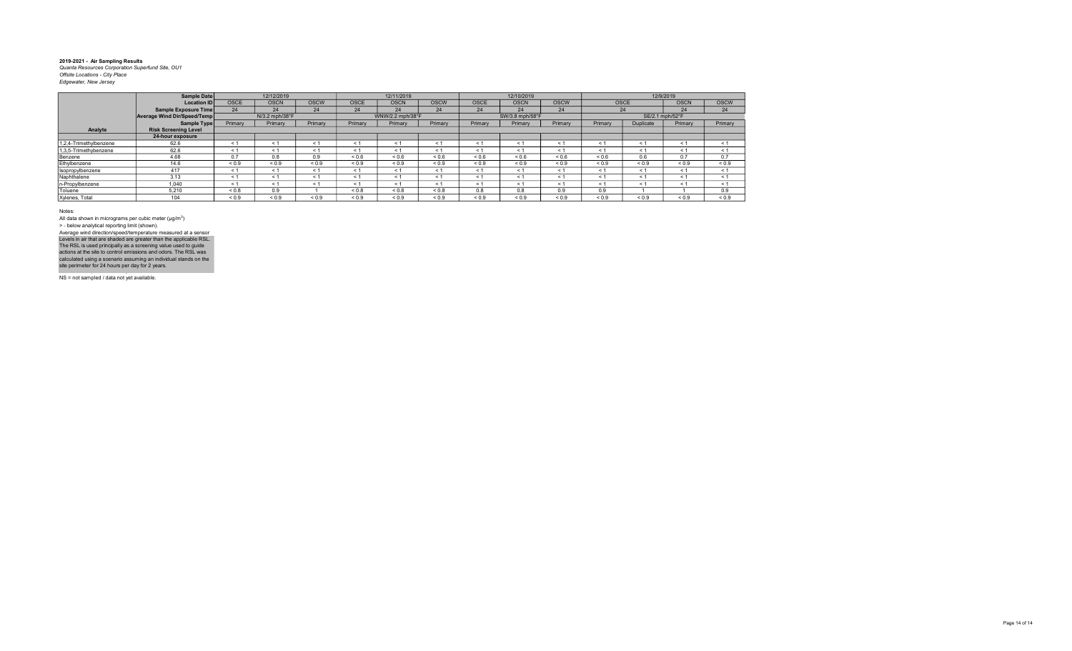|                        | <b>Sample Date</b>          |             | 12/12/2019     |             |            | 12/11/2019       |              |             | 12/10/2019      |             |            |                 | 12/9/2019   |             |
|------------------------|-----------------------------|-------------|----------------|-------------|------------|------------------|--------------|-------------|-----------------|-------------|------------|-----------------|-------------|-------------|
|                        | <b>Location ID</b>          | <b>OSCE</b> | <b>OSCN</b>    | <b>OSCW</b> | OSCE       | <b>OSCN</b>      | <b>OSCW</b>  | <b>OSCE</b> | <b>OSCN</b>     | <b>OSCW</b> |            | <b>OSCE</b>     | <b>OSCN</b> | <b>OSCW</b> |
|                        | <b>Sample Exposure Time</b> | 24          | 24             | 24          | 24         | 24               | 24           | 24          | 24              | 24          |            | 24              | 24          | 24          |
|                        | Average Wind Dir/Speed/Temp |             | N/3.2 mph/38°F |             |            | WNW/2.2 mph/38°F |              |             | SW/3.8 mph/58°F |             |            | SE/2.1 mph/52°F |             |             |
|                        | <b>Sample Type</b>          | Primary     | Primary        | Primary     | Primary    | Primary          | Primary      | Primary     | Primary         | Primary     | Primary    | Duplicate       | Primary     | Primary     |
| Analyte                | <b>Risk Screening Level</b> |             |                |             |            |                  |              |             |                 |             |            |                 |             |             |
|                        | 24-hour exposure            |             |                |             |            |                  |              |             |                 |             |            |                 |             |             |
| 1,2,4-Trimethylbenzene | 62.6                        | < 1         | $\leq 1$       | ← 1         | < 1        | < 1              | < 1          | < 1         | $\leq$ 1        | < 1         | < 1        | < 1             | < 1         | < 1         |
| 1,3,5-Trimethybenzene  | 62.6                        | < 1         | $\leq 1$       | < 1         | < 1        | < 1              | < 1          | < 1         | $\leq$ 1        | < 1         | < 1        | < 1             | $\leq 1$    | < 1         |
| Benzene                | 4.68                        | 0.7         | 0.8            | 0.9         | ${}_{0.6}$ | 0.6              | ${}^{5}$ 0.6 | ${}_{0.6}$  | ${}_{0.6}$      | 0.6         | < 0.6      | 0.6             | 0.7         | 0.7         |
| Ethylbenzene           | 14.6                        | ${}_{0.9}$  | ${}_{0.9}$     | ${}_{0.9}$  | ${}_{0.9}$ | < 0.9            | ${}_{0.9}$   | ${}_{0.9}$  | ${}_{0.9}$      | ${}_{0.9}$  | ${}_{0.9}$ | ${}_{0.9}$      | ${}_{0.9}$  | ${}_{0.9}$  |
| Isopropylbenzene       | 417                         | < 1         | $\leq 1$       | ← 1         | < 1        | < 1              | < 1          | < 1         | < 1             | < 1         | < 1        | < 1             | $\leq 1$    | < 1         |
| Naphthalene            | 3.13                        | < 1         | $\leq 1$       | < 1         | < 1        | < 1              | < 1          | < 1         | < 1             | < 1         | < 1        | < 1             | < 1         | < 1         |
| n-Propylbenzene        | 1.040                       | < 1         | < 1            | < 1         | < 1        | < 1              | < 1          | < 1         | < 1             | < 1         | < 1        | < 1             | $\leq 1$    | < 1         |
| Toluene                | 5.210                       | < 0.8       | 0.9            |             | 0.8        | < 0.8            | &0.8         | 0.8         | 0.8             | 0.9         | 0.9        |                 |             | 0.9         |
| Xylenes, Total         | 104                         | ${}_{0.9}$  | ${}_{0.9}$     | ${}_{0.9}$  | ${}_{0.9}$ | ${}_{0.9}$       | ${}_{0.9}$   | ${}_{0.9}$  | ${}_{0.9}$      | ${}_{0.9}$  | ${}_{0.9}$ | ${}_{0.9}$      | ${}_{0.9}$  | ${}_{0.9}$  |

Notes:

All data shown in micrograms per cubic meter (μg/m<sup>3</sup>)<br>> - below analytical reporting limit (shown). Levels in air that are shaded are greater than the applicable RSL.<br>The RSL is used principally as a screening value used to guide<br>actions at the site to control emissions and odors. The RSL was<br>calculated using a scenario Average wind direction/speed/temperature measured at a sensor

NS = not sampled / data not yet available.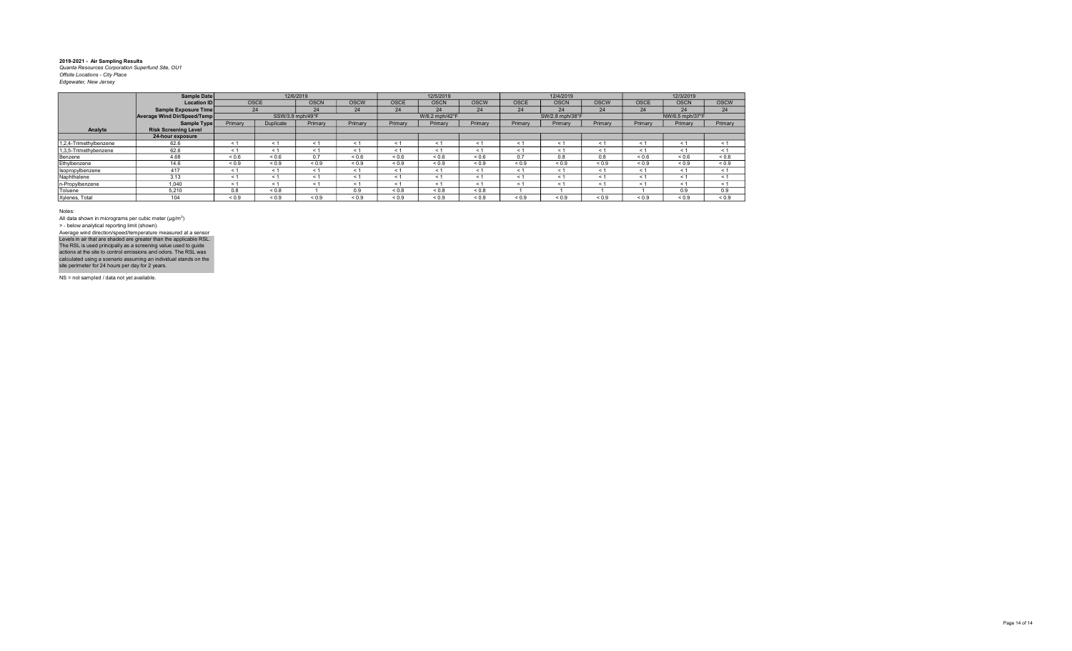|                        | Sample Date                 |            |                | 12/6/2019        |             |             | 12/5/2019      |             |             | 12/4/2019       |             |             | 12/3/2019       |             |
|------------------------|-----------------------------|------------|----------------|------------------|-------------|-------------|----------------|-------------|-------------|-----------------|-------------|-------------|-----------------|-------------|
|                        | <b>Location ID</b>          |            | <b>OSCE</b>    | <b>OSCN</b>      | <b>OSCW</b> | <b>OSCE</b> | <b>OSCN</b>    | <b>OSCW</b> | <b>OSCE</b> | <b>OSCN</b>     | <b>OSCW</b> | <b>OSCE</b> | <b>OSCN</b>     | <b>OSCW</b> |
|                        | Sample Exposure Time        |            | 24             | 24               | 24          | 24          | 24             | 24          | 24          | 24              | 24          | 24          | 24              | 24          |
|                        | Average Wind Dir/Speed/Temp |            |                | SSW/3.9 mph/49°F |             |             | W/6.2 mph/42°F |             |             | SW/2.8 mph/38°F |             |             | NW/6.5 mph/37°F |             |
|                        | <b>Sample Type</b>          | Primary    | Duplicate      | Primary          | Primary     | Primary     | Primary        | Primary     | Primary     | Primary         | Primary     | Primary     | Primary         | Primary     |
| Analyte                | <b>Risk Screening Level</b> |            |                |                  |             |             |                |             |             |                 |             |             |                 |             |
|                        | 24-hour exposure            |            |                |                  |             |             |                |             |             |                 |             |             |                 |             |
| 1,2,4-Trimethylbenzene | 62.6                        | < 1        | < 1            | < 1              | < 1         | < 1         | $\leq$         | < 1         | < 1         | $\leq$          |             | $\leq$ 1    | < 1             | < 1         |
| 1,3,5-Trimethybenzene  | 62.6                        | < 1        | < 1            | < 1              | < 1         | < 1         | $\leq$ 1       | < 1         | $\leq$ 1    | < 1             | < 1         | < 1         | $\leq 1$        | < 1         |
| Benzene                | 4.68                        | ${}_{0.6}$ | ${}^{5}$ < 0.6 | 0.7              | ${}_{0.6}$  | ${}_{0.6}$  | 0.6            | 0.6         | 0.7         | 0.8             | 0.8         | ${}_{0.6}$  | ${}_{0.6}$      | ${}_{0.6}$  |
| Ethylbenzene           | 14.6                        | ${}_{0.9}$ | ${}_{0.9}$     | ${}_{0.9}$       | ${}_{0.9}$  | ${}_{0.9}$  | ${}_{0.9}$     | ${}_{0.9}$  | ${}_{0.9}$  | ${}_{0.9}$      | ${}_{0.9}$  | ${}_{0.9}$  | ${}_{0.9}$      | ${}_{0.9}$  |
| Isopropylbenzene       | 417                         | < 1        | < 1            | < 1              | < 1         | < 1         | < 1            | < 1         | < 1         | < 1             | < 1         | < 1         | < 1             | < 1         |
| Naphthalene            | 3.13                        | < 1        | < 1            | < 1              | < 1         | < 1         | $\leq$ 1       | < 1         | < 1         | < 1             | < 1         | < 1         | < 1             | < 1         |
| n-Propylbenzene        | 1,040                       | < 1        | < 1            | < 1              | < 1         | < 1         | $\leq$         | < 1         | $\leq 1$    | < 1             | ← 1         | < 1         | < 1             | < 1         |
| Toluene                | 5,210                       | 0.8        | ${}_{0.8}$     |                  | 0.9         | ${}_{0.8}$  | 0.8            | ${}_{0.8}$  |             |                 |             |             | 0.9             | 0.9         |
| Xylenes, Total         | 104                         | ${}_{0.9}$ | ${}_{0.9}$     | ${}_{0.9}$       | ${}_{0.9}$  | ${}_{0.9}$  | ${}_{0.9}$     | ${}_{0.9}$  | ${}_{0.9}$  | ${}_{0.9}$      | ${}_{0.9}$  | ${}_{0.9}$  | ${}_{0.9}$      | ${}_{0.9}$  |

Notes:

All data shown in micrograms per cubic meter (μg/m<sup>3</sup>)<br>> - below analytical reporting limit (shown). Levels in air that are shaded are greater than the applicable RSL.<br>The RSL is used principally as a screening value used to guide<br>actions at the site to control emissions and odors. The RSL was<br>calculated using a scenario Average wind direction/speed/temperature measured at a sensor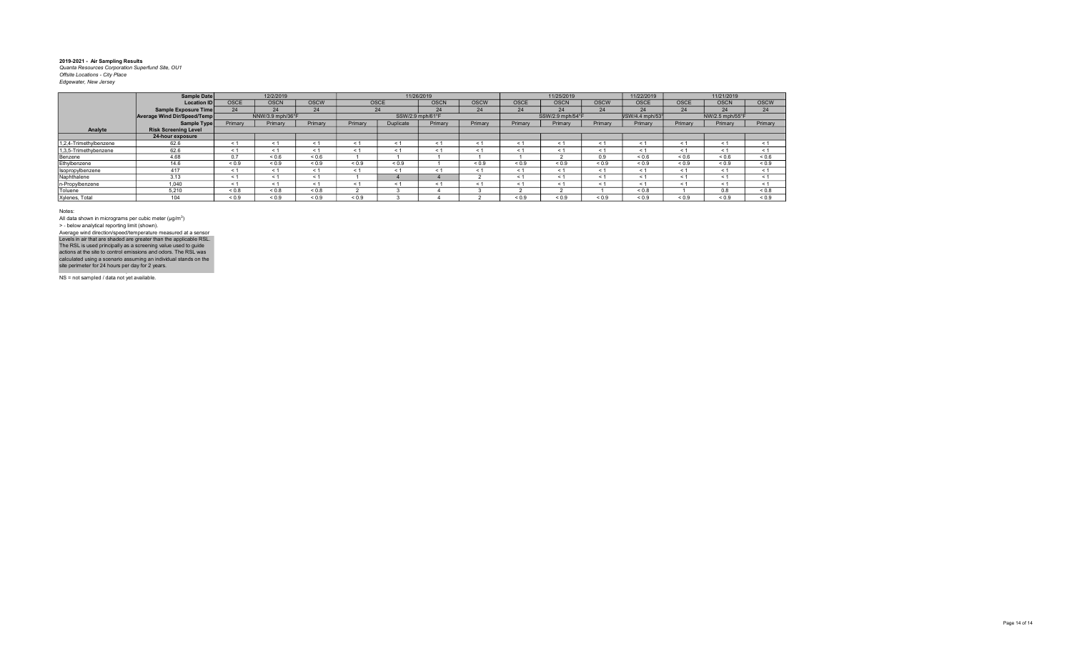|                        | Sample Date                 |             | 12/2/2019        |             |            |                  | 11/26/2019  |             |             | 11/25/2019       |             | 11/22/2019      |             | 11/21/2019      |             |
|------------------------|-----------------------------|-------------|------------------|-------------|------------|------------------|-------------|-------------|-------------|------------------|-------------|-----------------|-------------|-----------------|-------------|
|                        | <b>Location ID</b>          | <b>OSCE</b> | <b>OSCN</b>      | <b>OSCW</b> |            | OSCE             | <b>OSCN</b> | <b>OSCW</b> | <b>OSCE</b> | <b>OSCN</b>      | <b>OSCW</b> | <b>OSCE</b>     | <b>OSCE</b> | <b>OSCN</b>     | <b>OSCW</b> |
|                        | Sample Exposure Time        | 24          | 24               | 24          |            | 24               | 24          | 24          | 24          | 24               | 24          | 24              | 24          | 24              | 24          |
|                        | Average Wind Dir/Speed/Temp |             | NNW/3.9 mph/36°F |             |            | SSW/2.9 mph/61°F |             |             |             | SSW/2.9 mph/54°F |             | VSW/4.4 mph/531 |             | NW/2.5 mph/55°F |             |
|                        | Sample Type                 | Primary     | Primary          | Primary     | Primary    | Duplicate        | Primary     | Primary     | Primary     | Primary          | Primary     | Primary         | Primary     | Primary         | Primary     |
| Analyte                | <b>Risk Screening Level</b> |             |                  |             |            |                  |             |             |             |                  |             |                 |             |                 |             |
|                        | 24-hour exposure            |             |                  |             |            |                  |             |             |             |                  |             |                 |             |                 |             |
| 1,2,4-Trimethylbenzene | 62.6                        | $\leq$ 1    | < 1              | - 1         | < 1        | < 1              | < 1         | < 1         | < 1         | $\leq 1$         | $\leq$ 1    | $\leq 1$        | < 1         | < 1             | < 1         |
| 1,3,5-Trimethybenzene  | 62.6                        | $\leq$ 1    | < 1              | < 1         | < 1        | < 1              | < 1         | < 1         | ← 1         | $\leq 1$         | ← 1         | < 1             | < 1         | < 1             | $\leq 1$    |
| Benzene                | 4.68                        | 0.7         | ${}_{0.6}$       | ${}_{0.6}$  |            |                  |             |             |             |                  | 0.9         | ${}_{0.6}$      | ${}_{0.6}$  | ${}_{0.6}$      | ${}_{0.6}$  |
| Ethylbenzene           | 14.6                        | ${}_{0.9}$  | ${}_{0.9}$       | ${}_{0.9}$  | ${}_{0.9}$ | ${}_{0.9}$       |             | ${}_{0.9}$  | ${}_{0.9}$  | ${}_{0.9}$       | ${}_{0.9}$  | ${}_{0.9}$      | ${}_{0.9}$  | ${}_{0.9}$      | ${}_{0.9}$  |
| Isopropylbenzene       | 417                         | < 1         | < 1              | < 1         | < 1        | < 1              | < 1         | < 1         | < 1         | < 1              | < 1         | < 1             | < 1         | < 1             | < 1         |
| Naphthalene            | 3.13                        | < 1         | < 1              | < 1         |            |                  |             |             | < 1         | $\leq$ 1         | < 1         | < 1             | < 1         | < 1             | < 1         |
| n-Propylbenzene        | 1,040                       | < 1         | < 1              | < 1         | < 1        | < 1              | < 1         | < 1         | < 1         | < 1              | < 1         | < 1             | < 1         | < 1             | < 1         |
| Toluene                | 5.210                       | $0.8 - 0.8$ | ${}_{0.8}$       | ${}_{0.8}$  |            |                  |             |             |             |                  |             | ${}_{0.8}$      |             | 0.8             | ${}_{0.8}$  |
| Xylenes, Total         | 104                         | ${}_{0.9}$  | ${}_{0.9}$       | ${}_{0.9}$  | ${}_{0.9}$ |                  |             |             | ${}_{0.9}$  | ${}_{0.9}$       | ${}_{0.9}$  | ${}_{0.9}$      | ${}_{0.9}$  | ${}_{0.9}$      | ${}_{0.9}$  |

Notes:

All data shown in micrograms per cubic meter (μg/m<sup>3</sup>)<br>> - below analytical reporting limit (shown). Levels in air that are shaded are greater than the applicable RSL.<br>The RSL is used principally as a screening value used to guide<br>actions at the site to control emissions and odors. The RSL was<br>calculated using a scenario Average wind direction/speed/temperature measured at a sensor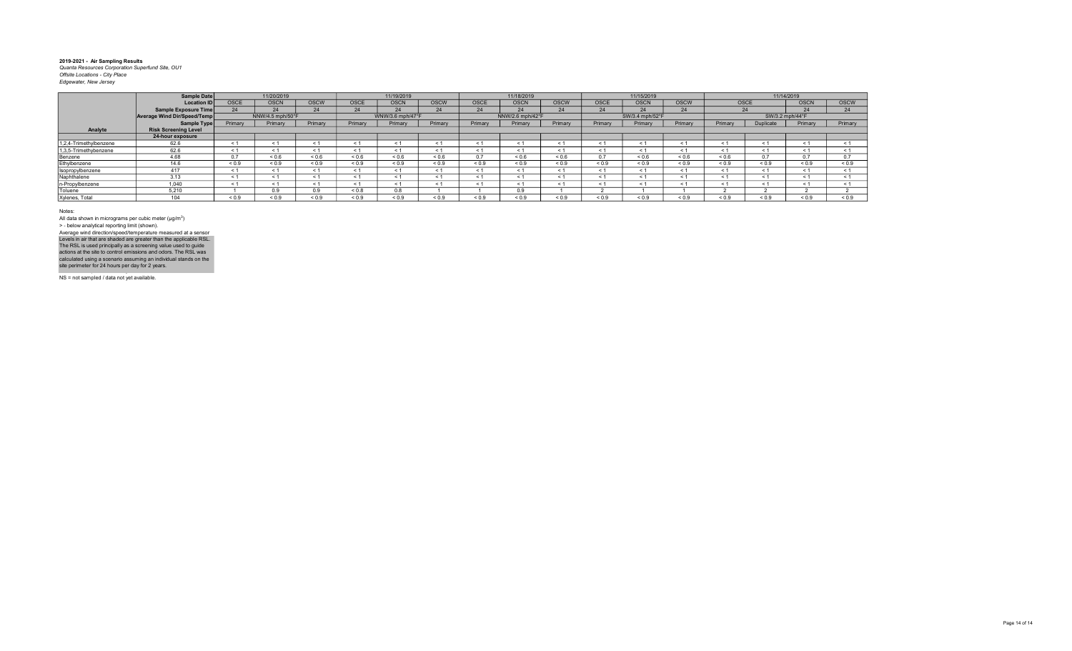|                        | Sample Date                 |             | 11/20/2019       |             |             | 11/19/2019       |             |            | 11/18/2019       |             |            | 11/15/2019      |             |            |                 | 11/14/2019  |             |
|------------------------|-----------------------------|-------------|------------------|-------------|-------------|------------------|-------------|------------|------------------|-------------|------------|-----------------|-------------|------------|-----------------|-------------|-------------|
|                        | <b>Location ID</b>          | <b>OSCE</b> | <b>OSCN</b>      | <b>OSCW</b> | <b>OSCE</b> | <b>OSCN</b>      | <b>OSCW</b> | OSCE       | <b>OSCN</b>      | <b>OSCW</b> | OSCE       | <b>OSCN</b>     | <b>OSCW</b> | OSCE       |                 | <b>OSCN</b> | <b>OSCW</b> |
|                        | Sample Exposure Time        | 24          | 24               | 24          | 24          | 24               | 24          | 24         | 24               | 24          | 24         | 24              | 24          | 24         |                 | 24          | 24          |
|                        | Average Wind Dir/Speed/Temp |             | NNW/4.5 mph/50°F |             |             | WNW/3.6 mph/47°F |             |            | NNW/2.6 mph/42°F |             |            | SW/3.4 mph/52°F |             |            | SW/3.2 mph/44°F |             |             |
|                        | Sample Type                 | Primary     | Primary          | Primary     | Primary     | Primary          | Primary     | Primary    | Primary          | Primary     | Primary    | Primary         | Primary     | Primary    | Duplicate       | Primary     | Primary     |
| Analyte                | <b>Risk Screening Level</b> |             |                  |             |             |                  |             |            |                  |             |            |                 |             |            |                 |             |             |
|                        | 24-hour exposure            |             |                  |             |             |                  |             |            |                  |             |            |                 |             |            |                 |             |             |
| 1,2,4-Trimethylbenzene | 62.6                        | < 1         |                  | < 1         | < 1         | < 1              | e 1         | < 1        | $<$ 1            | < 1         | < 1        |                 | < 1         | $<$ 1      | < 1             | < 1         | < 1         |
| 1,3,5-Trimethybenzene  | 62.6                        | $\leq$      |                  | < 1         | < 1         | < 1              | < '         | < 1        | $<$ 1            | < 1         | < 1        |                 | - 1         | < 1        | < 1             | < 1         | < 1         |
| Benzene                | 4.68                        | 0.7         | ${}_{0.6}$       | ${}_{0.6}$  | ${}_{0.6}$  | ${}_{0.6}$       | ${}_{0.6}$  | 0.7        | 0.6              | ${}_{0.6}$  | 0.7        | ${}_{0.6}$      | 0.6         | ${}_{0.6}$ | 0.7             | 07          | $\sim$ $-$  |
| Ethylbenzene           | 14.6                        | ${}_{0.9}$  | ${}_{0.9}$       | ${}_{0.9}$  | ${}_{0.9}$  | ${}_{0.9}$       | ${}_{0.9}$  | ${}_{0.9}$ | ${}_{0.9}$       | ${}_{0.9}$  | ${}_{0.9}$ | ${}_{0.9}$      | ${}_{0.9}$  | ${}_{0.9}$ | ${}_{0.9}$      | ${}_{0.9}$  | ${}_{0.9}$  |
| Isopropylbenzene       | 417                         | < 1         |                  | < 1         | < 1         | < 1              |             | < 1        | < 1              | < 1         | < 1        |                 | < 1         | < 1        | < 1             | < 1         |             |
| Naphthalene            | 3.13                        | $\leq$      |                  | < 1         | < 1         | < 1              |             |            | $\leq$ 1         |             | < 1        |                 | < 1         | $\leq$     | < 1             | < 1         |             |
| n-Propylbenzene        | 1.040                       | ≺ 1         |                  | < 1         | < 1         | < 1              |             | < 1        | < 1              | < 1         | < 1        |                 | - 1         | < '        | < 1             | < 1         |             |
| Toluene                | 5.210                       |             | 0.9              | 0.9         | ${}_{0.8}$  | 0.8              |             |            | 0.9              |             |            |                 |             |            |                 |             |             |
| Xylenes, Total         |                             | ${}_{0.9}$  | ${}_{0.9}$       | 0.9         | ${}_{0.9}$  | ${}_{0.9}$       | ${}_{0.9}$  | ${}_{0.9}$ | ${}_{0.9}$       | ${}_{0.9}$  | ${}_{0.9}$ | ${}^{8}$ 0.9    | ${}^{<0.9}$ | ${}_{0.9}$ | ${}_{0.9}$      | ${}_{0.9}$  | ${}_{0.9}$  |

Notes:

All data shown in micrograms per cubic meter (μg/m<sup>3</sup>)<br>> - below analytical reporting limit (shown). Levels in air that are shaded are greater than the applicable RSL.<br>The RSL is used principally as a screening value used to guide<br>actions at the site to control emissions and odors. The RSL was<br>calculated using a scenario Average wind direction/speed/temperature measured at a sensor

NS = not sampled / data not yet available.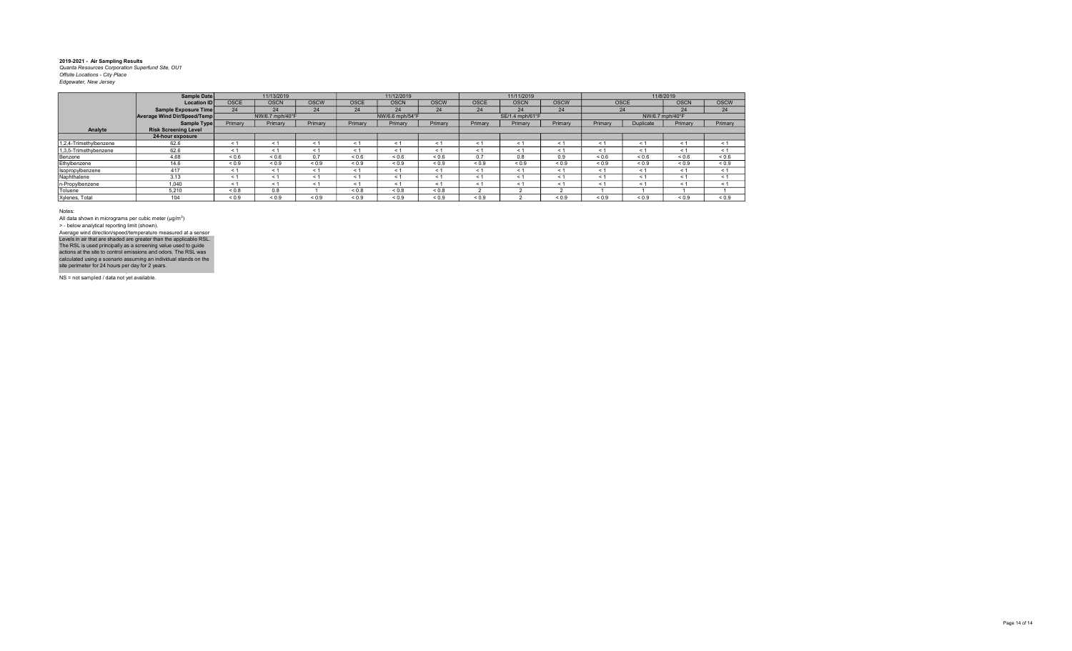|                        | Sample Date                 |             | 11/13/2019      |             |             | 11/12/2019      |             |             | 11/11/2019      |             |            |                 | 11/8/2019   |             |
|------------------------|-----------------------------|-------------|-----------------|-------------|-------------|-----------------|-------------|-------------|-----------------|-------------|------------|-----------------|-------------|-------------|
|                        | <b>Location ID</b>          | <b>OSCE</b> | <b>OSCN</b>     | <b>OSCW</b> | <b>OSCE</b> | <b>OSCN</b>     | <b>OSCW</b> | <b>OSCE</b> | <b>OSCN</b>     | <b>OSCW</b> |            | OSCE            | <b>OSCN</b> | <b>OSCW</b> |
|                        | Sample Exposure Time        | 24          | 24              | 24          | 24          | 24              | 24          | 24          | 24              | 24          |            | 24              | 24          | 24          |
|                        | Average Wind Dir/Speed/Temp |             | NW/6.7 mph/40°F |             |             | NW/6.6 mph/54°F |             |             | SE/1.4 mph/61°F |             |            | NW/6.7 mph/40°F |             |             |
|                        | Sample Type                 | Primary     | Primary         | Primary     | Primary     | Primary         | Primary     | Primary     | Primary         | Primary     | Primary    | Duplicate       | Primary     | Primary     |
| Analyte                | <b>Risk Screening Level</b> |             |                 |             |             |                 |             |             |                 |             |            |                 |             |             |
|                        | 24-hour exposure            |             |                 |             |             |                 |             |             |                 |             |            |                 |             |             |
| 1,2,4-Trimethylbenzene | 62.6                        | < 1         | < 1             | < 1         | < 1         | < 1             | < 1         | < 1         | < 1             | < 1         | < 1        | < 1             | < 1         | $\leq$ 1    |
| 1,3,5-Trimethybenzene  | 62.6                        | < 1         | < 1             | < 1         | $\leq 1$    | < 1             | < 1         | < 1         | < 1             | < 1         | < 1        | < 1             | < 1         | $\leq$ 1    |
| Benzene                | 4.68                        | ${}_{0.6}$  | ${}_{0.6}$      | 0.7         | ${}_{0.6}$  | ${}_{0.6}$      | 0.6         | 0.7         | 0.8             | 0.9         | ${}_{0.6}$ | ${}_{0.6}$      | ${}_{0.6}$  | ${}_{0.6}$  |
| Ethylbenzene           | 14.6                        | ${}_{0.9}$  | ${}_{0.9}$      | ${}_{0.9}$  | ${}_{0.9}$  | ${}_{0.9}$      | ${}_{0.9}$  | ${}_{0.9}$  | ${}_{0.9}$      | ${}_{0.9}$  | ${}_{0.9}$ | ${}_{0.9}$      | ${}_{0.9}$  | ${}_{0.9}$  |
| Isopropylbenzene       | 417                         | < 1         | < 1             | < 1         | < 1         | ← 1             | < 1         | < 1         | $\leq$ 1        | < 1         | $<$ 1      | < 1             | < 1         | $\leq$ 1    |
| Naphthalene            | 3.13                        | < 1         | $\leq 1$        | < 1         | < 1         | < 1             | < 1         | < 1         | < 1             | < 1         | $\leq 1$   | < 1             | < 1         | $\leq$ 1    |
| n-Propylbenzene        | 1.040                       | < 1         | < 1             | < 1         | $\leq 1$    | < 1             | < 1         | < 1         | < 1             | < 1         | < 1        | < 1             | < 1         | $\leq$ 1    |
| Toluene                | 5.210                       | < 0.8       | 0.8             |             | ${}_{0.8}$  | ${}_{0.8}$      | 0.8         |             |                 |             |            |                 |             |             |
| Xylenes, Total         | 104                         | ${}_{0.9}$  | ${}_{0.9}$      | ${}_{0.9}$  | ${}_{0.9}$  | ${}_{0.9}$      | ${}_{0.9}$  | ${}_{0.9}$  |                 | ${}_{0.9}$  | ${}_{0.9}$ | ${}_{0.9}$      | ${}_{0.9}$  | ${}_{0.9}$  |

Notes:

All data shown in micrograms per cubic meter (μg/m<sup>3</sup>)<br>> - below analytical reporting limit (shown). Levels in air that are shaded are greater than the applicable RSL.<br>The RSL is used principally as a screening value used to guide<br>actions at the site to control emissions and odors. The RSL was<br>calculated using a scenario Average wind direction/speed/temperature measured at a sensor

NS = not sampled / data not yet available.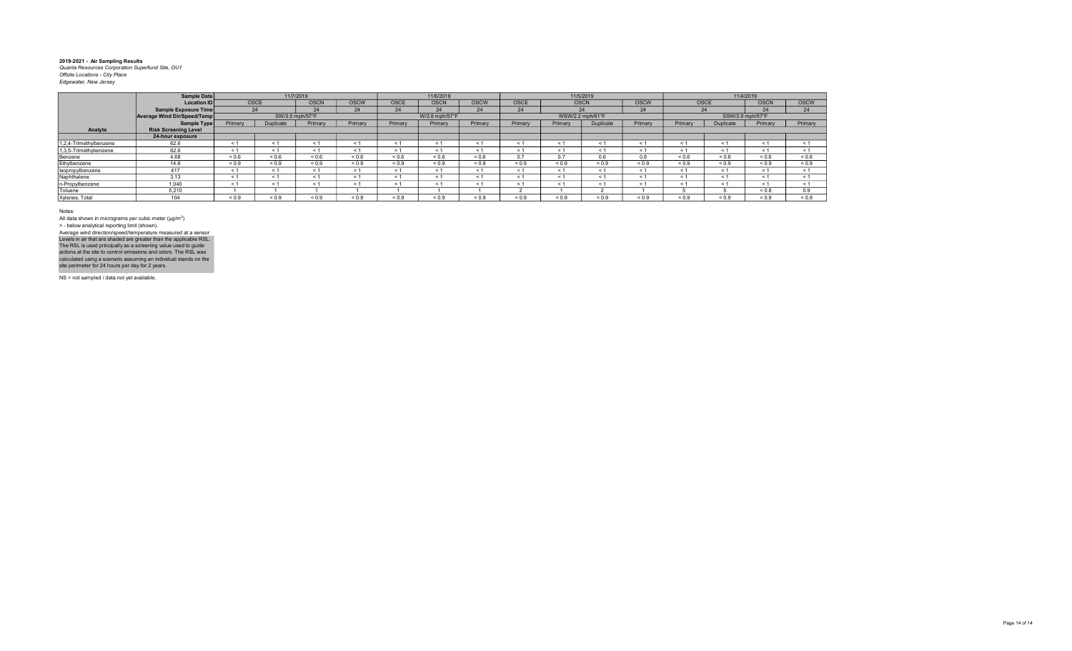|                        | Sample Date                 |             | 11/7/2019       |             |             |             | 11/6/2019      |             |             |                  | 11/5/2019  |            |            |                  | 11/4/2019   |             |
|------------------------|-----------------------------|-------------|-----------------|-------------|-------------|-------------|----------------|-------------|-------------|------------------|------------|------------|------------|------------------|-------------|-------------|
|                        |                             |             |                 |             |             |             |                |             |             |                  |            |            |            |                  |             |             |
|                        | Location ID                 | <b>OSCE</b> |                 | <b>OSCN</b> | <b>OSCW</b> | <b>OSCE</b> | <b>OSCN</b>    | <b>OSCW</b> | <b>OSCE</b> | <b>OSCN</b>      |            | OSCW       | OSCE       |                  | <b>OSCN</b> | <b>OSCW</b> |
|                        | Sample Exposure Time        | 24          |                 | 24          | 24          | 24          | 24             | 24          | 24          |                  | 24         | 24         | 24         |                  | 24          | 24          |
|                        | Average Wind Dir/Speed/Temp |             | SW/3.5 mph/57°F |             |             |             | W/3.9 mph/57°F |             |             | WSW/2.2 mph/61°F |            |            |            | SSW/3.9 mph/57°F |             |             |
|                        | Sample Type                 | Primary     | Duplicate       | Primary     | Primary     | Primary     | Primary        | Primary     | Primary     | Primary          | Duplicate  | Primary    | Primary    | Duplicate        | Primary     | Primary     |
| Analyte                | <b>Risk Screening Level</b> |             |                 |             |             |             |                |             |             |                  |            |            |            |                  |             |             |
|                        | 24-hour exposure            |             |                 |             |             |             |                |             |             |                  |            |            |            |                  |             |             |
| 1,2,4-Trimethylbenzene | 62.6                        |             |                 |             |             | < 1         |                |             |             | < 1              | $<$ 1      | < 1        | < 1        | < 1              | < 1         | < 1         |
| 1,3,5-Trimethybenzene  | 62.6                        | e 1         | < 1             |             |             | < 1         | $\leq 1$       |             |             | < 1              | $\leq$     | < 1        | < 1        | < 1              | < 1         | < 1         |
| Benzene                | 4.68                        | < 0.6       | 0.6             | ${}_{0.6}$  | < 0.6       | < 0.6       | 0.6            | 0.6         | 07          | 0.7              | 0.6        | 0.8        | < 0.6      | 0.6              | 0.6         | < 0.6       |
| Ethylbenzene           | 14.6                        | ${}_{0.9}$  | ${}_{0.9}$      | ${}_{0.9}$  | ${}_{0.9}$  | ${}_{0.9}$  | ${}_{0.9}$     | ${}_{0.9}$  | ${}_{0.9}$  | ${}_{0.9}$       | ${}_{0.9}$ | ${}_{0.9}$ | ${}_{0.9}$ | ${}_{0.9}$       | ${}_{0.9}$  | ${}_{0.9}$  |
| Isopropylbenzene       | 417                         | < 1         | < 1             | < 1         | < 1         | < 1         | < 1            | ≺ 1         | < 1         | < 1              | < 1        | < 1        | < 1        | < 1              | < 1         | < 1         |
| Naphthalene            | 3.13                        |             |                 |             | < 1         | < 1         | < 1            |             |             | < 1              | < 1        | < 1        | < 1        | < 1              | < 1         | < 1         |
| n-Propylbenzene        | 1,040                       | < 1         | < 1             |             | < 1         | < 1         | $\leq 1$       | ← 1         | < 1         | < 1              | < 1        | < 1        | < 1        | < 1              | < 1         | < 1         |
| Toluene                | 5.210                       |             |                 |             |             |             |                |             |             |                  |            |            |            |                  | ${}_{0.8}$  | 0.9         |
| Xylenes, Total         | 104                         | ${}_{0.9}$  | ${}_{0.9}$      | ${}_{0.9}$  | ${}_{0.9}$  | ${}_{0.9}$  | ${}_{0.9}$     | ${}_{0.9}$  | ${}_{0.9}$  | ${}_{0.9}$       | ${}_{0.9}$ | ${}_{0.9}$ | ${}_{0.9}$ | ${}_{0.9}$       | ${}_{0.9}$  | ${}_{0.9}$  |

Notes:

All data shown in micrograms per cubic meter (μg/m<sup>3</sup>)<br>> - below analytical reporting limit (shown). Levels in air that are shaded are greater than the applicable RSL.<br>The RSL is used principally as a screening value used to guide<br>actions at the site to control emissions and odors. The RSL was<br>calculated using a scenario Average wind direction/speed/temperature measured at a sensor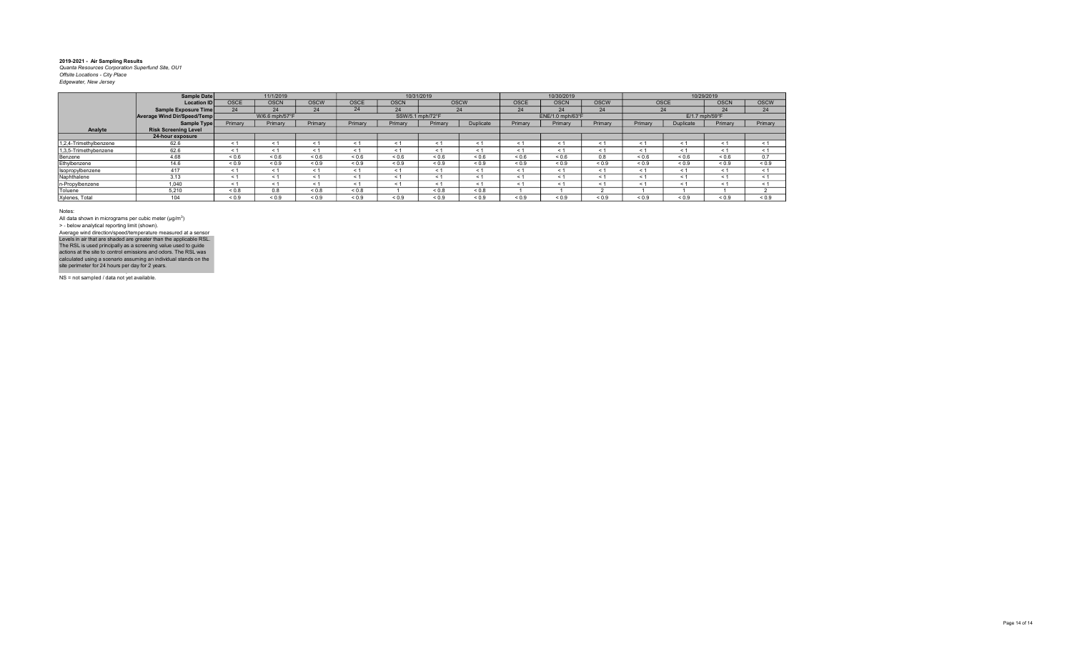|                        | Sample Date                 |             | 11/1/2019      |             |            |             | 10/31/2019       |             |             | 10/30/2019       |             |            |             | 10/29/2019       |             |
|------------------------|-----------------------------|-------------|----------------|-------------|------------|-------------|------------------|-------------|-------------|------------------|-------------|------------|-------------|------------------|-------------|
|                        | <b>Location ID</b>          | <b>OSCE</b> | <b>OSCN</b>    | <b>OSCW</b> | OSCE       | <b>OSCN</b> |                  | <b>OSCW</b> | <b>OSCE</b> | <b>OSCN</b>      | <b>OSCW</b> |            | <b>OSCE</b> | <b>OSCN</b>      | <b>OSCW</b> |
|                        | Sample Exposure Time        | 24          | 24             | 24          | 24         | 24          |                  | 24          | 24          | 24               | 24          |            | 24          | 24               | 24          |
|                        | Average Wind Dir/Speed/Temp |             | W/6.6 mph/57°F |             |            |             | SSW/5.1 mph/72°F |             |             | ENE/1.0 mph/63°F |             |            |             | $E/1.7$ mph/59°F |             |
|                        | Sample Type                 | Primary     | Primary        | Primary     | Primary    | Primary     | Primary          | Duplicate   | Primary     | Primary          | Primary     | Primary    | Duplicate   | Primary          | Primary     |
| Analyte                | <b>Risk Screening Level</b> |             |                |             |            |             |                  |             |             |                  |             |            |             |                  |             |
|                        | 24-hour exposure            |             |                |             |            |             |                  |             |             |                  |             |            |             |                  |             |
| 1,2,4-Trimethylbenzene | 62.6                        | $\leq 1$    | $\leq 1$       | < 1         | $\leq 1$   | < 1         | ≺ 1              | < 1         | < 1         | < 1              | < 1         | $\leq 1$   | < 1         | < 1              | < 1         |
| 1,3,5-Trimethybenzene  | 62.6                        | $\leq$ 1    | < 1            | < 1         | < 1        | < 1         | ← 1              | < 1         | < 1         | < 1              | < 1         | ← 1        | < 1         | < 1              | < 1         |
| Benzene                | 4.68                        | 0.6         | 0.6            | ${}_{0.6}$  | ${}_{0.6}$ | 0.6         | ${}_{0.6}$       | ${}_{0.6}$  | ${}_{0.6}$  | ${}_{0.6}$       | 0.8         | ${}_{0.6}$ | ${}_{0.6}$  | 0.6              | 0.7         |
| Ethylbenzene           | 14.6                        | ${}_{0.9}$  | ${}_{0.9}$     | ${}_{0.9}$  | ${}_{0.9}$ | ${}_{0.9}$  | ${}_{0.9}$       | ${}_{0.9}$  | ${}_{0.9}$  | ${}_{0.9}$       | ${}_{0.9}$  | ${}_{0.9}$ | ${}_{0.9}$  | ${}_{0.9}$       | ${}_{0.9}$  |
| Isopropylbenzene       | 417                         | $\leq 1$    | < 1            | < 1         | < 1        | < 1         | < 1              | < 1         | < 1         | < 1              | < 1         | $\leq 1$   | < 1         | < 1              | < 1         |
| Naphthalene            | 3.13                        | < 1         | < 1            | < 1         | < 1        | < 1         | < 1              | < 1         | < 1         | < 1              | < 1         | $\leq 1$   | < 1         | < 1              | < 1         |
| n-Propylbenzene        | 1.040                       | < 1         | < 1            | < 1         | < 1        | < 1         | $\leq 1$         | < 1         | < 1         | < 1              | < 1         | $\leq 1$   | < 1         | < 1              | < 1         |
| Toluene                | 5.210                       | $0.8 - 0.8$ | 0.8            | ${}_{0.8}$  | ${}_{0.8}$ |             | < 0.8            | ${}_{0.8}$  |             |                  |             |            |             |                  |             |
| Xylenes, Total         | 104                         | ${}_{0.9}$  | ${}_{0.9}$     | ${}_{0.9}$  | ${}_{0.9}$ | ${}_{0.9}$  | ${}_{0.9}$       | ${}_{0.9}$  | ${}_{0.9}$  | ${}_{0.9}$       | ${}_{0.9}$  | ${}_{0.9}$ | ${}_{0.9}$  | 0.9              | ${}_{0.9}$  |

Notes:

All data shown in micrograms per cubic meter (μg/m<sup>3</sup>)<br>> - below analytical reporting limit (shown). Levels in air that are shaded are greater than the applicable RSL.<br>The RSL is used principally as a screening value used to guide<br>actions at the site to control emissions and odors. The RSL was<br>calculated using a scenario Average wind direction/speed/temperature measured at a sensor

NS = not sampled / data not yet available.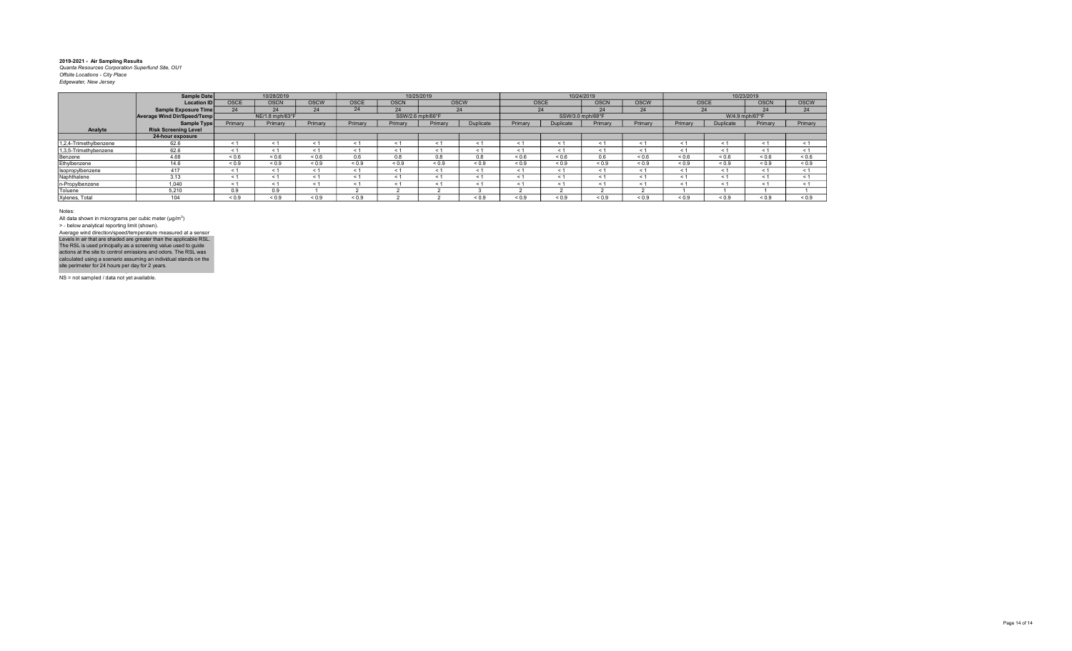|                        | Sample Date                 |             | 10/28/2019      |             |             |                  | 10/25/2019 |             |            |                  | 10/24/2019  |             |            |                | 10/23/2019  |             |
|------------------------|-----------------------------|-------------|-----------------|-------------|-------------|------------------|------------|-------------|------------|------------------|-------------|-------------|------------|----------------|-------------|-------------|
|                        | Location ID                 | <b>OSCE</b> | <b>OSCN</b>     | <b>OSCW</b> | <b>OSCE</b> | <b>OSCN</b>      |            | <b>OSCW</b> | OSCE       |                  | <b>OSCN</b> | <b>OSCW</b> | OSCE       |                | <b>OSCN</b> | <b>OSCW</b> |
|                        | Sample Exposure Time        | 24          | 24              | 24          | 24          | 24               |            | 24          | 24         |                  | 24          | 24          | 24         |                | 24          | 24          |
|                        | Average Wind Dir/Speed/Temp |             | NE/1.8 mph/63°F |             |             | SSW/2.6 mph/66°F |            |             |            | SSW/3.0 mph/68°F |             |             |            | W/4.9 mph/67°F |             |             |
|                        | Sample Type                 | Primary     | Primary         | Primary     | Primary     | Primary          | Primary    | Duplicate   | Primary    | Duplicate        | Primary     | Primary     | Primary    | Duplicate      | Primary     | Primary     |
| Analyte                | <b>Risk Screening Level</b> |             |                 |             |             |                  |            |             |            |                  |             |             |            |                |             |             |
|                        | 24-hour exposure            |             |                 |             |             |                  |            |             |            |                  |             |             |            |                |             |             |
| 1,2,4-Trimethylbenzene | 62.6                        | ≺ 1         |                 |             | < 1         |                  |            |             | < 1        |                  | $\leq$ 1    | < 1         | < 1        | - 1            | < 1         | < 1         |
| 1,3,5-Trimethybenzene  | 62.6                        | ← 1         |                 |             | < 1         | < 1              | ← 1        |             | < 1        | $\leq$           | < 1         | < 1         | < 1        | - 1            | < 1         | < 1         |
| Benzene                | 4.68                        | ${}_{0.6}$  | ${}_{0.6}$      | ${}_{0.6}$  | 0.6         | 0.8              | 0.8        | 8.0         | ${}_{0.6}$ | ${}_{0.6}$       | 0.6         | 0.6         | ${}_{0.6}$ | ${}_{0.6}$     | ${}_{0.6}$  | ${}_{0.6}$  |
| Ethylbenzene           | 14.6                        | ${}_{0.9}$  | ${}_{0.9}$      | ${}_{0.9}$  | < 0.9       | < 0.9            | < 0.9      | < 0.9       | ${}_{0.9}$ | < 0.9            | < 0.9       | < 0.9       | ${}_{0.9}$ | < 0.9          | ${}_{0.9}$  | ${}_{0.9}$  |
| Isopropylbenzene       | 417                         | ← 1         | < 1             |             | < 1         | $\leq 1$         |            | < 1         | < 1        | $\leq$           | < 1         | < 1         | < 1        | - 1            | < 1         | < 1         |
| Naphthalene            | 3.13                        | < 1         | < 1             |             | < 1         | < 1              |            |             | < 1        | $\epsilon$       | < 1         | < 1         | < 1        | - 1            | < 1         | < 1         |
| n-Propylbenzene        | 1.040                       | $\leq 1$    |                 |             |             |                  |            |             | < 1        |                  | < 1         | < 1         | < 1        | $\leq$         | < 1         | < 1         |
| Toluene                | 5.210                       | 0.9         | 0.9             |             |             |                  |            |             |            |                  |             |             |            |                |             |             |
| Xylenes, Total         | 104                         | ${}_{0.9}$  | ${}_{0.9}$      | ${}_{0.9}$  | ${}_{0.9}$  |                  |            | ${}_{0.9}$  | ${}_{0.9}$ | ${}_{0.9}$       | ${}_{0.9}$  | ${}_{0.9}$  | ${}_{0.9}$ | ${}_{0.9}$     | ${}_{0.9}$  | ${}_{0.9}$  |

Notes:

All data shown in micrograms per cubic meter (μg/m<sup>3</sup>)<br>> - below analytical reporting limit (shown). Levels in air that are shaded are greater than the applicable RSL.<br>The RSL is used principally as a screening value used to guide<br>actions at the site to control emissions and odors. The RSL was<br>calculated using a scenario Average wind direction/speed/temperature measured at a sensor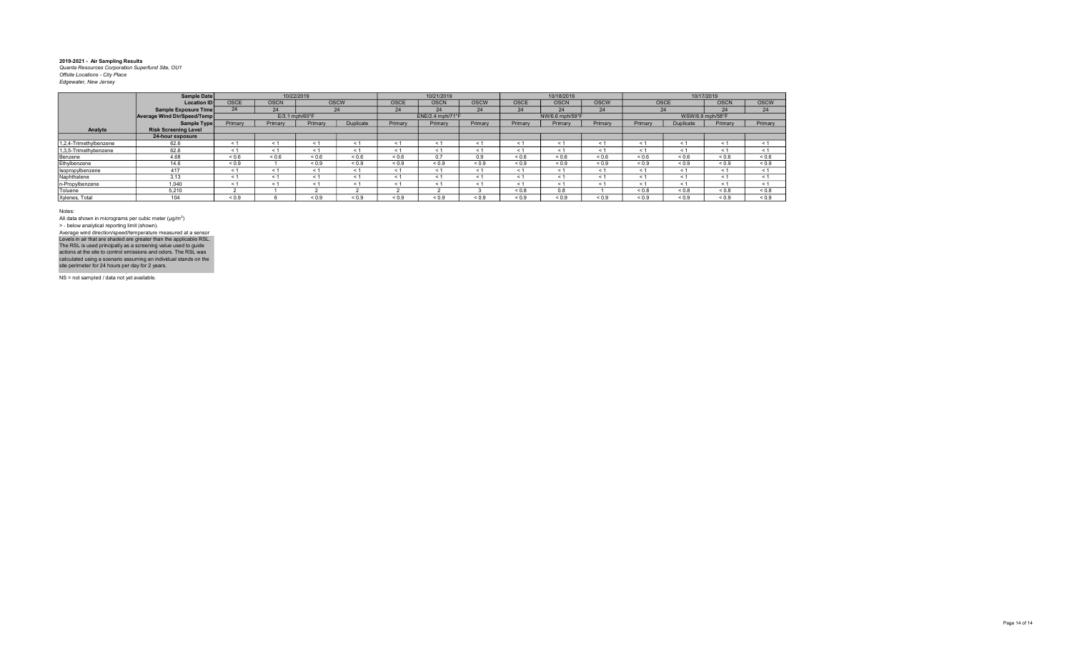|                        | Sample Date                 |            |                            | 10/22/2019 |             |             | 10/21/2019       |             |             | 10/18/2019      |             |             | 10/17/2019       |             |             |
|------------------------|-----------------------------|------------|----------------------------|------------|-------------|-------------|------------------|-------------|-------------|-----------------|-------------|-------------|------------------|-------------|-------------|
|                        | <b>Location ID</b>          | OSCE       | <b>OSCN</b>                |            | <b>OSCW</b> | <b>OSCE</b> | <b>OSCN</b>      | <b>OSCW</b> | <b>OSCE</b> | <b>OSCN</b>     | <b>OSCW</b> | <b>OSCE</b> |                  | <b>OSCN</b> | <b>OSCW</b> |
|                        | Sample Exposure Time        | 24         | 24                         |            | 24          | 24          | 24               | 24          | 24          | 24              | 24          | 24          |                  | 24          | 24          |
|                        | Average Wind Dir/Speed/Temp |            | $E/3.1$ mph/60 $\degree$ F |            |             |             | ENE/2.4 mph/71°F |             |             | NW/6.6 mph/59°F |             |             | WSW/6.9 mph/58°F |             |             |
|                        | Sample Type                 | Primary    | Primary                    | Primary    | Duplicate   | Primary     | Primary          | Primary     | Primary     | Primary         | Primary     | Primary     | Duplicate        | Primary     | Primary     |
| Analyte                | <b>Risk Screening Level</b> |            |                            |            |             |             |                  |             |             |                 |             |             |                  |             |             |
|                        | 24-hour exposure            |            |                            |            |             |             |                  |             |             |                 |             |             |                  |             |             |
| 1,2,4-Trimethylbenzene | 62.6                        | < 1        | < 1                        | < 1        | < 1         | < 1         | < 1              | $<$ 1       | $<$ 1       | < 1             | < 1         | < 1         | < 1              | < 1         | < 1         |
| 1,3,5-Trimethybenzene  | 62.6                        | $\leq 1$   | < 1                        | < 1        | < 1         | < 1         | < 1              | < 1         | < 1         | < 1             | < 1         | < 1         | < 1              | < 1         | < 1         |
| Benzene                | 4.68                        | ${}_{0.6}$ | ${}_{0.6}$                 | ${}_{0.6}$ | ${}_{0.6}$  | ${}_{0.6}$  | 0.7              | 0.9         | 0.6         | ${}_{0.6}$      | ${}_{0.6}$  | ${}_{0.6}$  | 0.6              | ${}_{0.6}$  | ${}_{0.6}$  |
| Ethylbenzene           | 14.6                        | ${}_{0.9}$ |                            | ${}_{0.9}$ | ${}_{0.9}$  | ${}_{0.9}$  | ${}_{0.9}$       | ${}_{0.9}$  | ${}_{0.9}$  | ${}_{0.9}$      | ${}_{0.9}$  | ${}_{0.9}$  | ${}_{0.9}$       | ${}_{0.9}$  | ${}_{0.9}$  |
| Isopropylbenzene       | 417                         | < 1        | < 1                        | < 1        | < 1         | < 1         | < 1              | < 1         | $\leq$ 1    | < 1             | < 1         | < 1         | < 1              | < 1         | < 1         |
| Naphthalene            | 3.13                        | < 1        | < 1                        | < 1        | < 1         | < 1         | < 1              | < 1         | $\leq$ 1    | $\leq 1$        | < 1         | < 1         | < 1              | < 1         | < 1         |
| n-Propylbenzene        | 1.040                       | $\leq 1$   | < 1                        | < 1        | < 1         | < 1         | < 1              | < 1         | < 1         | < 1             | < 1         | $\leq 1$    | < 1              | < 1         | < 1         |
| Toluene                | 5.210                       |            |                            |            |             |             |                  |             | 0.8         | 0.8             |             | ${}_{0.8}$  | $0.8 - 0.8$      | ${}_{0.8}$  | ${}_{0.8}$  |
| Xylenes, Total         | 104                         | ${}_{0.9}$ |                            | ${}_{0.9}$ | ${}_{0.9}$  | ${}_{0.9}$  | ${}_{0.9}$       | ${}_{0.9}$  | ${}_{0.9}$  | ${}_{0.9}$      | ${}_{0.9}$  | ${}_{0.9}$  | ${}_{0.9}$       | ${}_{0.9}$  | ${}_{0.9}$  |

Notes:

All data shown in micrograms per cubic meter (μg/m<sup>3</sup>)<br>> - below analytical reporting limit (shown). Levels in air that are shaded are greater than the applicable RSL.<br>The RSL is used principally as a screening value used to guide<br>actions at the site to control emissions and odors. The RSL was<br>calculated using a scenario Average wind direction/speed/temperature measured at a sensor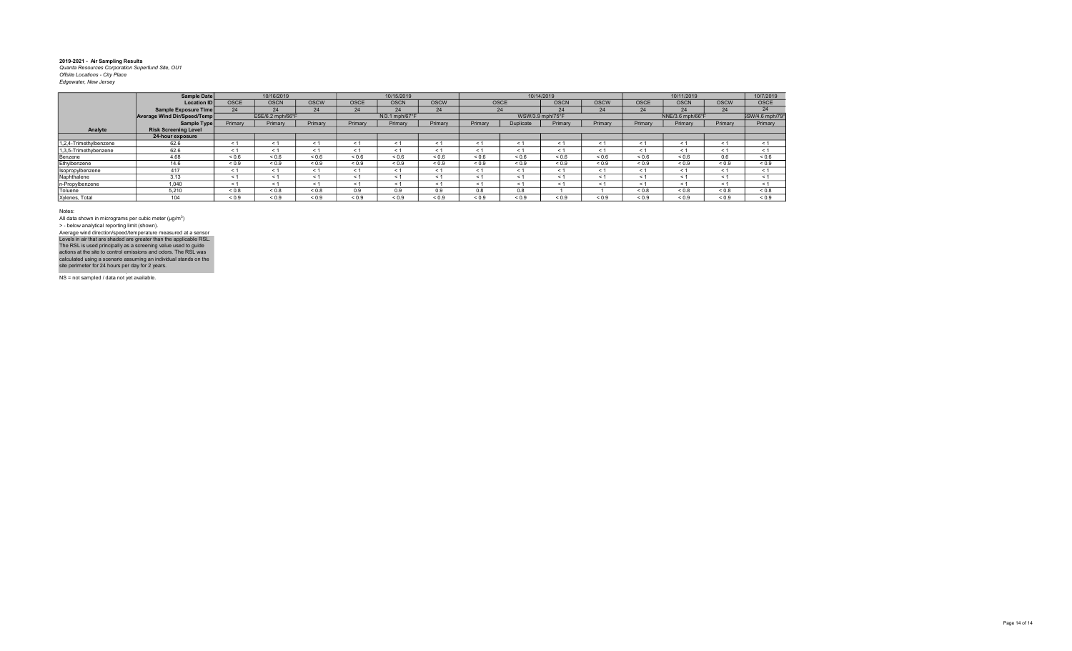|                        | Sample Date                 |             | 10/16/2019       |             |             | 10/15/2019     |             |            |                  | 10/14/2019  |             |             | 10/11/2019       |             | 10/7/2019        |
|------------------------|-----------------------------|-------------|------------------|-------------|-------------|----------------|-------------|------------|------------------|-------------|-------------|-------------|------------------|-------------|------------------|
|                        | <b>Location ID</b>          | <b>OSCE</b> | <b>OSCN</b>      | <b>OSCW</b> | <b>OSCE</b> | <b>OSCN</b>    | <b>OSCW</b> | OSCE       |                  | <b>OSCN</b> | <b>OSCW</b> | <b>OSCE</b> | <b>OSCN</b>      | <b>OSCW</b> | <b>OSCE</b>      |
|                        | Sample Exposure Time        | 24          | 24               | 24          | 24          | 24             | 24          |            | 24               | 24          | 24          | 24          | 24               | 24          | 24               |
|                        | Average Wind Dir/Speed/Temp |             | ESE/6.2 mph/66°F |             |             | N/3.1 mph/67°F |             |            | WSW/3.9 mph/75°F |             |             |             | NNE/3.6 mph/66°F |             | \$SW/4.6 mph/79° |
|                        | Sample Type                 | Primary     | Primary          | Primary     | Primary     | Primary        | Primary     | Primary    | <b>Duplicate</b> | Primary     | Primary     | Primary     | Primary          | Primary     | Primary          |
| Analyte                | <b>Risk Screening Level</b> |             |                  |             |             |                |             |            |                  |             |             |             |                  |             |                  |
|                        | 24-hour exposure            |             |                  |             |             |                |             |            |                  |             |             |             |                  |             |                  |
| 1,2,4-Trimethylbenzene | 62.6                        | < 1         | < 1              | < 1         | < 1         | $\leq 1$       |             | < 1        | < 1              |             | $\leq$ 1    | $\leq$      | < 1              | $\leq 1$    | < 1              |
| 1,3,5-Trimethybenzene  | 62.6                        | < 1         | < 1              | < 1         | < 1         | < 1            | ≺ 1         | < 1        | < 1              | $\leq 1$    | < 1         | ← 1         | < 1              | < 1         | < 1              |
| Benzene                | 4.68                        | ${}_{0.6}$  | ${}_{0.6}$       | ${}_{0.6}$  | ${}_{0.6}$  | ${}_{0.6}$     | ${}_{0.6}$  | 0.6        | ${}_{0.6}$       | ${}_{0.6}$  | ${}_{0.6}$  | 0.6         | ${}_{0.6}$       | 0.6         | ${}_{0.6}$       |
| Ethylbenzene           | 14.6                        | ${}_{0.9}$  | ${}_{0.9}$       | ${}_{0.9}$  | ${}_{0.9}$  | ${}_{0.9}$     | ${}_{0.9}$  | < 0.9      | ${}_{0.9}$       | ${}_{0.9}$  | ${}_{0.9}$  | ${}_{0.9}$  | ${}_{0.9}$       | ${}_{0.9}$  | ${}_{0.9}$       |
| Isopropylbenzene       | 417                         | < 1         | < 1              | < 1         | < 1         | < 1            | < 1         | < 1        | < 1              | < 1         | < 1         | < 1         | < 1              | < 1         | < 1              |
| Naphthalene            | 3.13                        | < 1         | < 1              | < 1         | < 1         | < 1            | < 1         | < 1        | < 1              | $\leq 1$    | < 1         | $\leq$      | $\leq 1$         | < 1         | < 1              |
| n-Propylbenzene        | 1.040                       | < 1         | < 1              | < 1         | < 1         | < 1            | < 1         | < 1        | < 1              | < 1         | < 1         | < 1         | < 1              | < 1         | < 1              |
| Toluene                | 5.210                       | ${}_{0.8}$  | ${}_{0.8}$       | 0.8         | 0.9         | 0.9            | 0.9         | 0.8        | 0.8              |             |             | 0.8         | ${}_{0.8}$       | ${}_{0.8}$  | ${}_{0.8}$       |
| Xylenes, Total         | 104                         | ${}_{0.9}$  | ${}_{0.9}$       | ${}_{0.9}$  | ${}_{0.9}$  | ${}_{0.9}$     | ${}_{0.9}$  | ${}_{0.9}$ | ${}_{0.9}$       | ${}_{0.9}$  | ${}_{0.9}$  | ${}_{0.9}$  | ${}_{0.9}$       | ${}_{0.9}$  | ${}_{0.9}$       |

Notes:

All data shown in micrograms per cubic meter (μg/m<sup>3</sup>)<br>> - below analytical reporting limit (shown). Average wind direction/speed/temperature measured at a sensor

NS = not sampled / data not yet available. Levels in air that are shaded are greater than the applicable RSL.<br>The RSL is used principally as a screening value used to guide<br>actions at the site to control emissions and odors. The RSL was<br>calculated using a scenario

NS = not sampled / data not yet available.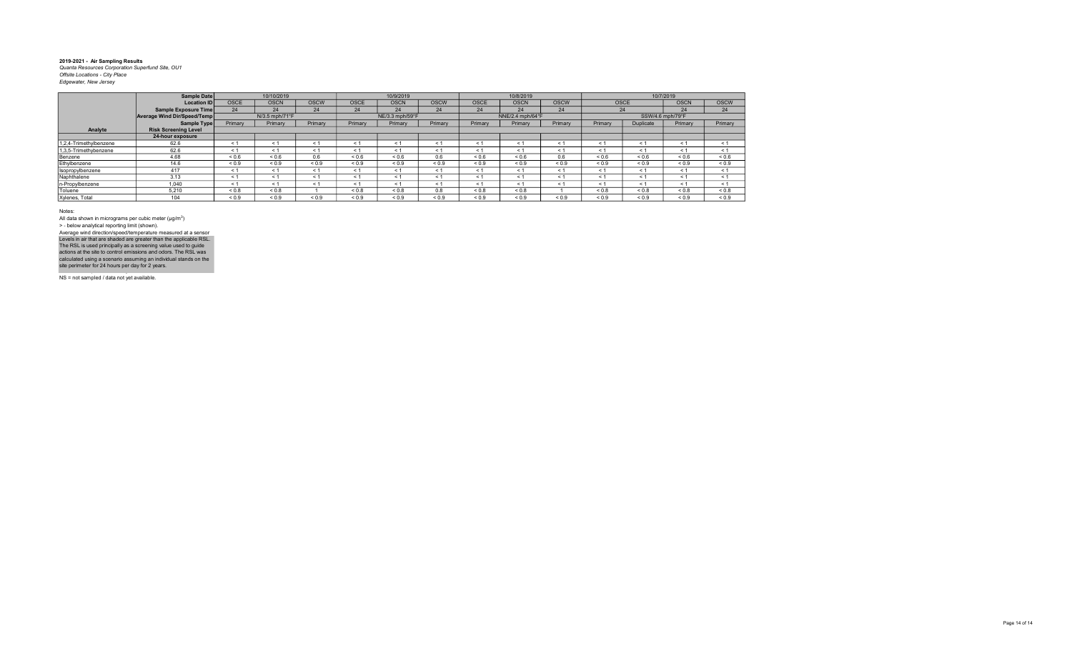|                        | Sample Date                 |             | 10/10/2019     |             |             | 10/9/2019       |             |             | 10/8/2019        |             |            |                  | 10/7/2019   |             |
|------------------------|-----------------------------|-------------|----------------|-------------|-------------|-----------------|-------------|-------------|------------------|-------------|------------|------------------|-------------|-------------|
|                        | <b>Location ID</b>          | <b>OSCE</b> | <b>OSCN</b>    | <b>OSCW</b> | <b>OSCE</b> | <b>OSCN</b>     | <b>OSCW</b> | <b>OSCE</b> | <b>OSCN</b>      | <b>OSCW</b> |            | <b>OSCE</b>      | <b>OSCN</b> | <b>OSCW</b> |
|                        | Sample Exposure Time        | 24          | 24             | 24          | 24          | 24              | 24          | 24          | 24               | 24          |            | 24               | 24          | 24          |
|                        | Average Wind Dir/Speed/Temp |             | N/3.5 mph/71°F |             |             | NE/3.3 mph/59°F |             |             | NNE/2.4 mph/64°F |             |            | SSW/4.6 mph/79°F |             |             |
|                        | Sample Type                 | Primary     | Primary        | Primary     | Primary     | Primary         | Primary     | Primary     | Primary          | Primary     | Primary    | Duplicate        | Primary     | Primary     |
| Analyte                | <b>Risk Screening Level</b> |             |                |             |             |                 |             |             |                  |             |            |                  |             |             |
|                        | 24-hour exposure            |             |                |             |             |                 |             |             |                  |             |            |                  |             |             |
| 1,2,4-Trimethylbenzene | 62.6                        | < 1         | < 1            | < 1         | < 1         | < 1             | $\leq$      | < 1         | < 1              | < 1         | < 1        | < 1              | < 1         | < 1         |
| 1,3,5-Trimethybenzene  | 62.6                        | ≺ 1         | < 1            | < 1         | < 1         | < 1             | $\leq$ 1    | < 1         | < 1              | < 1         | < 1        | < 1              | < 1         | < 1         |
| Benzene                | 4.68                        | ${}_{0.6}$  | 0.6            | 0.6         | ${}_{0.6}$  | ${}_{0.6}$      | 0.6         | ${}_{0.6}$  | ${}_{0.6}$       | 0.6         | ${}_{0.6}$ | ${}_{0.6}$       | ${}_{0.6}$  | ${}_{0.6}$  |
| Ethylbenzene           | 14.6                        | ${}_{0.9}$  | ${}_{0.9}$     | ${}_{0.9}$  | ${}_{0.9}$  | ${}_{0.9}$      | ${}_{0.9}$  | ${}_{0.9}$  | ${}_{0.9}$       | ${}_{0.9}$  | ${}_{0.9}$ | ${}_{0.9}$       | ${}_{0.9}$  | ${}_{0.9}$  |
| Isopropylbenzene       | 417                         | < 1         | < 1            | < 1         | < 1         | < 1             | < 1         | < 1         | < 1              | < 1         | < 1        | < 1              | < 1         | < 1         |
| Naphthalene            | 3.13                        | < 1         | < 1            | < 1         | < 1         | < 1             | < 1         | < 1         | < 1              | < 1         | < 1        | < 1              | < 1         | < 1         |
| n-Propylbenzene        | 1,040                       | $\leq$ 1    | < 1            | < 1         | < 1         | < 1             | $\leq$ 1    | < 1         | < 1              | < 1         | < 1        | < 1              | < 1         | < 1         |
| Toluene                | 5.210                       | ${}_{0.8}$  | ${}_{0.8}$     |             | ${}_{0.8}$  | ${}_{0.8}$      | 0.8         | ${}_{0.8}$  | ${}_{0.8}$       |             | ${}_{0.8}$ | ${}_{0.8}$       | ${}_{0.8}$  | ${}_{0.8}$  |
| Xylenes, Total         | 104                         | ${}_{0.9}$  | ${}_{0.9}$     | ${}_{0.9}$  | ${}_{0.9}$  | ${}_{0.9}$      | ${}_{0.9}$  | ${}_{0.9}$  | ${}_{0.9}$       | ${}_{0.9}$  | ${}_{0.9}$ | ${}_{0.9}$       | ${}_{0.9}$  | ${}_{0.9}$  |

Notes:

All data shown in micrograms per cubic meter (μg/m<sup>3</sup>)<br>> - below analytical reporting limit (shown). Levels in air that are shaded are greater than the applicable RSL.<br>The RSL is used principally as a screening value used to guide<br>actions at the site to control emissions and odors. The RSL was<br>calculated using a scenario Average wind direction/speed/temperature measured at a sensor

NS = not sampled / data not yet available.

NS = not sampled / data not yet available.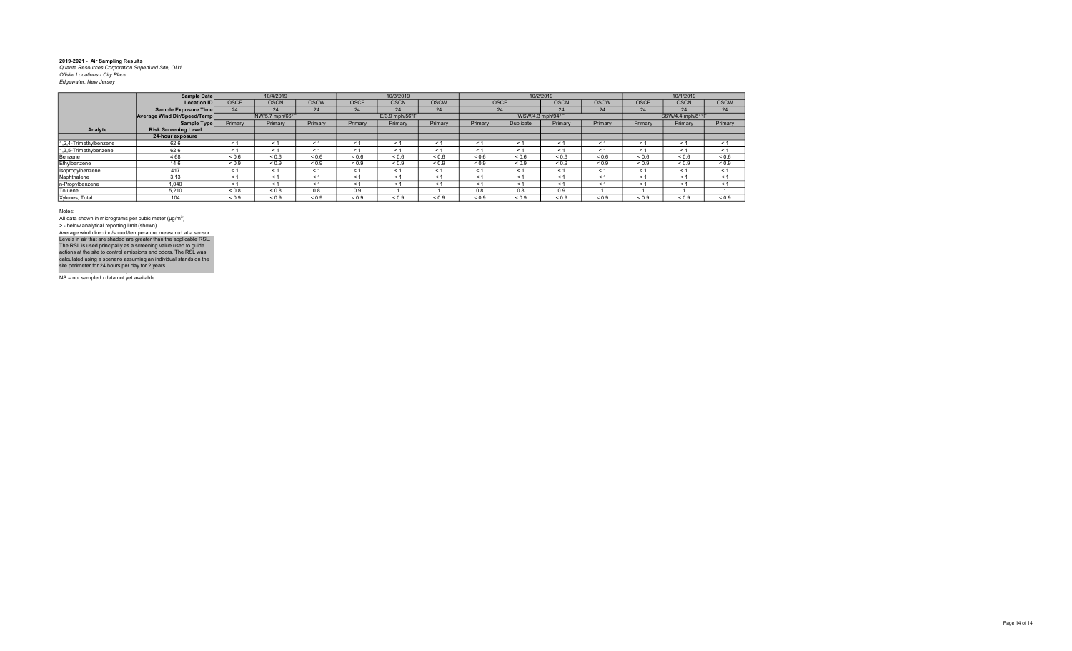|                        | Sample Date                 |             | 10/4/2019       |             |             | 10/3/2019        |             |            |                  | 10/2/2019   |             |             | 10/1/2019        |             |
|------------------------|-----------------------------|-------------|-----------------|-------------|-------------|------------------|-------------|------------|------------------|-------------|-------------|-------------|------------------|-------------|
|                        | <b>Location ID</b>          | <b>OSCE</b> | <b>OSCN</b>     | <b>OSCW</b> | <b>OSCE</b> | <b>OSCN</b>      | <b>OSCW</b> |            | <b>OSCE</b>      | <b>OSCN</b> | <b>OSCW</b> | <b>OSCE</b> | <b>OSCN</b>      | <b>OSCW</b> |
|                        | Sample Exposure Time        | 24          | 24              | 24          | 24          | 24               | 24          |            | 24               | 24          | 24          | 24          | 24               | 24          |
|                        | Average Wind Dir/Speed/Temp |             | NW/5.7 mph/66°F |             |             | $E/3.9$ mph/56°F |             |            | WSW/4.3 mph/94°F |             |             |             | SSW/4.4 mph/81°F |             |
|                        | Sample Type                 | Primary     | Primary         | Primary     | Primary     | Primary          | Primary     | Primary    | Duplicate        | Primary     | Primary     | Primary     | Primary          | Primary     |
| Analyte                | <b>Risk Screening Level</b> |             |                 |             |             |                  |             |            |                  |             |             |             |                  |             |
|                        | 24-hour exposure            |             |                 |             |             |                  |             |            |                  |             |             |             |                  |             |
| 1,2,4-Trimethylbenzene | 62.6                        | < 1         | $\leq 1$        | < 1         | < 1         | < 1              | $\leq$ 1    | < 1        | < 1              | < 1         | < 1         | < 1         | < 1              | < 1         |
| 1,3,5-Trimethybenzene  | 62.6                        | < 1         | < 1             | < 1         | < 1         | < 1              | < 1         | < 1        | < 1              | < 1         | < 1         | < 1         | < 1              | < 1         |
| Benzene                | 4.68                        | ${}_{0.6}$  | ${}_{0.6}$      | ${}_{0.6}$  | ${}_{0.6}$  | ${}_{0.6}$       | 0.6         | 0.6        | ${}_{0.6}$       | ${}_{0.6}$  | ${}_{0.6}$  | 0.6         | 0.6              | ${}_{0.6}$  |
| Ethylbenzene           | 14.6                        | ${}_{0.9}$  | ${}_{0.9}$      | ${}_{0.9}$  | ${}_{0.9}$  | ${}_{0.9}$       | ${}_{0.9}$  | ${}_{0.9}$ | ${}_{0.9}$       | ${}_{0.9}$  | ${}_{0.9}$  | ${}_{0.9}$  | ${}_{0.9}$       | ${}_{0.9}$  |
| Isopropylbenzene       | 417                         | < 1         | < 1             | < 1         | < 1         | < 1              | < 1         | < 1        | < 1              | < 1         | < 1         | < 1         | < 1              | < 1         |
| Naphthalene            | 3.13                        | $\leq$ 1    | < 1             | $\leq$ 1    | < 1         | < 1              | < 1         | < 1        | < 1              | < 1         | < 1         | < 1         | < 1              | < 1         |
| n-Propylbenzene        | 1.040                       | < 1         | < 1             | < 1         | < 1         | < 1              | $\leq$ 1    | < 1        | < 1              | < 1         | < 1         | < 1         | < 1              | < 1         |
| Toluene                | 5.210                       | ${}_{0.8}$  | ${}_{0.8}$      | 0.8         | 0.9         |                  |             | 0.8        | 0.8              | 0.9         |             |             |                  |             |
| Xylenes, Total         | 104                         | ${}_{0.9}$  | ${}_{0.9}$      | ${}_{0.9}$  | ${}_{0.9}$  | ${}_{0.9}$       | ${}_{0.9}$  | ${}_{0.9}$ | ${}_{0.9}$       | ${}_{0.9}$  | ${}_{0.9}$  | ${}_{0.9}$  | ${}_{0.9}$       | ${}_{0.9}$  |

Notes:

All data shown in micrograms per cubic meter (μg/m<sup>3</sup>)<br>> - below analytical reporting limit (shown). Levels in air that are shaded are greater than the applicable RSL.<br>The RSL is used principally as a screening value used to guide<br>actions at the site to control emissions and odors. The RSL was<br>calculated using a scenario Average wind direction/speed/temperature measured at a sensor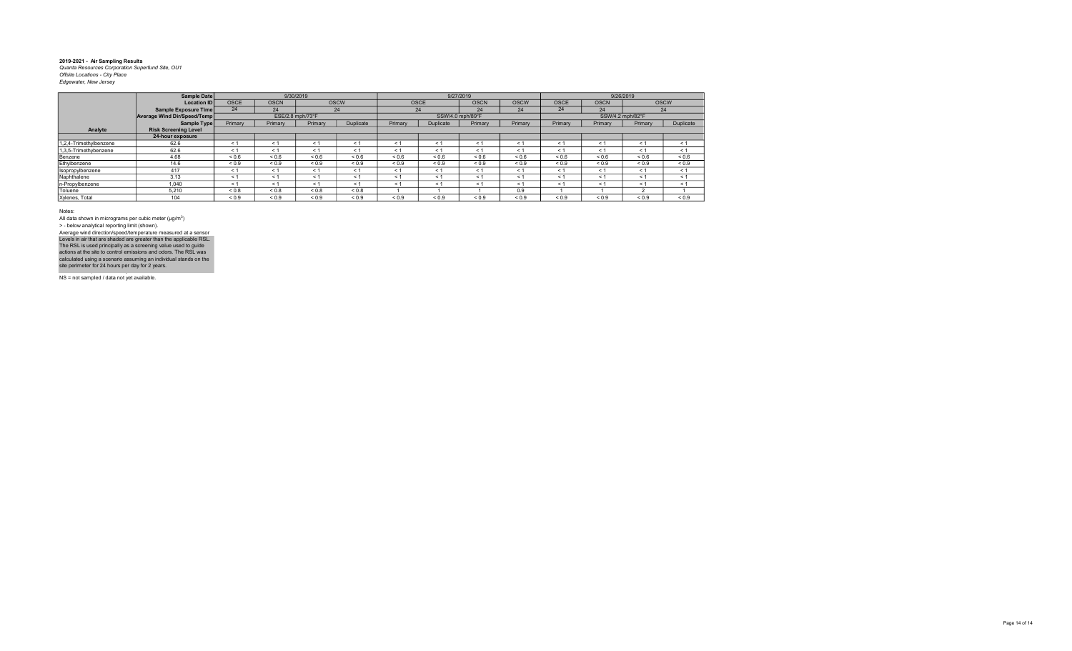|                        | Sample Date                 |             |             | 9/30/2019        |             |            |             | 9/27/2019        |             |             |             | 9/26/2019        |             |
|------------------------|-----------------------------|-------------|-------------|------------------|-------------|------------|-------------|------------------|-------------|-------------|-------------|------------------|-------------|
|                        | Location ID                 | <b>OSCE</b> | <b>OSCN</b> |                  | <b>OSCW</b> |            | <b>OSCE</b> | <b>OSCN</b>      | <b>OSCW</b> | <b>OSCE</b> | <b>OSCN</b> |                  | <b>OSCW</b> |
|                        | Sample Exposure Time        | 24          | 24          |                  | 24          |            | 24          | 24               | 24          | 24          | 24          |                  | 24          |
|                        | Average Wind Dir/Speed/Temp |             |             | ESE/2.8 mph/73°F |             |            |             | SSW/4.0 mph/89°F |             |             |             | SSW/4.2 mph/82°F |             |
|                        | Sample Type                 | Primary     | Primary     | Primary          | Duplicate   | Primary    | Duplicate   | Primary          | Primary     | Primary     | Primary     | Primary          | Duplicate   |
| Analyte                | <b>Risk Screening Level</b> |             |             |                  |             |            |             |                  |             |             |             |                  |             |
|                        | 24-hour exposure            |             |             |                  |             |            |             |                  |             |             |             |                  |             |
| 1,2,4-Trimethylbenzene | 62.6                        | < 1         | $<$ 1       | < 1              | $\leq 1$    | < 1        | $<$ 1       | $\leq$ 1         | < 1         | $\leq 1$    | ≺ 1         | $\leq 1$         | < 1         |
| 1,3,5-Trimethybenzene  | 62.6                        | < 1         | $<$ 1       | < 1              | $\leq 1$    | < 1        | $\leq$ 1    | $\leq$ 1         | $\leq 1$    | ← 1         | < 1         | $\leq$ 1         | < 1         |
| Benzene                | 4.68                        | 0.6         | ${}_{0.6}$  | ${}_{0.6}$       | ${}_{0.6}$  | ${}_{0.6}$ | ${}_{0.6}$  | 0.6              | ${}_{0.6}$  | < 0.6       | ${}_{0.6}$  | ${}_{0.6}$       | ${}_{0.6}$  |
| Ethylbenzene           | 14.6                        | ${}_{0.9}$  | ${}_{0.9}$  | ${}_{0.9}$       | ${}_{0.9}$  | ${}_{0.9}$ | ${}_{0.9}$  | ${}_{0.9}$       | ${}_{0.9}$  | ${}_{0.9}$  | ${}_{0.9}$  | ${}_{0.9}$       | ${}_{0.9}$  |
| Isopropylbenzene       | 417                         | < 1         | $\leq 1$    | < 1              | < 1         | < 1        | < 1         | < 1              | < 1         | < 1         | < 1         | < 1              | < 1         |
| Naphthalene            | 3.13                        | < 1         | $\leq 1$    | < 1              | $\leq 1$    | < 1        | $\leq 1$    | $\leq$ 1         | < 1         | $\leq 1$    | < 1         | $\leq$ 1         | < 1         |
| n-Propylbenzene        | 1.040                       | < 1         | $\leq 1$    | < 1              | < 1         | < 1        | $\leq 1$    | $\leq$ 1         | < 1         | $\leq 1$    | $\leq 1$    | $\leq$ 1         | < 1         |
| Toluene                | 5.210                       | ${}_{0.8}$  | 0.8         | ${}_{0.8}$       | ${}_{0.8}$  |            |             |                  | 0.9         |             |             |                  |             |
| Xylenes, Total         | 104                         | ${}_{0.9}$  | ${}_{0.9}$  | ${}_{0.9}$       | ${}_{0.9}$  | ${}_{0.9}$ | ${}_{0.9}$  | ${}_{0.9}$       | ${}_{0.9}$  | ${}_{0.9}$  | ${}_{0.9}$  | ${}_{0.9}$       | ${}_{0.9}$  |

Notes:

All data shown in micrograms per cubic meter (μg/m<sup>3</sup>)<br>> - below analytical reporting limit (shown). Levels in air that are shaded are greater than the applicable RSL.<br>The RSL is used principally as a screening value used to guide<br>actions at the site to control emissions and odors. The RSL was<br>calculated using a scenario Average wind direction/speed/temperature measured at a sensor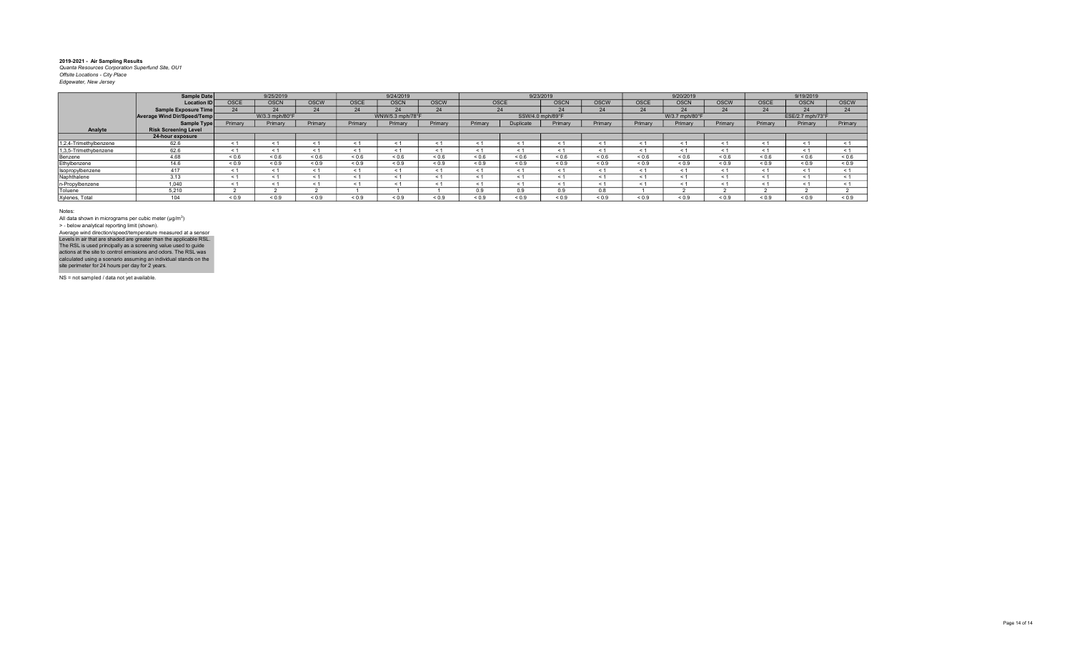|                        | Sample Date                 |             | 9/25/2019      |             |             | 9/24/2019        |             |            | 9/23/2019        |             |             |             | 9/20/2019      |             |             | 9/19/2019        |             |
|------------------------|-----------------------------|-------------|----------------|-------------|-------------|------------------|-------------|------------|------------------|-------------|-------------|-------------|----------------|-------------|-------------|------------------|-------------|
|                        | <b>Location ID</b>          | <b>OSCE</b> | <b>OSCN</b>    | <b>OSCW</b> | <b>OSCE</b> | <b>OSCN</b>      | <b>OSCW</b> | OSCE       |                  | <b>OSCN</b> | <b>OSCW</b> | <b>OSCE</b> | <b>OSCN</b>    | <b>OSCW</b> | <b>OSCE</b> | <b>OSCN</b>      | <b>OSCW</b> |
|                        | Sample Exposure Time        | 24          | 24             | 24          | 24          | 24               | 24          | 24         |                  | 24          | 24          | 24          | 24             | 24          | 24          | 24               | 24          |
|                        | Average Wind Dir/Speed/Temp |             | W/3.3 mph/80°F |             |             | WNW/5.3 mph/78°F |             |            | SSW/4.0 mph/89°F |             |             |             | W/3.7 mph/80°F |             |             | ESE/2.7 mph/73°F |             |
|                        | Sample Type                 | Primary     | Primary        | Primary     | Primary     | Primary          | Primary     | Primary    | Duplicate        | Primary     | Primary     | Primary     | Primary        | Primary     | Primary     | Primary          | Primary     |
| Analyte                | <b>Risk Screening Level</b> |             |                |             |             |                  |             |            |                  |             |             |             |                |             |             |                  |             |
|                        | 24-hour exposure            |             |                |             |             |                  |             |            |                  |             |             |             |                |             |             |                  |             |
| 1,2,4-Trimethylbenzene | 62.6                        | < 1         |                | < 1         |             | $\leq$ 1         |             |            | $<$ 1            |             | < 1         |             | < 1            | $\leq$      | < 1         |                  |             |
| 1,3,5-Trimethybenzene  | 62.6                        | < 1         |                | < 1         |             | < 1              | ← 1         |            | < 1              | < 1         | < 1         |             | < 1            | < 1         | < 1         | < 1              |             |
| Benzene                | 4.68                        | ${}_{0.6}$  | ${}_{0.6}$     | ${}_{0.6}$  | ${}_{0.6}$  | ${}_{0.6}$       | 0.6         | 0.6        | ${}_{0.6}$       | ${}_{0.6}$  | 0.6         | ${}_{0.6}$  | ${}_{0.6}$     | ${}_{0.6}$  | 0.6         | 0.6              | ${}_{0.6}$  |
| Ethylbenzene           | 14.6                        | ${}_{0.9}$  | ${}_{0.9}$     | ${}_{0.9}$  | ${}_{0.9}$  | ${}_{0.9}$       | ${}_{0.9}$  | ${}_{0.9}$ | ${}_{0.9}$       | ${}_{0.9}$  | ${}_{0.9}$  | ${}_{0.9}$  | ${}_{0.9}$     | ${}_{0.9}$  | ${}_{0.9}$  | ${}_{0.9}$       | ${}_{0.9}$  |
| Isopropylbenzene       | 417                         | < 1         |                | < 1         |             | < 1              | ⊂ 1         |            | < 1              | $\leq$ 1    | < 1         |             | < 1            | < 1         | < 1         | < 1              |             |
| Naphthalene            | 3.13                        | < 1         |                | < 1         |             | < 1              | < 1         |            | $\leq 1$         |             | < 1         |             | $\leq$ 1       | $<$ 1       | < 1         | < 1              |             |
| n-Propylbenzene        | 1.040                       | < 1         |                | < 1         |             | < 1              | < 1         |            | < 1              | ≺ 1         | < 1         |             | $\leq$ 1       | < 1         | < 1         | < 1              |             |
| Toluene                | 5.210                       |             |                |             |             |                  |             | 0.9        | 0.9              | 0.9         | 0.8         |             |                |             |             |                  |             |
| Xylenes, Total         | $\Delta$ $\Delta$           | ${}_{0.9}$  | 0.9            | < 0.9       | ${}_{0.9}$  | ${}_{0.9}$       | ${}_{0.9}$  | ${}_{0.9}$ | ${}_{0.9}$       | ${}_{0.9}$  | ${}_{0.9}$  | ${}_{0.9}$  | ${}_{0.9}$     | ${}_{0.9}$  | ${}_{0.9}$  | ${}_{0.9}$       | ${}_{0.9}$  |
|                        |                             |             |                |             |             |                  |             |            |                  |             |             |             |                |             |             |                  |             |

Notes:

All data shown in micrograms per cubic meter (μg/m<sup>3</sup>)<br>> - below analytical reporting limit (shown). Levels in air that are shaded are greater than the applicable RSL.<br>The RSL is used principally as a screening value used to guide<br>actions at the site to control emissions and odors. The RSL was<br>calculated using a scenario Average wind direction/speed/temperature measured at a sensor

NS = not sampled / data not yet available.

NS = not sampled / data not yet available.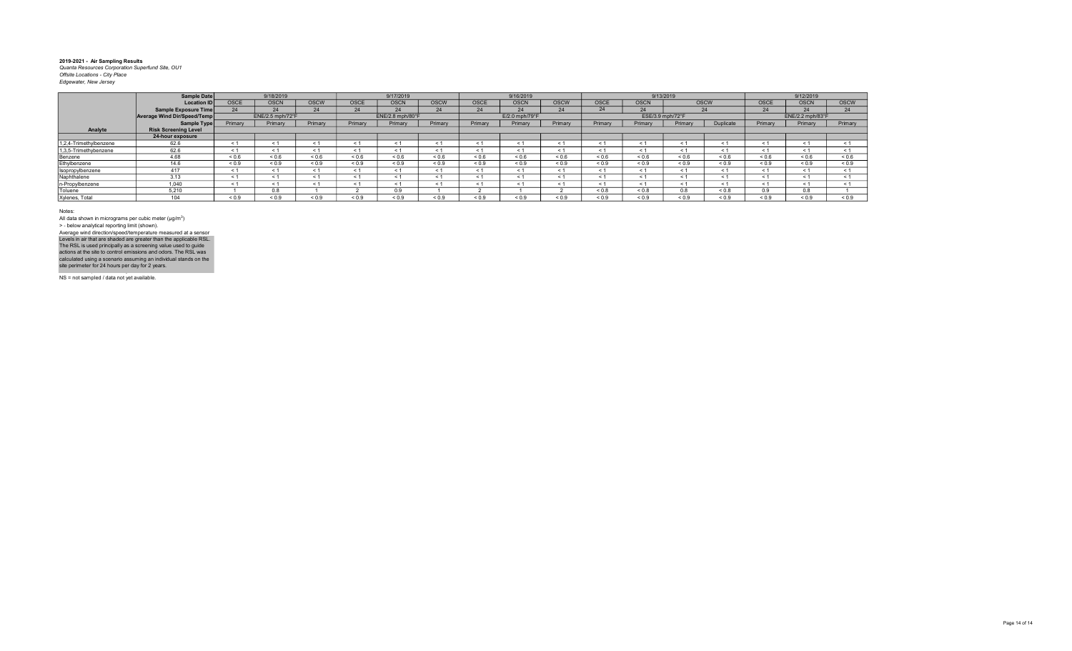|                                        | <b>Sample Date</b>   |             |                  |             |             |                  |             |             |                |             |             |                  |            |            |             |                  |             |
|----------------------------------------|----------------------|-------------|------------------|-------------|-------------|------------------|-------------|-------------|----------------|-------------|-------------|------------------|------------|------------|-------------|------------------|-------------|
|                                        |                      |             | 9/18/2019        |             |             | 9/17/2019        |             |             | 9/16/2019      |             |             |                  | 9/13/2019  |            |             | 9/12/2019        |             |
|                                        | <b>Location ID</b>   | <b>OSCE</b> | <b>OSCN</b>      | <b>OSCW</b> | <b>OSCE</b> | <b>OSCN</b>      | <b>OSCW</b> | <b>OSCE</b> | <b>OSCN</b>    | <b>OSCW</b> | <b>OSCE</b> | <b>OSCN</b>      | OSCW       |            | <b>OSCE</b> | <b>OSCN</b>      | <b>OSCW</b> |
|                                        | Sample Exposure Time | 24          | 24               | 24          | 24          | 24               | 24          | 24          | 24             | 24          | 24          | 24               |            |            | 24          | 24               | 24          |
| Average Wind Dir/Speed/Temp            |                      |             | ENE/2.5 mph/72°F |             |             | ENE/2.8 mph/80°F |             |             | E/2.0 mph/79°F |             |             | ESE/3.9 mph/72°F |            |            |             | ENE/2.2 mph/83°F |             |
|                                        | Sample Type          | Primary     | Primary          | Primary     | Primary     | Primary          | Primary     | Primary     | Primary        | Primary     | Primary     | Primary          | Primary    | Duplicate  | Primary     | Primary          | Primary     |
| Analyte<br><b>Risk Screening Level</b> |                      |             |                  |             |             |                  |             |             |                |             |             |                  |            |            |             |                  |             |
| 24-hour exposure                       |                      |             |                  |             |             |                  |             |             |                |             |             |                  |            |            |             |                  |             |
| 1,2,4-Trimethylbenzene<br>62.6         |                      | < 1         |                  | < 1         |             | < 1              | ← 1         |             | < 1            | < 1         | < 1         |                  | < 1        | < 1        | < 1         | < 1              | < 1         |
| 62.6<br>1,3,5-Trimethybenzene          |                      | ← 1         |                  | < 1         |             | < 1              | ← 1         |             | < 1            | < 1         | < 1         |                  | $\leq$ 1   | < 1        | < 1         | < 1              | < 1         |
| 4.68<br>Benzene                        |                      | ${}_{0.6}$  | ${}_{0.6}$       | ${}_{0.6}$  | ${}_{0.6}$  | ${}_{0.6}$       | 0.6         | 0.6         | ${}_{0.6}$     | ${}_{0.6}$  | 0.6         | ${}_{0.6}$       | 0.6        | ${}_{0.6}$ | 0.6         | ${}_{0.6}$       | 0.6         |
| Ethylbenzene<br>14.6                   |                      | ${}_{0.9}$  | ${}_{0.9}$       | ${}_{0.9}$  | ${}_{0.9}$  | ${}_{0.9}$       | ${}_{0.9}$  | ${}_{0.9}$  | ${}_{0.9}$     | ${}_{0.9}$  | ${}_{0.9}$  | ${}_{0.9}$       | ${}_{0.9}$ | ${}_{0.9}$ | ${}_{0.9}$  | ${}_{0.9}$       | ${}_{0.9}$  |
| 417<br>Isopropylbenzene                |                      | < 1         |                  | < 1         |             | < 1              | < 1         |             | < 1            | < 1         | < 1         |                  | < 1        | < 1        | < 1         | < 1              |             |
| Naphthalene<br>3.13                    |                      | < 1         |                  | < 1         |             | $\leq$ 1         |             |             | < 1            |             | < 1         |                  | $\leq$     | $<$ 1      | < 1         | < 1              |             |
| n-Propylbenzene<br>1.040               |                      | < 1         |                  | < 1         |             | < 1              | $\leq 1$    |             | < 1            | - 1         | < 1         |                  | - 1        | < 1        | < 1         | < 1              |             |
| 5.210<br>Toluene                       |                      |             | 0.8              |             |             | 0.9              |             |             |                |             | 0.8         | ${}_{0.8}$       | 0.8        | ${}_{0.8}$ | 0.9         | 0.8              |             |
| Xylenes, Total<br>$\Delta$ $\Delta$    |                      | ${}_{0.9}$  | 0.9              | < 0.9       | ${}_{0.9}$  | ${}_{0.9}$       | ${}_{0.9}$  | ${}_{0.9}$  | ${}_{0.9}$     | ${}_{0.9}$  | ${}_{0.9}$  | ${}_{0.9}$       | ${}_{0.9}$ | ${}_{0.9}$ | ${}_{0.9}$  | ${}_{0.9}$       | ${}_{0.9}$  |

Notes:

All data shown in micrograms per cubic meter (μg/m<sup>3</sup>)<br>> - below analytical reporting limit (shown). Levels in air that are shaded are greater than the applicable RSL.<br>The RSL is used principally as a screening value used to guide<br>actions at the site to control emissions and odors. The RSL was<br>calculated using a scenario Average wind direction/speed/temperature measured at a sensor

NS = not sampled / data not yet available.

NS = not sampled / data not yet available.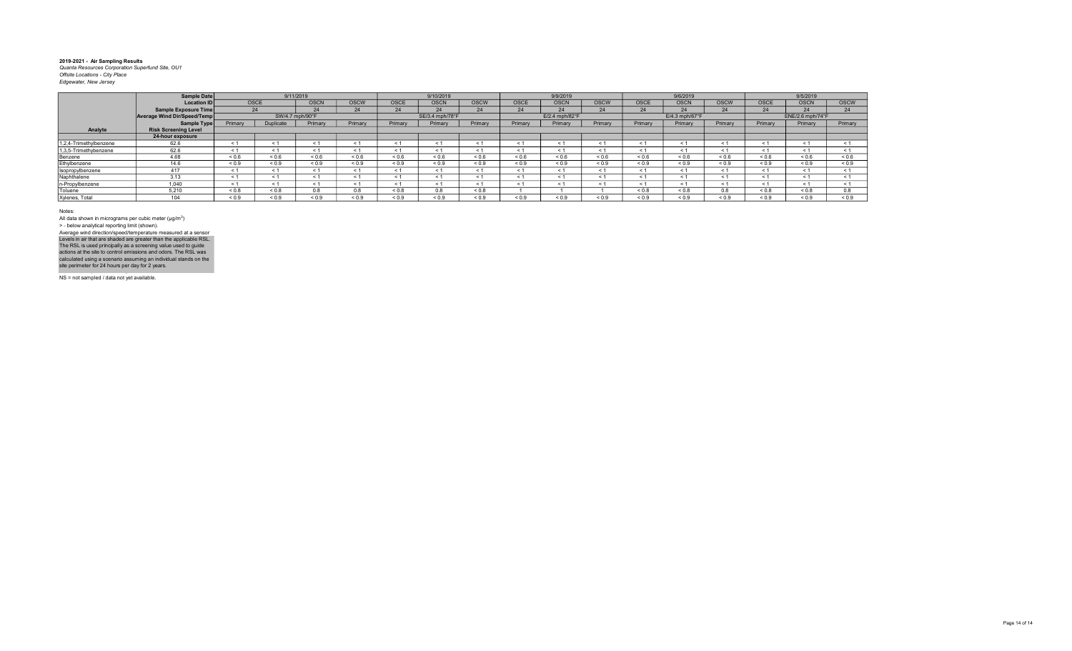| <b>Location IDI</b>         |             |             | <b>OSCN</b>       | <b>OSCW</b>                  | <b>OSCE</b> | <b>OSCN</b> | <b>OSCW</b>                  | <b>OSCE</b> | <b>OSCN</b>    | <b>OSCW</b> | <b>OSCE</b> | <b>OSCN</b>                | <b>OSCW</b> | <b>OSCE</b> | <b>OSCN</b> | <b>OSCW</b>                  |
|-----------------------------|-------------|-------------|-------------------|------------------------------|-------------|-------------|------------------------------|-------------|----------------|-------------|-------------|----------------------------|-------------|-------------|-------------|------------------------------|
| Sample Exposure Time        |             |             | 24                | 24                           | 24          | 24          | 24                           | 24          | 24             | 24          | 24          | 24                         | 24          | 24          | 24          | 24                           |
| Average Wind Dir/Speed/Temp |             |             |                   |                              |             |             |                              |             | E/2.4 mph/82°F |             |             | $E/4.3$ mph/67 $\degree$ F |             |             |             |                              |
|                             | Primary     | Duplicate   | Primary           | Primary                      | Primary     | Primary     | Primary                      | Primary     | Primary        | Primary     | Primary     | Primary                    | Primary     | Primary     | Primary     | Primary                      |
| <b>Risk Screening Level</b> |             |             |                   |                              |             |             |                              |             |                |             |             |                            |             |             |             |                              |
| 24-hour exposure            |             |             |                   |                              |             |             |                              |             |                |             |             |                            |             |             |             |                              |
| 62.6                        |             | < 1         | < 1               |                              | < 1         |             |                              | $\epsilon$  |                | < 1         |             | $<$ 1                      | < 1         | < 1         | < 1         |                              |
| 62.6                        | $\leq$ 1    | < 1         | < 1               | < 1                          | < 1         | < 1         |                              | $\leq$      | < 1            | < 1         |             | < 1                        | < 1         | < 1         | < 1         |                              |
| 4.68                        | 0.6         | 0.6         | ${}_{0.6}$        | ${}_{0.6}$                   | ${}_{0.6}$  | 0.6         | 0.6                          | 0.6         | ${}_{0.6}$     | 0.6         | 0.6         | ${}_{0.6}$                 | < 0.6       | ${}_{0.6}$  | 0.6         | ${}_{0.6}$                   |
| 14.6                        | ${}_{0.9}$  | ${}_{0.9}$  | ${}_{0.9}$        | ${}_{0.9}$                   | ${}_{0.9}$  | ${}_{0.9}$  | ${}_{0.9}$                   | ${}_{0.9}$  | ${}_{0.9}$     | ${}_{0.9}$  | ${}_{0.9}$  | ${}_{0.9}$                 | ${}_{0.9}$  | ${}_{0.9}$  | ${}_{0.9}$  | ${}_{0.9}$                   |
| 417                         | < 1         | < 1         | < 1               | < 1                          | < 1         | < 1         |                              | $\leq 1$    |                | < 1         |             | < 1                        | < 1         | < 1         | < 1         |                              |
| 3.13                        | $\epsilon$  | < 1         | < 1               | e 1                          | < 1         | < 1         |                              | $\epsilon$  |                | < 1         |             | $\tilde{\phantom{0}}$      | < 1         | $\leq 1$    | < 1         |                              |
| 1.040                       | $\leq 1$    | < 1         | < 1               | < 1                          | $\leq$ 1    | < 1         |                              | $\leq$ 1    | $\leq 1$       | < 1         |             | $\leq$ 1                   | < 1         | < 1         | < 1         |                              |
| 5.210                       | ${}_{0.8}$  | ${}_{0.8}$  | 0.8               | 0.8                          | ${}_{0.8}$  | 0.8         | ${}_{0.8}$                   |             |                |             | ${}_{0.8}$  | ${}_{0.8}$                 | 0.8         | 0.8         | < 0.8       | 0.8                          |
| 104                         | ${}_{0.9}$  | 0.9         | ${}_{0.9}$        | ${}_{0.9}$                   | ${}_{0.9}$  | ${}_{0.9}$  | ${}_{0.9}$                   | ${}_{0.9}$  | ${}_{0.9}$     | ${}_{0.9}$  | ${}_{0.9}$  | ${}_{0.9}$                 | ${}_{0.9}$  | ${}_{0.9}$  | ${}_{0.9}$  | ${}_{0.9}$                   |
|                             | Sample Date | Sample Type | <b>OSCE</b><br>24 | 9/11/2019<br>SW/4.7 mph/90°F |             |             | 9/10/2019<br>SE/3.4 mph/78°F |             |                | 9/9/2019    |             |                            | 9/6/2019    |             |             | 9/5/2019<br>ENE/2.6 mph/74°F |

Notes:

All data shown in micrograms per cubic meter (μg/m<sup>3</sup>)<br>> - below analytical reporting limit (shown). Levels in air that are shaded are greater than the applicable RSL.<br>The RSL is used principally as a screening value used to guide<br>actions at the site to control emissions and odors. The RSL was<br>calculated using a scenario Average wind direction/speed/temperature measured at a sensor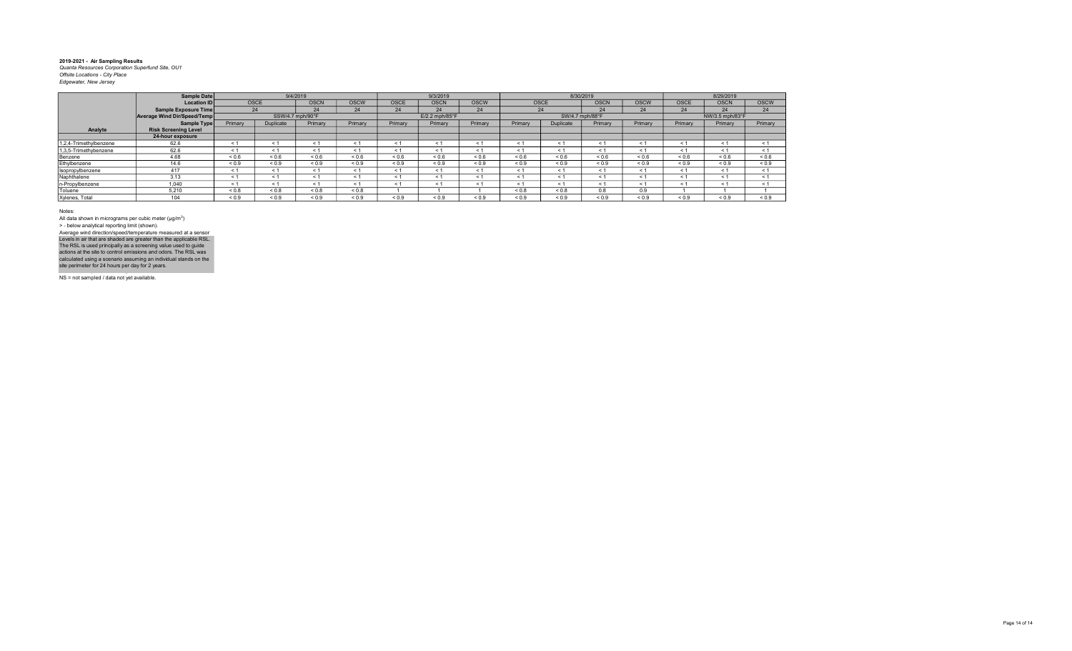|                        | Sample Date                 |            | 9/4/2019         |             |             |             | 9/3/2019         |             |            | 8/30/2019       |             |             |            | 8/29/2019       |             |
|------------------------|-----------------------------|------------|------------------|-------------|-------------|-------------|------------------|-------------|------------|-----------------|-------------|-------------|------------|-----------------|-------------|
|                        | Location ID                 | OSCE       |                  | <b>OSCN</b> | <b>OSCW</b> | <b>OSCE</b> | <b>OSCN</b>      | <b>OSCW</b> |            | <b>OSCE</b>     | <b>OSCN</b> | <b>OSCW</b> | OSCE       | <b>OSCN</b>     | <b>OSCW</b> |
|                        | Sample Exposure Time        |            | 24               | 24          | 24          | 24          | 24               | 24          |            | 24              | 24          | 24          | 24         | 24              | 24          |
|                        | Average Wind Dir/Speed/Temp |            | SSW/4.7 mph/90°F |             |             |             | $E/2.2$ mph/85°F |             |            | SW/4.7 mph/88°F |             |             |            | NW/3.5 mph/83°F |             |
|                        | Sample Type                 | Primary    | Duplicate        | Primary     | Primary     | Primary     | Primary          | Primary     | Primary    | Duplicate       | Primary     | Primary     | Primary    | Primary         | Primary     |
| Analyte                | <b>Risk Screening Level</b> |            |                  |             |             |             |                  |             |            |                 |             |             |            |                 |             |
|                        | 24-hour exposure            |            |                  |             |             |             |                  |             |            |                 |             |             |            |                 |             |
| 1,2,4-Trimethylbenzene | 62.6                        | < 1        | < 1              | < 1         | $\prec$     | $\leq$      |                  | $\leq$      | $\leq$     | $\leq$ 1        | < 1         | < 1         | < 1        | < 1             | < 1         |
| 1,3,5-Trimethybenzene  | 62.6                        | < 1        | < 1              | < 1         | $\leq 1$    | < 1         |                  | < 1         | $\leq$ 1   | < 1             | < 1         | ≺ 1         | < 1        | < 1             | < 1         |
| Benzene                | 4.68                        | ${}_{0.6}$ | 0.6              | ${}_{0.6}$  | 0.6         | ${}_{0.6}$  | ${}_{0.6}$       | ${}_{0.6}$  | ${}_{0.6}$ | ${}_{0.6}$      | ${}_{0.6}$  | ${}_{0.6}$  | 0.6        | ${}_{0.6}$      | ${}_{0.6}$  |
| Ethylbenzene           | 14.6                        | ${}_{0.9}$ | ${}_{0.9}$       | ${}_{0.9}$  | ${}_{0.9}$  | ${}_{0.9}$  | ${}_{0.9}$       | ${}_{0.9}$  | ${}_{0.9}$ | ${}_{0.9}$      | ${}_{0.9}$  | ${}_{0.9}$  | ${}_{0.9}$ | ${}_{0.9}$      | ${}_{0.9}$  |
| Isopropylbenzene       | 417                         | < 1        | < 1              | < 1         | < 1         | < 1         | < 1              | < 1         | < 1        | < 1             | < 1         | < 1         | < 1        | < 1             | < 1         |
| Naphthalene            | 3.13                        | < 1        | < 1              | < 1         | < 1         | < 1         | < 1              | $\leq 1$    | $\leq$ 1   | < 1             | < 1         | < 1         | < 1        | < 1             | < 1         |
| n-Propylbenzene        | 1.040                       | < 1        | < 1              | < 1         | < 1         | < 1         | < 1              | < 1         | < 1        | < 1             | < 1         | < 1         | < 1        | < 1             | < 1         |
| Toluene                | 5.210                       | ${}_{0.8}$ | ${}_{0.8}$       | ${}_{0.8}$  | 0.8         |             |                  |             | 0.8        | ${}_{0.8}$      | 0.8         | 0.9         |            |                 |             |
| Xylenes, Total         | 104                         | ${}_{0.9}$ | ${}_{0.9}$       | ${}_{0.9}$  | ${}_{0.9}$  | ${}_{0.9}$  | < 0.9            | ${}_{0.9}$  | ${}_{0.9}$ | ${}_{0.9}$      | ${}_{0.9}$  | ${}_{0.9}$  | ${}_{0.9}$ | ${}_{0.9}$      | ${}_{0.9}$  |

Notes:

All data shown in micrograms per cubic meter (μg/m<sup>3</sup>)<br>> - below analytical reporting limit (shown). Levels in air that are shaded are greater than the applicable RSL.<br>The RSL is used principally as a screening value used to guide<br>actions at the site to control emissions and odors. The RSL was<br>calculated using a scenario Average wind direction/speed/temperature measured at a sensor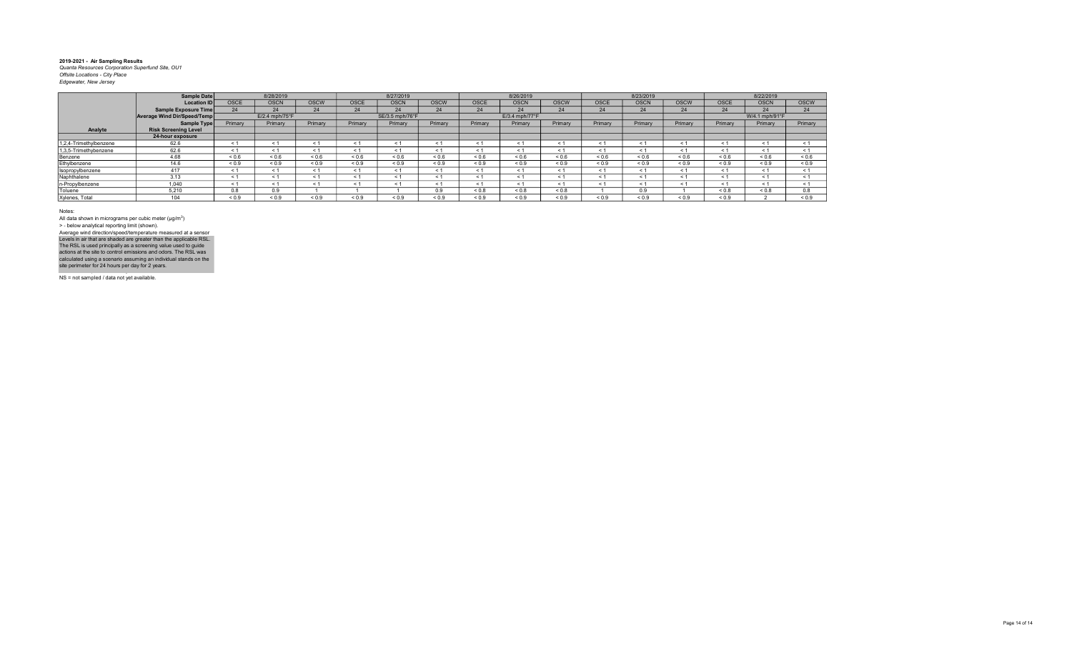|                        | Sample Date                 |                     | 8/28/2019      |             |             | 8/27/2019       |             |             | 8/26/2019      |             |             | 8/23/2019   |             |             | 8/22/2019      |             |
|------------------------|-----------------------------|---------------------|----------------|-------------|-------------|-----------------|-------------|-------------|----------------|-------------|-------------|-------------|-------------|-------------|----------------|-------------|
|                        | <b>Location ID</b>          | <b>OSCE</b>         | <b>OSCN</b>    | <b>OSCW</b> | <b>OSCE</b> | <b>OSCN</b>     | <b>OSCW</b> | <b>OSCE</b> | <b>OSCN</b>    | <b>OSCW</b> | <b>OSCE</b> | <b>OSCN</b> | <b>OSCW</b> | <b>OSCE</b> | <b>OSCN</b>    | <b>OSCW</b> |
|                        | Sample Exposure Time        | 24                  | 24             | 24          | 24          | 24              | 24          | 24          | 24             | 24          | 24          | 24          | 24          | 24          | 24             | 24          |
|                        | Average Wind Dir/Speed/Temp |                     | E/2.4 mph/75°F |             |             | SE/3.5 mph/76°F |             |             | E/3.4 mph/77°F |             |             |             |             |             | W/4.1 mph/91°F |             |
|                        | Sample Type                 | Primary             | Primary        | Primary     | Primary     | Primary         | Primary     | Primary     | Primary        | Primary     | Primary     | Primary     | Primary     | Primary     | Primary        | Primary     |
| Analyte                | <b>Risk Screening Level</b> |                     |                |             |             |                 |             |             |                |             |             |             |             |             |                |             |
|                        | 24-hour exposure            |                     |                |             |             |                 |             |             |                |             |             |             |             |             |                |             |
| 1.2.4-Trimethylbenzene | 62.6                        | ← 1                 |                |             | < 1         | $\leq 1$        |             |             | < 1            | $\epsilon$  | $\leq$ 1    | < 1         | - 1         | - 1         | < 1            | < 1         |
| 1,3,5-Trimethybenzene  | 62.6                        | < 1                 | < 1            |             | < 1         | < 1             | < 1         | < 1         | < 1            | $\leq$ 1    | < 1         | < 1         | < 1         | < 1         | < 1            | < 1         |
| Benzene                | 4.68                        | ${}^{5}$ ${}^{0.6}$ | ${}_{0.6}$     | ${}_{0.6}$  | < 0.6       | ${}_{0.6}$      | ${}_{0.6}$  | ${}_{0.6}$  | ${}_{0.6}$     | ${}_{0.6}$  | 0.6         | 0.6         | ${}_{0.6}$  | < 0.6       | ${}_{0.6}$     | ${}_{0.6}$  |
| Ethylbenzene           | 14.6                        | ${}_{0.9}$          | ${}_{0.9}$     | ${}_{0.9}$  | < 0.9       | < 0.9           | < 0.9       | < 0.9       | ${}_{0.9}$     | < 0.9       | ${}_{0.9}$  | < 0.9       | < 0.9       | ${}_{0.9}$  | ${}_{0.9}$     | ${}_{0.9}$  |
| Isopropylbenzene       | 417                         | < 1                 | < 1            |             | < 1         | < 1             | < 1         | < 1         | < 1            | $\leq$ 1    | < 1         | < 1         | < 1         | < 1         | < 1            | < 1         |
| Naphthalene            | 3.13                        | < 1                 | < 1            |             | < 1         | < 1             |             |             | < 1            | $\leq$      | < 1         | < 1         | < 1         | < 1         | < 1            | < 1         |
| n-Propylbenzene        | 1.040                       | < 1                 | < 1            |             | < 1         | < 1             |             | < 1         | < 1            | $\leq$ 1    | < 1         | < 1         | < 1         | < 1         | < 1            | < 1         |
| Toluene                | 5,210                       | 0.8                 | 0.9            |             |             |                 | n q         | ${}_{0.8}$  | ${}_{0.8}$     | 0.8         |             | 0.9         |             | < 0.8       | ${}_{0.8}$     | 0.8         |
| Xylenes, Total         | 104                         | ${}_{0.9}$          | ${}^{<}0.9$    | < 0.9       | < 0.9       | 0.9             | < 0.9       | 0.9         | ${}_{0.9}$     | ${}_{0.9}$  | < 0.9       | 0.9         | 0.9         | < 0.9       |                | < 0.9       |

Notes:

All data shown in micrograms per cubic meter (μg/m<sup>3</sup>)<br>> - below analytical reporting limit (shown). Levels in air that are shaded are greater than the applicable RSL.<br>The RSL is used principally as a screening value used to guide<br>actions at the site to control emissions and odors. The RSL was<br>calculated using a scenario Average wind direction/speed/temperature measured at a sensor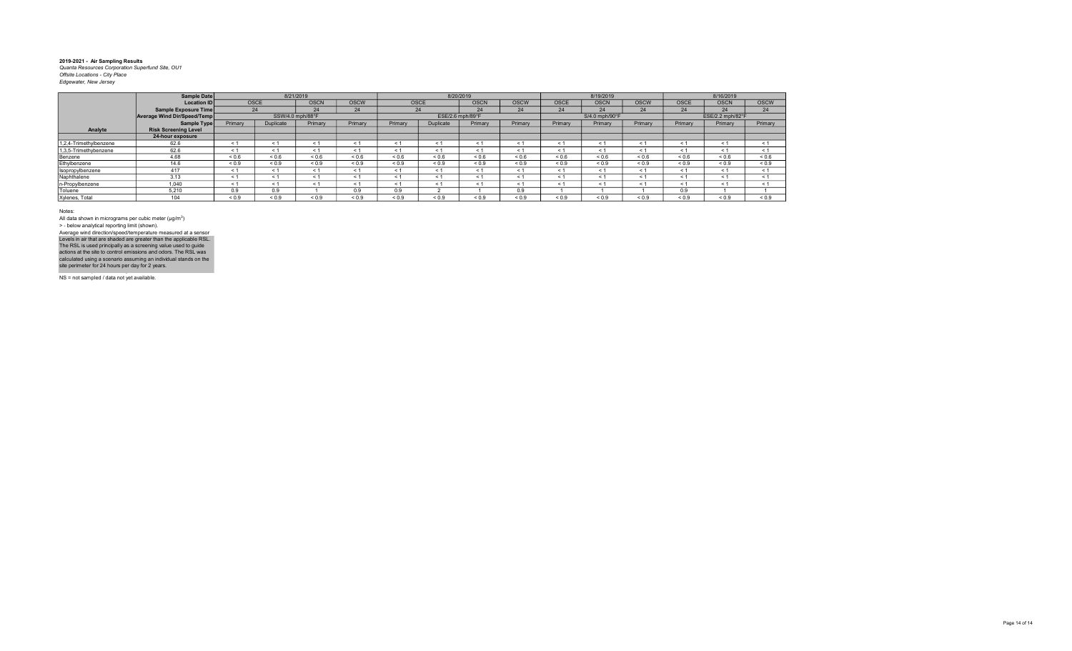|                        | Sample Date                 |            |            | 8/21/2019        |             |            |             | 8/20/2019        |             |            | 8/19/2019      |             |             | 8/16/2019        |             |
|------------------------|-----------------------------|------------|------------|------------------|-------------|------------|-------------|------------------|-------------|------------|----------------|-------------|-------------|------------------|-------------|
|                        | <b>Location IDI</b>         | OSCE       |            | <b>OSCN</b>      | <b>OSCW</b> |            | <b>OSCE</b> | <b>OSCN</b>      | <b>OSCW</b> | OSCE       | <b>OSCN</b>    | <b>OSCW</b> | <b>OSCE</b> | <b>OSCN</b>      | <b>OSCW</b> |
|                        | Sample Exposure Time        |            | 24         | 24               | 24          |            | 24          | 24               | 24          | 24         | 24             | 24          | 24          | 24               | 24          |
|                        | Average Wind Dir/Speed/Temp |            |            | SSW/4.0 mph/88°F |             |            |             | ESE/2.6 mph/89°F |             |            | S/4.0 mph/90°F |             |             | ESE/2.2 mph/82°F |             |
|                        | Sample Type                 | Primary    | Duplicate  | Primary          | Primary     | Primary    | Duplicate   | Primary          | Primary     | Primary    | Primary        | Primary     | Primary     | Primary          | Primary     |
| Analyte                | <b>Risk Screening Level</b> |            |            |                  |             |            |             |                  |             |            |                |             |             |                  |             |
|                        | 24-hour exposure            |            |            |                  |             |            |             |                  |             |            |                |             |             |                  |             |
| 1,2,4-Trimethylbenzene | 62.6                        | < 1        | < 1        | < 1              | $\leq$ 1    | $\epsilon$ |             | < 1              | < 1         | < 1        | < 1            |             | < 1         | < 1              | < 1         |
| 1,3,5-Trimethybenzene  | 62.6                        | ≺ 1        | < 1        | ← 1              | < 1         | $\leq$ 1   | < 1         | < 1              | < 1         | < 1        | < 1            | $\leq 1$    | < 1         | < 1              | < 1         |
| Benzene                | 4.68                        | 0.6        | 0.6        | ${}_{0.6}$       | ${}_{0.6}$  | ${}_{0.6}$ | ${}_{0.6}$  | ${}_{0.6}$       | ${}_{0.6}$  | ${}_{0.6}$ | ${}_{0.6}$     | ${}_{0.6}$  | ${}_{0.6}$  | ${}_{0.6}$       | ${}_{0.6}$  |
| Ethylbenzene           | 14.6                        | ${}_{0.9}$ | ${}_{0.9}$ | ${}_{0.9}$       | ${}_{0.9}$  | ${}_{0.9}$ | ${}_{0.9}$  | ${}_{0.9}$       | ${}_{0.9}$  | ${}_{0.9}$ | ${}_{0.9}$     | ${}_{0.9}$  | ${}_{0.9}$  | ${}_{0.9}$       | ${}_{0.9}$  |
| Isopropylbenzene       | 417                         | < 1        | < 1        | < 1              | < 1         | < 1        | < 1         | < 1              | < 1         | < 1        | < 1            | < 1         | < 1         | < 1              | < 1         |
| Naphthalene            | 3.13                        | < 1        | < 1        | < 1              | < 1         | < 1        | $\leq 1$    | < 1              | < 1         | < 1        | < 1            | < 1         | < 1         | < 1              | < 1         |
| n-Propylbenzene        | 1,040                       | $\leq 1$   | < 1        | < 1              | < 1         | < 1        | < 1         | < 1              | < 1         | < 1        | < 1            | < 1         | < 1         | < 1              | < 1         |
| Toluene                | 5.210                       | 0.9        | 0.9        |                  | 0.9         | 0.9        |             |                  | 0.9         |            |                |             | 0.9         |                  |             |
| Xylenes, Total         | 104                         | ${}_{0.9}$ | ${}_{0.9}$ | ${}_{0.9}$       | ${}_{0.9}$  | ${}_{0.9}$ | ${}_{0.9}$  | ${}_{0.9}$       | ${}_{0.9}$  | ${}_{0.9}$ | ${}_{0.9}$     | ${}_{0.9}$  | ${}_{0.9}$  | ${}_{0.9}$       | ${}_{0.9}$  |

Notes:

All data shown in micrograms per cubic meter (μg/m<sup>3</sup>)<br>> - below analytical reporting limit (shown). Levels in air that are shaded are greater than the applicable RSL.<br>The RSL is used principally as a screening value used to guide<br>actions at the site to control emissions and odors. The RSL was<br>calculated using a scenario Average wind direction/speed/temperature measured at a sensor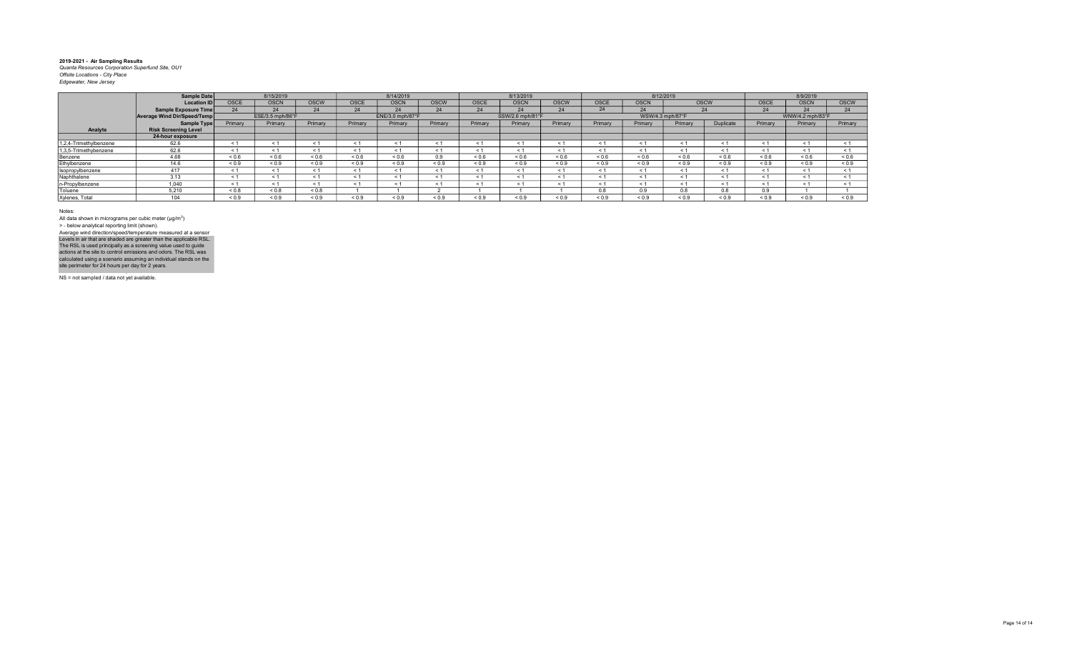|                        | Sample Date                 |            | 8/15/2019        |             |                          | 8/14/2019        |             |            | 8/13/2019        |             |             |             | 8/12/2019        |            |             | 8/9/2019         |             |
|------------------------|-----------------------------|------------|------------------|-------------|--------------------------|------------------|-------------|------------|------------------|-------------|-------------|-------------|------------------|------------|-------------|------------------|-------------|
|                        | <b>Location ID</b>          | OSCE       | <b>OSCN</b>      | <b>OSCW</b> | OSCE                     | <b>OSCN</b>      | <b>OSCW</b> | OSCE       | <b>OSCN</b>      | <b>OSCW</b> | <b>OSCE</b> | <b>OSCN</b> | <b>OSCW</b>      |            | <b>OSCE</b> | <b>OSCN</b>      | <b>OSCW</b> |
|                        | Sample Exposure Time        | 24         | 24               | 24          | 24                       | 24               | 24          | 24         | 24               | 24          | 24          | 24          | 24               |            | 24          | 24               | 24          |
|                        | Average Wind Dir/Speed/Temp |            | ESE/3.5 mph/86°F |             |                          | ENE/3.0 mph/87°F |             |            | SSW/2.6 mph/81°F |             |             |             | WSW/4.3 mph/87°F |            |             | WNW/4.2 mph/83°F |             |
|                        | Sample Type                 | Primary    | Primary          | Primary     | Primary                  | Primary          | Primary     | Primary    | Primary          | Primary     | Primary     | Primary     | Primary          | Duplicate  | Primary     | Primary          | Primary     |
| Analyte                | <b>Risk Screening Level</b> |            |                  |             |                          |                  |             |            |                  |             |             |             |                  |            |             |                  |             |
|                        | 24-hour exposure            |            |                  |             |                          |                  |             |            |                  |             |             |             |                  |            |             |                  |             |
| 1.2.4-Trimethylbenzene | 62.6                        | < 1        |                  | < 1         | $\overline{\phantom{a}}$ | < 1              |             |            | < 1              |             | < 1         |             |                  | $\leq 1$   | < 1         | < 1              |             |
| 1,3,5-Trimethybenzene  | 62.6                        | < 1        | ≺ 1              | < 1         | < 1                      | < 1              | ≺ 1         |            | < 1              | < 1         | < 1         | < 1         | < 1              | < 1        | < 1         | < 1              |             |
| Benzene                | 4.68                        | 0.6        | ${}_{0.6}$       | ${}_{0.6}$  | ${}_{0.6}$               | ${}_{0.6}$       | 0.9         | ${}_{0.6}$ | < 0.6            | ${}_{0.6}$  | ${}_{0.6}$  | ${}_{0.6}$  | 0.6              | ${}_{0.6}$ | ${}_{0.6}$  | 0.6              | ${}_{0.6}$  |
| Ethylbenzene           | 14.6                        | ${}_{0.9}$ | ${}_{0.9}$       | ${}_{0.9}$  | ${}_{0.9}$               | ${}_{0.9}$       | ${}_{0.9}$  | ${}_{0.9}$ | ${}_{0.9}$       | ${}_{0.9}$  | ${}_{0.9}$  | ${}_{0.9}$  | ${}_{0.9}$       | ${}_{0.9}$ | ${}_{0.9}$  | ${}_{0.9}$       | ${}_{0.9}$  |
| Isopropylbenzene       | 417                         | < 1        | < 1              | < 1         | < '                      | < 1              | < 1         |            | < 1              | $\leq 1$    | < 1         | $\leq 1$    | < 1              | < 1        | $\leq 1$    | < 1              |             |
| Naphthalene            | 3.13                        | < 1        |                  | < 1         | < '                      | < 1              |             |            | < 1              |             | < 1         | < 1         |                  | < 1        | $\leq 1$    | < 1              |             |
| n-Propylbenzene        | 1.040                       | < 1        | < 1              | < 1         | < '                      | < 1              | < 1         |            | < 1              | < 1         | < 1         | < 1         | < 1              | < 1        | < 1         | < 1              |             |
| Toluene                | 5.210                       | ${}_{0.8}$ | ${}_{0.8}$       | ${}_{0.8}$  |                          |                  |             |            |                  |             | 0.8         | 0.9         | 0.8              | 0.8        | 0.9         |                  |             |
| Xylenes, Total         | 104                         | ${}_{0.9}$ | ${}_{0.9}$       | ${}_{0.9}$  | ${}_{0.9}$               | ${}_{0.9}$       | ${}_{0.9}$  | ${}_{0.9}$ | 0.9              | ${}_{0.9}$  | ${}_{0.9}$  | ${}_{0.9}$  | ${}_{0.9}$       | ${}_{0.9}$ | ${}_{0.9}$  | < 0.9            | < 0.9       |
|                        |                             |            |                  |             |                          |                  |             |            |                  |             |             |             |                  |            |             |                  |             |

Notes:

All data shown in micrograms per cubic meter (μg/m<sup>3</sup>)<br>> - below analytical reporting limit (shown). Levels in air that are shaded are greater than the applicable RSL.<br>The RSL is used principally as a screening value used to guide<br>actions at the site to control emissions and odors. The RSL was<br>calculated using a scenario Average wind direction/speed/temperature measured at a sensor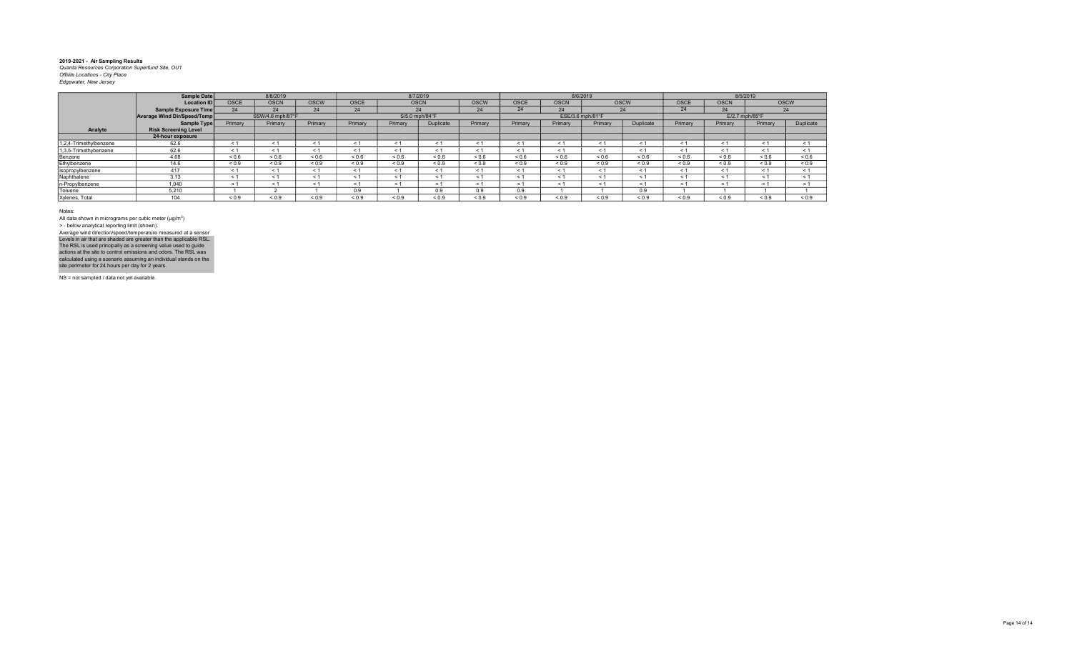|                        | Sample Date                        |             | 8/8/2019         |             |             |                | 8/7/2019   |             |             | 8/6/2019         |             |            |             |                  | 8/5/2019   |             |
|------------------------|------------------------------------|-------------|------------------|-------------|-------------|----------------|------------|-------------|-------------|------------------|-------------|------------|-------------|------------------|------------|-------------|
|                        | <b>Location ID</b>                 | <b>OSCE</b> | <b>OSCN</b>      | <b>OSCW</b> | <b>OSCE</b> | <b>OSCN</b>    |            | <b>OSCW</b> | <b>OSCE</b> | <b>OSCN</b>      | <b>OSCW</b> |            | <b>OSCE</b> | <b>OSCN</b>      |            | <b>OSCW</b> |
|                        | Sample Exposure Time               | 24          | 24               | 24          | 24          |                | 24         | 24          | 24          | 24               |             | 24         | 24          | 24               |            | 24          |
|                        | <b>Average Wind Dir/Speed/Temp</b> |             | SSW/4.6 mph/87°F |             |             | S/5.0 mph/84°F |            |             |             | ESE/3.6 mph/81°F |             |            |             | $E/2.7$ mph/85°F |            |             |
|                        | Sample Type                        | Primary     | Primary          | Primary     | Primary     | Primary        | Duplicate  | Primary     | Primary     | Primary          | Primary     | Duplicate  | Primary     | Primary          | Primary    | Duplicate   |
| Analyte                | <b>Risk Screening Level</b>        |             |                  |             |             |                |            |             |             |                  |             |            |             |                  |            |             |
|                        | 24-hour exposure                   |             |                  |             |             |                |            |             |             |                  |             |            |             |                  |            |             |
| 1,2,4-Trimethylbenzene | 62.6                               | < 1         | < 1              |             |             |                | < 1        | < 1         |             | < 1              |             | < 1        | < 1         | $\leq$           | < 1        | < 1         |
| 1,3,5-Trimethybenzene  | 62.6                               | < 1         | < 1              |             | ← 1         | $\leq 1$       | < 1        | < 1         | < 1         | $\leq 1$         | $<$ 1       | < 1        | < 1         | $\leq$ 1         | < 1        | < 1         |
| Benzene                | 4.68                               | 0.6         | 0.6              | ${}_{0.6}$  | ${}_{0.6}$  | ${}_{0.6}$     | ${}_{0.6}$ | 0.6         | < 0.6       | < 0.6            | < 0.6       | 0.6        | 0.6         | < 0.6            | < 0.6      | ${}_{0.6}$  |
| Ethylbenzene           | 14.6                               | ${}_{0.9}$  | ${}_{0.9}$       | ${}_{0.9}$  | ${}_{0.9}$  | ${}_{0.9}$     | ${}_{0.9}$ | ${}_{0.9}$  | ${}_{0.9}$  | ${}_{0.9}$       | ${}_{0.9}$  | < 0.9      | ${}_{0.9}$  | ${}_{0.9}$       | ${}_{0.9}$ | ${}_{0.9}$  |
| Isopropylbenzene       | 417                                | < 1         | < 1              |             | < 1         |                | < 1        | < 1         |             | < 1              | $<$ 1       | < 1        | < 1         | < 1              | < 1        | < 1         |
| Naphthalene            | 3.13                               | < 1         | < 1              |             |             |                | < 1        | < 1         |             | < 1              |             | < 1        | < 1         | $\leq$           | < 1        | < 1         |
| n-Propylbenzene        | 1,040                              | $\leq 1$    | $\leq 1$         |             | $\leq 1$    |                | $\leq 1$   | $\leq 1$    |             | < 1              | $\leq$ 1    | < 1        | < 1         | - < 1            | < 1        | < 1         |
| Toluene                | 5.210                              |             |                  |             | 0.9         |                | 0.9        | 0.9         | 0.9         |                  |             | 0.9        |             |                  |            |             |
| Xylenes, Total         | 104                                | ${}_{0.9}$  | ${}_{0.9}$       | ${}_{0.9}$  | ${}_{0.9}$  | ${}_{0.9}$     | 0.9        | ${}_{0.9}$  | ${}_{0.9}$  | ${}_{0.9}$       | ${}_{0.9}$  | ${}_{0.9}$ | ${}_{0.9}$  | ${}_{0.9}$       | ${}_{0.9}$ | ${}_{0.9}$  |

Notes:

All data shown in micrograms per cubic meter (μg/m<sup>3</sup>)<br>> - below analytical reporting limit (shown). Levels in air that are shaded are greater than the applicable RSL.<br>The RSL is used principally as a screening value used to guide<br>actions at the site to control emissions and odors. The RSL was<br>calculated using a scenario Average wind direction/speed/temperature measured at a sensor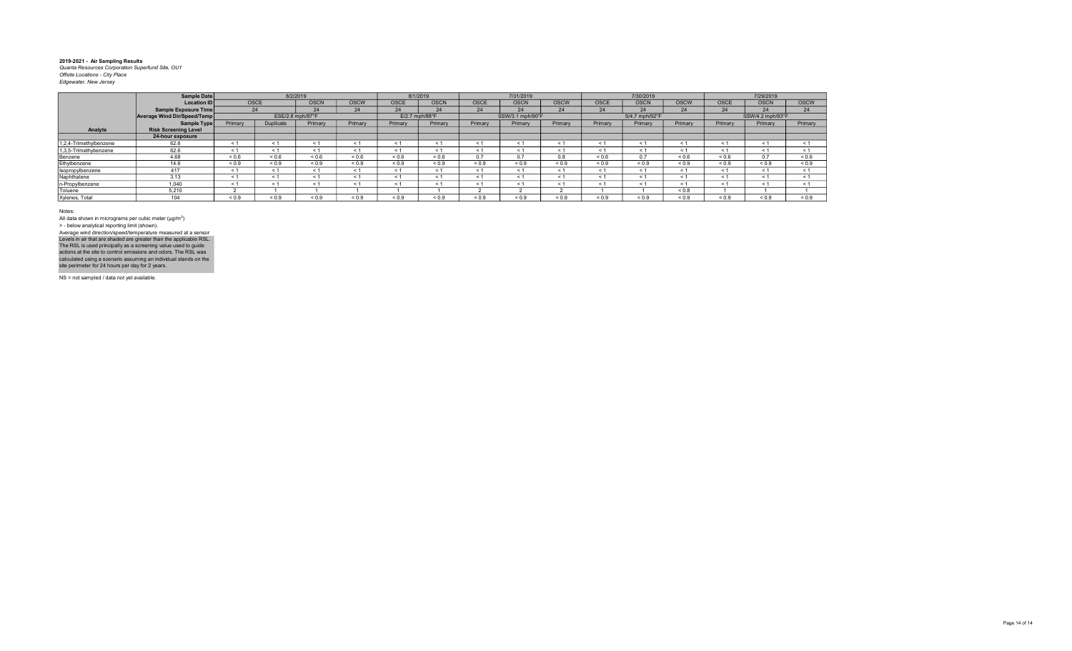|                        | Sample Date                        |             |                  | 8/2/2019         |             | 8/1/2019       |             |             | 7/31/2019        |             |             | 7/30/2019      |             |             | 7/29/2019        |             |
|------------------------|------------------------------------|-------------|------------------|------------------|-------------|----------------|-------------|-------------|------------------|-------------|-------------|----------------|-------------|-------------|------------------|-------------|
|                        | <b>Location ID</b>                 | <b>OSCE</b> |                  | <b>OSCN</b>      | <b>OSCW</b> | <b>OSCE</b>    | <b>OSCN</b> | <b>OSCE</b> | <b>OSCN</b>      | <b>OSCW</b> | <b>OSCE</b> | <b>OSCN</b>    | <b>OSCW</b> | <b>OSCE</b> | <b>OSCN</b>      | <b>OSCW</b> |
|                        | Sample Exposure Time               | 24          |                  | 24               | 24          | 24             | 24          | 24          | 24               | 24          | 24          | 24             | 24          | 24          | 24               | 24          |
|                        | <b>Average Wind Dir/Speed/Temp</b> |             |                  | ESE/2.8 mph/87°F |             | E/2.7 mph/88°F |             |             | SSW/3.1 mph/90°F |             |             | S/4.7 mph/92°F |             |             | SSW/4.2 mph/93°F |             |
|                        | Sample Type                        | Primary     | <b>Duplicate</b> | Primary          | Primary     | Primary        | Primary     | Primary     | Primary          | Primary     | Primary     | Primary        | Primary     | Primary     | Primary          | Primary     |
| Analyte                | <b>Risk Screening Level</b>        |             |                  |                  |             |                |             |             |                  |             |             |                |             |             |                  |             |
|                        | 24-hour exposure                   |             |                  |                  |             |                |             |             |                  |             |             |                |             |             |                  |             |
| 1,2,4-Trimethylbenzene | 62.6                               | < 1         |                  |                  | < 1         | < 1            |             |             | < 1              | $\leq$      | < 1         | < 1            | < 1         | < 1         | < 1              | < 1         |
| 1,3,5-Trimethybenzene  | 62.6                               | < 1         | < 1              |                  | < 1         | < 1            | ← 1         | < 1         | < 1              | $\leq$ 1    | < 1         | < 1            | < 1         | - 1         | < 1              | < 1         |
| Benzene                | 4.68                               | ${}_{0.6}$  | ${}_{0.6}$       | ${}_{0.6}$       | < 0.6       | ${}_{0.6}$     | ${}_{0.6}$  | 0.7         | 0.7              | 0.8         | 0.6         | 0.7            | ${}^{5}$    | ${}^{5}$    | 0.7              | ${}_{0.6}$  |
| Ethylbenzene           | 14.6                               | ${}_{0.9}$  | ${}_{0.9}$       | ${}_{0.9}$       | ${}_{0.9}$  | ${}_{0.9}$     | ${}_{0.9}$  | ${}_{0.9}$  | ${}_{0.9}$       | ${}_{0.9}$  | ${}_{0.9}$  | ${}_{0.9}$     | ${}_{0.9}$  | ${}_{0.9}$  | ${}_{0.9}$       | ${}_{0.9}$  |
| Isopropylbenzene       | 417                                | < 1         | < 1              |                  | < 1         | < 1            |             | < 1         | < 1              | $\leq$      | < 1         | < 1            | < 1         | < 1         | < 1              | < 1         |
| Naphthalene            | 3.13                               | < 1         |                  |                  | < 1         | < 1            |             | < 1         | < 1              | $\leq$      | < 1         | < 1            | < 1         | < 1         | < 1              | < 1         |
| n-Propylbenzene        | 1.040                              | $\leq 1$    | < 1              |                  | < 1         | < 1            |             | ← 1         | < 1              | $\leq$ 1    | < 1         | < 1            | < 1         | < 1         | < 1              | < 1         |
| Toluene                | 5,210                              |             |                  |                  |             |                |             |             |                  |             |             |                | ${}_{0.8}$  |             |                  |             |
| Xylenes, Total         | 104                                | 0.9         | ${}^{<}0.9$      | < 0.9            | < 0.9       | 0.9            | < 0.9       | 0.9         | ${}_{0.9}$       | < 0.9       | < 0.9       | < 0.9          | < 0.9       | < 0.9       | < 0.9            | < 0.9       |

Notes:

All data shown in micrograms per cubic meter (μg/m<sup>3</sup>)<br>> - below analytical reporting limit (shown). Levels in air that are shaded are greater than the applicable RSL.<br>The RSL is used principally as a screening value used to guide<br>actions at the site to control emissions and odors. The RSL was<br>calculated using a scenario Average wind direction/speed/temperature measured at a sensor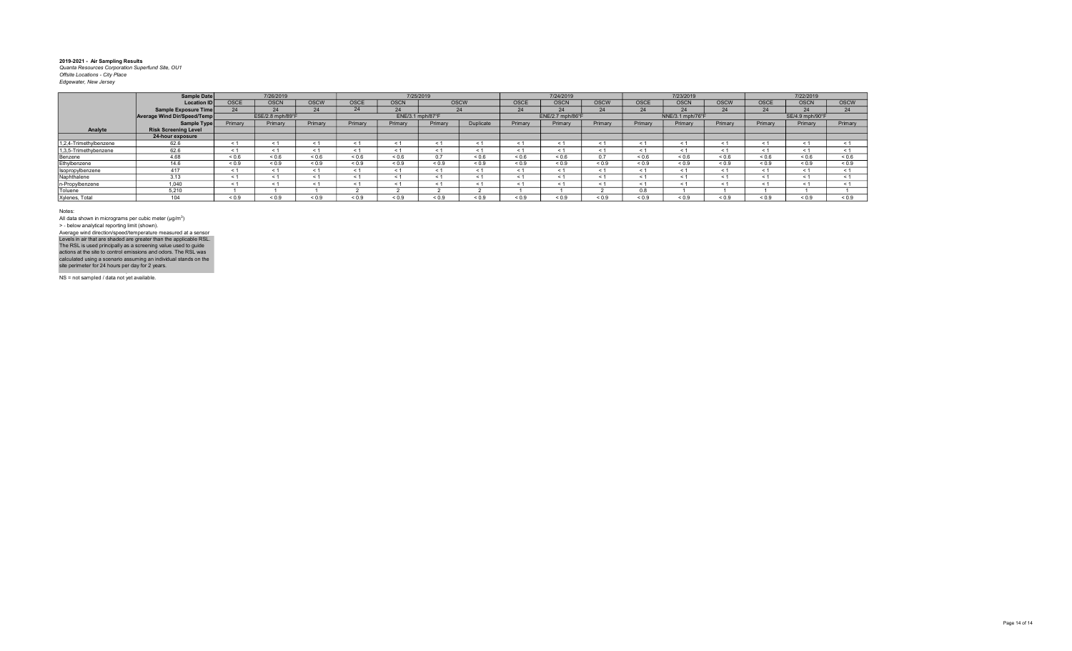|                        | <b>Sample Date</b>          |             | 7/26/2019        |             |             |             | 7/25/2019        |             |         | 7/24/2019        |             |             | 7/23/2019        |             |             | 7/22/2019       |             |
|------------------------|-----------------------------|-------------|------------------|-------------|-------------|-------------|------------------|-------------|---------|------------------|-------------|-------------|------------------|-------------|-------------|-----------------|-------------|
|                        | <b>Location ID</b>          | <b>OSCE</b> | <b>OSCN</b>      | <b>OSCW</b> | <b>OSCE</b> | <b>OSCN</b> |                  | <b>OSCW</b> | OSCE    | <b>OSCN</b>      | <b>OSCW</b> | <b>OSCE</b> | <b>OSCN</b>      | <b>OSCW</b> | <b>OSCE</b> | <b>OSCN</b>     | <b>OSCW</b> |
|                        | <b>Sample Exposure Time</b> | 24          | 24               | 24          | 24          | 24          |                  | 24          | 24      | 24               | 24          | 24          | 24               | 24          | 24          | 24              | 24          |
|                        | Average Wind Dir/Speed/Temp |             | ESE/2.8 mph/89°F |             |             |             | ENE/3.1 mph/87°F |             |         | ENE/2.7 mph/86°F |             |             | NNE/3.1 mph/76°F |             |             | SE/4.9 mph/90°F |             |
|                        | Sample Type                 | Primary     | Primary          | Primary     | Primary     | Primary     | Primary          | Duplicate   | Primary | Primary          | Primary     | Primary     | Primary          | Primary     | Primary     | Primary         | Primary     |
| Analyte                | <b>Risk Screening Level</b> |             |                  |             |             |             |                  |             |         |                  |             |             |                  |             |             |                 |             |
|                        | 24-hour exposure            |             |                  |             |             |             |                  |             |         |                  |             |             |                  |             |             |                 |             |
| 1.2.4-Trimethvlbenzene | 62.6                        | < 1         |                  | - < 1       | < 1         | $\leq 1$    | < 1              |             | < 1     |                  | < 1         | ← 1         | $\leq$           | < 1         | < 1         | < 1             |             |
| 1,3,5-Trimethybenzene  | 62.6                        | < 1         | < 1              | < 1         | < 1         | < 1         | < 1              |             | < 1     | < 1              | < 1         | < 1         | < 1              | < 1         | < 1         | < 1             |             |
| Benzene                | 4.68                        | < 0.6       | ${}_{0.6}$       | < 0.6       | < 0.6       | < 0.6       |                  | < 0.6       | < 0.6   | ${}_{0.6}$       | 0.7         | 0.6         | 0.6              | < 0.6       | < 0.6       | < 0.6           | ${}_{0.6}$  |
| Ethylbenzene           | 14.6                        | ${}_{0.9}$  | ${}_{0.9}$       | ${}_{0.9}$  | ${}_{0.9}$  | ${}_{0.9}$  | ${}_{0.9}$       | < 0.9       | < 0.9   | ${}_{0.9}$       | ${}_{0.9}$  | ${}_{0.9}$  | ${}_{0.9}$       | ${}_{0.9}$  | < 0.9       | ${}_{0.9}$      | ${}_{0.9}$  |
| Isopropylbenzene       | 417                         | < 1         | < 1              | < 1         | < 1         | < 1         | < 1              |             | < 1     | < 1              | < 1         | < 1         | < 1              | < 1         | < 1         | < 1             |             |
| Naphthalene            | 3.13                        | < 1         | ← 1              | - < 1       | < 1         | < 1         | < 1              |             | < 1     | < 1              | < 1         | < 1         | $\leq$ 1         | < 1         | < 1         | < 1             | < 1         |
| n-Propylbenzene        | 1,040                       | < 1         | < 1              | < 1         | < 1         | < 1         | < 1              |             | < 1     |                  | < 1         | < 1         |                  | < 1         |             | < 1             |             |
| Toluene                | 5,210                       |             |                  |             |             |             |                  |             |         |                  |             | 0.8         |                  |             |             |                 |             |
| Xylenes, Total         | $\Delta$ $\Delta$ $\Delta$  | ${}_{0.9}$  | ${}_{0.9}$       | ${}_{0.9}$  | ${}_{0.9}$  | ${}_{0.9}$  | 0.9              | 0.9         | < 0.9   | ${}_{0.9}$       | ${}_{0.9}$  | ${}_{0.9}$  | ${}_{0.9}$       | ${}_{0.9}$  | ${}_{0.9}$  | ${}_{0.9}$      | ${}_{0.9}$  |

Notes:

All data shown in micrograms per cubic meter (μg/m<sup>3</sup>)<br>> - below analytical reporting limit (shown). Levels in air that are shaded are greater than the applicable RSL.<br>The RSL is used principally as a screening value used to guide<br>actions at the site to control emissions and odors. The RSL was<br>calculated using a scenario Average wind direction/speed/temperature measured at a sensor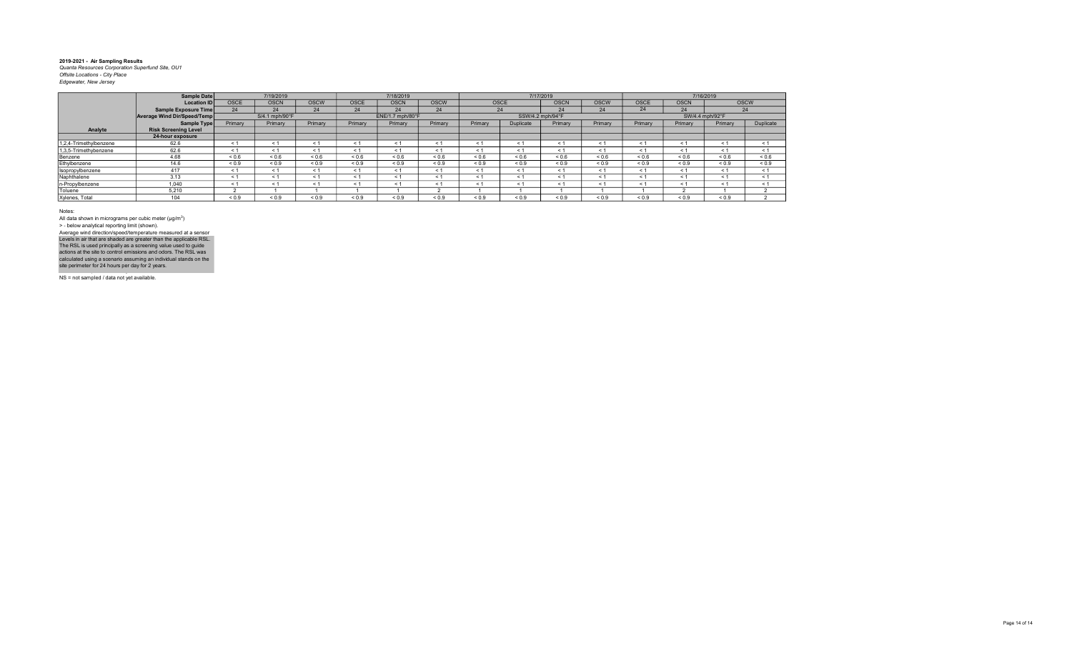|                        | Sample Date                 |                   | 7/19/2019      |             |            | 7/18/2019        |             |            |                  | 7/17/2019   |             |            |             | 7/16/2019       |             |
|------------------------|-----------------------------|-------------------|----------------|-------------|------------|------------------|-------------|------------|------------------|-------------|-------------|------------|-------------|-----------------|-------------|
|                        | <b>Location IDI</b>         | <b>OSCE</b>       | <b>OSCN</b>    | <b>OSCW</b> | OSCE       | <b>OSCN</b>      | <b>OSCW</b> |            | <b>OSCE</b>      | <b>OSCN</b> | <b>OSCW</b> | OSCE       | <b>OSCN</b> |                 | <b>OSCW</b> |
|                        | Sample Exposure Time        | 24                | 24             | 24          | 24         | 24               | 24          |            | 24               | 24          | 24          | 24         | 24          |                 | 24          |
|                        | Average Wind Dir/Speed/Temp |                   | S/4.1 mph/90°F |             |            | ENE/1.7 mph/80°F |             |            | SSW/4.2 mph/94°F |             |             |            |             | SW/4.4 mph/92°F |             |
|                        | Sample Type                 | Primary           | Primary        | Primary     | Primary    | Primary          | Primary     | Primary    | Duplicate        | Primary     | Primary     | Primary    | Primary     | Primary         | Duplicate   |
| Analyte                | <b>Risk Screening Level</b> |                   |                |             |            |                  |             |            |                  |             |             |            |             |                 |             |
|                        | 24-hour exposure            |                   |                |             |            |                  |             |            |                  |             |             |            |             |                 |             |
| 1.2.4-Trimethvlbenzene | 62.6                        | < 1               | < 1            | < 1         | < 1        | < 1              |             | < 1        | < 1              | < 1         | < 1         | < 1        | < 1         | $\leq 1$        | < 1         |
| 1,3,5-Trimethybenzene  | 62.6                        | < 1               | < 1            | < 1         | < 1        | < 1              | < 1         | < 1        | < 1              | < 1         | < 1         | < 1        | < 1         | < 1             | < 1         |
| Benzene                | 4.68                        | ${}^{5}$ ${}^{6}$ | ${}_{0.6}$     | ${}_{0.6}$  | < 0.6      | < 0.6            | < 0.6       | < 0.6      | < 0.6            | ${}_{0.6}$  | ${}_{0.6}$  | ${}_{0.6}$ | 0.6         | 0.6             | ${}_{0.6}$  |
| Ethylbenzene           | 14.6                        | ${}_{0.9}$        | ${}_{0.9}$     | ${}_{0.9}$  | ${}_{0.9}$ | ${}_{0.9}$       | ${}_{0.9}$  | ${}_{0.9}$ | ${}_{0.9}$       | ${}_{0.9}$  | ${}_{0.9}$  | ${}_{0.9}$ | ${}_{0.9}$  | ${}_{0.9}$      | ${}_{0.9}$  |
| Isopropylbenzene       | 417                         | < 1               | < 1            | < 1         | < 1        | < 1              |             | < 1        | < 1              | < 1         | < 1         | < 1        | < 1         | < 1             | < 1         |
| Naphthalene            | 3.13                        | < 1               | < 1            | < 1         | < 1        | < 1              |             | < 1        | < 1              | < 1         | < 1         | < 1        | < 1         | < 1             | < 1         |
| n-Propylbenzene        | 1,040                       | < 1               | < 1            | < 1         | < 1        | < 1              |             | < 1        | < 1              | < 1         | < 1         | ← 1        | < 1         | < 1             | < 1         |
| Toluene                | 5.210                       |                   |                |             |            |                  |             |            |                  |             |             |            |             |                 |             |
| Xylenes, Total         | 104                         | ${}_{0.9}$        | ${}_{0.9}$     | ${}_{0.9}$  | < 0.9      | ${}_{0.9}$       | 0.9         | 0.9        | ${}_{0.9}$       | ${}_{0.9}$  | ${}_{0.9}$  | ${}_{0.9}$ | ${}_{0.9}$  | ${}_{0.9}$      |             |

Notes:

All data shown in micrograms per cubic meter (μg/m<sup>3</sup>)<br>> - below analytical reporting limit (shown). Levels in air that are shaded are greater than the applicable RSL.<br>The RSL is used principally as a screening value used to guide<br>actions at the site to control emissions and odors. The RSL was<br>calculated using a scenario Average wind direction/speed/temperature measured at a sensor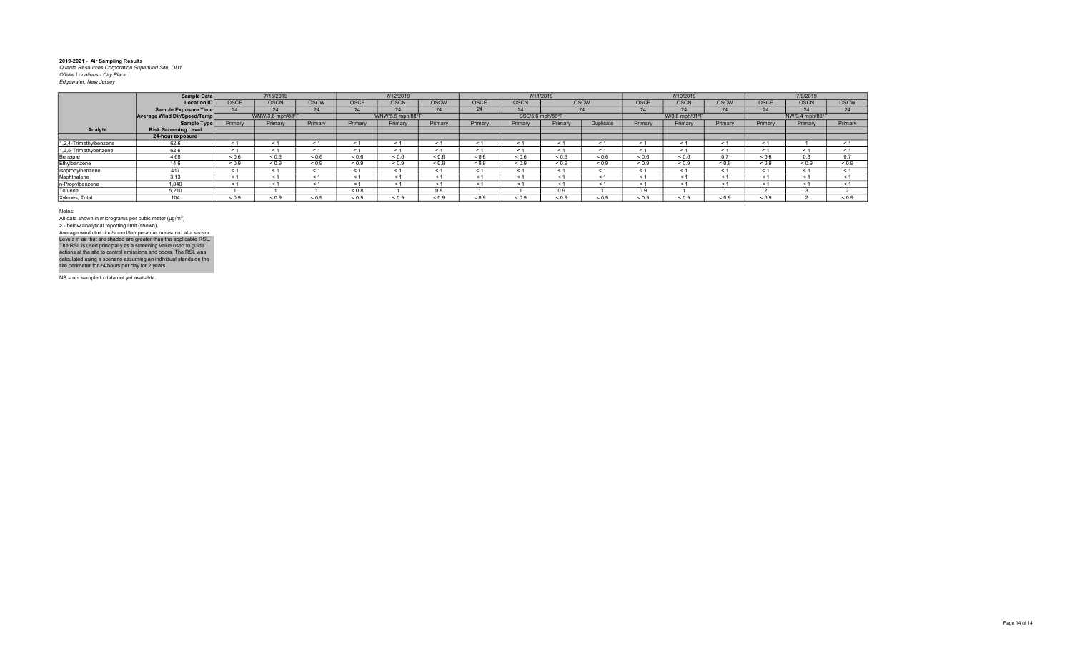|                        | <b>Sample Date</b>          |             | 7/15/2019        |             |                          | 7/12/2019        |                          |             |             | 7/11/2019        |            |             | 7/10/2019             |             |             | 7/9/2019        |             |
|------------------------|-----------------------------|-------------|------------------|-------------|--------------------------|------------------|--------------------------|-------------|-------------|------------------|------------|-------------|-----------------------|-------------|-------------|-----------------|-------------|
|                        | <b>Location ID</b>          | <b>OSCE</b> | <b>OSCN</b>      | <b>OSCW</b> | <b>OSCE</b>              | <b>OSCN</b>      | OSCW                     | <b>OSCE</b> | <b>OSCN</b> |                  | OSCW       | <b>OSCE</b> | <b>OSCN</b>           | <b>OSCW</b> | <b>OSCE</b> | <b>OSCN</b>     | <b>OSCW</b> |
|                        | <b>Sample Exposure Time</b> | 24          | 24               | 24          | 24                       | 24               | 24                       | 24          |             |                  | 24         | 24          | 24                    | 24          | 24          | 24              | 24          |
|                        | Average Wind Dir/Speed/Temp |             | WNW/3.6 mph/88°F |             |                          | WNW/5.5 mph/88°F |                          |             |             | SSE/5.6 mph/86°F |            |             | W/3.6 mph/91°F        |             |             | NW/3.4 mph/89°F |             |
|                        | Sample Type                 | Primary     | Primary          | Primary     | Primary                  | Primary          | Primary                  | Primary     | Primary     | Primary          | Duplicate  | Primary     | Primary               | Primary     | Primary     | Primary         | Primary     |
| Analyte                | <b>Risk Screening Level</b> |             |                  |             |                          |                  |                          |             |             |                  |            |             |                       |             |             |                 |             |
|                        | 24-hour exposure            |             |                  |             |                          |                  |                          |             |             |                  |            |             |                       |             |             |                 |             |
| 1,2,4-Trimethylbenzene | 62.6                        | < 1         |                  | < 1         | $\overline{\phantom{a}}$ | < 1              |                          |             | $\epsilon$  | < 1              | < 1        |             | $\leq$                | < 1         | < 1         |                 |             |
| 1,3,5-Trimethybenzene  | 62.6                        | < 1         |                  | < 1         | < 1                      | < 1              | < 1                      |             | $<$ 1       | < 1              | < 1        |             | < 1                   | < 1         | < 1         | < 1             |             |
| Benzene                | 4.68                        | 0.6         | ${}_{0.6}$       | ${}_{0.6}$  | ${}_{0.6}$               | ${}_{0.6}$       | ${}_{0.6}$               | 0.6         | ${}_{0.6}$  | ${}_{0.6}$       | ${}_{0.6}$ | 0.6         | ${}_{0.6}$            | 0.7         | ${}_{0.6}$  | 0.8             | 0.7         |
| Ethylbenzene           | 14.6                        | ${}_{0.9}$  | ${}_{0.9}$       | ${}_{0.9}$  | ${}_{0.9}$               | ${}_{0.9}$       | ${}_{0.9}$               | ${}_{0.9}$  | ${}_{0.9}$  | ${}_{0.9}$       | ${}_{0.9}$ | ${}_{0.9}$  | ${}_{0.9}$            | ${}_{0.9}$  | ${}_{0.9}$  | ${}_{0.9}$      | ${}_{0.9}$  |
| Isopropylbenzene       | 417                         | < 1         |                  | < 1         | < '                      | < 1              | < 1                      |             | $<$ 1       | < 1              | < 1        | $\leq 1$    | < 1                   | < 1         | < 1         | < 1             |             |
| Naphthalene            | 3.13                        | < 1         |                  | < 1         | < '                      | < 1              | $\overline{\phantom{a}}$ |             | $\epsilon$  | < 1              | < 1        |             | $\tilde{\phantom{0}}$ | < 1         | $\leq 1$    | < 1             |             |
| n-Propylbenzene        | 1.040                       | < 1         |                  | < 1         | < 1                      | < 1              | < 1                      |             | $<$ 1       | < 1              | < 1        |             | $\leq$ 1              | < 1         | $\leq 1$    | < 1             |             |
| Toluene                | 5.210                       |             |                  |             | ${}_{0.8}$               |                  | 0.8                      |             |             | 0.9              |            | 0.9         |                       |             |             |                 |             |
| Xylenes, Total         | $\overline{A}$              | 0.9         | ${}_{0.9}$       | ${}_{0.9}$  | ${}_{0.9}$               | ${}_{0.9}$       | ${}_{0.9}$               | ${}_{0.9}$  | ${}_{0.9}$  | ${}_{0.9}$       | ${}_{0.9}$ | ${}_{0.9}$  | ${}_{0.9}$            | ${}_{0.9}$  | ${}_{0.9}$  |                 | ${}_{0.9}$  |

Notes:

All data shown in micrograms per cubic meter (μg/m<sup>3</sup>)<br>> - below analytical reporting limit (shown). Levels in air that are shaded are greater than the applicable RSL.<br>The RSL is used principally as a screening value used to guide<br>actions at the site to control emissions and odors. The RSL was<br>calculated using a scenario Average wind direction/speed/temperature measured at a sensor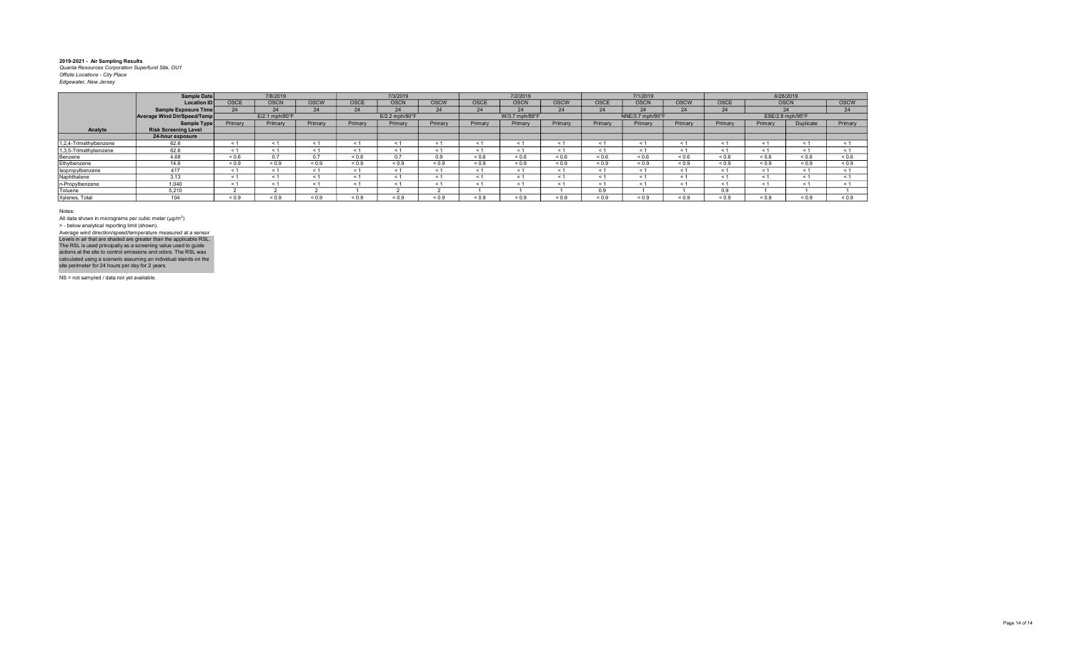|                        | Sample Date                 |             | 7/8/2019       |             |             | 7/3/2019                   |             |             | 7/2/2019       |             |            | 7/1/2019         |             |             | 6/28/2019        |            |             |
|------------------------|-----------------------------|-------------|----------------|-------------|-------------|----------------------------|-------------|-------------|----------------|-------------|------------|------------------|-------------|-------------|------------------|------------|-------------|
|                        | <b>Location ID</b>          | <b>OSCE</b> | <b>OSCN</b>    | <b>OSCW</b> | <b>OSCE</b> | <b>OSCN</b>                | <b>OSCW</b> | <b>OSCE</b> | <b>OSCN</b>    | <b>OSCW</b> | OSCE       | <b>OSCN</b>      | <b>OSCW</b> | <b>OSCE</b> | <b>OSCN</b>      |            | <b>OSCW</b> |
|                        | Sample Exposure Time        | 24          | 24             | 24          | 24          | 24                         | 24          | 24          | 24             | 24          | 24         | 24               | 24          | 24          | 24               |            | 24          |
|                        | Average Wind Dir/Speed/Temp |             | E/2.1 mph/80°F |             |             | $E/2.2$ mph/90 $\degree$ F |             |             | W/3.7 mph/89°F |             |            | NNE/3.7 mph/90°F |             |             | ESE/2.8 mph/95°F |            |             |
|                        | Sample Type                 | Primary     | Primary        | Primary     | Primary     | Primary                    | Primary     | Primary     | Primary        | Primary     | Primary    | Primary          | Primary     | Primary     | Primary          | Duplicate  | Primary     |
| Analyte                | <b>Risk Screening Level</b> |             |                |             |             |                            |             |             |                |             |            |                  |             |             |                  |            |             |
|                        | 24-hour exposure            |             |                |             |             |                            |             |             |                |             |            |                  |             |             |                  |            |             |
| 1.2.4-Trimethylbenzene | 62.6                        | < 1         |                | < 1         |             | $\leq$ 1                   |             |             | $<$ 1          |             | < 1        |                  | $\leq$ 1    | < 1         | < 1              | < 1        |             |
| 1,3,5-Trimethybenzene  | 62.6                        | < 1         |                | < 1         | - 1         | < 1                        | ⊂ 1         |             | < 1            | < 1         | < 1        |                  | - 1         | < 1         | < 1              | < 1        |             |
| Benzene                | 4.68                        | ${}_{0.6}$  | 0.7            | 0.7         | ${}_{0.6}$  | 0.7                        | 0.9         | ${}^{<}0.6$ | ${}_{0.6}$     | ${}_{0.6}$  | ${}_{0.6}$ | ${}_{0.6}$       | ${}_{0.6}$  | ${}_{0.6}$  | 0.6              | 0.6        | ${}_{0.6}$  |
| Ethylbenzene           | 14.6                        | ${}_{0.9}$  | ${}_{0.9}$     | ${}_{0.9}$  | ${}_{0.9}$  | ${}_{0.9}$                 | ${}_{0.9}$  | ${}_{0.9}$  | ${}_{0.9}$     | ${}_{0.9}$  | ${}_{0.9}$ | ${}_{0.9}$       | ${}_{0.9}$  | ${}_{0.9}$  | ${}_{0.9}$       | ${}_{0.9}$ | ${}_{0.9}$  |
| Isopropylbenzene       | 417                         | < 1         |                | < 1         |             | < 1                        | < 1         | $\leq$ 1    | < 1            | $\leq 1$    | < 1        |                  | < 1         | < 1         | < 1              | < 1        |             |
| Naphthalene            | 3.13                        | < 1         |                | < 1         |             | < 1                        | < 1         |             | < 1            | < 1         | < 1        |                  | $\leq$ 1    | < 1         | < 1              | < 1        |             |
| n-Propylbenzene        | 1.040                       | < 1         |                | < 1         |             | < 1                        | < 1         |             | < 1            | - 1         | < 1        |                  | - 1         | < 1         | < 1              | < 1        |             |
| Toluene                | 5.210                       |             |                |             |             |                            |             |             |                |             | 0.9        |                  |             | 0.9         |                  |            |             |
| Xylenes, Total         | 104                         | ${}_{0.9}$  | 0.9            | < 0.9       | ${}_{0.9}$  | ${}_{0.9}$                 | ${}_{0.9}$  | ${}_{0.9}$  | ${}_{0.9}$     | ${}_{0.9}$  | ${}_{0.9}$ | ${}_{0.9}$       | ${}_{0.9}$  | ${}_{0.9}$  | ${}_{0.9}$       | ${}_{0.9}$ | ${}_{0.9}$  |

Notes:

All data shown in micrograms per cubic meter (μg/m<sup>3</sup>)<br>> - below analytical reporting limit (shown). Levels in air that are shaded are greater than the applicable RSL.<br>The RSL is used principally as a screening value used to guide<br>actions at the site to control emissions and odors. The RSL was<br>calculated using a scenario Average wind direction/speed/temperature measured at a sensor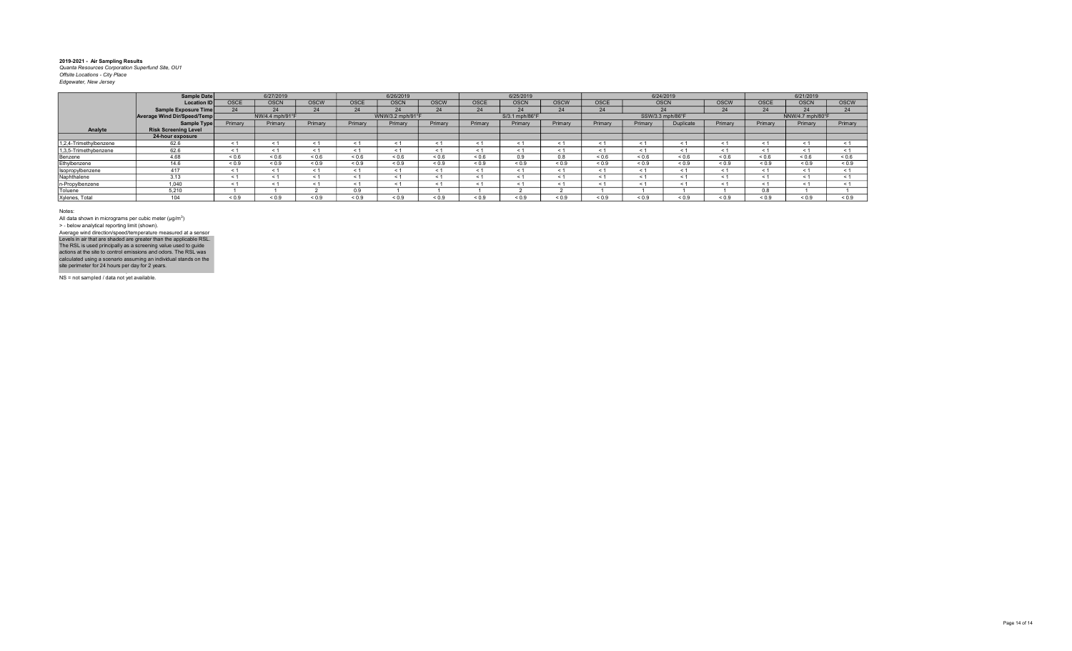|                        | Sample Date                 |            | 6/27/2019       |             |                          | 6/26/2019        |             |            | 6/25/2019      |             |            |             | 6/24/2019        |             |             | 6/21/2019        |             |
|------------------------|-----------------------------|------------|-----------------|-------------|--------------------------|------------------|-------------|------------|----------------|-------------|------------|-------------|------------------|-------------|-------------|------------------|-------------|
|                        | <b>Location ID</b>          | OSCE       | <b>OSCN</b>     | <b>OSCW</b> | OSCE                     | <b>OSCN</b>      | <b>OSCW</b> | OSCE       | <b>OSCN</b>    | <b>OSCW</b> | OSCE       | <b>OSCN</b> |                  | <b>OSCW</b> | <b>OSCE</b> | <b>OSCN</b>      | <b>OSCW</b> |
|                        | Sample Exposure Time        | 24         | 24              | 24          | 24                       | 24               | 24          | 24         | 24             | 24          | 24         |             | 24               | 24          | 24          | 24               | 24          |
|                        | Average Wind Dir/Speed/Temp |            | NW/4.4 mph/91°F |             |                          | WNW/3.2 mph/91°F |             |            | S/3.1 mph/86°F |             |            |             | SSW/3.3 mph/86°F |             |             | NNW/4.7 mph/80°F |             |
|                        | Sample Type                 | Primary    | Primary         | Primary     | Primary                  | Primary          | Primary     | Primary    | Primary        | Primary     | Primary    | Primary     | Duplicate        | Primary     | Primary     | Primary          | Primary     |
| Analyte                | <b>Risk Screening Level</b> |            |                 |             |                          |                  |             |            |                |             |            |             |                  |             |             |                  |             |
|                        | 24-hour exposure            |            |                 |             |                          |                  |             |            |                |             |            |             |                  |             |             |                  |             |
| 1.2.4-Trimethylbenzene | 62.6                        | < 1        |                 | < 1         | $\overline{\phantom{a}}$ | < 1              | $\leq$      |            | < 1            |             | < 1        |             |                  | $\leq 1$    | < 1         | < 1              |             |
| 1,3,5-Trimethybenzene  | 62.6                        | < 1        | ≺ 1             | < 1         | < 1                      | < 1              | ≺ 1         |            | < 1            | < 1         | < 1        | < 1         | < 1              | < 1         | < 1         | < 1              |             |
| Benzene                | 4.68                        | 0.6        | ${}_{0.6}$      | ${}_{0.6}$  | ${}_{0.6}$               | ${}_{0.6}$       | 0.6         | ${}_{0.6}$ | 0.9            | 0.8         | ${}_{0.6}$ | 0.6         | ${}^{<0.6}$      | ${}_{0.6}$  | 0.6         | ${}^{5}$ 0.6     | < 0.6       |
| Ethylbenzene           | 14.6                        | ${}_{0.9}$ | ${}_{0.9}$      | ${}_{0.9}$  | ${}_{0.9}$               | ${}_{0.9}$       | ${}_{0.9}$  | ${}_{0.9}$ | ${}_{0.9}$     | ${}_{0.9}$  | ${}_{0.9}$ | ${}_{0.9}$  | ${}_{0.9}$       | ${}_{0.9}$  | ${}_{0.9}$  | ${}_{0.9}$       | ${}_{0.9}$  |
| Isopropylbenzene       | 417                         | < 1        | < 1             | < 1         | < '                      | < 1              | < 1         |            | < 1            |             | < 1        | $\leq 1$    | < 1              | < 1         | $\leq 1$    | < 1              |             |
| Naphthalene            | 3.13                        | < 1        |                 | < 1         | < '                      | < 1              |             |            | < 1            |             | < 1        | < 1         |                  | < 1         | < 1         | < 1              |             |
| n-Propylbenzene        | 1.040                       | < 1        |                 | < 1         | < '                      | < 1              | < 1         |            | < 1            | < 1         | < 1        | < 1         | ← 1              | < 1         | < 1         | < 1              |             |
| Toluene                | 5.210                       |            |                 |             | 0.9                      |                  |             |            |                |             |            |             |                  |             | 0.8         |                  |             |
| Xylenes, Total         | 104                         | 0.9        | ${}_{0.9}$      | ${}_{0.9}$  | ${}_{0.9}$               | ${}_{0.9}$       | ${}_{0.9}$  | ${}_{0.9}$ | 0.9            | ${}_{0.9}$  | ${}_{0.9}$ | ${}_{0.9}$  | ${}_{0.9}$       | ${}_{0.9}$  | ${}_{0.9}$  | < 0.9            | < 0.9       |
|                        |                             |            |                 |             |                          |                  |             |            |                |             |            |             |                  |             |             |                  |             |

Notes:

All data shown in micrograms per cubic meter (μg/m<sup>3</sup>)<br>> - below analytical reporting limit (shown). Levels in air that are shaded are greater than the applicable RSL.<br>The RSL is used principally as a screening value used to guide<br>actions at the site to control emissions and odors. The RSL was<br>calculated using a scenario Average wind direction/speed/temperature measured at a sensor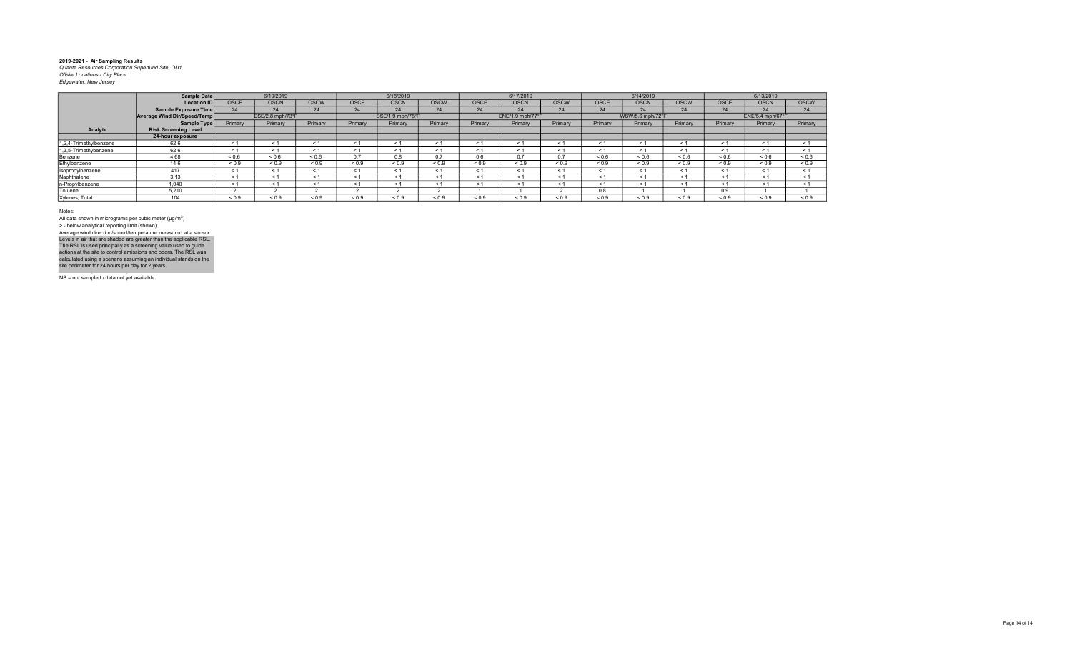|                        | Sample Date                 |             | 6/19/2019        |             |             | 6/18/2019        |             |             | 6/17/2019             |             |              | 6/14/2019        |             |             | 6/13/2019        |             |
|------------------------|-----------------------------|-------------|------------------|-------------|-------------|------------------|-------------|-------------|-----------------------|-------------|--------------|------------------|-------------|-------------|------------------|-------------|
|                        | <b>Location ID</b>          | <b>OSCE</b> | <b>OSCN</b>      | <b>OSCW</b> | <b>OSCE</b> | <b>OSCN</b>      | <b>OSCW</b> | <b>OSCE</b> | <b>OSCN</b>           | <b>OSCW</b> | <b>OSCE</b>  | <b>OSCN</b>      | <b>OSCW</b> | <b>OSCE</b> | <b>OSCN</b>      | <b>OSCW</b> |
|                        | Sample Exposure Time        | 24          | 24               | 24          | 24          | 24               | 24          | 24          | 24                    | 24          | 24           | 24               | 24          | 24          | 24               | 24          |
|                        | Average Wind Dir/Speed/Temp |             | ESE/2.8 mph/73°F |             |             | SSE/1.9 mph/75°F |             |             | ENE/1.9 mph/77°F      |             |              | WSW/5.6 mph/72°F |             |             | ENE/5.4 mph/67°F |             |
|                        | Sample Type                 | Primary     | Primary          | Primary     | Primary     | Primary          | Primary     | Primary     | Primary               | Primary     | Primary      | Primary          | Primary     | Primary     | Primary          | Primary     |
| Analyte                | <b>Risk Screening Level</b> |             |                  |             |             |                  |             |             |                       |             |              |                  |             |             |                  |             |
|                        | 24-hour exposure            |             |                  |             |             |                  |             |             |                       |             |              |                  |             |             |                  |             |
| 1,2,4-Trimethylbenzene | 62.6                        |             |                  | < 1         | $\leq 1$    |                  | ← 1         | < 1         | $\tilde{\phantom{0}}$ | $\leq$      | < 1          | - < 1            | $\leq$ 1    | - 1         | < 1              | < 1         |
| 1,3,5-Trimethybenzene  | 62.6                        |             |                  | < 1         | < 1         | < 1              | < 1         | < 1         | < 1                   | < 1         | < 1          | < 1              | < 1         | < 1         | < 1              | < 1         |
| Benzene                | 4.68                        | ${}_{0.6}$  | ${}^{<0.6}$      | ${}_{0.6}$  | 0.7         | 0.8              | 0.7         | 0.6         | 0.7                   | 0.7         | ${}^{5}$ 0.6 | ${}_{0.6}$       | ${}_{0.6}$  | ${}_{0.6}$  | ${}_{0.6}$       | ${}_{0.6}$  |
| Ethylbenzene           | 14.6                        | ${}_{0.9}$  | < 0.9            | < 0.9       | < 0.9       | ${}_{0.9}$       | < 0.9       | ${}_{0.9}$  | ${}_{0.9}$            | ${}_{0.9}$  | ${}_{0.9}$   | < 0.9            | ${}_{0.9}$  | ${}_{0.9}$  | ${}_{0.9}$       | ${}_{0.9}$  |
| Isopropylbenzene       | 417                         |             |                  | < 1         | < 1         | < 1              | < 1         | < 1         | < 1                   | < 1         | < 1          | < 1              | < 1         | < 1         | < 1              | < 1         |
| Naphthalene            | 3.13                        |             |                  | < 1         | < 1         |                  | < 1         | < 1         | $\leq$ 1              | $\leq 1$    | < 1          | < 1              | < 1         | < 1         | < 1              | < 1         |
| n-Propylbenzene        | 1.040                       |             |                  | < 1         | < 1         |                  | < 1         | < 1         | $\leq$ 1              | $\leq 1$    | < 1          | < 1              | < 1         | < 1         | < 1              | $\leq 1$    |
| Toluene                | 5.210                       |             |                  |             |             |                  |             |             |                       |             | 0.8          |                  |             | 0.9         |                  |             |
| Xylenes, Total         | 104                         | ${}_{0.9}$  | 0.9              | 0.9         | < 0.9       | 0.9              | < 0.9       | ${}_{0.9}$  | ${}_{0.9}$            | < 0.9       | ${}_{0.9}$   | < 0.9            | < 0.9       | < 0.9       | < 0.9            | ${}_{0.9}$  |

Notes:

All data shown in micrograms per cubic meter (μg/m<sup>3</sup>)<br>> - below analytical reporting limit (shown). Levels in air that are shaded are greater than the applicable RSL.<br>The RSL is used principally as a screening value used to guide<br>actions at the site to control emissions and odors. The RSL was<br>calculated using a scenario Average wind direction/speed/temperature measured at a sensor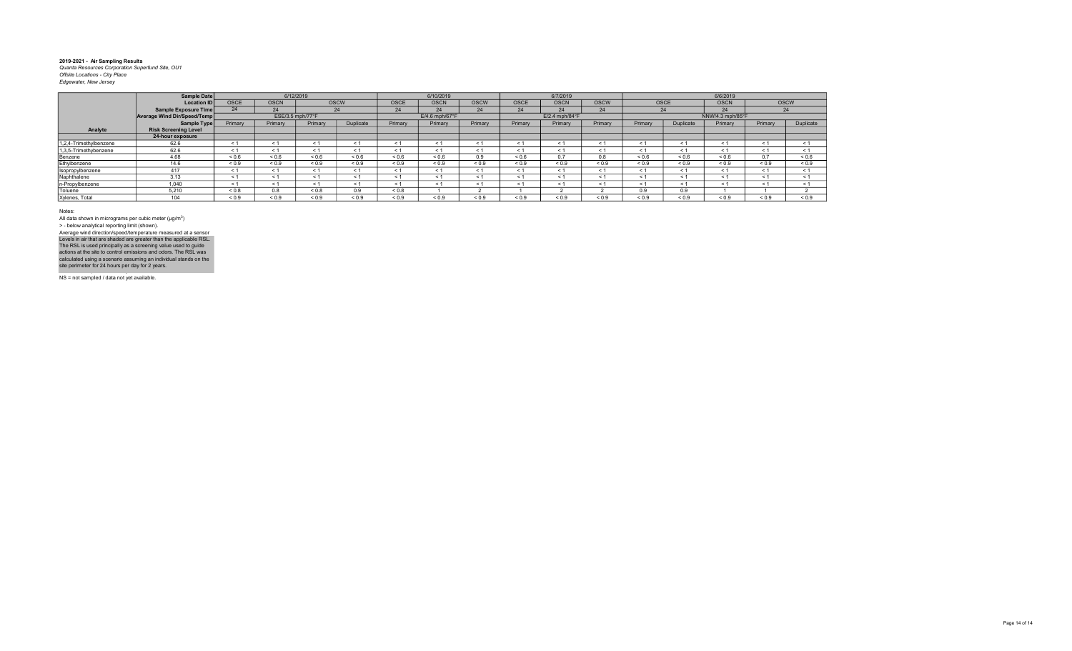|                        | <b>Sample Date</b>                 |                          | 6/12/2019        |              |             |                   | 6/10/2019        |             |             | 6/7/2019                   |             |            |            | 6/6/2019         |            |                   |
|------------------------|------------------------------------|--------------------------|------------------|--------------|-------------|-------------------|------------------|-------------|-------------|----------------------------|-------------|------------|------------|------------------|------------|-------------------|
|                        | <b>Location ID</b>                 | <b>OSCE</b>              | <b>OSCN</b>      |              | <b>OSCW</b> | <b>OSCE</b>       | <b>OSCN</b>      | <b>OSCW</b> | <b>OSCE</b> | <b>OSCN</b>                | <b>OSCW</b> | OSCE       |            | <b>OSCN</b>      |            | <b>OSCW</b>       |
|                        | <b>Sample Exposure Time</b>        |                          | 24               |              | 24          | 24                | 24               | 24          | 24          | 24                         | 24          | 24         |            | 24               |            | 24                |
|                        | <b>Average Wind Dir/Speed/Temp</b> |                          | ESE/3.5 mph/77°F |              |             |                   | $E/4.6$ mph/67°F |             |             | $E/2.4$ mph/84 $\degree$ F |             |            |            | NNW/4.3 mph/85°F |            |                   |
|                        | <b>Sample Type</b>                 | Primary                  | Primary          | Primary      | Duplicate   | Primary           | Primary          | Primary     | Primary     | Primary                    | Primary     | Primary    | Duplicate  | Primary          | Primary    | Duplicate         |
| Analyte                | <b>Risk Screening Level</b>        |                          |                  |              |             |                   |                  |             |             |                            |             |            |            |                  |            |                   |
|                        | 24-hour exposure                   |                          |                  |              |             |                   |                  |             |             |                            |             |            |            |                  |            |                   |
| 1,2,4-Trimethylbenzene | 62.6                               | $<$ 1                    |                  |              |             | < 1               | < 1              |             | < 1         | $\leq$ 1                   | $\leq$      | < 1        | < 1        | $\leq$           | < 1        | < 1               |
| 1,3,5-Trimethybenzene  | 62.6                               | < 1                      |                  | < 1          | < 1         | < 1               | $\leq 1$         | ← 1         | < 1         | < 1                        | $<$ 1       | < 1        | < 1        | $\leq$ 1         | < 1        | < 1               |
| Benzene                | 4.68                               | ${}_{0.6}$               | ${}^{5}$         | ${}_{0.6}$   | ${}_{0.6}$  | ${}^{5}$ ${}^{6}$ | ${}_{0.6}$       | 0.9         | ${}_{0.6}$  | 0.7                        | 0.8         | ${}_{0.6}$ | ${}_{0.6}$ | ${}_{0.6}$       | 0.7        | ${}^{5}$ ${}^{6}$ |
| Ethylbenzene           | 14.6                               | ${}_{0.9}$               | ${}_{0.9}$       | ${}_{0.9}$   | ${}_{0.9}$  | ${}_{0.9}$        | ${}_{0.9}$       | ${}_{0.9}$  | ${}_{0.9}$  | ${}_{0.9}$                 | ${}_{0.9}$  | ${}_{0.9}$ | ${}_{0.9}$ | ${}_{0.9}$       | ${}_{0.9}$ | ${}_{0.9}$        |
| Isopropylbenzene       | 417                                | < 1                      |                  | < 1          |             | < 1               | < 1              |             | < 1         | < 1                        | < 1         | < 1        | < 1        | < 1              | < 1        | < 1               |
| Naphthalene            | 3.13                               | $\overline{\phantom{a}}$ | e .              | < 1          |             | < 1               | < 1              |             | < 1         | < 1                        | < 1         | < 1        | < 1        | < 1              | < 1        | < 1               |
| n-Propylbenzene        | 1,040                              | < 1                      |                  | < 1          |             | < 1               | $\leq 1$         |             | < 1         | < 1                        | $\leq 1$    | < 1        | < 1        | $\leq$ 1         | < 1        | < 1               |
| Toluene                | 5.210                              | ${}_{0.8}$               | 0.8              | ${}_{0.8}$   | 0.9         | < 0.8             |                  |             |             |                            |             | 0.9        | 0.9        |                  |            |                   |
| Xylenes, Total         | 104                                | ${}_{0.9}$               | 0.9              | ${}^{5}$ 0.9 | ${}_{0.9}$  | 0.9               | ${}_{0.9}$       | 0.9         | ${}_{0.9}$  | ${}_{0.9}$                 | < 0.9       | 0.9        | 0.9        | ${}_{0.9}$       | < 0.9      | ${}_{0.9}$        |

Notes:

All data shown in micrograms per cubic meter (μg/m<sup>3</sup>)<br>> - below analytical reporting limit (shown). Levels in air that are shaded are greater than the applicable RSL.<br>The RSL is used principally as a screening value used to guide<br>actions at the site to control emissions and odors. The RSL was<br>calculated using a scenario Average wind direction/speed/temperature measured at a sensor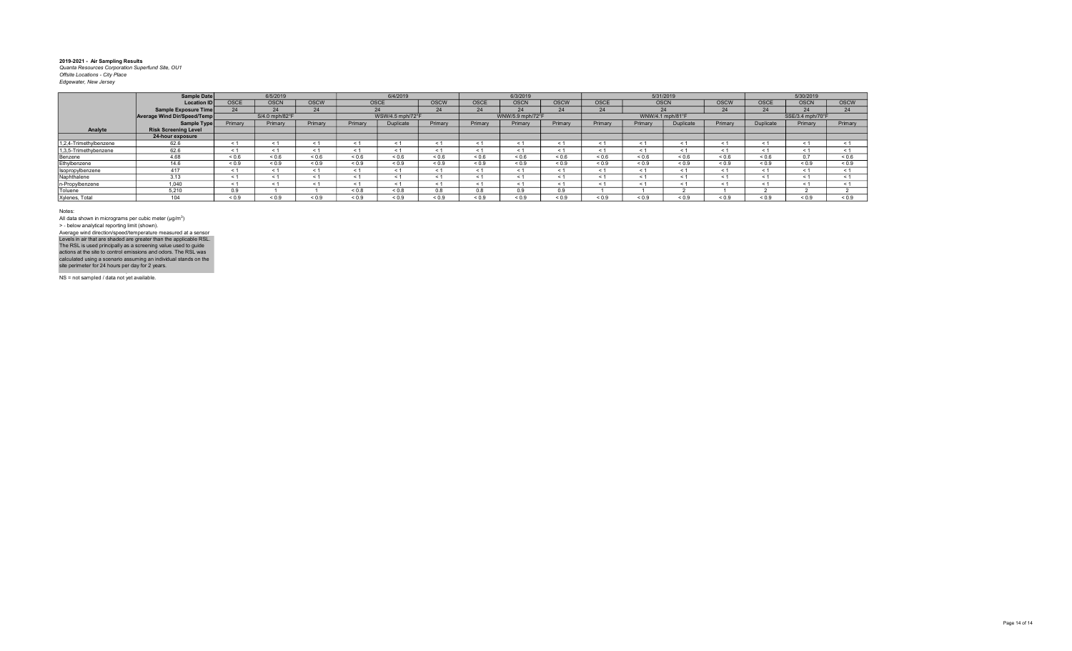|                        | <b>Sample Date</b>          |             | 6/5/2019       |             |            | 6/4/2019         |            |             | 6/3/2019         |             |             |             | 5/31/2019        |             |             | 5/30/2019        |             |
|------------------------|-----------------------------|-------------|----------------|-------------|------------|------------------|------------|-------------|------------------|-------------|-------------|-------------|------------------|-------------|-------------|------------------|-------------|
|                        | <b>Location ID</b>          | <b>OSCE</b> | <b>OSCN</b>    | <b>OSCW</b> | OSCE       |                  | OSCW       | <b>OSCE</b> | <b>OSCN</b>      | <b>OSCW</b> | <b>OSCE</b> | <b>OSCN</b> |                  | <b>OSCW</b> | <b>OSCE</b> | <b>OSCN</b>      | <b>OSCW</b> |
|                        | <b>Sample Exposure Time</b> | 24          | 24             | 24          |            | 24               | 24         | 24          | 24               | 24          | 24          |             |                  | 24          | 24          | 24               | 24          |
|                        | Average Wind Dir/Speed/Temp |             | S/4.0 mph/82°F |             |            | WSW/4.5 mph/72°F |            |             | WNW/5.9 mph/72°F |             |             |             | WNW/4.1 mph/81°F |             |             | SSE/3.4 mph/70°F |             |
|                        | Sample Type                 | Primary     | Primary        | Primary     | Primary    | Duplicate        | Primary    | Primary     | Primary          | Primary     | Primary     | Primary     | Duplicate        | Primary     | Duplicate   | Primary          | Primary     |
| Analyte                | <b>Risk Screening Level</b> |             |                |             |            |                  |            |             |                  |             |             |             |                  |             |             |                  |             |
|                        | 24-hour exposure            |             |                |             |            |                  |            |             |                  |             |             |             |                  |             |             |                  |             |
| 1,2,4-Trimethylbenzene | 62.6                        | < 1         |                | < 1         | $\leq 1$   | < 1              | < 1        |             | $\epsilon$       | < 1         | < 1         |             | $<$ 1            | < 1         | $\leq 1$    | < 1              | < 1         |
| 1,3,5-Trimethybenzene  | 62.6                        | < 1         |                | < 1         | - 1        | < 1              | $\leq 1$   | $\leq$ 1    | $\leq$ 1         | < 1         | $\leq 1$    | < 1         | $\leq$ 1         | < 1         | < 1         | $\leq 1$         | $\leq 1$    |
| Benzene                | 4.68                        | 0.6         | ${}_{0.6}$     | ${}_{0.6}$  | ${}_{0.6}$ | 0.6              | ${}_{0.6}$ | 0.6         | < 0.6            | ${}_{0.6}$  | ${}_{0.6}$  | 0.6         | ${}_{0.6}$       | < 0.6       | ${}_{0.6}$  | $\sim$ $\sim$    | 0.6         |
| Ethylbenzene           | 14.6                        | < 0.9       | ${}_{0.9}$     | ${}_{0.9}$  | ${}_{0.9}$ | ${}_{0.9}$       | < 0.9      | ${}_{0.9}$  | < 0.9            | ${}_{0.9}$  | ${}_{0.9}$  | ${}_{0.9}$  | ${}_{0.9}$       | < 0.9       | ${}_{0.9}$  | ${}_{0.9}$       | ${}_{0.9}$  |
| Isopropylbenzene       | 417                         | < 1         | < 1            | < 1         | $\leq 1$   | < 1              | < 1        | < 1         | $<$ 1            | < 1         | < 1         | < 1         | < 1              | < 1         | < 1         | < 1              |             |
| Naphthalene            | 3.13                        | < 1         |                | < 1         | < 1        | < 1              | < '        |             | $\leq$           | < 1         | < 1         |             | $\prec$          | < 1         | $\leq 1$    | < 1              | < 1         |
| n-Propylbenzene        | 1,040                       | < 1         |                | < 1         | < 1        | < 1              | < 1        |             | $\epsilon$       | < 1         | < 1         | < 1         | < 1              | < 1         | $<$ 1       |                  |             |
| Toluene                | 5,210                       | 0.9         |                |             | ${}_{0.8}$ | ${}_{0.8}$       | 0.8        | 0.8         | 0.9              | 0.9         |             |             |                  |             |             |                  |             |
| Xylenes, Total         | $\overline{A}$              | 0.9         | ${}_{0.9}$     | ${}_{0.9}$  | ${}_{0.9}$ | ${}_{0.9}$       | ${}_{0.9}$ | ${}_{0.9}$  | < 0.9            | ${}_{0.9}$  | ${}_{0.9}$  | ${}_{0.9}$  | ${}_{0.9}$       | ${}_{0.9}$  | ${}_{0.9}$  | 0.9              | < 0.9       |

Notes:

All data shown in micrograms per cubic meter (μg/m<sup>3</sup>)<br>> - below analytical reporting limit (shown). Levels in air that are shaded are greater than the applicable RSL.<br>The RSL is used principally as a screening value used to guide<br>actions at the site to control emissions and odors. The RSL was<br>calculated using a scenario Average wind direction/speed/temperature measured at a sensor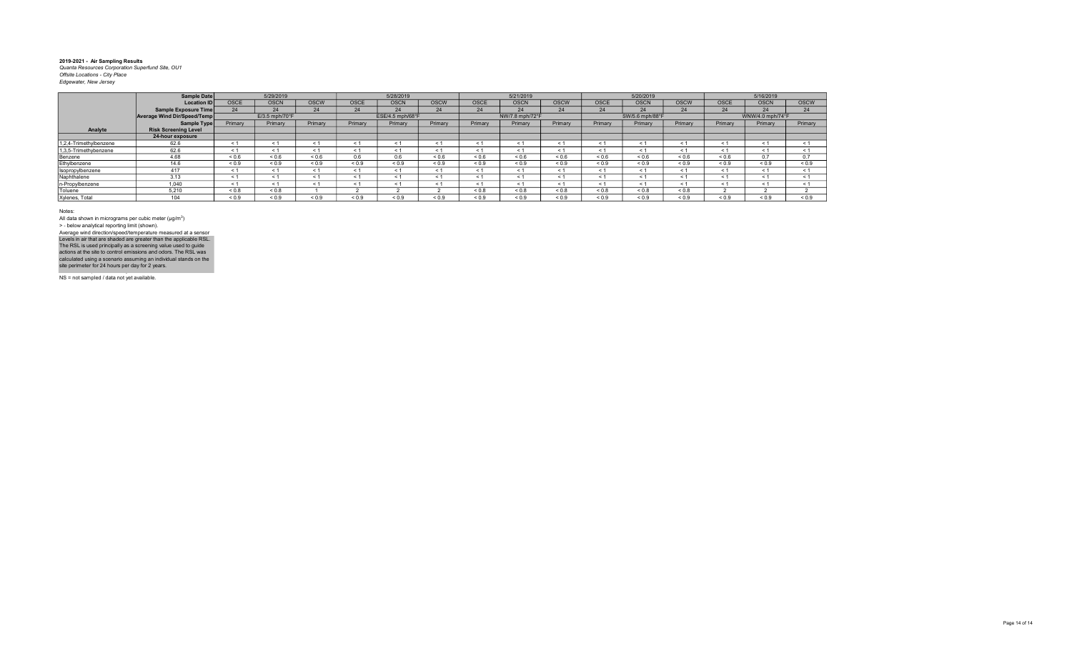|                        | Sample Date                 |             | 5/29/2019      |             |             | 5/28/2019        |             |             | 5/21/2019       |             |             | 5/20/2019       |             |             | 5/16/2019        |             |
|------------------------|-----------------------------|-------------|----------------|-------------|-------------|------------------|-------------|-------------|-----------------|-------------|-------------|-----------------|-------------|-------------|------------------|-------------|
|                        | <b>Location ID</b>          | <b>OSCE</b> | <b>OSCN</b>    | <b>OSCW</b> | <b>OSCE</b> | <b>OSCN</b>      | <b>OSCW</b> | <b>OSCE</b> | <b>OSCN</b>     | <b>OSCW</b> | <b>OSCE</b> | <b>OSCN</b>     | <b>OSCW</b> | <b>OSCE</b> | <b>OSCN</b>      | <b>OSCW</b> |
|                        | Sample Exposure Time        | 24          | 24             | 24          | 24          | 24               | 24          | 24          | 24              | 24          | 24          | 24              | 24          | 24          | 24               | 24          |
|                        | Average Wind Dir/Speed/Temp |             | E/3.5 mph/70°F |             |             | ESE/4.5 mph/68°F |             |             | NW/7.8 mph/72°F |             |             | SW/5.6 mph/88°F |             |             | WNW/4.0 mph/74°F |             |
|                        | Sample Type                 | Primary     | Primary        | Primary     | Primary     | Primary          | Primary     | Primary     | Primary         | Primary     | Primary     | Primary         | Primary     | Primary     | Primary          | Primary     |
| Analyte                | <b>Risk Screening Level</b> |             |                |             |             |                  |             |             |                 |             |             |                 |             |             |                  |             |
|                        | 24-hour exposure            |             |                |             |             |                  |             |             |                 |             |             |                 |             |             |                  |             |
| 1,2,4-Trimethylbenzene | 62.6                        | < 1         |                |             | < 1         | < 1              |             |             | < 1             | $\leq$      | < 1         | < 1             | < 1         | $\leq$      | < 1              | < 1         |
| 1,3,5-Trimethybenzene  | 62.6                        | < 1         | < 1            |             | < 1         | < 1              | ← 1         | < 1         | < 1             | $\leq$ 1    | < 1         | < 1             | < 1         | - 1         | < 1              | < 1         |
| Benzene                | 4.68                        | ${}_{0.6}$  | ${}_{0.6}$     | ${}_{0.6}$  | 0.6         | 0.6              | 0.6         | ${}_{0.6}$  | ${}_{0.6}$      | ${}_{0.6}$  | 0.6         | 0.6             | ${}_{0.6}$  | ${}_{0.6}$  | 0.7              | 0.7         |
| Ethylbenzene           | 14.6                        | ${}_{0.9}$  | ${}_{0.9}$     | ${}_{0.9}$  | ${}_{0.9}$  | ${}_{0.9}$       | ${}_{0.9}$  | ${}_{0.9}$  | ${}_{0.9}$      | ${}_{0.9}$  | ${}_{0.9}$  | ${}_{0.9}$      | ${}_{0.9}$  | ${}_{0.9}$  | ${}_{0.9}$       | ${}_{0.9}$  |
| Isopropylbenzene       | 417                         | < 1         | < 1            |             | < 1         | < 1              |             | < 1         | < 1             | $\leq$      | < 1         | < 1             | < 1         | < 1         | < 1              | < 1         |
| Naphthalene            | 3.13                        | < 1         |                |             | < 1         | < 1              | < 1         | < 1         | < 1             | $\leq$ 1    | < 1         | < 1             | < 1         | < 1         | < 1              | < 1         |
| n-Propylbenzene        | 1.040                       | < 1         | < 1            |             | < 1         |                  |             | < 1         | < 1             | $\leq$ 1    | < 1         | < 1             | < 1         | < 1         | < 1              | < 1         |
| Toluene                | 5,210                       | ${}_{0.8}$  | ${}_{0.8}$     |             |             |                  |             | < 0.8       | < 0.8           | &0.8        | &0.8        | &0.8            | ${}_{0.8}$  |             |                  |             |
| Xylenes, Total         | 104                         | 0.9         | ${}^{<}0.9$    | < 0.9       | < 0.9       | 0.9              | < 0.9       | 0.9         | ${}_{0.9}$      | < 0.9       | < 0.9       | < 0.9           | 0.9         | < 0.9       | < 0.9            | < 0.9       |

Notes:

All data shown in micrograms per cubic meter (μg/m<sup>3</sup>)<br>> - below analytical reporting limit (shown). Levels in air that are shaded are greater than the applicable RSL.<br>The RSL is used principally as a screening value used to guide<br>actions at the site to control emissions and odors. The RSL was<br>calculated using a scenario Average wind direction/speed/temperature measured at a sensor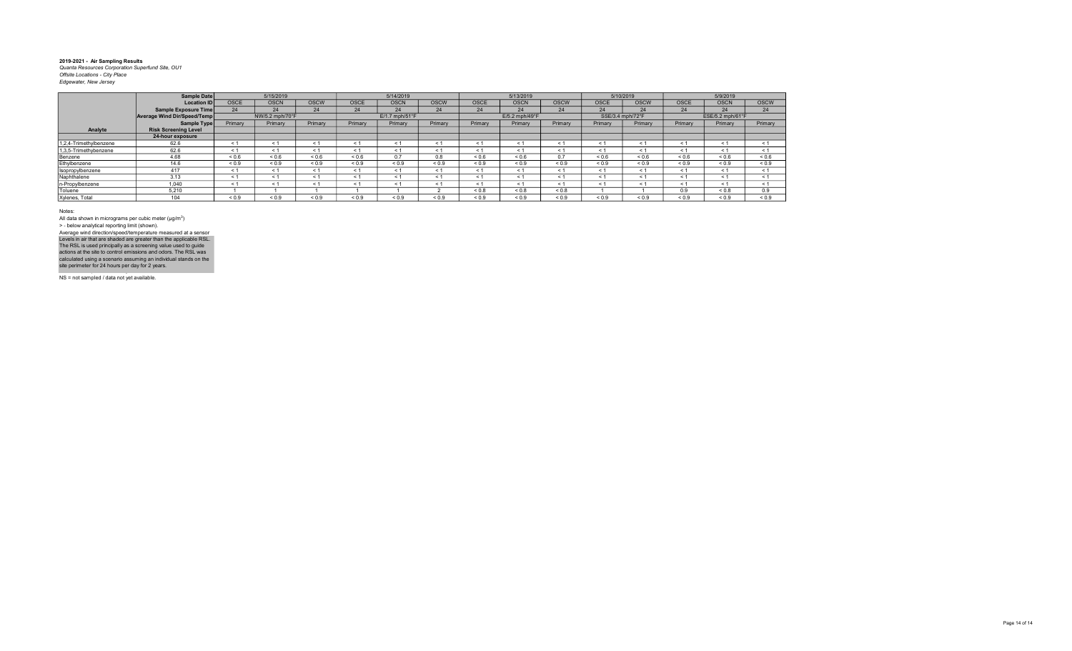|                        | Sample Date                 |             | 5/15/2019       |             |            | 5/14/2019                  |             |             | 5/13/2019      |             |              | 5/10/2019        |             | 5/9/2019         |             |
|------------------------|-----------------------------|-------------|-----------------|-------------|------------|----------------------------|-------------|-------------|----------------|-------------|--------------|------------------|-------------|------------------|-------------|
|                        | <b>Location ID</b>          | <b>OSCE</b> | <b>OSCN</b>     | <b>OSCW</b> | OSCE       | <b>OSCN</b>                | <b>OSCW</b> | <b>OSCE</b> | <b>OSCN</b>    | <b>OSCW</b> | <b>OSCE</b>  | <b>OSCW</b>      | <b>OSCE</b> | <b>OSCN</b>      | <b>OSCW</b> |
|                        | Sample Exposure Time        | 24          | 24              | 24          | 24         | 24                         | 24          | 24          | 24             | 24          | 24           | 24               | 24          | 24               | 24          |
|                        | Average Wind Dir/Speed/Temp |             | NW/5.2 mph/70°F |             |            | $E/1.7$ mph/51 $\degree$ F |             |             | E/5.2 mph/49°F |             |              | SSE/3.4 mph/72°F |             | ESE/5.2 mph/61°F |             |
|                        | Sample Type                 | Primary     | Primary         | Primary     | Primary    | Primary                    | Primary     | Primary     | Primary        | Primary     | Primary      | Primary          | Primary     | Primary          | Primary     |
| Analyte                | <b>Risk Screening Level</b> |             |                 |             |            |                            |             |             |                |             |              |                  |             |                  |             |
|                        | 24-hour exposure            |             |                 |             |            |                            |             |             |                |             |              |                  |             |                  |             |
| 1,2,4-Trimethylbenzene | 62.6                        | < 1         | < 1             | < 1         | < 1        | $\leq$ 1                   | $\leq$ 1    | < 1         | < 1            | < 1         | < 1          | < 1              | < 1         | < 1              | < 1         |
| 1,3,5-Trimethybenzene  | 62.6                        | < 1         | < 1             | < 1         | < 1        | < 1                        |             | < 1         | < 1            | < 1         | < 1          | < 1              | < 1         | < 1              | < 1         |
| Benzene                | 4.68                        | < 0.6       | ${}_{0.6}$      | ${}_{0.6}$  | ${}_{0.6}$ | 0.7                        | 0.8         | ${}_{0.6}$  | ${}_{0.6}$     | 0.7         | ${}^{5}$ 0.6 | ${}_{0.6}$       | ${}_{0.6}$  | ${}_{0.6}$       | ${}_{0.6}$  |
| Ethylbenzene           | 14.6                        | ${}_{0.9}$  | ${}_{0.9}$      | ${}_{0.9}$  | ${}_{0.9}$ | ${}_{0.9}$                 | ${}_{0.9}$  | ${}_{0.9}$  | ${}_{0.9}$     | ${}_{0.9}$  | ${}_{0.9}$   | ${}_{0.9}$       | ${}_{0.9}$  | ${}_{0.9}$       | ${}_{0.9}$  |
| Isopropylbenzene       | 417                         | < 1         | < 1             | < 1         | < 1        | < 1                        | < 1         | < 1         | < 1            | < 1         | < 1          | < 1              | < 1         | < 1              | < 1         |
| Naphthalene            | 3.13                        | < 1         | < 1             | < 1         | < 1        | < 1                        | $\leq$ 1    | < 1         | < 1            | < 1         | < 1          | < 1              | < 1         | < 1              | < 1         |
| n-Propylbenzene        | 1.040                       | < 1         | < 1             | < 1         | < 1        | < 1                        | < 1         | < 1         | < 1            | < 1         | < 1          | < 1              | < 1         | < 1              | < 1         |
| Toluene                | 5.210                       |             |                 |             |            |                            |             | ${}_{0.8}$  | ${}_{0.8}$     | ${}_{0.8}$  |              |                  | 0.9         | ${}_{0.8}$       | 0.9         |
| Xylenes, Total         | 104                         | ${}_{0.9}$  | ${}_{0.9}$      | < 0.9       | ${}_{0.9}$ | 0.9                        | 0.9         | < 0.9       | ${}_{0.9}$     | ${}_{0.9}$  | ${}_{0.9}$   | ${}_{0.9}$       | ${}_{0.9}$  | ${}_{0.9}$       | ${}_{0.9}$  |

Notes:

All data shown in micrograms per cubic meter (μg/m<sup>3</sup>)<br>> - below analytical reporting limit (shown). Levels in air that are shaded are greater than the applicable RSL.<br>The RSL is used principally as a screening value used to guide<br>actions at the site to control emissions and odors. The RSL was<br>calculated using a scenario Average wind direction/speed/temperature measured at a sensor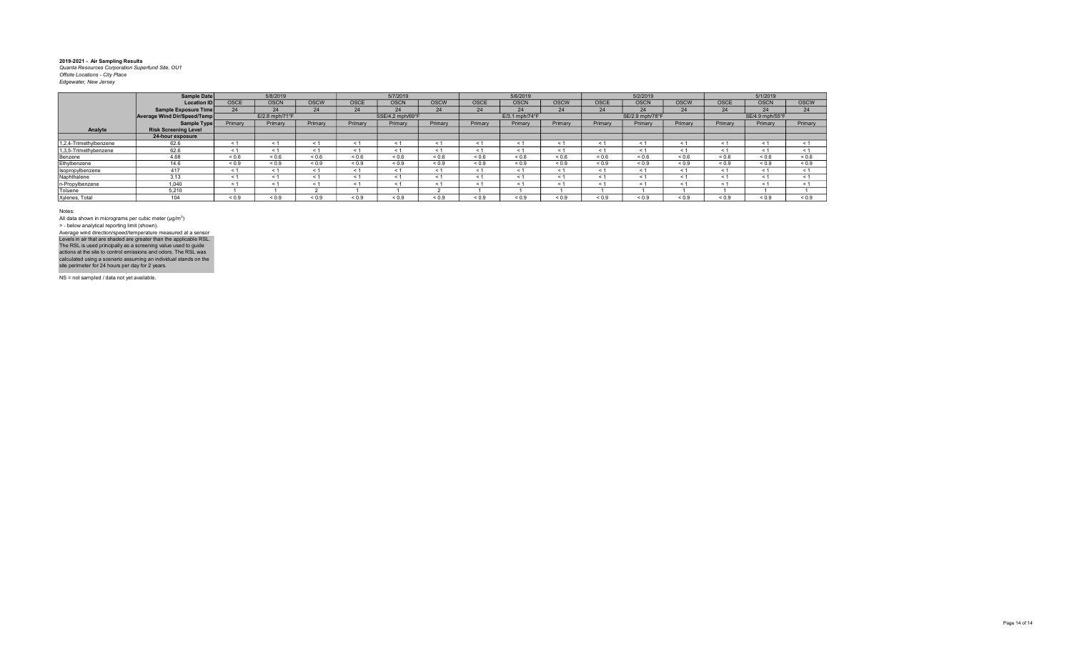|                        | Sample Date                 | 5/8/2019       |             |             | 5/7/2019         |             |             | 5/6/2019       |             |             | 5/2/2019        |             |             | 5/1/2019        |             |             |
|------------------------|-----------------------------|----------------|-------------|-------------|------------------|-------------|-------------|----------------|-------------|-------------|-----------------|-------------|-------------|-----------------|-------------|-------------|
|                        | <b>Location ID</b>          | <b>OSCE</b>    | <b>OSCN</b> | <b>OSCW</b> | <b>OSCE</b>      | <b>OSCN</b> | <b>OSCW</b> | <b>OSCE</b>    | <b>OSCN</b> | <b>OSCW</b> | <b>OSCE</b>     | <b>OSCN</b> | <b>OSCW</b> | <b>OSCE</b>     | <b>OSCN</b> | <b>OSCW</b> |
|                        | Sample Exposure Time        | 24             | 24          | 24          | 24               | 24          | 24          | 24             | 24          | 24          | 24              | 24          | 24          | 24              | 24          | 24          |
|                        | Average Wind Dir/Speed/Temp | E/2.8 mph/71°F |             |             | SSE/4.2 mph/69°F |             |             | E/3.1 mph/74°F |             |             | SE/2.9 mph/78°F |             |             | SE/4.9 mph/55°F |             |             |
|                        | Sample Type                 | Primary        | Primary     | Primary     | Primary          | Primary     | Primary     | Primary        | Primary     | Primary     | Primary         | Primary     | Primary     | Primary         | Primary     | Primary     |
| Analyte                | <b>Risk Screening Level</b> |                |             |             |                  |             |             |                |             |             |                 |             |             |                 |             |             |
|                        | 24-hour exposure            |                |             |             |                  |             |             |                |             |             |                 |             |             |                 |             |             |
| 1,2,4-Trimethylbenzene | 62.6                        | < 1            |             |             | < 1              | < 1         |             |                | < 1         | $\leq$      | < 1             | < 1         | < 1         | $\leq$          | < 1         | < 1         |
| 1,3,5-Trimethybenzene  | 62.6                        | < 1            | < 1         |             | < 1              | < 1         | ← 1         | < 1            | < 1         | $\leq$ 1    | < 1             | < 1         | < 1         | - 1             | < 1         | < 1         |
| Benzene                | 4.68                        | ${}_{0.6}$     | ${}_{0.6}$  | ${}_{0.6}$  | 0.6              | ${}_{0.6}$  | ${}_{0.6}$  | ${}_{0.6}$     | ${}_{0.6}$  | ${}_{0.6}$  | 0.6             | 0.6         | ${}_{0.6}$  | ${}_{0.6}$      | ${}_{0.6}$  | ${}_{0.6}$  |
| Ethylbenzene           | 14.6                        | ${}_{0.9}$     | ${}_{0.9}$  | ${}_{0.9}$  | ${}_{0.9}$       | ${}_{0.9}$  | ${}_{0.9}$  | ${}_{0.9}$     | ${}_{0.9}$  | ${}_{0.9}$  | ${}_{0.9}$      | ${}_{0.9}$  | ${}_{0.9}$  | ${}_{0.9}$      | ${}_{0.9}$  | ${}_{0.9}$  |
| Isopropylbenzene       | 417                         | < 1            | < 1         |             | < 1              | < 1         |             | < 1            | < 1         | $\leq$      | < 1             | < 1         | < 1         | < 1             | < 1         | < 1         |
| Naphthalene            | 3.13                        | < 1            |             |             | < 1              | < 1         |             | < 1            | < 1         | $\leq$      | < 1             | < 1         | < 1         | < 1             | < 1         | < 1         |
| n-Propylbenzene        | 1.040                       | < 1            | < 1         |             | < 1              | < 1         |             | ← 1            | < 1         | $\leq$ 1    | < 1             | < 1         | < 1         | < 1             | < 1         | < 1         |
| Toluene                | 5,210                       |                |             |             |                  |             |             |                |             |             |                 |             |             |                 |             |             |
| Xylenes, Total         | 104                         | 0.9            | ${}^{<}0.9$ | < 0.9       | 0.9              | 0.9         | < 0.9       | 0.9            | ${}_{0.9}$  | < 0.9       | < 0.9           | < 0.9       | < 0.9       | ${}_{0.9}$      | < 0.9       | < 0.9       |

Notes:

All data shown in micrograms per cubic meter (μg/m<sup>3</sup>)<br>> - below analytical reporting limit (shown). Levels in air that are shaded are greater than the applicable RSL.<br>The RSL is used principally as a screening value used to guide<br>actions at the site to control emissions and odors. The RSL was<br>calculated using a scenario Average wind direction/speed/temperature measured at a sensor